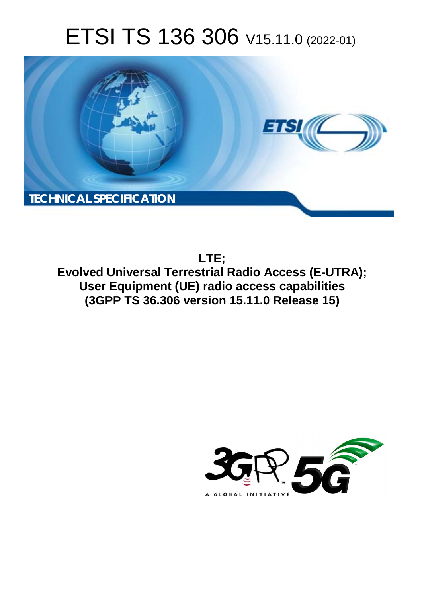# ETSI TS 136 306 V15.11.0 (2022-01)



**LTE; Evolved Universal Terrestrial Radio Access (E-UTRA); User Equipment (UE) radio access capabilities (3GPP TS 36.306 version 15.11.0 Release 15)** 

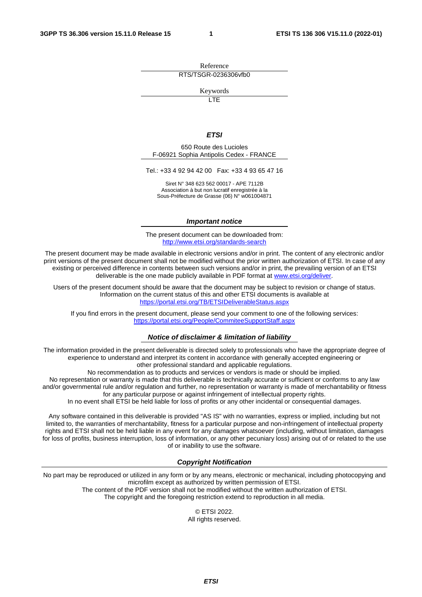Reference RTS/TSGR-0236306vfb0

Keywords

 $\overline{\mathsf{ITF}}$ 

#### *ETSI*

650 Route des Lucioles F-06921 Sophia Antipolis Cedex - FRANCE

Tel.: +33 4 92 94 42 00 Fax: +33 4 93 65 47 16

Siret N° 348 623 562 00017 - APE 7112B Association à but non lucratif enregistrée à la Sous-Préfecture de Grasse (06) N° w061004871

#### *Important notice*

The present document can be downloaded from: <http://www.etsi.org/standards-search>

The present document may be made available in electronic versions and/or in print. The content of any electronic and/or print versions of the present document shall not be modified without the prior written authorization of ETSI. In case of any existing or perceived difference in contents between such versions and/or in print, the prevailing version of an ETSI deliverable is the one made publicly available in PDF format at [www.etsi.org/deliver](http://www.etsi.org/deliver).

Users of the present document should be aware that the document may be subject to revision or change of status. Information on the current status of this and other ETSI documents is available at <https://portal.etsi.org/TB/ETSIDeliverableStatus.aspx>

If you find errors in the present document, please send your comment to one of the following services: <https://portal.etsi.org/People/CommiteeSupportStaff.aspx>

#### *Notice of disclaimer & limitation of liability*

The information provided in the present deliverable is directed solely to professionals who have the appropriate degree of experience to understand and interpret its content in accordance with generally accepted engineering or other professional standard and applicable regulations.

No recommendation as to products and services or vendors is made or should be implied.

No representation or warranty is made that this deliverable is technically accurate or sufficient or conforms to any law and/or governmental rule and/or regulation and further, no representation or warranty is made of merchantability or fitness for any particular purpose or against infringement of intellectual property rights.

In no event shall ETSI be held liable for loss of profits or any other incidental or consequential damages.

Any software contained in this deliverable is provided "AS IS" with no warranties, express or implied, including but not limited to, the warranties of merchantability, fitness for a particular purpose and non-infringement of intellectual property rights and ETSI shall not be held liable in any event for any damages whatsoever (including, without limitation, damages for loss of profits, business interruption, loss of information, or any other pecuniary loss) arising out of or related to the use of or inability to use the software.

#### *Copyright Notification*

No part may be reproduced or utilized in any form or by any means, electronic or mechanical, including photocopying and microfilm except as authorized by written permission of ETSI. The content of the PDF version shall not be modified without the written authorization of ETSI.

The copyright and the foregoing restriction extend to reproduction in all media.

© ETSI 2022. All rights reserved.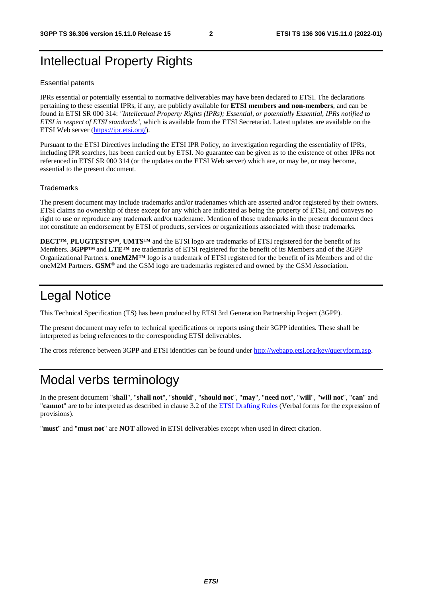# Intellectual Property Rights

#### Essential patents

IPRs essential or potentially essential to normative deliverables may have been declared to ETSI. The declarations pertaining to these essential IPRs, if any, are publicly available for **ETSI members and non-members**, and can be found in ETSI SR 000 314: *"Intellectual Property Rights (IPRs); Essential, or potentially Essential, IPRs notified to ETSI in respect of ETSI standards"*, which is available from the ETSI Secretariat. Latest updates are available on the ETSI Web server ([https://ipr.etsi.org/\)](https://ipr.etsi.org/).

Pursuant to the ETSI Directives including the ETSI IPR Policy, no investigation regarding the essentiality of IPRs, including IPR searches, has been carried out by ETSI. No guarantee can be given as to the existence of other IPRs not referenced in ETSI SR 000 314 (or the updates on the ETSI Web server) which are, or may be, or may become, essential to the present document.

#### **Trademarks**

The present document may include trademarks and/or tradenames which are asserted and/or registered by their owners. ETSI claims no ownership of these except for any which are indicated as being the property of ETSI, and conveys no right to use or reproduce any trademark and/or tradename. Mention of those trademarks in the present document does not constitute an endorsement by ETSI of products, services or organizations associated with those trademarks.

**DECT™**, **PLUGTESTS™**, **UMTS™** and the ETSI logo are trademarks of ETSI registered for the benefit of its Members. **3GPP™** and **LTE™** are trademarks of ETSI registered for the benefit of its Members and of the 3GPP Organizational Partners. **oneM2M™** logo is a trademark of ETSI registered for the benefit of its Members and of the oneM2M Partners. **GSM**® and the GSM logo are trademarks registered and owned by the GSM Association.

### Legal Notice

This Technical Specification (TS) has been produced by ETSI 3rd Generation Partnership Project (3GPP).

The present document may refer to technical specifications or reports using their 3GPP identities. These shall be interpreted as being references to the corresponding ETSI deliverables.

The cross reference between 3GPP and ETSI identities can be found under<http://webapp.etsi.org/key/queryform.asp>.

### Modal verbs terminology

In the present document "**shall**", "**shall not**", "**should**", "**should not**", "**may**", "**need not**", "**will**", "**will not**", "**can**" and "**cannot**" are to be interpreted as described in clause 3.2 of the [ETSI Drafting Rules](https://portal.etsi.org/Services/editHelp!/Howtostart/ETSIDraftingRules.aspx) (Verbal forms for the expression of provisions).

"**must**" and "**must not**" are **NOT** allowed in ETSI deliverables except when used in direct citation.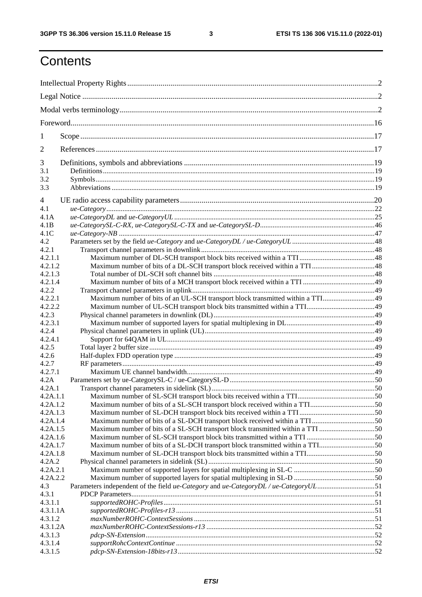# **Contents**

| 1              |                                                                                       |  |  |
|----------------|---------------------------------------------------------------------------------------|--|--|
| $\overline{2}$ |                                                                                       |  |  |
| 3              |                                                                                       |  |  |
| 3.1            |                                                                                       |  |  |
| 3.2<br>3.3     |                                                                                       |  |  |
| $\overline{4}$ |                                                                                       |  |  |
| 4.1            |                                                                                       |  |  |
| 4.1A           |                                                                                       |  |  |
| 4.1B           |                                                                                       |  |  |
| 4.1C           |                                                                                       |  |  |
| 4.2            |                                                                                       |  |  |
| 4.2.1          |                                                                                       |  |  |
| 4.2.1.1        |                                                                                       |  |  |
| 4.2.1.2        |                                                                                       |  |  |
| 4.2.1.3        |                                                                                       |  |  |
| 4.2.1.4        |                                                                                       |  |  |
| 4.2.2          |                                                                                       |  |  |
| 4.2.2.1        |                                                                                       |  |  |
|                |                                                                                       |  |  |
| 4.2.2.2        |                                                                                       |  |  |
| 4.2.3          |                                                                                       |  |  |
| 4.2.3.1        |                                                                                       |  |  |
| 4.2.4          |                                                                                       |  |  |
| 4.2.4.1        |                                                                                       |  |  |
| 4.2.5          |                                                                                       |  |  |
| 4.2.6          |                                                                                       |  |  |
| 4.2.7          |                                                                                       |  |  |
| 4.2.7.1        |                                                                                       |  |  |
| 4.2A           |                                                                                       |  |  |
| 4.2A.1         |                                                                                       |  |  |
| 4.2A.1.1       |                                                                                       |  |  |
| 4.2A.1.2       |                                                                                       |  |  |
| 4.2A.1.3       |                                                                                       |  |  |
| 4.2A.1.4       |                                                                                       |  |  |
| 4.2A.1.5       | Maximum number of bits of a SL-SCH transport block transmitted within a TTI 50        |  |  |
| 4.2A.1.6       |                                                                                       |  |  |
| 4.2A.1.7       | Maximum number of bits of a SL-DCH transport block transmitted within a TTI50         |  |  |
| 4.2A.1.8       |                                                                                       |  |  |
| 4.2A.2         |                                                                                       |  |  |
| 4.2A.2.1       |                                                                                       |  |  |
| 4.2A.2.2       |                                                                                       |  |  |
| 4.3            | Parameters independent of the field ue-Category and ue-Category DL / ue-Category UL51 |  |  |
| 4.3.1          |                                                                                       |  |  |
| 4.3.1.1        |                                                                                       |  |  |
|                |                                                                                       |  |  |
| 4.3.1.1A       |                                                                                       |  |  |
| 4.3.1.2        |                                                                                       |  |  |
| 4.3.1.2A       |                                                                                       |  |  |
| 4.3.1.3        |                                                                                       |  |  |
| 4.3.1.4        |                                                                                       |  |  |
| 4.3.1.5        |                                                                                       |  |  |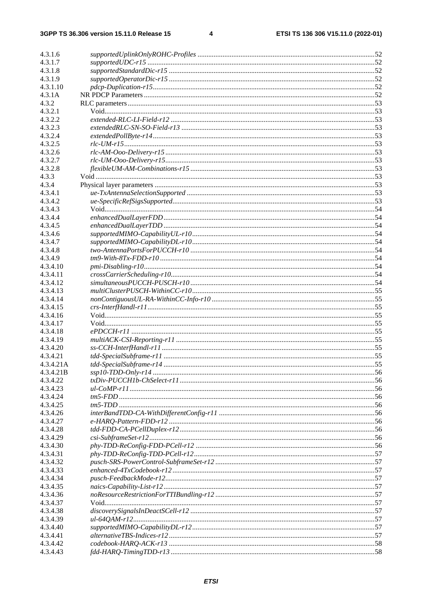$\overline{\mathbf{4}}$ 

| 4.3.1.6   |  |
|-----------|--|
| 4.3.1.7   |  |
| 4.3.1.8   |  |
| 4.3.1.9   |  |
| 4.3.1.10  |  |
| 4.3.1A    |  |
| 4.3.2     |  |
| 4.3.2.1   |  |
| 4.3.2.2   |  |
| 4.3.2.3   |  |
| 4.3.2.4   |  |
| 4.3.2.5   |  |
| 4.3.2.6   |  |
| 4.3.2.7   |  |
| 4.3.2.8   |  |
| 4.3.3     |  |
| 4.3.4     |  |
| 4.3.4.1   |  |
| 4.3.4.2   |  |
| 4.3.4.3   |  |
| 4.3.4.4   |  |
| 4.3.4.5   |  |
| 4.3.4.6   |  |
| 4.3.4.7   |  |
| 4.3.4.8   |  |
| 4.3.4.9   |  |
| 4.3.4.10  |  |
| 4.3.4.11  |  |
| 4.3.4.12  |  |
| 4.3.4.13  |  |
| 4.3.4.14  |  |
| 4.3.4.15  |  |
| 4.3.4.16  |  |
| 4.3.4.17  |  |
| 4.3.4.18  |  |
| 4.3.4.19  |  |
| 4.3.4.20  |  |
| 4.3.4.21  |  |
| 4.3.4.21A |  |
| 4.3.4.21B |  |
| 4.3.4.22  |  |
| 4.3.4.23  |  |
| 4.3.4.24  |  |
| 4.3.4.25  |  |
| 4.3.4.26  |  |
| 4.3.4.27  |  |
| 4.3.4.28  |  |
| 4.3.4.29  |  |
| 4.3.4.30  |  |
| 4.3.4.31  |  |
| 4.3.4.32  |  |
| 4.3.4.33  |  |
| 4.3.4.34  |  |
| 4.3.4.35  |  |
| 4.3.4.36  |  |
| 4.3.4.37  |  |
| 4.3.4.38  |  |
| 4.3.4.39  |  |
| 4.3.4.40  |  |
| 4.3.4.41  |  |
| 4.3.4.42  |  |
| 4.3.4.43  |  |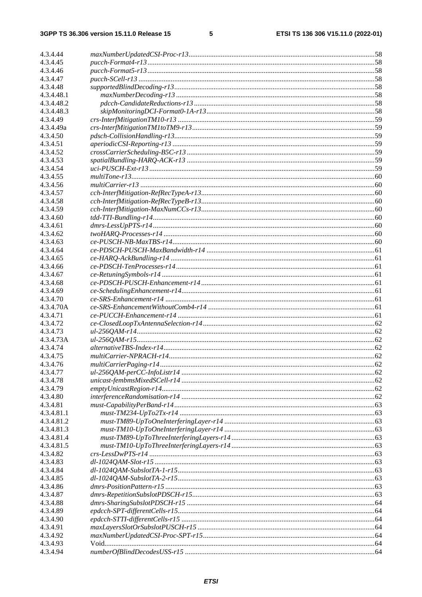$5\phantom{a}$ 

| 4.3.4.44              |                                                           |  |
|-----------------------|-----------------------------------------------------------|--|
| 4.3.4.45              |                                                           |  |
| 4.3.4.46              |                                                           |  |
| 4.3.4.47              |                                                           |  |
| 4.3.4.48              |                                                           |  |
| 4.3.4.48.1            |                                                           |  |
| 4.3.4.48.2            |                                                           |  |
| 4.3.4.48.3            |                                                           |  |
| 4.3.4.49              |                                                           |  |
| 4.3.4.49a             |                                                           |  |
| 4.3.4.50              |                                                           |  |
| 4.3.4.51              |                                                           |  |
| 4.3.4.52              |                                                           |  |
| 4.3.4.53              |                                                           |  |
| 4.3.4.54              |                                                           |  |
| 4.3.4.55              |                                                           |  |
| 4.3.4.56              |                                                           |  |
| 4.3.4.57              |                                                           |  |
| 4.3.4.58              |                                                           |  |
| 4.3.4.59              |                                                           |  |
| 4.3.4.60              |                                                           |  |
| 4.3.4.61              |                                                           |  |
| 4.3.4.62              |                                                           |  |
| 4.3.4.63              |                                                           |  |
| 4.3.4.64              |                                                           |  |
| 4.3.4.65              |                                                           |  |
| 4.3.4.66              |                                                           |  |
| 4.3.4.67              |                                                           |  |
| 4.3.4.68              |                                                           |  |
| 4.3.4.69              |                                                           |  |
| 4.3.4.70              |                                                           |  |
| 4.3.4.70A             |                                                           |  |
| 4.3.4.71              |                                                           |  |
| 4.3.4.72              |                                                           |  |
| 4.3.4.73<br>4.3.4.73A |                                                           |  |
| 4.3.4.74              |                                                           |  |
| 4.3.4.75              |                                                           |  |
| 4.3.4.76              |                                                           |  |
| 4.3.4.77              |                                                           |  |
| 4.3.4.78              |                                                           |  |
| 4.3.4.79              |                                                           |  |
| 4.3.4.80              |                                                           |  |
| 4.3.4.81              |                                                           |  |
| 4.3.4.81.1            | $must \text{-} TM234 \text{-} UpTo2Tx \text{-} r14 \dots$ |  |
| 4.3.4.81.2            |                                                           |  |
| 4.3.4.81.3            |                                                           |  |
| 4.3.4.81.4            |                                                           |  |
| 4.3.4.81.5            |                                                           |  |
| 4.3.4.82              |                                                           |  |
| 4.3.4.83              |                                                           |  |
| 4.3.4.84              |                                                           |  |
| 4.3.4.85              |                                                           |  |
| 4.3.4.86              |                                                           |  |
| 4.3.4.87              |                                                           |  |
| 4.3.4.88              |                                                           |  |
| 4.3.4.89              |                                                           |  |
| 4.3.4.90              |                                                           |  |
| 4.3.4.91              |                                                           |  |
| 4.3.4.92              |                                                           |  |
| 4.3.4.93              |                                                           |  |
| 4.3.4.94              |                                                           |  |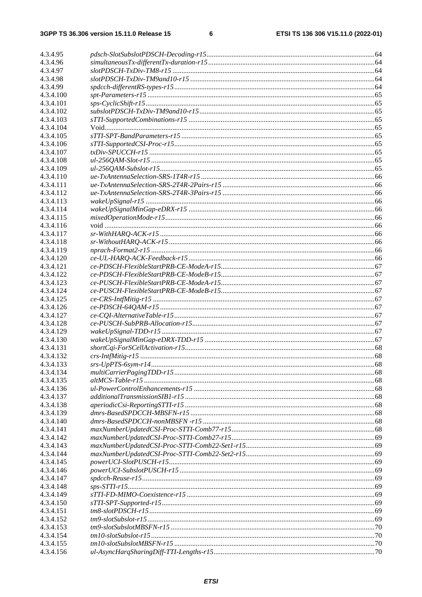$\bf 6$ 

| 4.3.4.95               |  |
|------------------------|--|
| 4.3.4.96               |  |
| 4.3.4.97               |  |
| 4.3.4.98               |  |
| 4.3.4.99               |  |
| 4.3.4.100              |  |
| 4.3.4.101              |  |
| 4.3.4.102              |  |
| 4.3.4.103              |  |
| 4.3.4.104              |  |
| 4.3.4.105              |  |
| 4.3.4.106              |  |
| 4.3.4.107              |  |
| 4.3.4.108              |  |
| 4.3.4.109              |  |
| 4.3.4.110              |  |
| 4.3.4.111              |  |
| 4.3.4.112              |  |
| 4.3.4.113              |  |
| 4.3.4.114              |  |
| 4.3.4.115              |  |
| 4.3.4.116              |  |
| 4.3.4.117              |  |
| 4.3.4.118              |  |
| 4.3.4.119              |  |
| 4.3.4.120<br>4.3.4.121 |  |
| 4.3.4.122              |  |
| 4.3.4.123              |  |
| 4.3.4.124              |  |
| 4.3.4.125              |  |
| 4.3.4.126              |  |
| 4.3.4.127              |  |
| 4.3.4.128              |  |
| 4.3.4.129              |  |
| 4.3.4.130              |  |
| 4.3.4.131              |  |
| 4.3.4.132              |  |
| 4.3.4.133              |  |
| 4.3.4.134              |  |
| 4.3.4.135              |  |
| 4.3.4.136              |  |
| 4.3.4.137              |  |
| 4.3.4.138              |  |
| 4.3.4.139              |  |
| 4.3.4.140              |  |
| 4.3.4.141              |  |
| 4.3.4.142              |  |
| 4.3.4.143              |  |
| 4.3.4.144              |  |
| 4.3.4.145              |  |
| 4.3.4.146              |  |
| 4.3.4.147              |  |
| 4.3.4.148              |  |
| 4.3.4.149              |  |
| 4.3.4.150              |  |
| 4.3.4.151              |  |
| 4.3.4.152<br>4.3.4.153 |  |
| 4.3.4.154              |  |
| 4.3.4.155              |  |
| 4.3.4.156              |  |
|                        |  |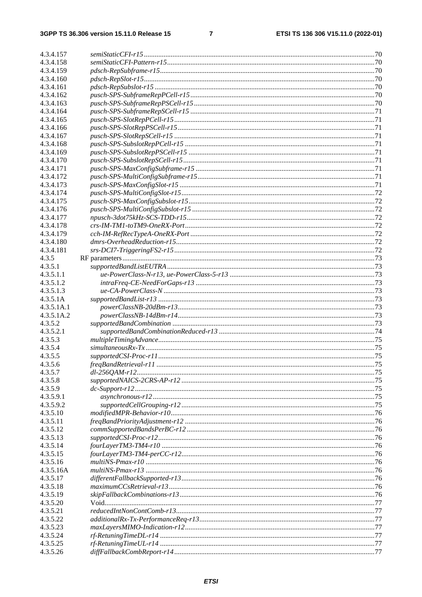### $\overline{7}$

| 4.3.4.157  |  |
|------------|--|
| 4.3.4.158  |  |
| 4.3.4.159  |  |
| 4.3.4.160  |  |
| 4.3.4.161  |  |
| 4.3.4.162  |  |
| 4.3.4.163  |  |
| 4.3.4.164  |  |
| 4.3.4.165  |  |
| 4.3.4.166  |  |
| 4.3.4.167  |  |
| 4.3.4.168  |  |
| 4.3.4.169  |  |
| 4.3.4.170  |  |
| 4.3.4.171  |  |
| 4.3.4.172  |  |
| 4.3.4.173  |  |
| 4.3.4.174  |  |
| 4.3.4.175  |  |
| 4.3.4.176  |  |
| 4.3.4.177  |  |
| 4.3.4.178  |  |
| 4.3.4.179  |  |
| 4.3.4.180  |  |
| 4.3.4.181  |  |
| 4.3.5      |  |
| 4.3.5.1    |  |
| 4.3.5.1.1  |  |
| 4.3.5.1.2  |  |
| 4.3.5.1.3  |  |
| 4.3.5.1A   |  |
| 4.3.5.1A.1 |  |
| 4.3.5.1A.2 |  |
| 4.3.5.2    |  |
| 4.3.5.2.1  |  |
| 4.3.5.3    |  |
| 4.3.5.4    |  |
| 4.3.5.5    |  |
| 4.3.5.6    |  |
| 4.3.5.7    |  |
| 4.3.5.8    |  |
| 4.3.5.9    |  |
| 4.3.5.9.1  |  |
| 4.3.5.9.2  |  |
| 4.3.5.10   |  |
| 4.3.5.11   |  |
| 4.3.5.12   |  |
| 4.3.5.13   |  |
| 4.3.5.14   |  |
| 4.3.5.15   |  |
| 4.3.5.16   |  |
| 4.3.5.16A  |  |
| 4.3.5.17   |  |
| 4.3.5.18   |  |
| 4.3.5.19   |  |
| 4.3.5.20   |  |
| 4.3.5.21   |  |
| 4.3.5.22   |  |
| 4.3.5.23   |  |
| 4.3.5.24   |  |
| 4.3.5.25   |  |
| 4.3.5.26   |  |
|            |  |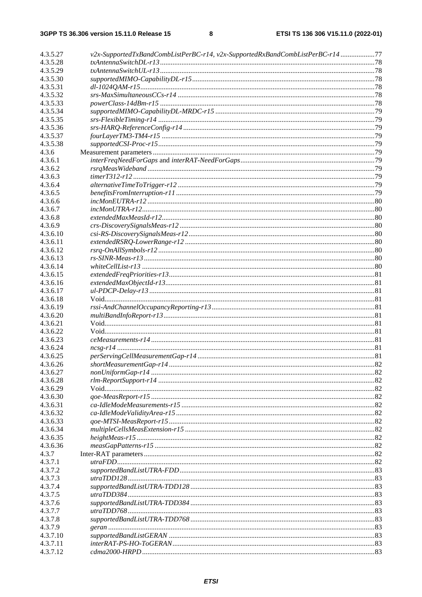| 4.3.5.27 | v2x-SupportedTxBandCombListPerBC-r14, v2x-SupportedRxBandCombListPerBC-r14 77 |  |
|----------|-------------------------------------------------------------------------------|--|
| 4.3.5.28 |                                                                               |  |
| 4.3.5.29 |                                                                               |  |
| 4.3.5.30 |                                                                               |  |
| 4.3.5.31 |                                                                               |  |
| 4.3.5.32 |                                                                               |  |
| 4.3.5.33 |                                                                               |  |
| 4.3.5.34 |                                                                               |  |
| 4.3.5.35 |                                                                               |  |
| 4.3.5.36 |                                                                               |  |
| 4.3.5.37 |                                                                               |  |
| 4.3.5.38 |                                                                               |  |
| 4.3.6    |                                                                               |  |
| 4.3.6.1  |                                                                               |  |
| 4.3.6.2  |                                                                               |  |
| 4.3.6.3  |                                                                               |  |
| 4.3.6.4  |                                                                               |  |
| 4.3.6.5  |                                                                               |  |
| 4.3.6.6  |                                                                               |  |
| 4.3.6.7  |                                                                               |  |
| 4.3.6.8  |                                                                               |  |
| 4.3.6.9  |                                                                               |  |
| 4.3.6.10 |                                                                               |  |
| 4.3.6.11 |                                                                               |  |
| 4.3.6.12 |                                                                               |  |
| 4.3.6.13 |                                                                               |  |
| 4.3.6.14 |                                                                               |  |
| 4.3.6.15 |                                                                               |  |
| 4.3.6.16 |                                                                               |  |
| 4.3.6.17 |                                                                               |  |
| 4.3.6.18 |                                                                               |  |
| 4.3.6.19 |                                                                               |  |
| 4.3.6.20 |                                                                               |  |
| 4.3.6.21 |                                                                               |  |
| 4.3.6.22 |                                                                               |  |
| 4.3.6.23 |                                                                               |  |
| 4.3.6.24 |                                                                               |  |
| 4.3.6.25 |                                                                               |  |
| 4.3.6.26 |                                                                               |  |
| 4.3.6.27 |                                                                               |  |
| 4.3.6.28 |                                                                               |  |
| 4.3.6.29 |                                                                               |  |
| 4.3.6.30 |                                                                               |  |
| 4.3.6.31 |                                                                               |  |
| 4.3.6.32 |                                                                               |  |
| 4.3.6.33 |                                                                               |  |
| 4.3.6.34 |                                                                               |  |
| 4.3.6.35 |                                                                               |  |
| 4.3.6.36 |                                                                               |  |
| 4.3.7    |                                                                               |  |
| 4.3.7.1  |                                                                               |  |
| 4.3.7.2  |                                                                               |  |
| 4.3.7.3  |                                                                               |  |
| 4.3.7.4  |                                                                               |  |
| 4.3.7.5  |                                                                               |  |
| 4.3.7.6  |                                                                               |  |
| 4.3.7.7  |                                                                               |  |
| 4.3.7.8  |                                                                               |  |
| 4.3.7.9  |                                                                               |  |
| 4.3.7.10 |                                                                               |  |
| 4.3.7.11 |                                                                               |  |
| 4.3.7.12 |                                                                               |  |
|          |                                                                               |  |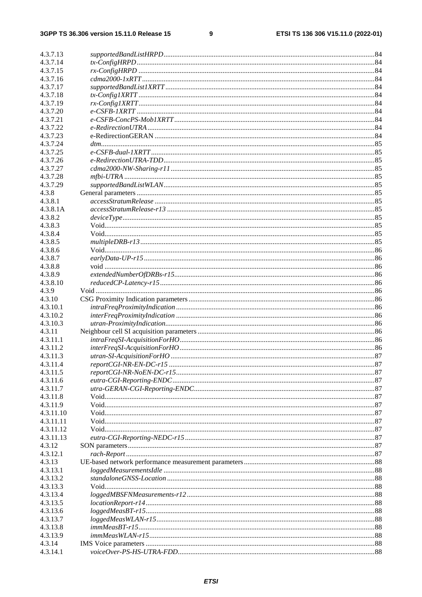$\boldsymbol{9}$ 

| 4.3.7.13             |                                 |  |
|----------------------|---------------------------------|--|
| 4.3.7.14             |                                 |  |
| 4.3.7.15             |                                 |  |
| 4.3.7.16             |                                 |  |
| 4.3.7.17             |                                 |  |
| 4.3.7.18             |                                 |  |
| 4.3.7.19             |                                 |  |
| 4.3.7.20             |                                 |  |
| 4.3.7.21             |                                 |  |
| 4.3.7.22             |                                 |  |
| 4.3.7.23             |                                 |  |
| 4.3.7.24             |                                 |  |
| 4.3.7.25             |                                 |  |
| 4.3.7.26             | $e\text{-}Redirection UTRA-TDD$ |  |
| 4.3.7.27             |                                 |  |
| 4.3.7.28             |                                 |  |
| 4.3.7.29             |                                 |  |
| 4.3.8<br>4.3.8.1     |                                 |  |
| 4.3.8.1A             |                                 |  |
| 4.3.8.2              |                                 |  |
| 4.3.8.3              |                                 |  |
| 4.3.8.4              |                                 |  |
| 4.3.8.5              |                                 |  |
| 4.3.8.6              |                                 |  |
| 4.3.8.7              |                                 |  |
| 4.3.8.8              |                                 |  |
| 4.3.8.9              |                                 |  |
| 4.3.8.10             |                                 |  |
| 4.3.9                |                                 |  |
| 4.3.10               |                                 |  |
| 4.3.10.1             |                                 |  |
| 4.3.10.2             |                                 |  |
| 4.3.10.3             |                                 |  |
| 4.3.11               |                                 |  |
| 4.3.11.1             |                                 |  |
| 4.3.11.2             |                                 |  |
| 4.3.11.3<br>4.3.11.4 |                                 |  |
| 4.3.11.5             |                                 |  |
| 4.3.11.6             |                                 |  |
| 4.3.11.7             |                                 |  |
| 4.3.11.8             |                                 |  |
| 4.3.11.9             |                                 |  |
| 4.3.11.10            |                                 |  |
| 4.3.11.11            |                                 |  |
| 4.3.11.12            |                                 |  |
| 4.3.11.13            |                                 |  |
| 4.3.12               |                                 |  |
| 4.3.12.1             |                                 |  |
| 4.3.13               |                                 |  |
| 4.3.13.1             |                                 |  |
| 4.3.13.2             |                                 |  |
| 4.3.13.3<br>4.3.13.4 |                                 |  |
|                      |                                 |  |
| 4.3.13.5<br>4.3.13.6 |                                 |  |
| 4.3.13.7             |                                 |  |
| 4.3.13.8             |                                 |  |
| 4.3.13.9             |                                 |  |
| 4.3.14               |                                 |  |
| 4.3.14.1             |                                 |  |
|                      |                                 |  |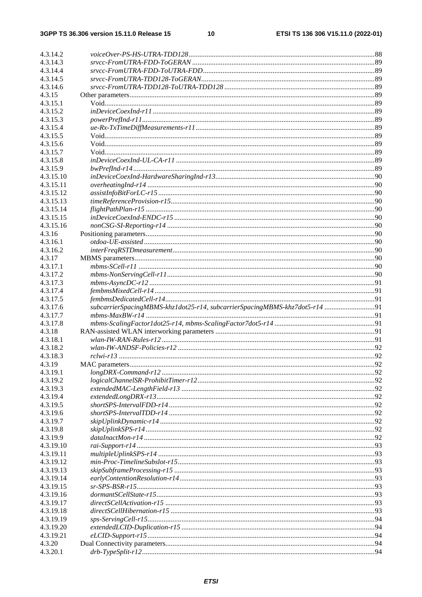| 4.3.14.2           |                                                                             |  |
|--------------------|-----------------------------------------------------------------------------|--|
| 4.3.14.3           |                                                                             |  |
| 4.3.14.4           |                                                                             |  |
| 4.3.14.5           |                                                                             |  |
| 4.3.14.6           |                                                                             |  |
| 4.3.15             |                                                                             |  |
| 4.3.15.1           |                                                                             |  |
| 4.3.15.2           |                                                                             |  |
| 4.3.15.3           |                                                                             |  |
| 4.3.15.4           |                                                                             |  |
| 4.3.15.5           |                                                                             |  |
| 4.3.15.6           |                                                                             |  |
| 4.3.15.7           |                                                                             |  |
| 4.3.15.8           |                                                                             |  |
| 4.3.15.9           |                                                                             |  |
| 4.3.15.10          |                                                                             |  |
| 4.3.15.11          |                                                                             |  |
| 4.3.15.12          |                                                                             |  |
| 4.3.15.13          |                                                                             |  |
| 4.3.15.14          |                                                                             |  |
| 4.3.15.15          |                                                                             |  |
| 4.3.15.16          |                                                                             |  |
| 4.3.16             |                                                                             |  |
| 4.3.16.1           |                                                                             |  |
| 4.3.16.2           |                                                                             |  |
| 4.3.17             |                                                                             |  |
| 4.3.17.1           |                                                                             |  |
| 4.3.17.2           |                                                                             |  |
| 4.3.17.3           |                                                                             |  |
| 4.3.17.4           |                                                                             |  |
| 4.3.17.5           |                                                                             |  |
| 4.3.17.6           | subcarrierSpacingMBMS-khz1dot25-r14, subcarrierSpacingMBMS-khz7dot5-r14  91 |  |
| 4.3.17.7           |                                                                             |  |
| 4.3.17.8           |                                                                             |  |
| 4.3.18             |                                                                             |  |
|                    |                                                                             |  |
| 4.3.18.1           |                                                                             |  |
| 4.3.18.2           |                                                                             |  |
| 4.3.18.3           |                                                                             |  |
| 4.3.19             |                                                                             |  |
| 4.3.19.1           |                                                                             |  |
| 4.3.19.2           |                                                                             |  |
| 4.3.19.3           |                                                                             |  |
| 4.3.19.4           |                                                                             |  |
| 4.3.19.5           |                                                                             |  |
| 4.3.19.6           |                                                                             |  |
| 4.3.19.7           |                                                                             |  |
| 4.3.19.8           |                                                                             |  |
| 4.3.19.9           |                                                                             |  |
| 4.3.19.10          |                                                                             |  |
| 4.3.19.11          |                                                                             |  |
| 4.3.19.12          |                                                                             |  |
| 4.3.19.13          |                                                                             |  |
| 4.3.19.14          |                                                                             |  |
| 4.3.19.15          |                                                                             |  |
| 4.3.19.16          |                                                                             |  |
| 4.3.19.17          |                                                                             |  |
| 4.3.19.18          |                                                                             |  |
| 4.3.19.19          |                                                                             |  |
| 4.3.19.20          |                                                                             |  |
| 4.3.19.21          |                                                                             |  |
| 4.3.20<br>4.3.20.1 |                                                                             |  |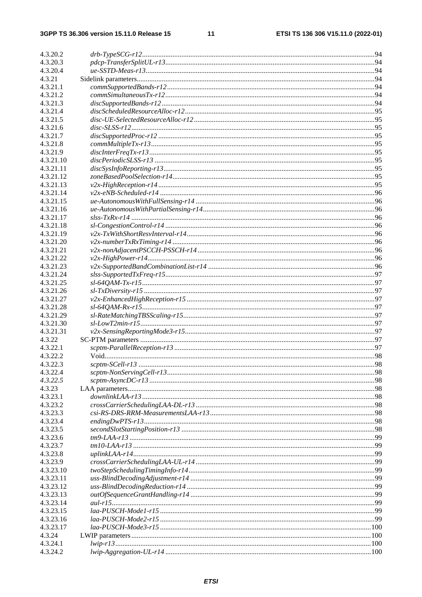### $11$

| 4.3.20.2  |  |
|-----------|--|
| 4.3.20.3  |  |
| 4.3.20.4  |  |
| 4.3.21    |  |
| 4.3.21.1  |  |
| 4.3.21.2  |  |
| 4.3.21.3  |  |
| 4.3.21.4  |  |
| 4.3.21.5  |  |
| 4.3.21.6  |  |
| 4.3.21.7  |  |
| 4.3.21.8  |  |
| 4.3.21.9  |  |
| 4.3.21.10 |  |
| 4.3.21.11 |  |
| 4.3.21.12 |  |
| 4.3.21.13 |  |
| 4.3.21.14 |  |
| 4.3.21.15 |  |
| 4.3.21.16 |  |
| 4.3.21.17 |  |
| 4.3.21.18 |  |
| 4.3.21.19 |  |
| 4.3.21.20 |  |
| 4.3.21.21 |  |
| 4.3.21.22 |  |
| 4.3.21.23 |  |
| 4.3.21.24 |  |
| 4.3.21.25 |  |
| 4.3.21.26 |  |
| 4.3.21.27 |  |
| 4.3.21.28 |  |
| 4.3.21.29 |  |
| 4.3.21.30 |  |
| 4.3.21.31 |  |
| 4.3.22    |  |
| 4.3.22.1  |  |
| 4.3.22.2  |  |
| 4.3.22.3  |  |
| 4.3.22.4  |  |
| 4.3.22.5  |  |
| 4.3.23    |  |
| 4.3.23.1  |  |
| 4.3.23.2  |  |
| 4.3.23.3  |  |
| 4.3.23.4  |  |
| 4.3.23.5  |  |
| 4.3.23.6  |  |
| 4.3.23.7  |  |
| 4.3.23.8  |  |
| 4.3.23.9  |  |
| 4.3.23.10 |  |
| 4.3.23.11 |  |
| 4.3.23.12 |  |
| 4.3.23.13 |  |
| 4.3.23.14 |  |
| 4.3.23.15 |  |
| 4.3.23.16 |  |
| 4.3.23.17 |  |
| 4.3.24    |  |
| 4.3.24.1  |  |
| 4.3.24.2  |  |
|           |  |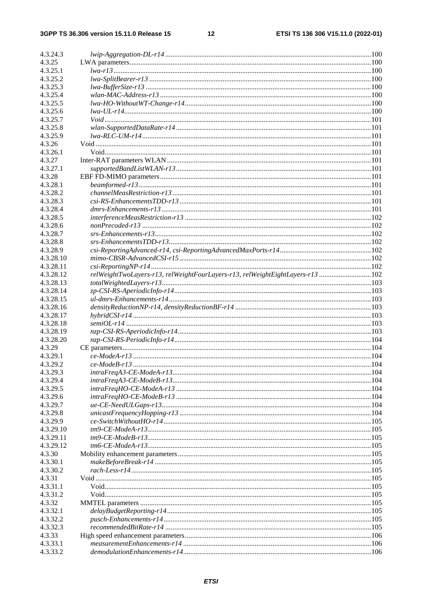### $12$

| 4.3.24.3           |                                                                               |  |
|--------------------|-------------------------------------------------------------------------------|--|
| 4.3.25             |                                                                               |  |
| 4.3.25.1           |                                                                               |  |
| 4.3.25.2           |                                                                               |  |
| 4.3.25.3           |                                                                               |  |
| 4.3.25.4           |                                                                               |  |
| 4.3.25.5           |                                                                               |  |
| 4.3.25.6           |                                                                               |  |
| 4.3.25.7           |                                                                               |  |
| 4.3.25.8           |                                                                               |  |
| 4.3.25.9           |                                                                               |  |
| 4.3.26             |                                                                               |  |
| 4.3.26.1           |                                                                               |  |
| 4.3.27             |                                                                               |  |
| 4.3.27.1           |                                                                               |  |
| 4.3.28             |                                                                               |  |
| 4.3.28.1           |                                                                               |  |
| 4.3.28.2           |                                                                               |  |
| 4.3.28.3           |                                                                               |  |
| 4.3.28.4           |                                                                               |  |
| 4.3.28.5           |                                                                               |  |
| 4.3.28.6           |                                                                               |  |
| 4.3.28.7           |                                                                               |  |
| 4.3.28.8           |                                                                               |  |
| 4.3.28.9           |                                                                               |  |
| 4.3.28.10          |                                                                               |  |
| 4.3.28.11          |                                                                               |  |
| 4.3.28.12          | relWeightTwoLayers-r13, relWeightFourLayers-r13, relWeightEightLayers-r13 102 |  |
| 4.3.28.13          |                                                                               |  |
| 4.3.28.14          |                                                                               |  |
| 4.3.28.15          |                                                                               |  |
| 4.3.28.16          |                                                                               |  |
| 4.3.28.17          |                                                                               |  |
| 4.3.28.18          |                                                                               |  |
| 4.3.28.19          |                                                                               |  |
| 4.3.28.20          |                                                                               |  |
| 4.3.29<br>4.3.29.1 |                                                                               |  |
| 4.3.29.2           |                                                                               |  |
| 4.3.29.3           |                                                                               |  |
| 4.3.29.4           |                                                                               |  |
| 4.3.29.5           |                                                                               |  |
| 4.3.29.6           |                                                                               |  |
| 4.3.29.7           |                                                                               |  |
| 4.3.29.8           |                                                                               |  |
| 4.3.29.9           |                                                                               |  |
| 4.3.29.10          |                                                                               |  |
| 4.3.29.11          |                                                                               |  |
| 4.3.29.12          |                                                                               |  |
| 4.3.30             |                                                                               |  |
| 4.3.30.1           |                                                                               |  |
| 4.3.30.2           |                                                                               |  |
| 4.3.31             |                                                                               |  |
| 4.3.31.1           |                                                                               |  |
| 4.3.31.2           |                                                                               |  |
| 4.3.32             |                                                                               |  |
| 4.3.32.1           |                                                                               |  |
| 4.3.32.2           |                                                                               |  |
| 4.3.32.3           |                                                                               |  |
| 4.3.33             |                                                                               |  |
| 4.3.33.1           |                                                                               |  |
| 4.3.33.2           |                                                                               |  |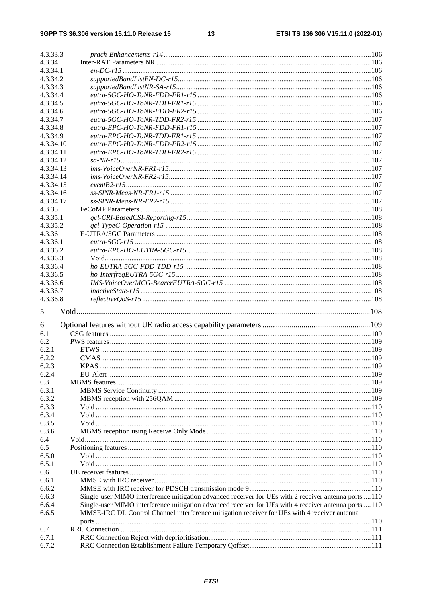| 4.3.34         |                                                                                                       |     |
|----------------|-------------------------------------------------------------------------------------------------------|-----|
| 4.3.34.1       |                                                                                                       |     |
| 4.3.34.2       |                                                                                                       |     |
| 4.3.34.3       |                                                                                                       |     |
| 4.3.34.4       |                                                                                                       |     |
| 4.3.34.5       |                                                                                                       |     |
| 4.3.34.6       |                                                                                                       |     |
| 4.3.34.7       |                                                                                                       |     |
| 4.3.34.8       |                                                                                                       |     |
| 4.3.34.9       |                                                                                                       |     |
| 4.3.34.10      |                                                                                                       |     |
| 4.3.34.11      |                                                                                                       |     |
| 4.3.34.12      |                                                                                                       |     |
| 4.3.34.13      |                                                                                                       |     |
| 4.3.34.14      |                                                                                                       |     |
| 4.3.34.15      |                                                                                                       |     |
| 4.3.34.16      |                                                                                                       |     |
| 4.3.34.17      |                                                                                                       |     |
| 4.3.35         |                                                                                                       |     |
| 4.3.35.1       |                                                                                                       |     |
| 4.3.35.2       |                                                                                                       |     |
| 4.3.36         |                                                                                                       |     |
| 4.3.36.1       |                                                                                                       |     |
| 4.3.36.2       |                                                                                                       |     |
| 4.3.36.3       |                                                                                                       |     |
| 4.3.36.4       |                                                                                                       |     |
| 4.3.36.5       |                                                                                                       |     |
| 4.3.36.6       |                                                                                                       |     |
| 4.3.36.7       |                                                                                                       |     |
| 4.3.36.8       |                                                                                                       |     |
| 5              |                                                                                                       |     |
|                |                                                                                                       |     |
| 6              |                                                                                                       |     |
| 6.1            |                                                                                                       |     |
| 6.2            |                                                                                                       |     |
| 6.2.1          |                                                                                                       |     |
|                |                                                                                                       |     |
| 6.2.2          |                                                                                                       |     |
| 6.2.3          | <b>KPAS</b>                                                                                           | 109 |
| 6.2.4          |                                                                                                       |     |
| 6.3            |                                                                                                       |     |
| 6.3.1          |                                                                                                       |     |
| 6.3.2          |                                                                                                       |     |
| 6.3.3          |                                                                                                       |     |
| 6.3.4          |                                                                                                       |     |
| 6.3.5          |                                                                                                       |     |
| 6.3.6          |                                                                                                       |     |
| 6.4            |                                                                                                       |     |
| 6.5            |                                                                                                       |     |
| 6.5.0          |                                                                                                       |     |
| 6.5.1          |                                                                                                       |     |
| 6.6            |                                                                                                       |     |
| 6.6.1          |                                                                                                       |     |
| 6.6.2          |                                                                                                       |     |
| 6.6.3          | Single-user MIMO interference mitigation advanced receiver for UEs with 2 receiver antenna ports  110 |     |
| 6.6.4          | Single-user MIMO interference mitigation advanced receiver for UEs with 4 receiver antenna ports  110 |     |
| 6.6.5          | MMSE-IRC DL Control Channel interference mitigation receiver for UEs with 4 receiver antenna          |     |
|                |                                                                                                       |     |
| 6.7            |                                                                                                       |     |
| 6.7.1<br>6.7.2 |                                                                                                       |     |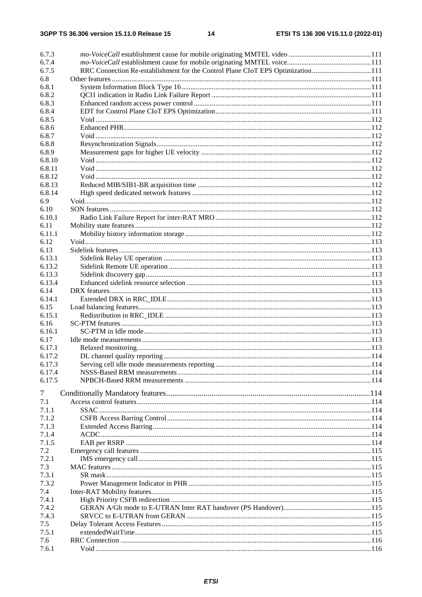| 6.7.3  |                                                                                |  |
|--------|--------------------------------------------------------------------------------|--|
| 6.7.4  |                                                                                |  |
| 6.7.5  | RRC Connection Re-establishment for the Control Plane CIoT EPS Optimization111 |  |
| 6.8    |                                                                                |  |
| 6.8.1  |                                                                                |  |
| 6.8.2  |                                                                                |  |
| 6.8.3  |                                                                                |  |
| 6.8.4  |                                                                                |  |
| 6.8.5  |                                                                                |  |
| 6.8.6  |                                                                                |  |
| 6.8.7  |                                                                                |  |
| 6.8.8  |                                                                                |  |
| 6.8.9  |                                                                                |  |
| 6.8.10 |                                                                                |  |
| 6.8.11 |                                                                                |  |
| 6.8.12 |                                                                                |  |
| 6.8.13 |                                                                                |  |
| 6.8.14 |                                                                                |  |
| 6.9    |                                                                                |  |
| 6.10   |                                                                                |  |
| 6.10.1 |                                                                                |  |
| 6.11   |                                                                                |  |
| 6.11.1 |                                                                                |  |
| 6.12   |                                                                                |  |
| 6.13   |                                                                                |  |
| 6.13.1 |                                                                                |  |
| 6.13.2 |                                                                                |  |
| 6.13.3 |                                                                                |  |
|        |                                                                                |  |
| 6.13.4 |                                                                                |  |
| 6.14   |                                                                                |  |
| 6.14.1 |                                                                                |  |
| 6.15   |                                                                                |  |
| 6.15.1 |                                                                                |  |
| 6.16   |                                                                                |  |
| 6.16.1 |                                                                                |  |
| 6.17   |                                                                                |  |
| 6.17.1 |                                                                                |  |
| 6.17.2 |                                                                                |  |
| 6.17.3 |                                                                                |  |
| 6.17.4 |                                                                                |  |
| 6.17.5 |                                                                                |  |
| 7      |                                                                                |  |
| 7.1    |                                                                                |  |
| 7.1.1  |                                                                                |  |
|        |                                                                                |  |
| 7.1.2  |                                                                                |  |
| 7.1.3  |                                                                                |  |
| 7.1.4  |                                                                                |  |
| 7.1.5  |                                                                                |  |
| 7.2    |                                                                                |  |
| 7.2.1  |                                                                                |  |
| 7.3    |                                                                                |  |
| 7.3.1  |                                                                                |  |
| 7.3.2  |                                                                                |  |
| 7.4    |                                                                                |  |
| 7.4.1  |                                                                                |  |
| 7.4.2  |                                                                                |  |
| 7.4.3  |                                                                                |  |
| 7.5    |                                                                                |  |
| 7.5.1  |                                                                                |  |
| 7.6    |                                                                                |  |
| 7.6.1  |                                                                                |  |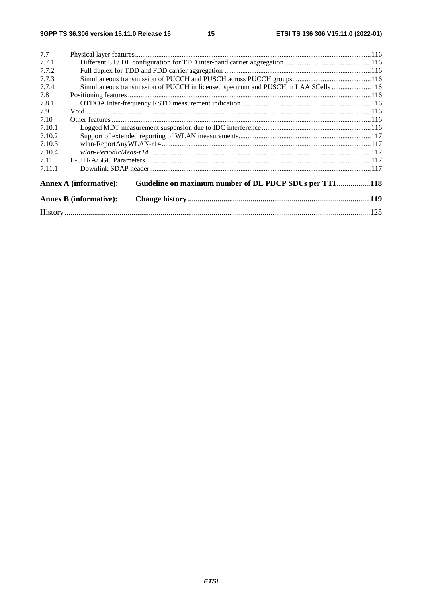15

| 7.7    |                               |                                                                                      |  |  |
|--------|-------------------------------|--------------------------------------------------------------------------------------|--|--|
| 7.7.1  |                               |                                                                                      |  |  |
| 7.7.2  |                               |                                                                                      |  |  |
| 7.7.3  |                               |                                                                                      |  |  |
| 7.7.4  |                               | Simultaneous transmission of PUCCH in licensed spectrum and PUSCH in LAA SCells  116 |  |  |
| 7.8    |                               |                                                                                      |  |  |
| 7.8.1  |                               |                                                                                      |  |  |
| 7.9    |                               |                                                                                      |  |  |
| 7.10   |                               |                                                                                      |  |  |
| 7.10.1 |                               |                                                                                      |  |  |
| 7.10.2 |                               |                                                                                      |  |  |
| 7.10.3 |                               |                                                                                      |  |  |
| 7.10.4 |                               |                                                                                      |  |  |
| 7.11   |                               |                                                                                      |  |  |
| 7.11.1 |                               |                                                                                      |  |  |
|        | <b>Annex A (informative):</b> | Guideline on maximum number of DL PDCP SDUs per TTI118                               |  |  |
|        | <b>Annex B</b> (informative): |                                                                                      |  |  |
|        |                               |                                                                                      |  |  |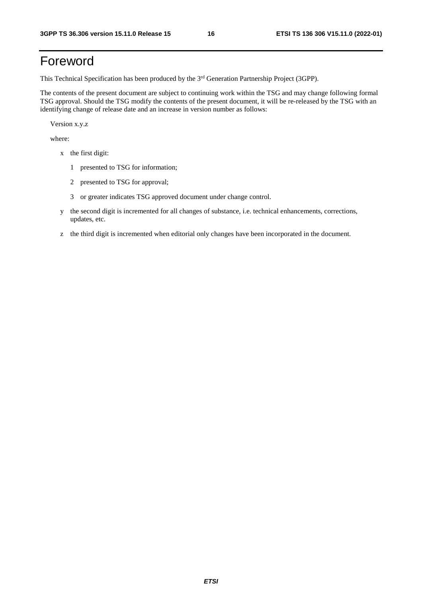## Foreword

This Technical Specification has been produced by the 3<sup>rd</sup> Generation Partnership Project (3GPP).

The contents of the present document are subject to continuing work within the TSG and may change following formal TSG approval. Should the TSG modify the contents of the present document, it will be re-released by the TSG with an identifying change of release date and an increase in version number as follows:

Version x.y.z

where:

- x the first digit:
	- 1 presented to TSG for information;
	- 2 presented to TSG for approval;
	- 3 or greater indicates TSG approved document under change control.
- y the second digit is incremented for all changes of substance, i.e. technical enhancements, corrections, updates, etc.
- z the third digit is incremented when editorial only changes have been incorporated in the document.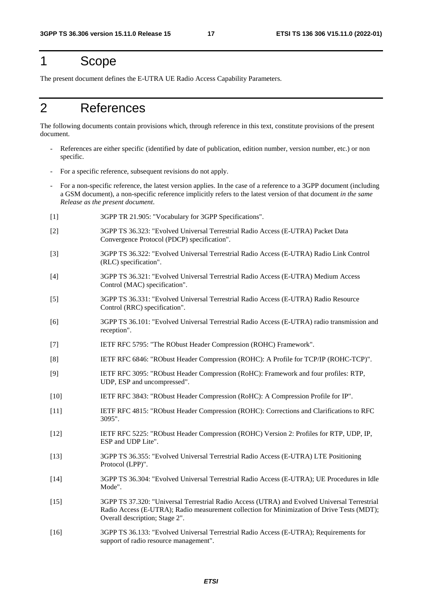### 1 Scope

The present document defines the E-UTRA UE Radio Access Capability Parameters.

# 2 References

The following documents contain provisions which, through reference in this text, constitute provisions of the present document.

- References are either specific (identified by date of publication, edition number, version number, etc.) or non specific.
- For a specific reference, subsequent revisions do not apply.
- For a non-specific reference, the latest version applies. In the case of a reference to a 3GPP document (including a GSM document), a non-specific reference implicitly refers to the latest version of that document *in the same Release as the present document*.
- [1] 3GPP TR 21.905: "Vocabulary for 3GPP Specifications".
- [2] 3GPP TS 36.323: "Evolved Universal Terrestrial Radio Access (E-UTRA) Packet Data Convergence Protocol (PDCP) specification".
- [3] 3GPP TS 36.322: "Evolved Universal Terrestrial Radio Access (E-UTRA) Radio Link Control (RLC) specification".
- [4] 3GPP TS 36.321: "Evolved Universal Terrestrial Radio Access (E-UTRA) Medium Access Control (MAC) specification".
- [5] 3GPP TS 36.331: "Evolved Universal Terrestrial Radio Access (E-UTRA) Radio Resource Control (RRC) specification".
- [6] 3GPP TS 36.101: "Evolved Universal Terrestrial Radio Access (E-UTRA) radio transmission and reception".
- [7] IETF RFC 5795: "The RObust Header Compression (ROHC) Framework".
- [8] IETF RFC 6846: "RObust Header Compression (ROHC): A Profile for TCP/IP (ROHC-TCP)".
- [9] IETF RFC 3095: "RObust Header Compression (RoHC): Framework and four profiles: RTP, UDP, ESP and uncompressed".
- [10] IETF RFC 3843: "RObust Header Compression (RoHC): A Compression Profile for IP".
- [11] IETF RFC 4815: "RObust Header Compression (ROHC): Corrections and Clarifications to RFC 3095".
- [12] IETF RFC 5225: "RObust Header Compression (ROHC) Version 2: Profiles for RTP, UDP, IP, ESP and UDP Lite".
- [13] 3GPP TS 36.355: "Evolved Universal Terrestrial Radio Access (E-UTRA) LTE Positioning Protocol (LPP)".
- [14] 3GPP TS 36.304: "Evolved Universal Terrestrial Radio Access (E-UTRA); UE Procedures in Idle Mode".
- [15] 3GPP TS 37.320: "Universal Terrestrial Radio Access (UTRA) and Evolved Universal Terrestrial Radio Access (E-UTRA); Radio measurement collection for Minimization of Drive Tests (MDT); Overall description; Stage 2".
- [16] 3GPP TS 36.133: "Evolved Universal Terrestrial Radio Access (E-UTRA); Requirements for support of radio resource management".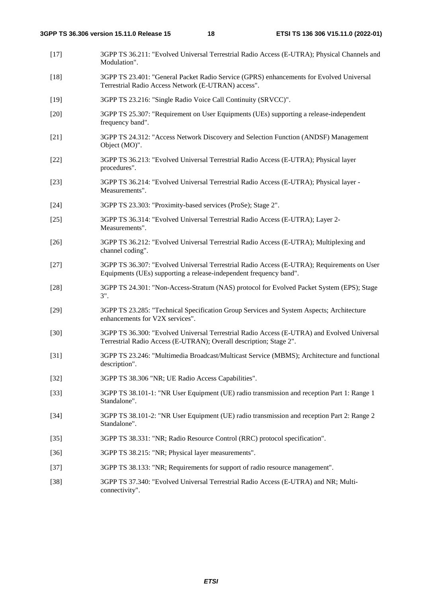- [17] 3GPP TS 36.211: "Evolved Universal Terrestrial Radio Access (E-UTRA); Physical Channels and Modulation".
- [18] 3GPP TS 23.401: "General Packet Radio Service (GPRS) enhancements for Evolved Universal Terrestrial Radio Access Network (E-UTRAN) access".
- [19] 3GPP TS 23.216: "Single Radio Voice Call Continuity (SRVCC)".
- [20] 3GPP TS 25.307: "Requirement on User Equipments (UEs) supporting a release-independent frequency band".
- [21] 3GPP TS 24.312: "Access Network Discovery and Selection Function (ANDSF) Management Object (MO)".
- [22] 3GPP TS 36.213: "Evolved Universal Terrestrial Radio Access (E-UTRA); Physical layer procedures".
- [23] 3GPP TS 36.214: "Evolved Universal Terrestrial Radio Access (E-UTRA); Physical layer Measurements".
- [24] 3GPP TS 23.303: "Proximity-based services (ProSe); Stage 2".
- [25] 3GPP TS 36.314: "Evolved Universal Terrestrial Radio Access (E-UTRA); Layer 2- Measurements".
- [26] 3GPP TS 36.212: "Evolved Universal Terrestrial Radio Access (E-UTRA); Multiplexing and channel coding".
- [27] 3GPP TS 36.307: "Evolved Universal Terrestrial Radio Access (E-UTRA); Requirements on User Equipments (UEs) supporting a release-independent frequency band".
- [28] 3GPP TS 24.301: "Non-Access-Stratum (NAS) protocol for Evolved Packet System (EPS); Stage 3".
- [29] 3GPP TS 23.285: "Technical Specification Group Services and System Aspects; Architecture enhancements for V2X services".
- [30] 3GPP TS 36.300: "Evolved Universal Terrestrial Radio Access (E-UTRA) and Evolved Universal Terrestrial Radio Access (E-UTRAN); Overall description; Stage 2".
- [31] 3GPP TS 23.246: "Multimedia Broadcast/Multicast Service (MBMS); Architecture and functional description".
- [32] 3GPP TS 38.306 "NR; UE Radio Access Capabilities".
- [33] 3GPP TS 38.101-1: "NR User Equipment (UE) radio transmission and reception Part 1: Range 1 Standalone".
- [34] 3GPP TS 38.101-2: "NR User Equipment (UE) radio transmission and reception Part 2: Range 2 Standalone".
- [35] 3GPP TS 38.331: "NR; Radio Resource Control (RRC) protocol specification".
- [36] 3GPP TS 38.215: "NR; Physical layer measurements".
- [37] 3GPP TS 38.133: "NR; Requirements for support of radio resource management".
- [38] 3GPP TS 37.340: "Evolved Universal Terrestrial Radio Access (E-UTRA) and NR; Multiconnectivity".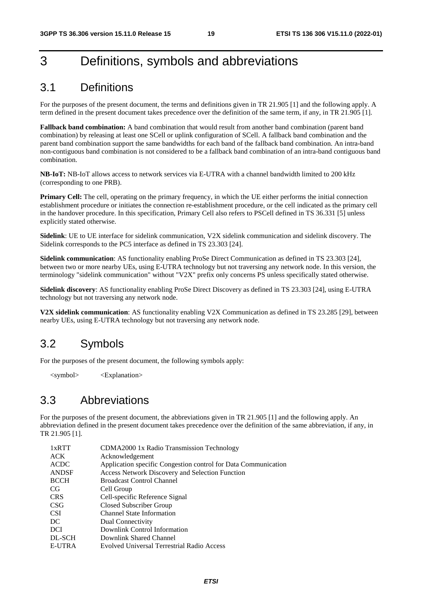# 3 Definitions, symbols and abbreviations

### 3.1 Definitions

For the purposes of the present document, the terms and definitions given in TR 21.905 [1] and the following apply. A term defined in the present document takes precedence over the definition of the same term, if any, in TR 21.905 [1].

**Fallback band combination:** A band combination that would result from another band combination (parent band combination) by releasing at least one SCell or uplink configuration of SCell. A fallback band combination and the parent band combination support the same bandwidths for each band of the fallback band combination. An intra-band non-contiguous band combination is not considered to be a fallback band combination of an intra-band contiguous band combination.

**NB-IoT:** NB-IoT allows access to network services via E-UTRA with a channel bandwidth limited to 200 kHz (corresponding to one PRB).

**Primary Cell:** The cell, operating on the primary frequency, in which the UE either performs the initial connection establishment procedure or initiates the connection re-establishment procedure, or the cell indicated as the primary cell in the handover procedure. In this specification, Primary Cell also refers to PSCell defined in TS 36.331 [5] unless explicitly stated otherwise.

**Sidelink**: UE to UE interface for sidelink communication, V2X sidelink communication and sidelink discovery. The Sidelink corresponds to the PC5 interface as defined in TS 23.303 [24].

**Sidelink communication**: AS functionality enabling ProSe Direct Communication as defined in TS 23.303 [24], between two or more nearby UEs, using E-UTRA technology but not traversing any network node. In this version, the terminology "sidelink communication" without "V2X" prefix only concerns PS unless specifically stated otherwise.

**Sidelink discovery**: AS functionality enabling ProSe Direct Discovery as defined in TS 23.303 [24], using E-UTRA technology but not traversing any network node.

**V2X sidelink communication**: AS functionality enabling V2X Communication as defined in TS 23.285 [29], between nearby UEs, using E-UTRA technology but not traversing any network node.

### 3.2 Symbols

For the purposes of the present document, the following symbols apply:

<symbol> <Explanation>

### 3.3 Abbreviations

For the purposes of the present document, the abbreviations given in TR 21.905 [1] and the following apply. An abbreviation defined in the present document takes precedence over the definition of the same abbreviation, if any, in TR 21.905 [1].

| CDMA2000 1x Radio Transmission Technology                      |
|----------------------------------------------------------------|
| Acknowledgement                                                |
| Application specific Congestion control for Data Communication |
| <b>Access Network Discovery and Selection Function</b>         |
| <b>Broadcast Control Channel</b>                               |
| Cell Group                                                     |
| Cell-specific Reference Signal                                 |
| Closed Subscriber Group                                        |
| <b>Channel State Information</b>                               |
| Dual Connectivity                                              |
| Downlink Control Information                                   |
| Downlink Shared Channel                                        |
| <b>Evolved Universal Terrestrial Radio Access</b>              |
|                                                                |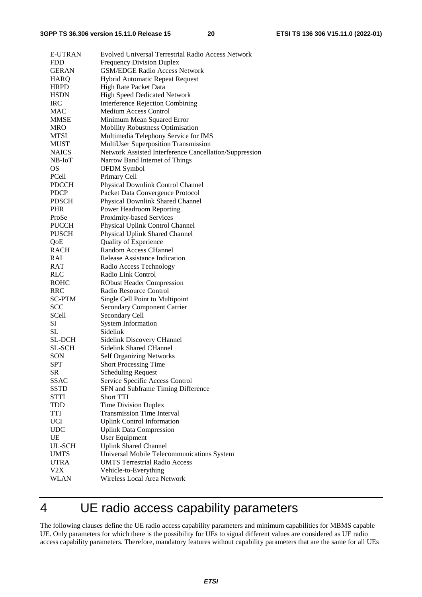| <b>E-UTRAN</b> | Evolved Universal Terrestrial Radio Access Network     |
|----------------|--------------------------------------------------------|
| <b>FDD</b>     | <b>Frequency Division Duplex</b>                       |
| <b>GERAN</b>   | <b>GSM/EDGE Radio Access Network</b>                   |
| HARQ           | <b>Hybrid Automatic Repeat Request</b>                 |
| <b>HRPD</b>    | High Rate Packet Data                                  |
| <b>HSDN</b>    | <b>High Speed Dedicated Network</b>                    |
| <b>IRC</b>     | Interference Rejection Combining                       |
| <b>MAC</b>     | <b>Medium Access Control</b>                           |
| <b>MMSE</b>    | Minimum Mean Squared Error                             |
| <b>MRO</b>     | <b>Mobility Robustness Optimisation</b>                |
| MTSI           | Multimedia Telephony Service for IMS                   |
| <b>MUST</b>    | MultiUser Superposition Transmission                   |
| <b>NAICS</b>   | Network Assisted Interference Cancellation/Suppression |
| NB-IoT         | Narrow Band Internet of Things                         |
| <b>OS</b>      | OFDM Symbol                                            |
| PCell          | Primary Cell                                           |
|                |                                                        |
| <b>PDCCH</b>   | Physical Downlink Control Channel                      |
| <b>PDCP</b>    | Packet Data Convergence Protocol                       |
| <b>PDSCH</b>   | <b>Physical Downlink Shared Channel</b>                |
| <b>PHR</b>     | Power Headroom Reporting                               |
| ProSe          | Proximity-based Services                               |
| <b>PUCCH</b>   | Physical Uplink Control Channel                        |
| <b>PUSCH</b>   | Physical Uplink Shared Channel                         |
| QoE            | Quality of Experience                                  |
| RACH           | <b>Random Access CHannel</b>                           |
| RAI            | Release Assistance Indication                          |
| RAT            | Radio Access Technology                                |
| <b>RLC</b>     | Radio Link Control                                     |
| <b>ROHC</b>    | <b>RObust Header Compression</b>                       |
| <b>RRC</b>     | Radio Resource Control                                 |
| <b>SC-PTM</b>  | Single Cell Point to Multipoint                        |
| <b>SCC</b>     | <b>Secondary Component Carrier</b>                     |
| SCell          | Secondary Cell                                         |
| <b>SI</b>      | <b>System Information</b>                              |
| SL.            | Sidelink                                               |
| <b>SL-DCH</b>  | Sidelink Discovery CHannel                             |
| SL-SCH         | <b>Sidelink Shared CHannel</b>                         |
| SON            | <b>Self Organizing Networks</b>                        |
| SPT            | <b>Short Processing Time</b>                           |
| SR             | <b>Scheduling Request</b>                              |
| <b>SSAC</b>    | Service Specific Access Control                        |
| SSTD           | SFN and Subframe Timing Difference                     |
| <b>STTI</b>    | <b>Short TTI</b>                                       |
| TDD            | <b>Time Division Duplex</b>                            |
| TTI            | <b>Transmission Time Interval</b>                      |
| <b>UCI</b>     | <b>Uplink Control Information</b>                      |
| <b>UDC</b>     | <b>Uplink Data Compression</b>                         |
| UE             | User Equipment                                         |
| UL-SCH         | <b>Uplink Shared Channel</b>                           |
| <b>UMTS</b>    | Universal Mobile Telecommunications System             |
| <b>UTRA</b>    | <b>UMTS Terrestrial Radio Access</b>                   |
| V2X            | Vehicle-to-Everything                                  |
| <b>WLAN</b>    | Wireless Local Area Network                            |
|                |                                                        |

# 4 UE radio access capability parameters

The following clauses define the UE radio access capability parameters and minimum capabilities for MBMS capable UE. Only parameters for which there is the possibility for UEs to signal different values are considered as UE radio access capability parameters. Therefore, mandatory features without capability parameters that are the same for all UEs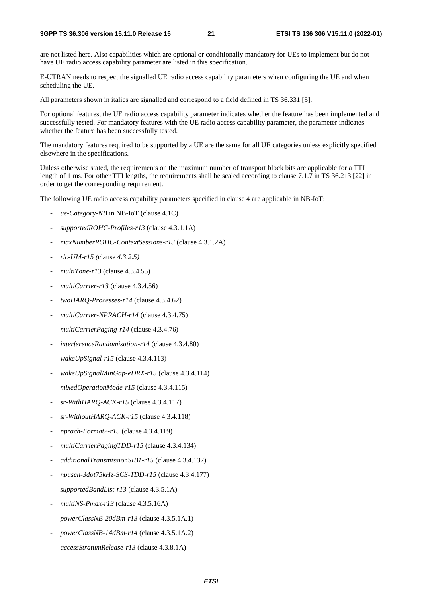are not listed here. Also capabilities which are optional or conditionally mandatory for UEs to implement but do not have UE radio access capability parameter are listed in this specification.

E-UTRAN needs to respect the signalled UE radio access capability parameters when configuring the UE and when scheduling the UE.

All parameters shown in italics are signalled and correspond to a field defined in TS 36.331 [5].

For optional features, the UE radio access capability parameter indicates whether the feature has been implemented and successfully tested. For mandatory features with the UE radio access capability parameter, the parameter indicates whether the feature has been successfully tested.

The mandatory features required to be supported by a UE are the same for all UE categories unless explicitly specified elsewhere in the specifications.

Unless otherwise stated, the requirements on the maximum number of transport block bits are applicable for a TTI length of 1 ms. For other TTI lengths, the requirements shall be scaled according to clause 7.1.7 in TS 36.213 [22] in order to get the corresponding requirement.

The following UE radio access capability parameters specified in clause 4 are applicable in NB-IoT:

- *ue-Category-NB* in NB-IoT (clause 4.1C)
- *supportedROHC-Profiles-r13* (clause 4.3.1.1A)
- *maxNumberROHC-ContextSessions-r13* (clause 4.3.1.2A)
- *rlc-UM-r15 (*clause *4.3.2.5)*
- *multiTone-r13* (clause 4.3.4.55)
- *multiCarrier-r13* (clause 4.3.4.56)
- *twoHARQ-Processes-r14* (clause 4.3.4.62)
- *multiCarrier-NPRACH-r14* (clause 4.3.4.75)
- *multiCarrierPaging-r14* (clause 4.3.4.76)
- *interferenceRandomisation-r14* (clause 4.3.4.80)
- *wakeUpSignal-r15* (clause 4.3.4.113)
- *wakeUpSignalMinGap-eDRX-r15* (clause 4.3.4.114)
- *mixedOperationMode-r15* (clause 4.3.4.115)
- *sr-WithHARQ-ACK-r15* (clause 4.3.4.117)
- *sr-WithoutHARQ-ACK-r15* (clause 4.3.4.118)
- *nprach-Format2-r15* (clause 4.3.4.119)
- *multiCarrierPagingTDD-r15* (clause 4.3.4.134)
- *additionalTransmissionSIB1-r15* (clause 4.3.4.137)
- *npusch-3dot75kHz-SCS-TDD-r15* (clause 4.3.4.177)
- supportedBandList-r13 (clause 4.3.5.1A)
- *multiNS-Pmax-r13* (clause 4.3.5.16A)
- *powerClassNB-20dBm-r13* (clause 4.3.5.1A.1)
- *powerClassNB-14dBm-r14* (clause 4.3.5.1A.2)
- *accessStratumRelease-r13* (clause 4.3.8.1A)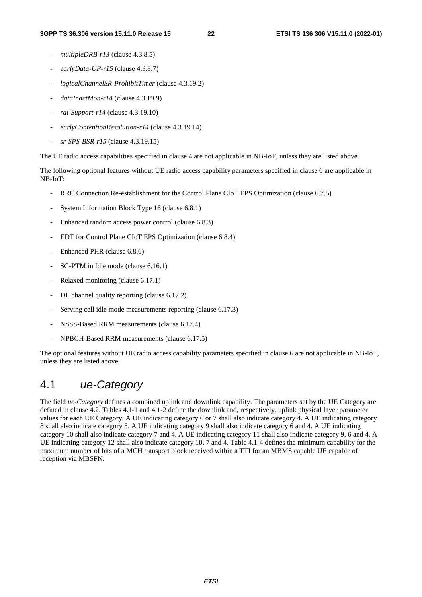- *multipleDRB-r13* (clause 4.3.8.5)
- *earlyData-UP-r15* (clause 4.3.8.7)
- *logicalChannelSR-ProhibitTimer* (clause 4.3.19.2)
- *dataInactMon-r14* (clause 4.3.19.9)
- *rai-Support-r14* (clause 4.3.19.10)
- *earlyContentionResolution-r14* (clause 4.3.19.14)
- *sr-SPS-BSR-r15* (clause 4.3.19.15)

The UE radio access capabilities specified in clause 4 are not applicable in NB-IoT, unless they are listed above.

The following optional features without UE radio access capability parameters specified in clause 6 are applicable in NB-IoT:

- RRC Connection Re-establishment for the Control Plane CIoT EPS Optimization (clause 6.7.5)
- System Information Block Type 16 (clause 6.8.1)
- Enhanced random access power control (clause 6.8.3)
- EDT for Control Plane CIoT EPS Optimization (clause 6.8.4)
- Enhanced PHR (clause 6.8.6)
- SC-PTM in Idle mode (clause 6.16.1)
- Relaxed monitoring (clause 6.17.1)
- DL channel quality reporting (clause 6.17.2)
- Serving cell idle mode measurements reporting (clause 6.17.3)
- NSSS-Based RRM measurements (clause 6.17.4)
- NPBCH-Based RRM measurements (clause 6.17.5)

The optional features without UE radio access capability parameters specified in clause 6 are not applicable in NB-IoT, unless they are listed above.

### 4.1 *ue-Category*

The field *ue-Category* defines a combined uplink and downlink capability. The parameters set by the UE Category are defined in clause 4.2. Tables 4.1-1 and 4.1-2 define the downlink and, respectively, uplink physical layer parameter values for each UE Category. A UE indicating category 6 or 7 shall also indicate category 4. A UE indicating category 8 shall also indicate category 5. A UE indicating category 9 shall also indicate category 6 and 4. A UE indicating category 10 shall also indicate category 7 and 4. A UE indicating category 11 shall also indicate category 9, 6 and 4. A UE indicating category 12 shall also indicate category 10, 7 and 4. Table 4.1-4 defines the minimum capability for the maximum number of bits of a MCH transport block received within a TTI for an MBMS capable UE capable of reception via MBSFN.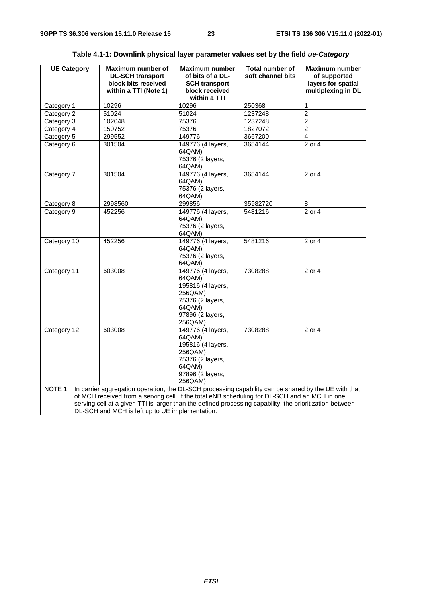| <b>UE Category</b>                                                                                                                                                                                                                                                                                                                                                           | Maximum number of<br><b>DL-SCH transport</b><br>block bits received<br>within a TTI (Note 1) | <b>Maximum number</b><br>of bits of a DL-<br><b>SCH transport</b><br>block received<br>within a TTI                      | Total number of<br>soft channel bits | Maximum number<br>of supported<br>layers for spatial<br>multiplexing in DL |  |
|------------------------------------------------------------------------------------------------------------------------------------------------------------------------------------------------------------------------------------------------------------------------------------------------------------------------------------------------------------------------------|----------------------------------------------------------------------------------------------|--------------------------------------------------------------------------------------------------------------------------|--------------------------------------|----------------------------------------------------------------------------|--|
| Category 1                                                                                                                                                                                                                                                                                                                                                                   | 10296                                                                                        | 10296                                                                                                                    | 250368                               | 1                                                                          |  |
| Category 2                                                                                                                                                                                                                                                                                                                                                                   | 51024                                                                                        | 51024                                                                                                                    | 1237248                              | $\overline{2}$                                                             |  |
| Category 3                                                                                                                                                                                                                                                                                                                                                                   | 102048                                                                                       | 75376                                                                                                                    | 1237248                              | $\overline{2}$                                                             |  |
| Category 4                                                                                                                                                                                                                                                                                                                                                                   | 150752                                                                                       | 75376                                                                                                                    | 1827072                              | $\overline{2}$                                                             |  |
| Category 5                                                                                                                                                                                                                                                                                                                                                                   | 299552                                                                                       | 149776                                                                                                                   | 3667200                              | 4                                                                          |  |
| Category 6                                                                                                                                                                                                                                                                                                                                                                   | 301504                                                                                       | 149776 (4 layers,                                                                                                        | 3654144                              | $\overline{2}$ or 4                                                        |  |
|                                                                                                                                                                                                                                                                                                                                                                              |                                                                                              | 64QAM)<br>75376 (2 layers,<br>64QAM)                                                                                     |                                      |                                                                            |  |
| Category 7                                                                                                                                                                                                                                                                                                                                                                   | 301504                                                                                       | 149776 (4 layers,<br>64QAM)<br>75376 (2 layers,<br>64QAM)                                                                | 3654144                              | 2 or 4                                                                     |  |
| Category 8                                                                                                                                                                                                                                                                                                                                                                   | 2998560                                                                                      | 299856                                                                                                                   | 35982720                             | 8                                                                          |  |
| Category 9                                                                                                                                                                                                                                                                                                                                                                   | 452256                                                                                       | 149776 (4 layers,<br>64QAM)<br>75376 (2 layers,<br>64QAM)                                                                | 5481216                              | $2$ or 4                                                                   |  |
| Category 10                                                                                                                                                                                                                                                                                                                                                                  | 452256                                                                                       | 149776 (4 layers,<br>64QAM)<br>75376 (2 layers,<br>64QAM)                                                                | 5481216                              | $2$ or 4                                                                   |  |
| Category 11                                                                                                                                                                                                                                                                                                                                                                  | 603008                                                                                       | 149776 (4 layers,<br>64QAM)<br>195816 (4 layers,<br>256QAM)<br>75376 (2 layers,<br>64QAM)<br>97896 (2 layers,<br>256QAM) | 7308288                              | 2 or 4                                                                     |  |
| Category 12                                                                                                                                                                                                                                                                                                                                                                  | 603008                                                                                       | 149776 (4 layers,<br>64QAM)<br>195816 (4 layers,<br>256QAM)<br>75376 (2 layers,<br>64QAM)<br>97896 (2 layers,<br>256QAM) | 7308288                              | 2 or 4                                                                     |  |
| NOTE 1: In carrier aggregation operation, the DL-SCH processing capability can be shared by the UE with that<br>of MCH received from a serving cell. If the total eNB scheduling for DL-SCH and an MCH in one<br>serving cell at a given TTI is larger than the defined processing capability, the prioritization between<br>DL-SCH and MCH is left up to UE implementation. |                                                                                              |                                                                                                                          |                                      |                                                                            |  |

| Table 4.1-1: Downlink physical layer parameter values set by the field <i>ue-Category</i> |  |  |  |  |  |  |  |  |
|-------------------------------------------------------------------------------------------|--|--|--|--|--|--|--|--|
|-------------------------------------------------------------------------------------------|--|--|--|--|--|--|--|--|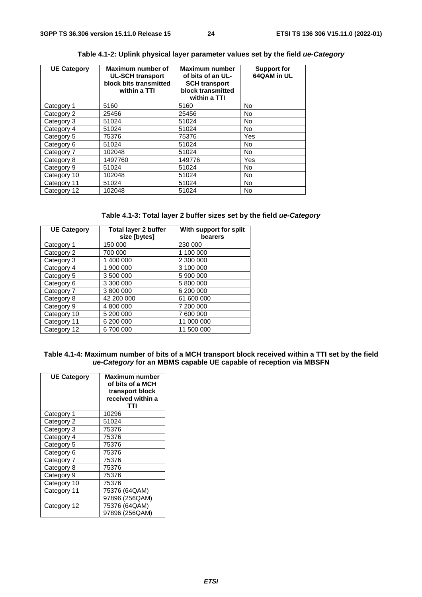| <b>UE Category</b> | Maximum number of<br><b>UL-SCH transport</b><br>block bits transmitted<br>within a TTI | Maximum number<br>of bits of an UL-<br><b>SCH transport</b><br>block transmitted<br>within a TTI | <b>Support for</b><br>64QAM in UL |
|--------------------|----------------------------------------------------------------------------------------|--------------------------------------------------------------------------------------------------|-----------------------------------|
| Category 1         | 5160                                                                                   | 5160                                                                                             | <b>No</b>                         |
| Category 2         | 25456                                                                                  | 25456                                                                                            | <b>No</b>                         |
| Category 3         | 51024                                                                                  | 51024                                                                                            | No                                |
| Category 4         | 51024                                                                                  | 51024                                                                                            | No                                |
| Category 5         | 75376                                                                                  | 75376                                                                                            | Yes                               |
| Category 6         | 51024                                                                                  | 51024                                                                                            | No                                |
| Category 7         | 102048                                                                                 | 51024                                                                                            | <b>No</b>                         |
| Category 8         | 1497760                                                                                | 149776                                                                                           | Yes                               |
| Category 9         | 51024                                                                                  | 51024                                                                                            | No                                |
| Category 10        | 102048                                                                                 | 51024                                                                                            | No                                |
| Category 11        | 51024                                                                                  | 51024                                                                                            | No                                |
| Category 12        | 102048                                                                                 | 51024                                                                                            | <b>No</b>                         |

### **Table 4.1-2: Uplink physical layer parameter values set by the field** *ue-Category*

|  | Table 4.1-3: Total layer 2 buffer sizes set by the field ue-Category |  |
|--|----------------------------------------------------------------------|--|
|--|----------------------------------------------------------------------|--|

| <b>UE Category</b> | <b>Total layer 2 buffer</b><br>size [bytes] | With support for split<br>bearers |
|--------------------|---------------------------------------------|-----------------------------------|
| Category 1         | 150 000                                     | 230 000                           |
| Category 2         | 700 000                                     | 1 100 000                         |
| Category 3         | 1 400 000                                   | 2 300 000                         |
| Category 4         | 1 900 000                                   | 3 100 000                         |
| Category 5         | 3 500 000                                   | 5 900 000                         |
| Category 6         | 3 300 000                                   | 5 800 000                         |
| Category 7         | 3 800 000                                   | 6 200 000                         |
| Category 8         | 42 200 000                                  | 61 600 000                        |
| Category 9         | 4 800 000                                   | 7 200 000                         |
| Category 10        | 5 200 000                                   | 7 600 000                         |
| Category 11        | 6 200 000                                   | 11 000 000                        |
| Category 12        | 6700000                                     | 11 500 000                        |

#### **Table 4.1-4: Maximum number of bits of a MCH transport block received within a TTI set by the field**  *ue-Category* **for an MBMS capable UE capable of reception via MBSFN**

| <b>UE Category</b> | <b>Maximum number</b><br>of bits of a MCH<br>transport block<br>received within a<br>тті |
|--------------------|------------------------------------------------------------------------------------------|
| Category 1         | 10296                                                                                    |
| Category 2         | 51024                                                                                    |
| Category 3         | 75376                                                                                    |
| Category 4         | 75376                                                                                    |
| Category 5         | 75376                                                                                    |
| Category 6         | 75376                                                                                    |
| Category 7         | 75376                                                                                    |
| Category 8         | 75376                                                                                    |
| Category 9         | 75376                                                                                    |
| Category 10        | 75376                                                                                    |
| Category 11        | 75376 (64QAM)                                                                            |
|                    | 97896 (256QAM)                                                                           |
| Category 12        | 75376 (64QAM)                                                                            |
|                    | 97896 (256QAM)                                                                           |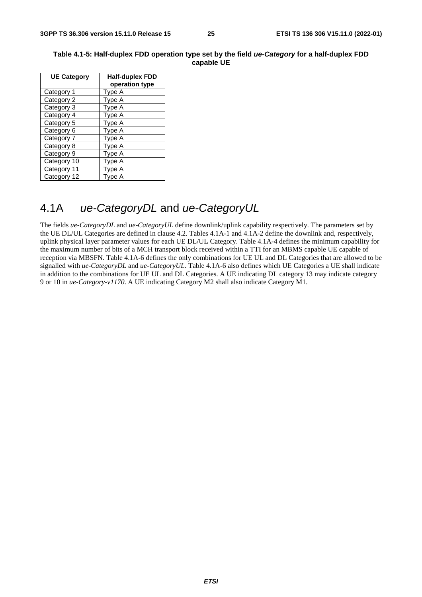| <b>UE Category</b> | Half-duplex FDD<br>operation type |
|--------------------|-----------------------------------|
| Category 1         | Type A                            |
| Category 2         | Type A                            |
| Category 3         | Type A                            |
| Category 4         | Type A                            |
| Category 5         | Type A                            |
| Category 6         | Type A                            |
| Category 7         | Type A                            |
| Category 8         | Type A                            |
| Category 9         | Type A                            |
| Category 10        | Type A                            |
| Category 11        | Type A                            |
| Category 12        | Type A                            |

#### **Table 4.1-5: Half-duplex FDD operation type set by the field** *ue-Category* **for a half-duplex FDD capable UE**

### 4.1A *ue-CategoryDL* and *ue-CategoryUL*

The fields *ue-CategoryDL* and *ue-CategoryUL* define downlink/uplink capability respectively. The parameters set by the UE DL/UL Categories are defined in clause 4.2. Tables 4.1A-1 and 4.1A-2 define the downlink and, respectively, uplink physical layer parameter values for each UE DL/UL Category. Table 4.1A-4 defines the minimum capability for the maximum number of bits of a MCH transport block received within a TTI for an MBMS capable UE capable of reception via MBSFN. Table 4.1A-6 defines the only combinations for UE UL and DL Categories that are allowed to be signalled with *ue-CategoryDL* and *ue-CategoryUL*. Table 4.1A-6 also defines which UE Categories a UE shall indicate in addition to the combinations for UE UL and DL Categories. A UE indicating DL category 13 may indicate category 9 or 10 in *ue-Category-v1170*. A UE indicating Category M2 shall also indicate Category M1.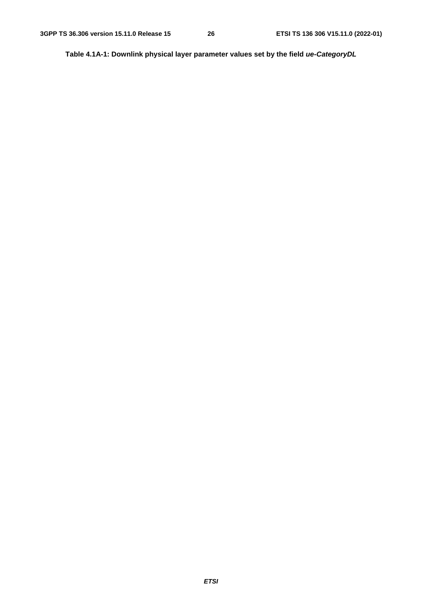**Table 4.1A-1: Downlink physical layer parameter values set by the field** *ue-CategoryDL*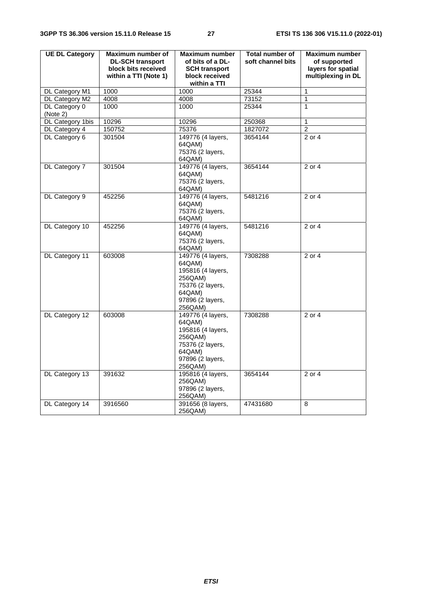| <b>UE DL Category</b> | Maximum number of       | <b>Maximum number</b>       | <b>Total number of</b> | Maximum number     |
|-----------------------|-------------------------|-----------------------------|------------------------|--------------------|
|                       | <b>DL-SCH transport</b> | of bits of a DL-            | soft channel bits      | of supported       |
|                       | block bits received     | <b>SCH transport</b>        |                        | layers for spatial |
|                       | within a TTI (Note 1)   | block received              |                        | multiplexing in DL |
|                       |                         | within a TTI                |                        |                    |
| DL Category M1        | 1000                    | 1000                        | 25344                  | $\mathbf{1}$       |
| DL Category M2        | 4008                    | 4008                        | 73152                  | 1                  |
| DL Category 0         | 1000                    | 1000                        | 25344                  | 1                  |
| (Note 2)              |                         |                             |                        |                    |
| DL Category 1bis      | 10296                   | 10296                       | 250368                 | 1                  |
| DL Category 4         | 150752                  | 75376                       | 1827072                | $\overline{2}$     |
| DL Category 6         | 301504                  | 149776 (4 layers,           | 3654144                | 2 or 4             |
|                       |                         | 64QAM)                      |                        |                    |
|                       |                         | 75376 (2 layers,            |                        |                    |
|                       |                         | 64QAM)                      |                        |                    |
| DL Category 7         | 301504                  | 149776 (4 layers,           | 3654144                | 2 or 4             |
|                       |                         | 64QAM)                      |                        |                    |
|                       |                         | 75376 (2 layers,            |                        |                    |
|                       |                         | 64QAM)                      |                        |                    |
| DL Category 9         | 452256                  | 149776 (4 layers,           | 5481216                | 2 or 4             |
|                       |                         | 64QAM)                      |                        |                    |
|                       |                         | 75376 (2 layers,            |                        |                    |
|                       |                         | 64QAM)                      |                        |                    |
| DL Category 10        | 452256                  | 149776 (4 layers,           | 5481216                | 2 or 4             |
|                       |                         | 64QAM)                      |                        |                    |
|                       |                         | 75376 (2 layers,            |                        |                    |
|                       |                         | 64QAM)                      |                        |                    |
| DL Category 11        | 603008                  | 149776 (4 layers,           | 7308288                | 2 or 4             |
|                       |                         | 64QAM)                      |                        |                    |
|                       |                         | 195816 (4 layers,           |                        |                    |
|                       |                         | 256QAM)<br>75376 (2 layers, |                        |                    |
|                       |                         | 64QAM)                      |                        |                    |
|                       |                         | 97896 (2 layers,            |                        |                    |
|                       |                         | 256QAM)                     |                        |                    |
| DL Category 12        | 603008                  | 149776 (4 layers,           | 7308288                | 2 or 4             |
|                       |                         | 64QAM)                      |                        |                    |
|                       |                         | 195816 (4 layers,           |                        |                    |
|                       |                         | 256QAM)                     |                        |                    |
|                       |                         | 75376 (2 layers,            |                        |                    |
|                       |                         | 64QAM)                      |                        |                    |
|                       |                         | 97896 (2 layers,            |                        |                    |
|                       |                         | 256QAM)                     |                        |                    |
| DL Category 13        | 391632                  | 195816 (4 layers,           | 3654144                | 2 or 4             |
|                       |                         | 256QAM)                     |                        |                    |
|                       |                         | 97896 (2 layers,            |                        |                    |
|                       |                         | 256QAM)                     |                        |                    |
| DL Category 14        | 3916560                 | 391656 (8 layers,           | 47431680               | 8                  |
|                       |                         | 256QAM)                     |                        |                    |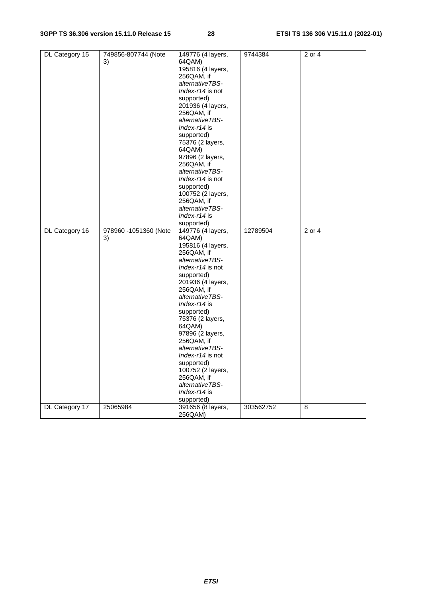| DL Category 15 | 749856-807744 (Note   | 149776 (4 layers, | 9744384   | 2 or 4              |
|----------------|-----------------------|-------------------|-----------|---------------------|
|                | 3)                    | 64QAM)            |           |                     |
|                |                       | 195816 (4 layers, |           |                     |
|                |                       | 256QAM, if        |           |                     |
|                |                       | alternativeTBS-   |           |                     |
|                |                       | Index-r14 is not  |           |                     |
|                |                       | supported)        |           |                     |
|                |                       | 201936 (4 layers, |           |                     |
|                |                       | 256QAM, if        |           |                     |
|                |                       | alternativeTBS-   |           |                     |
|                |                       | $Index-14$ is     |           |                     |
|                |                       |                   |           |                     |
|                |                       | supported)        |           |                     |
|                |                       | 75376 (2 layers,  |           |                     |
|                |                       | 64QAM)            |           |                     |
|                |                       | 97896 (2 layers,  |           |                     |
|                |                       | 256QAM, if        |           |                     |
|                |                       | alternativeTBS-   |           |                     |
|                |                       | Index-r14 is not  |           |                     |
|                |                       | supported)        |           |                     |
|                |                       | 100752 (2 layers, |           |                     |
|                |                       | 256QAM, if        |           |                     |
|                |                       | alternativeTBS-   |           |                     |
|                |                       | $Index-14$ is     |           |                     |
|                |                       | supported)        |           |                     |
| DL Category 16 | 978960 -1051360 (Note | 149776 (4 layers, | 12789504  | 2 or $\overline{4}$ |
|                | 3)                    | 64QAM)            |           |                     |
|                |                       | 195816 (4 layers, |           |                     |
|                |                       | 256QAM, if        |           |                     |
|                |                       | alternativeTBS-   |           |                     |
|                |                       | Index-r14 is not  |           |                     |
|                |                       | supported)        |           |                     |
|                |                       | 201936 (4 layers, |           |                     |
|                |                       | 256QAM, if        |           |                     |
|                |                       | alternativeTBS-   |           |                     |
|                |                       | Index-r14 is      |           |                     |
|                |                       | supported)        |           |                     |
|                |                       | 75376 (2 layers,  |           |                     |
|                |                       | 64QAM)            |           |                     |
|                |                       | 97896 (2 layers,  |           |                     |
|                |                       | 256QAM, if        |           |                     |
|                |                       | alternativeTBS-   |           |                     |
|                |                       | Index-r14 is not  |           |                     |
|                |                       |                   |           |                     |
|                |                       | supported)        |           |                     |
|                |                       | 100752 (2 layers, |           |                     |
|                |                       | 256QAM, if        |           |                     |
|                |                       | alternativeTBS-   |           |                     |
|                |                       | $Index-14$ is     |           |                     |
|                |                       | supported)        |           |                     |
| DL Category 17 | 25065984              | 391656 (8 layers, | 303562752 | 8                   |
|                |                       | 256QAM)           |           |                     |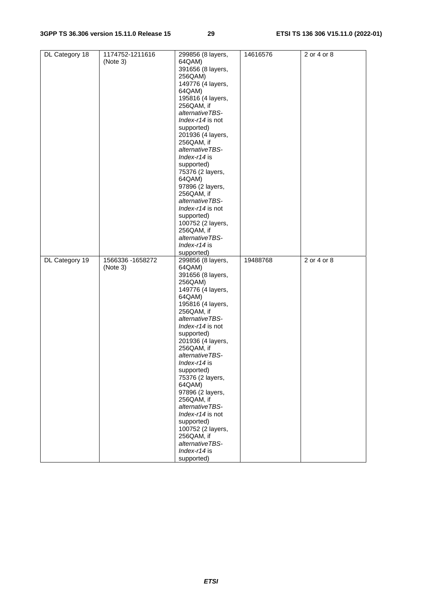| DL Category 18 | 1174752-1211616   | 299856 (8 layers,             | 14616576 | 2 or 4 or 8 |
|----------------|-------------------|-------------------------------|----------|-------------|
|                | (Note 3)          | 64QAM)                        |          |             |
|                |                   | 391656 (8 layers,             |          |             |
|                |                   |                               |          |             |
|                |                   | 256QAM)                       |          |             |
|                |                   | 149776 (4 layers,             |          |             |
|                |                   | 64QAM)                        |          |             |
|                |                   | 195816 (4 layers,             |          |             |
|                |                   | 256QAM, if                    |          |             |
|                |                   | alternativeTBS-               |          |             |
|                |                   | Index-r14 is not              |          |             |
|                |                   | supported)                    |          |             |
|                |                   | 201936 (4 layers,             |          |             |
|                |                   | 256QAM, if                    |          |             |
|                |                   | alternativeTBS-               |          |             |
|                |                   | Index-r14 is                  |          |             |
|                |                   | supported)                    |          |             |
|                |                   | 75376 (2 layers,              |          |             |
|                |                   | 64QAM)                        |          |             |
|                |                   | 97896 (2 layers,              |          |             |
|                |                   | 256QAM, if                    |          |             |
|                |                   | alternativeTBS-               |          |             |
|                |                   | Index-r14 is not              |          |             |
|                |                   |                               |          |             |
|                |                   | supported)                    |          |             |
|                |                   | 100752 (2 layers,             |          |             |
|                |                   | 256QAM, if                    |          |             |
|                |                   | alternativeTBS-               |          |             |
|                |                   | Index- $r14$ is               |          |             |
|                |                   | supported)                    |          |             |
| DL Category 19 | 1566336 - 1658272 | 299856 (8 layers,             | 19488768 | 2 or 4 or 8 |
|                |                   |                               |          |             |
|                | (Note 3)          | 64QAM)                        |          |             |
|                |                   | 391656 (8 layers,             |          |             |
|                |                   | 256QAM)                       |          |             |
|                |                   | 149776 (4 layers,             |          |             |
|                |                   | 64QAM)                        |          |             |
|                |                   |                               |          |             |
|                |                   | 195816 (4 layers,             |          |             |
|                |                   | 256QAM, if<br>alternativeTBS- |          |             |
|                |                   |                               |          |             |
|                |                   | Index-r14 is not              |          |             |
|                |                   | supported)                    |          |             |
|                |                   | 201936 (4 layers,             |          |             |
|                |                   | 256QAM, if                    |          |             |
|                |                   | alternativeTBS-               |          |             |
|                |                   | Index-r14 is                  |          |             |
|                |                   | supported)                    |          |             |
|                |                   | 75376 (2 layers,              |          |             |
|                |                   | 64QAM)                        |          |             |
|                |                   | 97896 (2 layers,              |          |             |
|                |                   | 256QAM, if                    |          |             |
|                |                   | alternativeTBS-               |          |             |
|                |                   | Index-r14 is not              |          |             |
|                |                   | supported)                    |          |             |
|                |                   | 100752 (2 layers,             |          |             |
|                |                   | 256QAM, if                    |          |             |
|                |                   | alternativeTBS-               |          |             |
|                |                   | Index-r14 is<br>supported)    |          |             |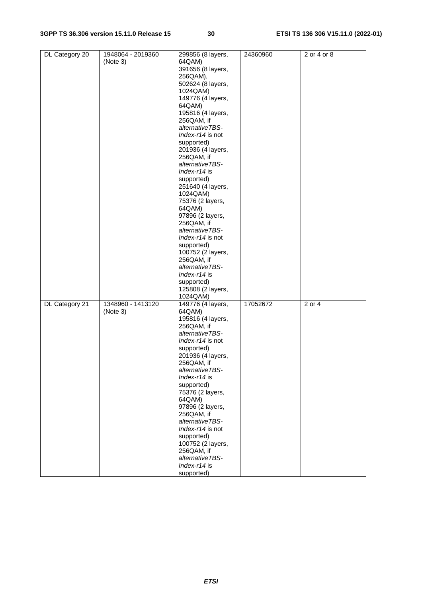| DL Category 20 | 1948064 - 2019360 | 299856 (8 layers, | 24360960 | 2 or 4 or 8         |
|----------------|-------------------|-------------------|----------|---------------------|
|                | (Note 3)          | 64QAM)            |          |                     |
|                |                   | 391656 (8 layers, |          |                     |
|                |                   | 256QAM),          |          |                     |
|                |                   | 502624 (8 layers, |          |                     |
|                |                   |                   |          |                     |
|                |                   | 1024QAM)          |          |                     |
|                |                   | 149776 (4 layers, |          |                     |
|                |                   | 64QAM)            |          |                     |
|                |                   | 195816 (4 layers, |          |                     |
|                |                   | 256QAM, if        |          |                     |
|                |                   | alternativeTBS-   |          |                     |
|                |                   | Index-r14 is not  |          |                     |
|                |                   |                   |          |                     |
|                |                   | supported)        |          |                     |
|                |                   | 201936 (4 layers, |          |                     |
|                |                   | 256QAM, if        |          |                     |
|                |                   | alternativeTBS-   |          |                     |
|                |                   | $Index-114$ is    |          |                     |
|                |                   | supported)        |          |                     |
|                |                   | 251640 (4 layers, |          |                     |
|                |                   | 1024QAM)          |          |                     |
|                |                   |                   |          |                     |
|                |                   | 75376 (2 layers,  |          |                     |
|                |                   | 64QAM)            |          |                     |
|                |                   | 97896 (2 layers,  |          |                     |
|                |                   | 256QAM, if        |          |                     |
|                |                   | alternativeTBS-   |          |                     |
|                |                   | Index-r14 is not  |          |                     |
|                |                   | supported)        |          |                     |
|                |                   |                   |          |                     |
|                |                   | 100752 (2 layers, |          |                     |
|                |                   | 256QAM, if        |          |                     |
|                |                   | alternativeTBS-   |          |                     |
|                |                   | $Index-114$ is    |          |                     |
|                |                   | supported)        |          |                     |
|                |                   | 125808 (2 layers, |          |                     |
|                |                   | 1024QAM)          |          |                     |
| DL Category 21 | 1348960 - 1413120 | 149776 (4 layers, | 17052672 | $\overline{2}$ or 4 |
|                |                   | 64QAM)            |          |                     |
|                | (Note 3)          |                   |          |                     |
|                |                   | 195816 (4 layers, |          |                     |
|                |                   | 256QAM, if        |          |                     |
|                |                   | alternativeTBS-   |          |                     |
|                |                   | Index-r14 is not  |          |                     |
|                |                   | supported)        |          |                     |
|                |                   | 201936 (4 layers, |          |                     |
|                |                   | 256QAM, if        |          |                     |
|                |                   | alternativeTBS-   |          |                     |
|                |                   | $Index-114$ is    |          |                     |
|                |                   |                   |          |                     |
|                |                   | supported)        |          |                     |
|                |                   | 75376 (2 layers,  |          |                     |
|                |                   | 64QAM)            |          |                     |
|                |                   | 97896 (2 layers,  |          |                     |
|                |                   | 256QAM, if        |          |                     |
|                |                   | alternativeTBS-   |          |                     |
|                |                   | Index-r14 is not  |          |                     |
|                |                   |                   |          |                     |
|                |                   | supported)        |          |                     |
|                |                   | 100752 (2 layers, |          |                     |
|                |                   | 256QAM, if        |          |                     |
|                |                   | alternativeTBS-   |          |                     |
|                |                   | Index-r14 is      |          |                     |
|                |                   | supported)        |          |                     |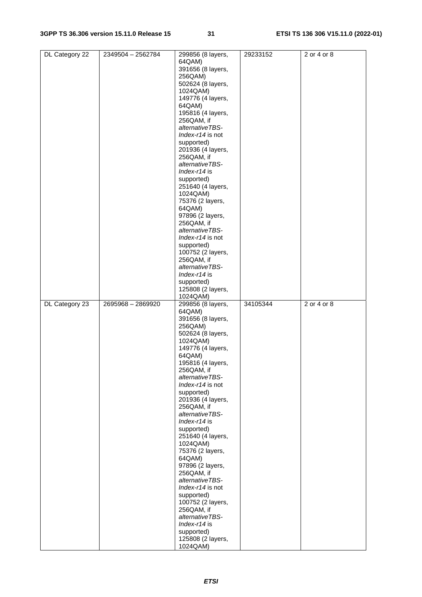| DL Category 22 | 2349504 - 2562784 | 299856 (8 layers,             | 29233152 | 2 or 4 or 8 |
|----------------|-------------------|-------------------------------|----------|-------------|
|                |                   | 64QAM)                        |          |             |
|                |                   | 391656 (8 layers,             |          |             |
|                |                   | 256QAM)                       |          |             |
|                |                   |                               |          |             |
|                |                   | 502624 (8 layers,             |          |             |
|                |                   | 1024QAM)                      |          |             |
|                |                   | 149776 (4 layers,             |          |             |
|                |                   | 64QAM)                        |          |             |
|                |                   |                               |          |             |
|                |                   | 195816 (4 layers,             |          |             |
|                |                   | 256QAM, if                    |          |             |
|                |                   | alternativeTBS-               |          |             |
|                |                   | Index-r14 is not              |          |             |
|                |                   | supported)                    |          |             |
|                |                   |                               |          |             |
|                |                   | 201936 (4 layers,             |          |             |
|                |                   | 256QAM, if                    |          |             |
|                |                   | alternativeTBS-               |          |             |
|                |                   | $Index-14$ is                 |          |             |
|                |                   | supported)                    |          |             |
|                |                   |                               |          |             |
|                |                   | 251640 (4 layers,             |          |             |
|                |                   | 1024QAM)                      |          |             |
|                |                   | 75376 (2 layers,              |          |             |
|                |                   | 64QAM)                        |          |             |
|                |                   | 97896 (2 layers,              |          |             |
|                |                   |                               |          |             |
|                |                   | 256QAM, if                    |          |             |
|                |                   | alternativeTBS-               |          |             |
|                |                   | Index-r14 is not              |          |             |
|                |                   | supported)                    |          |             |
|                |                   | 100752 (2 layers,             |          |             |
|                |                   |                               |          |             |
|                |                   | 256QAM, if                    |          |             |
|                |                   | alternativeTBS-               |          |             |
|                |                   | Index-r14 is                  |          |             |
|                |                   | supported)                    |          |             |
|                |                   | 125808 (2 layers,             |          |             |
|                |                   |                               |          |             |
|                |                   | 1024QAM)                      |          |             |
|                |                   |                               |          |             |
| DL Category 23 | 2695968 - 2869920 | 299856 (8 layers,             | 34105344 | 2 or 4 or 8 |
|                |                   |                               |          |             |
|                |                   | 64QAM)                        |          |             |
|                |                   | 391656 (8 layers,             |          |             |
|                |                   | 256QAM)                       |          |             |
|                |                   | 502624 (8 layers,             |          |             |
|                |                   | 1024QAM)                      |          |             |
|                |                   |                               |          |             |
|                |                   | 149776 (4 layers,             |          |             |
|                |                   | 64QAM)                        |          |             |
|                |                   | 195816 (4 layers,             |          |             |
|                |                   | 256QAM, if                    |          |             |
|                |                   | alternativeTBS-               |          |             |
|                |                   | Index-r14 is not              |          |             |
|                |                   |                               |          |             |
|                |                   | supported)                    |          |             |
|                |                   | 201936 (4 layers,             |          |             |
|                |                   | 256QAM, if                    |          |             |
|                |                   | alternativeTBS-               |          |             |
|                |                   | $Index-14$ is                 |          |             |
|                |                   |                               |          |             |
|                |                   | supported)                    |          |             |
|                |                   | 251640 (4 layers,             |          |             |
|                |                   | 1024QAM)                      |          |             |
|                |                   | 75376 (2 layers,              |          |             |
|                |                   | 64QAM)                        |          |             |
|                |                   | 97896 (2 layers,              |          |             |
|                |                   |                               |          |             |
|                |                   | 256QAM, if                    |          |             |
|                |                   | alternativeTBS-               |          |             |
|                |                   | Index-r14 is not              |          |             |
|                |                   | supported)                    |          |             |
|                |                   | 100752 (2 layers,             |          |             |
|                |                   | 256QAM, if                    |          |             |
|                |                   |                               |          |             |
|                |                   | alternativeTBS-               |          |             |
|                |                   | Index-r14 is                  |          |             |
|                |                   | supported)                    |          |             |
|                |                   | 125808 (2 layers,<br>1024QAM) |          |             |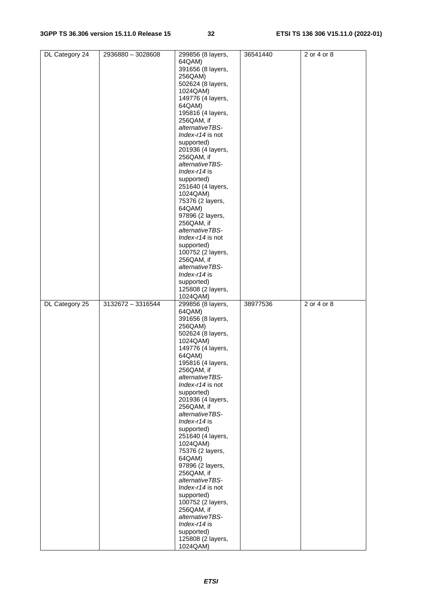| DL Category 24 | 2936880 - 3028608 | 299856 (8 layers,             | 36541440 | 2 or 4 or 8 |
|----------------|-------------------|-------------------------------|----------|-------------|
|                |                   | 64QAM)                        |          |             |
|                |                   |                               |          |             |
|                |                   | 391656 (8 layers,             |          |             |
|                |                   | 256QAM)                       |          |             |
|                |                   | 502624 (8 layers,             |          |             |
|                |                   |                               |          |             |
|                |                   | 1024QAM)                      |          |             |
|                |                   | 149776 (4 layers,             |          |             |
|                |                   |                               |          |             |
|                |                   | 64QAM)                        |          |             |
|                |                   | 195816 (4 layers,             |          |             |
|                |                   |                               |          |             |
|                |                   | 256QAM, if                    |          |             |
|                |                   | alternativeTBS-               |          |             |
|                |                   | Index-r14 is not              |          |             |
|                |                   |                               |          |             |
|                |                   | supported)                    |          |             |
|                |                   | 201936 (4 layers,             |          |             |
|                |                   |                               |          |             |
|                |                   | 256QAM, if                    |          |             |
|                |                   | alternativeTBS-               |          |             |
|                |                   | $Index-14$ is                 |          |             |
|                |                   |                               |          |             |
|                |                   | supported)                    |          |             |
|                |                   | 251640 (4 layers,             |          |             |
|                |                   |                               |          |             |
|                |                   | 1024QAM)                      |          |             |
|                |                   | 75376 (2 layers,              |          |             |
|                |                   |                               |          |             |
|                |                   | 64QAM)                        |          |             |
|                |                   | 97896 (2 layers,              |          |             |
|                |                   |                               |          |             |
|                |                   | 256QAM, if                    |          |             |
|                |                   | alternativeTBS-               |          |             |
|                |                   | Index-r14 is not              |          |             |
|                |                   |                               |          |             |
|                |                   | supported)                    |          |             |
|                |                   | 100752 (2 layers,             |          |             |
|                |                   |                               |          |             |
|                |                   | 256QAM, if                    |          |             |
|                |                   | alternativeTBS-               |          |             |
|                |                   |                               |          |             |
|                |                   | Index-r14 is                  |          |             |
|                |                   | supported)                    |          |             |
|                |                   |                               |          |             |
|                |                   | 125808 (2 layers,             |          |             |
|                |                   | 1024QAM)                      |          |             |
|                |                   |                               |          |             |
|                |                   |                               |          |             |
| DL Category 25 | 3132672 - 3316544 | 299856 (8 layers,             | 38977536 | 2 or 4 or 8 |
|                |                   | 64QAM)                        |          |             |
|                |                   |                               |          |             |
|                |                   | 391656 (8 layers,             |          |             |
|                |                   | 256QAM)                       |          |             |
|                |                   |                               |          |             |
|                |                   | 502624 (8 layers,             |          |             |
|                |                   | 1024QAM)                      |          |             |
|                |                   |                               |          |             |
|                |                   | 149776 (4 layers,             |          |             |
|                |                   | 64QAM)                        |          |             |
|                |                   | 195816 (4 layers,             |          |             |
|                |                   |                               |          |             |
|                |                   | 256QAM, if                    |          |             |
|                |                   | alternativeTBS-               |          |             |
|                |                   | Index-r14 is not              |          |             |
|                |                   |                               |          |             |
|                |                   | supported)                    |          |             |
|                |                   | 201936 (4 layers,             |          |             |
|                |                   |                               |          |             |
|                |                   | 256QAM, if                    |          |             |
|                |                   | alternativeTBS-               |          |             |
|                |                   |                               |          |             |
|                |                   | Index-r14 is                  |          |             |
|                |                   | supported)                    |          |             |
|                |                   | 251640 (4 layers,             |          |             |
|                |                   |                               |          |             |
|                |                   | 1024QAM)                      |          |             |
|                |                   | 75376 (2 layers,              |          |             |
|                |                   |                               |          |             |
|                |                   | 64QAM)                        |          |             |
|                |                   | 97896 (2 layers,              |          |             |
|                |                   | 256QAM, if                    |          |             |
|                |                   |                               |          |             |
|                |                   | alternativeTBS-               |          |             |
|                |                   | Index-r14 is not              |          |             |
|                |                   |                               |          |             |
|                |                   | supported)                    |          |             |
|                |                   | 100752 (2 layers,             |          |             |
|                |                   | 256QAM, if                    |          |             |
|                |                   |                               |          |             |
|                |                   | alternativeTBS-               |          |             |
|                |                   | Index-r14 is                  |          |             |
|                |                   |                               |          |             |
|                |                   | supported)                    |          |             |
|                |                   | 125808 (2 layers,<br>1024QAM) |          |             |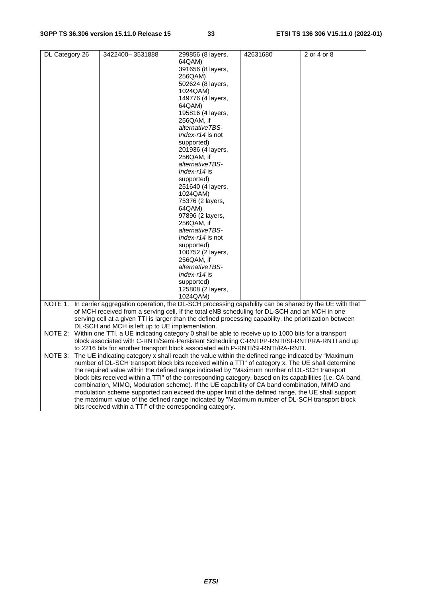| DL Category 26 | 3422400-3531888 |                                                 | 299856 (8 layers,                                                                                            | 42631680 | 2 or 4 or 8 |
|----------------|-----------------|-------------------------------------------------|--------------------------------------------------------------------------------------------------------------|----------|-------------|
|                |                 |                                                 | 64QAM)                                                                                                       |          |             |
|                |                 |                                                 | 391656 (8 layers,                                                                                            |          |             |
|                |                 |                                                 | 256QAM)                                                                                                      |          |             |
|                |                 |                                                 | 502624 (8 layers,                                                                                            |          |             |
|                |                 |                                                 | 1024QAM)                                                                                                     |          |             |
|                |                 |                                                 | 149776 (4 layers,                                                                                            |          |             |
|                |                 |                                                 | 64QAM)                                                                                                       |          |             |
|                |                 |                                                 | 195816 (4 layers,                                                                                            |          |             |
|                |                 |                                                 | 256QAM, if                                                                                                   |          |             |
|                |                 |                                                 | alternativeTBS-                                                                                              |          |             |
|                |                 |                                                 | Index-r14 is not                                                                                             |          |             |
|                |                 |                                                 | supported)                                                                                                   |          |             |
|                |                 |                                                 | 201936 (4 layers,                                                                                            |          |             |
|                |                 |                                                 | 256QAM, if                                                                                                   |          |             |
|                |                 |                                                 | alternativeTBS-                                                                                              |          |             |
|                |                 |                                                 | Index-r14 is                                                                                                 |          |             |
|                |                 |                                                 | supported)                                                                                                   |          |             |
|                |                 |                                                 | 251640 (4 layers,                                                                                            |          |             |
|                |                 |                                                 | 1024QAM)                                                                                                     |          |             |
|                |                 |                                                 | 75376 (2 layers,                                                                                             |          |             |
|                |                 |                                                 | 64QAM)                                                                                                       |          |             |
|                |                 |                                                 | 97896 (2 layers,                                                                                             |          |             |
|                |                 |                                                 | 256QAM, if                                                                                                   |          |             |
|                |                 |                                                 | alternativeTBS-                                                                                              |          |             |
|                |                 |                                                 | Index-r14 is not                                                                                             |          |             |
|                |                 |                                                 | supported)                                                                                                   |          |             |
|                |                 |                                                 | 100752 (2 layers,                                                                                            |          |             |
|                |                 |                                                 | 256QAM, if                                                                                                   |          |             |
|                |                 |                                                 | alternativeTBS-                                                                                              |          |             |
|                |                 |                                                 | Index-r14 is                                                                                                 |          |             |
|                |                 |                                                 | supported)                                                                                                   |          |             |
|                |                 |                                                 | 125808 (2 layers,                                                                                            |          |             |
|                |                 |                                                 | 1024QAM)                                                                                                     |          |             |
|                |                 |                                                 | NOTE 1: In carrier aggregation operation, the DL-SCH processing capability can be shared by the UE with that |          |             |
|                |                 |                                                 | of MCH received from a serving cell. If the total eNB scheduling for DL-SCH and an MCH in one                |          |             |
|                |                 |                                                 | serving cell at a given TTI is larger than the defined processing capability, the prioritization between     |          |             |
|                |                 | DL-SCH and MCH is left up to UE implementation. |                                                                                                              |          |             |
|                |                 |                                                 | NOTE 2: Within one TTI, a UE indicating category 0 shall be able to receive up to 1000 bits for a transport  |          |             |
|                |                 |                                                 | block associated with C-RNTI/Semi-Persistent Scheduling C-RNTI/P-RNTI/SI-RNTI/RA-RNTI and up                 |          |             |
|                |                 |                                                 | to 2216 bits for another transport block associated with P-RNTI/SI-RNTI/RA-RNTI.                             |          |             |
| NOTE 3:        |                 |                                                 | The UE indicating category x shall reach the value within the defined range indicated by "Maximum"           |          |             |
|                |                 |                                                 | number of DL-SCH transport block bits received within a TTI" of category x. The UE shall determine           |          |             |
|                |                 |                                                 | the required value within the defined range indicated by "Maximum number of DL-SCH transport                 |          |             |
|                |                 |                                                 | block bits received within a TTI" of the corresponding category, based on its capabilities (i.e. CA band     |          |             |
|                |                 |                                                 | combination, MIMO, Modulation scheme). If the UE capability of CA band combination, MIMO and                 |          |             |
|                |                 |                                                 | modulation scheme supported can exceed the upper limit of the defined range, the UE shall support            |          |             |
|                |                 |                                                 | the maximum value of the defined range indicated by "Maximum number of DL-SCH transport block                |          |             |
|                |                 |                                                 | bits received within a TTI" of the corresponding category.                                                   |          |             |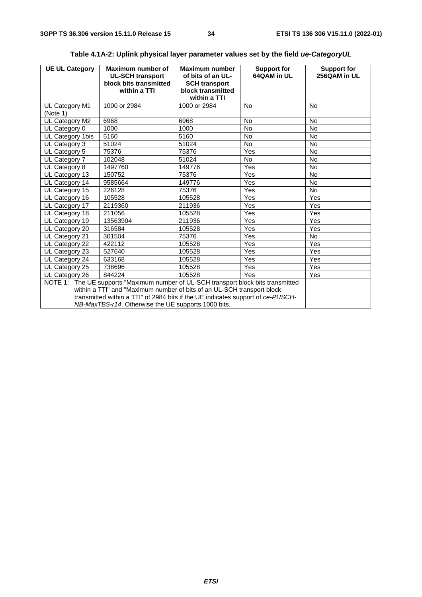| <b>UE UL Category</b>                                                                                                                                                                                                                                                                                  | Maximum number of<br><b>UL-SCH transport</b><br>block bits transmitted<br>within a TTI | Maximum number<br>of bits of an UL-<br><b>SCH transport</b><br>block transmitted<br>within a TTI | <b>Support for</b><br>64QAM in UL | <b>Support for</b><br>256QAM in UL |
|--------------------------------------------------------------------------------------------------------------------------------------------------------------------------------------------------------------------------------------------------------------------------------------------------------|----------------------------------------------------------------------------------------|--------------------------------------------------------------------------------------------------|-----------------------------------|------------------------------------|
| UL Category M1<br>(Note 1)                                                                                                                                                                                                                                                                             | 1000 or 2984                                                                           | 1000 or 2984                                                                                     | <b>No</b>                         | <b>No</b>                          |
| UL Category M2                                                                                                                                                                                                                                                                                         | 6968                                                                                   | 6968                                                                                             | <b>No</b>                         | <b>No</b>                          |
| UL Category 0                                                                                                                                                                                                                                                                                          | 1000                                                                                   | 1000                                                                                             | <b>No</b>                         | <b>No</b>                          |
| UL Category 1bis                                                                                                                                                                                                                                                                                       | 5160                                                                                   | 5160                                                                                             | <b>No</b>                         | <b>No</b>                          |
| UL Category 3                                                                                                                                                                                                                                                                                          | 51024                                                                                  | 51024                                                                                            | <b>No</b>                         | <b>No</b>                          |
| UL Category 5                                                                                                                                                                                                                                                                                          | 75376                                                                                  | 75376                                                                                            | Yes                               | <b>No</b>                          |
| UL Category 7                                                                                                                                                                                                                                                                                          | 102048                                                                                 | 51024                                                                                            | <b>No</b>                         | <b>No</b>                          |
| UL Category 8                                                                                                                                                                                                                                                                                          | 1497760                                                                                | 149776                                                                                           | Yes                               | <b>No</b>                          |
| UL Category 13                                                                                                                                                                                                                                                                                         | 150752                                                                                 | 75376                                                                                            | Yes                               | <b>No</b>                          |
| UL Category 14                                                                                                                                                                                                                                                                                         | 9585664                                                                                | 149776                                                                                           | Yes                               | No                                 |
| UL Category 15                                                                                                                                                                                                                                                                                         | 226128                                                                                 | 75376                                                                                            | Yes                               | <b>No</b>                          |
| UL Category 16                                                                                                                                                                                                                                                                                         | 105528                                                                                 | 105528                                                                                           | Yes                               | Yes                                |
| UL Category 17                                                                                                                                                                                                                                                                                         | 2119360                                                                                | 211936                                                                                           | Yes                               | Yes                                |
| UL Category 18                                                                                                                                                                                                                                                                                         | 211056                                                                                 | 105528                                                                                           | Yes                               | Yes                                |
| UL Category 19                                                                                                                                                                                                                                                                                         | 13563904                                                                               | 211936                                                                                           | Yes                               | Yes                                |
| UL Category 20                                                                                                                                                                                                                                                                                         | 316584                                                                                 | 105528                                                                                           | Yes                               | Yes                                |
| UL Category 21                                                                                                                                                                                                                                                                                         | 301504                                                                                 | 75376                                                                                            | Yes                               | <b>No</b>                          |
| UL Category 22                                                                                                                                                                                                                                                                                         | 422112                                                                                 | 105528                                                                                           | Yes                               | Yes                                |
| UL Category 23                                                                                                                                                                                                                                                                                         | 527640                                                                                 | 105528                                                                                           | Yes                               | Yes                                |
| UL Category 24                                                                                                                                                                                                                                                                                         | 633168                                                                                 | 105528                                                                                           | Yes                               | Yes                                |
| UL Category 25                                                                                                                                                                                                                                                                                         | 738696                                                                                 | 105528                                                                                           | Yes                               | <b>Yes</b>                         |
| UL Category 26                                                                                                                                                                                                                                                                                         | 844224                                                                                 | 105528                                                                                           | Yes                               | Yes                                |
| NOTE 1: The UE supports "Maximum number of UL-SCH transport block bits transmitted<br>within a TTI" and "Maximum number of bits of an UL-SCH transport block<br>transmitted within a TTI" of 2984 bits if the UE indicates support of ce-PUSCH-<br>NB-MaxTBS-r14. Otherwise the UE supports 1000 bits. |                                                                                        |                                                                                                  |                                   |                                    |

### **Table 4.1A-2: Uplink physical layer parameter values set by the field** *ue-CategoryUL*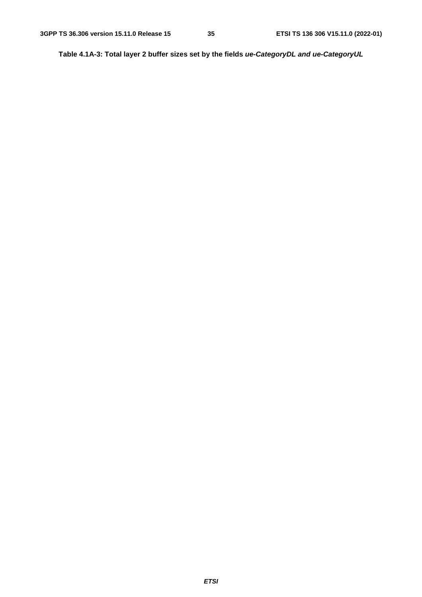**Table 4.1A-3: Total layer 2 buffer sizes set by the fields** *ue-CategoryDL and ue-CategoryUL*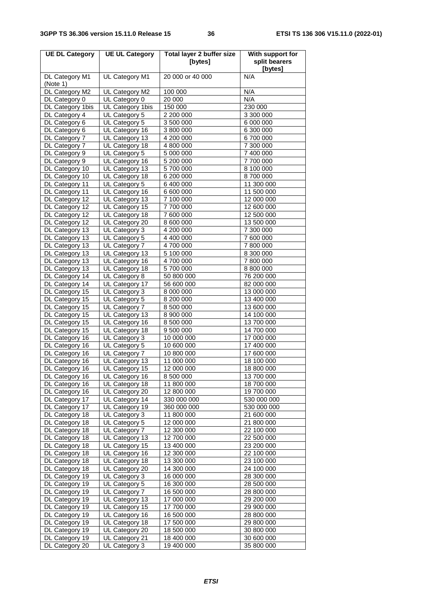| <b>UE DL Category</b>            | <b>UE UL Category</b>           | <b>Total layer 2 buffer size</b><br>[bytes] | With support for<br>split bearers |
|----------------------------------|---------------------------------|---------------------------------------------|-----------------------------------|
|                                  |                                 |                                             | [bytes]                           |
| DL Category M1<br>(Note 1)       | UL Category M1                  | 20 000 or 40 000                            | N/A                               |
| DL Category M2                   | UL Category M2                  | 100 000                                     | N/A                               |
| DL Category 0                    | UL Category 0                   | 20 000                                      | N/A                               |
| DL Category 1bis                 | UL Category 1bis                | 150 000                                     | 230 000                           |
| DL Category 4                    | UL Category 5                   | 2 200 000                                   | 3 300 000                         |
| DL Category 6                    | UL Category 5                   | 3 500 000                                   | 6 000 000                         |
| DL Category 6                    | UL Category 16                  | 3 800 000                                   | 6 300 000                         |
| DL Category 7                    | UL Category 13                  | 4 200 000                                   | 6700000                           |
| DL Category 7                    | UL Category 18                  | 4 800 000                                   | 7 300 000                         |
| DL Category 9                    | UL Category 5                   | 5 000 000                                   | 7 400 000                         |
| DL Category 9                    | UL Category 16                  | 5 200 000                                   | 7 700 000                         |
| DL Category 10                   | UL Category 13                  | 5700000                                     | 8 100 000                         |
| DL Category 10                   | UL Category 18                  | 6 200 000                                   | 8700000                           |
| DL Category 11                   | UL Category 5                   | 6 400 000                                   | 11 300 000                        |
| DL Category 11                   | UL Category 16                  | 6 600 000                                   | 11 500 000                        |
| DL Category 12                   | UL Category 13                  | 7 100 000                                   | 12 000 000                        |
| DL Category 12                   | UL Category 15                  | 7700000                                     | 12 600 000                        |
| DL Category 12                   | UL Category 18                  | 7 600 000                                   | 12 500 000                        |
| DL Category 12                   | UL Category 20                  | 8 600 000<br>4 200 000                      | 13 500 000                        |
| DL Category 13<br>DL Category 13 | UL Category 3<br>UL Category 5  |                                             | 7 300 000<br>7 600 000            |
| DL Category 13                   | UL Category 7                   | 4 400 000<br>4700000                        | 7800000                           |
| DL Category 13                   | UL Category 13                  | 5 100 000                                   | 8 300 000                         |
| DL Category 13                   | UL Category 16                  | 4700000                                     | 7 800 000                         |
| DL Category 13                   | UL Category 18                  | 5700000                                     | 8 800 000                         |
| DL Category 14                   | UL Category 8                   | 50 800 000                                  | 76 200 000                        |
| DL Category 14                   | UL Category 17                  | 56 600 000                                  | 82 000 000                        |
| DL Category 15                   | UL Category 3                   | 8 000 000                                   | 13 000 000                        |
| DL Category 15                   | UL Category 5                   | 8 200 000                                   | 13 400 000                        |
| DL Category 15                   | UL Category 7                   | 8 500 000                                   | 13 600 000                        |
| DL Category 15                   | UL Category 13                  | 8 900 000                                   | 14 100 000                        |
| DL Category 15                   | UL Category 16                  | 8 500 000                                   | 13 700 000                        |
| DL Category 15                   | UL Category 18                  | 9 500 000                                   | 14 700 000                        |
| DL Category 16                   | UL Category 3                   | 10 000 000                                  | 17 000 000                        |
| DL Category 16                   | UL Category 5                   | 10 600 000                                  | 17 400 000                        |
| DL Category 16                   | UL Category 7                   | 10 800 000                                  | 17 600 000                        |
| DL Category 16                   | UL Category 13                  | 11 000 000                                  | 18 100 000                        |
| DL Category 16                   | UL Category 15                  | 12 000 000                                  | 18 800 000                        |
| DL Category 16                   | UL Category 16                  | 8 500 000                                   | 13 700 000                        |
| DL Category 16                   | UL Category 18                  | 11 800 000                                  | 18 700 000                        |
| DL Category 16                   | UL Category 20                  | 12 800 000                                  | 19 700 000                        |
| DL Category 17                   | UL Category 14                  | 330 000 000                                 | 530 000 000                       |
| DL Category 17                   | UL Category 19                  | 360 000 000                                 | 530 000 000                       |
| DL Category 18                   | UL Category 3                   | 11 800 000                                  | 21 600 000                        |
| DL Category 18                   | UL Category 5                   | 12 000 000                                  | 21 800 000                        |
| DL Category 18                   | UL Category 7                   | 12 300 000                                  | 22 100 000                        |
| DL Category 18                   | UL Category 13                  | 12 700 000                                  | 22 500 000                        |
| DL Category 18                   | UL Category 15                  | 13 400 000                                  | 23 200 000                        |
| DL Category 18                   | UL Category 16                  | 12 300 000                                  | 22 100 000                        |
| DL Category 18                   | UL Category 18                  | 13 300 000                                  | 23 100 000                        |
| DL Category 18                   | UL Category 20                  | 14 300 000                                  | 24 100 000                        |
| DL Category 19                   | UL Category 3                   | 16 000 000                                  | 28 300 000                        |
| DL Category 19                   | UL Category 5                   | 16 300 000                                  | 28 500 000                        |
| DL Category 19                   | UL Category 7                   | 16 500 000                                  | 28 800 000                        |
| DL Category 19                   | UL Category 13                  | 17 000 000                                  | 29 200 000                        |
| DL Category 19                   | UL Category 15                  | 17 700 000                                  | 29 900 000                        |
| DL Category 19                   | UL Category 16                  | 16 500 000                                  | 28 800 000                        |
| DL Category 19                   | UL Category 18                  | 17 500 000                                  | 29 800 000                        |
| DL Category 19                   | UL Category 20                  | 18 500 000                                  | 30 800 000                        |
| DL Category 19<br>DL Category 20 | UL Category 21<br>UL Category 3 | 18 400 000<br>19 400 000                    | 30 600 000<br>35 800 000          |
|                                  |                                 |                                             |                                   |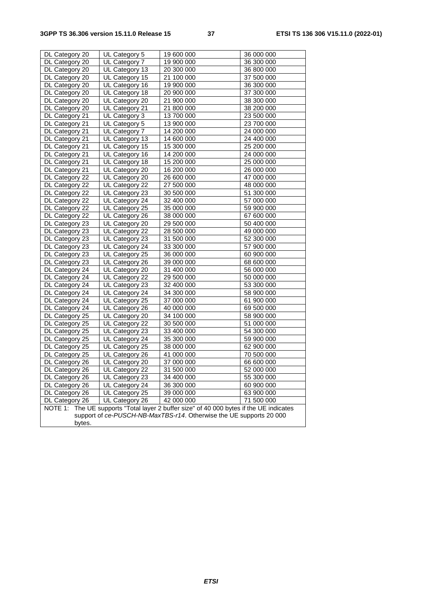| DL Category 20                                                                             | UL Category 5  | 19 600 000 | 36 000 000 |  |
|--------------------------------------------------------------------------------------------|----------------|------------|------------|--|
| DL Category 20                                                                             | UL Category 7  | 19 900 000 | 36 300 000 |  |
| DL Category 20                                                                             | UL Category 13 | 20 300 000 | 36 800 000 |  |
| DL Category 20                                                                             | UL Category 15 | 21 100 000 | 37 500 000 |  |
| DL Category 20                                                                             | UL Category 16 | 19 900 000 | 36 300 000 |  |
| DL Category 20                                                                             | UL Category 18 | 20 900 000 | 37 300 000 |  |
| DL Category 20                                                                             | UL Category 20 | 21 900 000 | 38 300 000 |  |
| DL Category 20                                                                             | UL Category 21 | 21 800 000 | 38 200 000 |  |
| DL Category 21                                                                             | UL Category 3  | 13 700 000 | 23 500 000 |  |
| DL Category 21                                                                             | UL Category 5  | 13 900 000 | 23 700 000 |  |
| DL Category 21                                                                             | UL Category 7  | 14 200 000 | 24 000 000 |  |
| DL Category 21                                                                             | UL Category 13 | 14 600 000 | 24 400 000 |  |
| DL Category 21                                                                             | UL Category 15 | 15 300 000 | 25 200 000 |  |
| DL Category 21                                                                             | UL Category 16 | 14 200 000 | 24 000 000 |  |
| DL Category 21                                                                             | UL Category 18 | 15 200 000 | 25 000 000 |  |
| DL Category 21                                                                             | UL Category 20 | 16 200 000 | 26 000 000 |  |
| DL Category 22                                                                             | UL Category 20 | 26 600 000 | 47 000 000 |  |
| DL Category 22                                                                             | UL Category 22 | 27 500 000 | 48 000 000 |  |
| DL Category 22                                                                             | UL Category 23 | 30 500 000 | 51 300 000 |  |
| DL Category 22                                                                             | UL Category 24 | 32 400 000 | 57 000 000 |  |
| DL Category 22                                                                             | UL Category 25 | 35 000 000 | 59 900 000 |  |
| DL Category 22                                                                             | UL Category 26 | 38 000 000 | 67 600 000 |  |
| DL Category 23                                                                             | UL Category 20 | 29 500 000 | 50 400 000 |  |
| DL Category 23                                                                             | UL Category 22 | 28 500 000 | 49 000 000 |  |
| DL Category 23                                                                             | UL Category 23 | 31 500 000 | 52 300 000 |  |
| DL Category 23                                                                             | UL Category 24 | 33 300 000 | 57 900 000 |  |
| DL Category 23                                                                             | UL Category 25 | 36 000 000 | 60 900 000 |  |
| DL Category 23                                                                             | UL Category 26 | 39 000 000 | 68 600 000 |  |
| DL Category 24                                                                             | UL Category 20 | 31 400 000 | 56 000 000 |  |
| DL Category 24                                                                             | UL Category 22 | 29 500 000 | 50 000 000 |  |
| DL Category 24                                                                             | UL Category 23 | 32 400 000 | 53 300 000 |  |
| DL Category 24                                                                             | UL Category 24 | 34 300 000 | 58 900 000 |  |
| DL Category 24                                                                             | UL Category 25 | 37 000 000 | 61 900 000 |  |
| DL Category 24                                                                             | UL Category 26 | 40 000 000 | 69 500 000 |  |
| DL Category 25                                                                             | UL Category 20 | 34 100 000 | 58 900 000 |  |
| DL Category 25                                                                             | UL Category 22 | 30 500 000 | 51 000 000 |  |
| DL Category 25                                                                             | UL Category 23 | 33 400 000 | 54 300 000 |  |
| DL Category 25                                                                             | UL Category 24 | 35 300 000 | 59 900 000 |  |
| DL Category 25                                                                             | UL Category 25 | 38 000 000 | 62 900 000 |  |
| DL Category 25                                                                             | UL Category 26 | 41 000 000 | 70 500 000 |  |
| DL Category 26                                                                             | UL Category 20 | 37 000 000 | 66 600 000 |  |
| DL Category 26                                                                             | UL Category 22 | 31 500 000 | 52 000 000 |  |
| DL Category 26                                                                             | UL Category 23 | 34 400 000 | 55 300 000 |  |
| DL Category 26                                                                             | UL Category 24 | 36 300 000 | 60 900 000 |  |
| DL Category 26                                                                             | UL Category 25 | 39 000 000 | 63 900 000 |  |
| DL Category 26                                                                             | UL Category 26 | 42 000 000 | 71 500 000 |  |
| The UE supports "Total layer 2 buffer size" of 40 000 bytes if the UE indicates<br>NOTE 1: |                |            |            |  |
| support of ce-PUSCH-NB-MaxTBS-r14. Otherwise the UE supports 20 000                        |                |            |            |  |
| bytes.                                                                                     |                |            |            |  |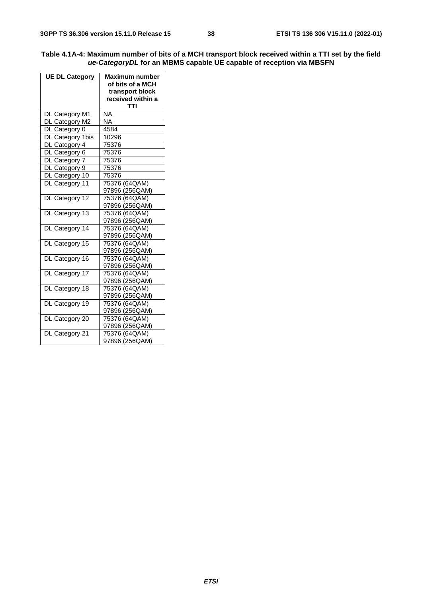| Table 4.1A-4: Maximum number of bits of a MCH transport block received within a TTI set by the field |
|------------------------------------------------------------------------------------------------------|
| ue-CategoryDL for an MBMS capable UE capable of reception via MBSFN                                  |

| <b>UE DL Category</b> | <b>Maximum number</b><br>of bits of a MCH<br>transport block<br>received within a |  |
|-----------------------|-----------------------------------------------------------------------------------|--|
|                       | TTI                                                                               |  |
| DL Category M1        | NA<br><b>NA</b>                                                                   |  |
| DL Category M2        | 4584                                                                              |  |
| DL Category 0         |                                                                                   |  |
| DL Category 1bis      | 10296                                                                             |  |
| DL Category 4         | 75376                                                                             |  |
| DL Category 6         | 75376                                                                             |  |
| DL Category 7         | 75376                                                                             |  |
| DL Category 9         | 75376                                                                             |  |
| DL Category 10        | 75376                                                                             |  |
| DL Category 11        | 75376 (64QAM)                                                                     |  |
|                       | 97896 (256QAM)                                                                    |  |
| DL Category 12        | 75376 (64QAM)                                                                     |  |
|                       | 97896 (256QAM)                                                                    |  |
| DL Category 13        | 75376 (64QAM)                                                                     |  |
|                       | 97896 (256QAM)                                                                    |  |
| DL Category 14        | 75376 (64QAM)                                                                     |  |
|                       | 97896 (256QAM)                                                                    |  |
| DL Category 15        | 75376 (64QAM)                                                                     |  |
|                       | 97896 (256QAM)                                                                    |  |
| DL Category 16        | 75376 (64QAM)                                                                     |  |
|                       | 97896 (256QAM)                                                                    |  |
| DL Category 17        | 75376 (64QAM)                                                                     |  |
|                       | 97896 (256QAM)                                                                    |  |
| DL Category 18        | 75376 (64QAM)                                                                     |  |
|                       | 97896 (256QAM)                                                                    |  |
| DL Category 19        | 75376 (64QAM)                                                                     |  |
|                       | 97896 (256QAM)                                                                    |  |
| DL Category 20        | 75376 (64QAM)                                                                     |  |
|                       | 97896 (256QAM)                                                                    |  |
| DL Category 21        | 75376 (64QAM)                                                                     |  |
|                       | 97896 (256QAM)                                                                    |  |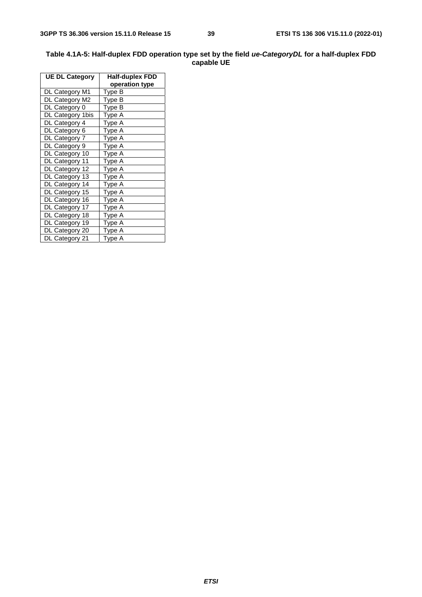| <b>UE DL Category</b> | <b>Half-duplex FDD</b> |
|-----------------------|------------------------|
|                       | operation type         |
| DL Category M1        | Type B                 |
| DL Category M2        | Type B                 |
| DL Category 0         | Type B                 |
| DL Category 1bis      | Type A                 |
| DL Category 4         | Type A                 |
| DL Category 6         | Type A                 |
| DL Category 7         | Type A                 |
| DL Category 9         | Type A                 |
| DL Category 10        | Type A                 |
| DL Category 11        | Type A                 |
| DL Category 12        | Type A                 |
| DL Category 13        | Type A                 |
| DL Category 14        | Type A                 |
| DL Category 15        | Type A                 |
| DL Category 16        | Type A                 |
| DL Category 17        | Type A                 |
| DL Category 18        | Type A                 |
| DL Category 19        | Type A                 |
| DL Category 20        | Type A                 |
| DL Category 21        | Type A                 |

#### **Table 4.1A-5: Half-duplex FDD operation type set by the field** *ue-CategoryDL* **for a half-duplex FDD capable UE**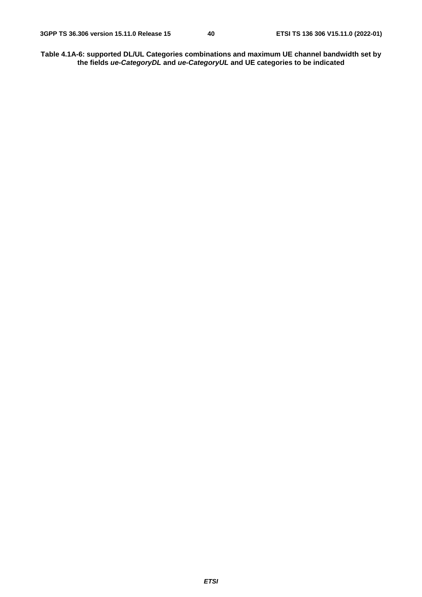**Table 4.1A-6: supported DL/UL Categories combinations and maximum UE channel bandwidth set by the fields** *ue-CategoryDL* **and** *ue-CategoryUL* **and UE categories to be indicated**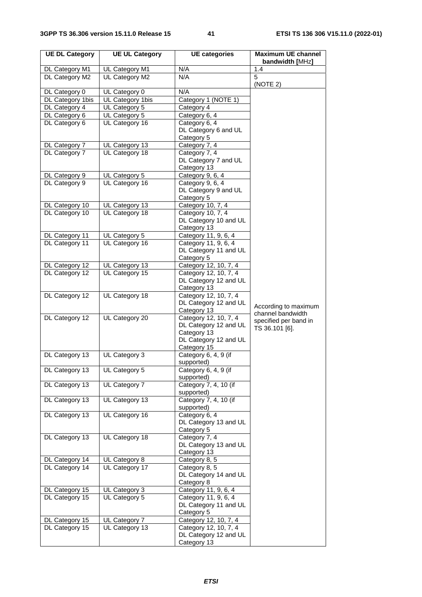| <b>UE DL Category</b>            | <b>UE UL Category</b>           | <b>UE</b> categories                 | <b>Maximum UE channel</b><br>bandwidth [MHz] |
|----------------------------------|---------------------------------|--------------------------------------|----------------------------------------------|
| DL Category M1                   | UL Category M1                  | N/A                                  | 1.4                                          |
| DL Category M2                   | UL Category M2                  | N/A                                  | 5<br>(NOTE 2)                                |
| DL Category 0                    | UL Category 0                   | N/A                                  |                                              |
| DL Category 1bis                 | UL Category 1bis                | Category 1 (NOTE 1)                  |                                              |
| DL Category 4                    | UL Category 5                   | Category 4                           |                                              |
| DL Category 6                    | UL Category 5                   | Category 6, 4                        |                                              |
| DL Category 6                    | UL Category 16                  | Category 6, 4                        |                                              |
|                                  |                                 | DL Category 6 and UL                 |                                              |
|                                  |                                 | Category 5                           |                                              |
| DL Category 7                    | UL Category 13                  | Category 7, 4                        |                                              |
| DL Category 7                    | UL Category 18                  | Category 7, 4                        |                                              |
|                                  |                                 | DL Category 7 and UL                 |                                              |
|                                  |                                 | Category 13<br>Category 9, 6, 4      |                                              |
| DL Category 9<br>DL Category 9   | UL Category 5<br>UL Category 16 | Category 9, 6, 4                     |                                              |
|                                  |                                 | DL Category 9 and UL                 |                                              |
|                                  |                                 | Category 5                           |                                              |
| DL Category 10                   | UL Category 13                  | Category 10, 7, 4                    |                                              |
| DL Category 10                   | UL Category 18                  | Category 10, 7, 4                    |                                              |
|                                  |                                 | DL Category 10 and UL                |                                              |
|                                  |                                 | Category 13                          |                                              |
| DL Category 11                   | UL Category 5                   | Category 11, 9, 6, 4                 |                                              |
| DL Category 11                   | UL Category 16                  | Category 11, 9, 6, 4                 |                                              |
|                                  |                                 | DL Category 11 and UL                |                                              |
|                                  |                                 | Category 5                           |                                              |
| DL Category 12                   | UL Category 13                  | Category 12, 10, 7, 4                |                                              |
| DL Category 12                   | UL Category 15                  | Category 12, 10, 7, 4                |                                              |
|                                  |                                 | DL Category 12 and UL                |                                              |
| DL Category 12                   | UL Category 18                  | Category 13<br>Category 12, 10, 7, 4 |                                              |
|                                  |                                 | DL Category 12 and UL                |                                              |
|                                  |                                 | Category 13                          | According to maximum                         |
| DL Category 12                   | UL Category 20                  | Category 12, 10, 7, 4                | channel bandwidth                            |
|                                  |                                 | DL Category 12 and UL                | specified per band in<br>TS 36.101 [6].      |
|                                  |                                 | Category 13                          |                                              |
|                                  |                                 | DL Category 12 and UL                |                                              |
|                                  |                                 | Category 15                          |                                              |
| DL Category 13                   | UL Category 3                   | Category 6, 4, 9 (if                 |                                              |
|                                  |                                 | supported)                           |                                              |
| DL Category 13                   | UL Category 5                   | Category 6, 4, 9 (if<br>supported)   |                                              |
| DL Category 13                   | UL Category 7                   | Category 7, 4, 10 (if                |                                              |
|                                  |                                 | supported)                           |                                              |
| DL Category 13                   | UL Category 13                  | Category 7, 4, 10 (if                |                                              |
|                                  |                                 | supported)                           |                                              |
| DL Category 13                   | UL Category 16                  | Category 6, 4                        |                                              |
|                                  |                                 | DL Category 13 and UL                |                                              |
|                                  |                                 | Category 5                           |                                              |
| DL Category 13                   | UL Category 18                  | Category 7, 4                        |                                              |
|                                  |                                 | DL Category 13 and UL                |                                              |
|                                  |                                 | Category 13                          |                                              |
| DL Category 14<br>DL Category 14 | UL Category 8<br>UL Category 17 | Category 8, 5<br>Category 8, 5       |                                              |
|                                  |                                 | DL Category 14 and UL                |                                              |
|                                  |                                 | Category 8                           |                                              |
| DL Category 15                   | UL Category 3                   | Category 11, 9, 6, 4                 |                                              |
| DL Category 15                   | UL Category 5                   | Category 11, 9, 6, 4                 |                                              |
|                                  |                                 | DL Category 11 and UL                |                                              |
|                                  |                                 | Category 5                           |                                              |
| DL Category 15                   | UL Category 7                   | Category 12, 10, 7, 4                |                                              |
| DL Category 15                   | UL Category 13                  | Category 12, 10, 7, 4                |                                              |
|                                  |                                 | DL Category 12 and UL                |                                              |
|                                  |                                 | Category 13                          |                                              |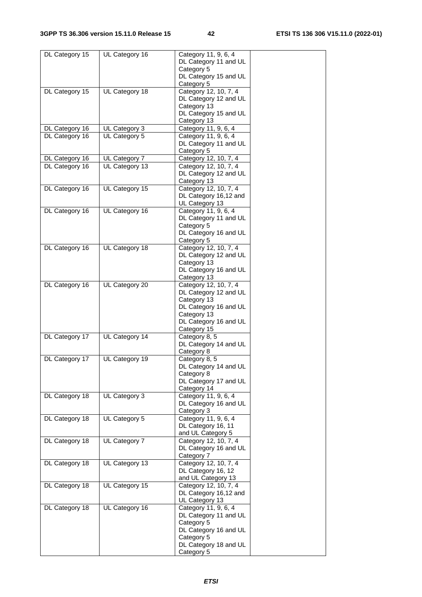| DL Category 15 | UL Category 16 | Category 11, 9, 6, 4                            |
|----------------|----------------|-------------------------------------------------|
|                |                | DL Category 11 and UL                           |
|                |                | Category 5                                      |
|                |                | DL Category 15 and UL                           |
|                |                | Category 5                                      |
| DL Category 15 | UL Category 18 | Category 12, 10, 7, 4                           |
|                |                | DL Category 12 and UL                           |
|                |                | Category 13                                     |
|                |                | DL Category 15 and UL                           |
|                |                | Category 13                                     |
| DL Category 16 | UL Category 3  | Category 11, 9, 6, 4                            |
| DL Category 16 | UL Category 5  | Category 11, 9, 6, 4<br>DL Category 11 and UL   |
|                |                | Category 5                                      |
| DL Category 16 | UL Category 7  | Category 12, 10, 7, 4                           |
| DL Category 16 | UL Category 13 | Category 12, 10, 7, 4                           |
|                |                | DL Category 12 and UL                           |
|                |                | Category 13                                     |
| DL Category 16 | UL Category 15 | Category 12, 10, 7, 4                           |
|                |                | DL Category 16,12 and                           |
|                |                | UL Category 13                                  |
| DL Category 16 | UL Category 16 | Category 11, 9, 6, 4                            |
|                |                | DL Category 11 and UL                           |
|                |                | Category 5                                      |
|                |                | DL Category 16 and UL                           |
|                |                | Category 5                                      |
| DL Category 16 | UL Category 18 | Category 12, 10, 7, 4                           |
|                |                | DL Category 12 and UL                           |
|                |                | Category 13                                     |
|                |                | DL Category 16 and UL                           |
| DL Category 16 | UL Category 20 | Category <sub>13</sub><br>Category 12, 10, 7, 4 |
|                |                | DL Category 12 and UL                           |
|                |                | Category 13                                     |
|                |                | DL Category 16 and UL                           |
|                |                | Category 13                                     |
|                |                | DL Category 16 and UL                           |
|                |                | Category 15                                     |
| DL Category 17 | UL Category 14 | Category 8, 5                                   |
|                |                | DL Category 14 and UL                           |
|                |                | Category 8                                      |
| DL Category 17 | UL Category 19 | Category 8, 5                                   |
|                |                | DL Category 14 and UL                           |
|                |                | Category 8                                      |
|                |                | DL Category 17 and UL                           |
|                |                | Category 14                                     |
| DL Category 18 | UL Category 3  | Category 11, 9, 6, 4                            |
|                |                | DL Category 16 and UL                           |
|                |                | Category 3                                      |
| DL Category 18 | UL Category 5  | Category 11, 9, 6, 4                            |
|                |                | DL Category 16, 11                              |
|                | UL Category 7  | and UL Category 5<br>Category 12, 10, 7, 4      |
| DL Category 18 |                | DL Category 16 and UL                           |
|                |                | Category 7                                      |
| DL Category 18 | UL Category 13 | Category 12, 10, 7, 4                           |
|                |                | DL Category 16, 12                              |
|                |                | and UL Category 13                              |
| DL Category 18 | UL Category 15 | Category 12, 10, 7, 4                           |
|                |                | DL Category 16,12 and                           |
|                |                | UL Category 13                                  |
| DL Category 18 | UL Category 16 | Category 11, 9, 6, 4                            |
|                |                | DL Category 11 and UL                           |
|                |                | Category 5                                      |
|                |                | DL Category 16 and UL                           |
|                |                | Category 5                                      |
|                |                | DL Category 18 and UL                           |
|                |                | Category 5                                      |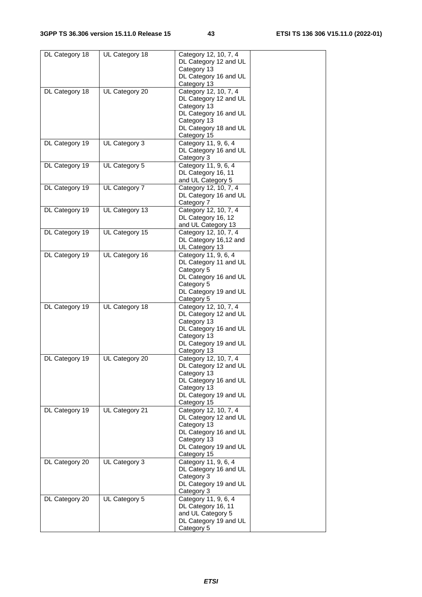| DL Category 18 | UL Category 18 | Category 12, 10, 7, 4                |  |
|----------------|----------------|--------------------------------------|--|
|                |                | DL Category 12 and UL                |  |
|                |                | Category 13                          |  |
|                |                | DL Category 16 and UL                |  |
|                |                | Category 13                          |  |
| DL Category 18 | UL Category 20 | Category 12, 10, 7, 4                |  |
|                |                | DL Category 12 and UL                |  |
|                |                | Category 13                          |  |
|                |                | DL Category 16 and UL                |  |
|                |                | Category 13                          |  |
|                |                | DL Category 18 and UL                |  |
|                |                | Category 15                          |  |
| DL Category 19 | UL Category 3  | Category 11, 9, 6, 4                 |  |
|                |                | DL Category 16 and UL                |  |
|                |                | Category 3                           |  |
| DL Category 19 | UL Category 5  | Category 11, 9, 6, 4                 |  |
|                |                | DL Category 16, 11                   |  |
|                |                | and UL Category 5                    |  |
| DL Category 19 | UL Category 7  | Category 12, 10, 7, 4                |  |
|                |                | DL Category 16 and UL                |  |
|                |                | Category 7                           |  |
| DL Category 19 | UL Category 13 | Category 12, 10, 7, 4                |  |
|                |                | DL Category 16, 12                   |  |
|                |                | and UL Category 13                   |  |
| DL Category 19 | UL Category 15 | Category 12, 10, 7, 4                |  |
|                |                | DL Category 16,12 and                |  |
|                |                | UL Category 13                       |  |
| DL Category 19 | UL Category 16 | Category 11, 9, 6, 4                 |  |
|                |                | DL Category 11 and UL                |  |
|                |                | Category 5                           |  |
|                |                | DL Category 16 and UL                |  |
|                |                | Category 5                           |  |
|                |                | DL Category 19 and UL                |  |
|                |                | Category 5                           |  |
| DL Category 19 | UL Category 18 | Category 12, 10, 7, 4                |  |
|                |                | DL Category 12 and UL                |  |
|                |                | Category 13<br>DL Category 16 and UL |  |
|                |                | Category 13                          |  |
|                |                | DL Category 19 and UL                |  |
|                |                | Category 13                          |  |
| DL Category 19 | UL Category 20 | Category 12, 10, 7, 4                |  |
|                |                | DL Category 12 and UL                |  |
|                |                | Category 13                          |  |
|                |                | DL Category 16 and UL                |  |
|                |                | Category 13                          |  |
|                |                | DL Category 19 and UL                |  |
|                |                | Category 15                          |  |
| DL Category 19 | UL Category 21 | Category 12, 10, 7, 4                |  |
|                |                | DL Category 12 and UL                |  |
|                |                | Category 13                          |  |
|                |                | DL Category 16 and UL                |  |
|                |                | Category 13                          |  |
|                |                | DL Category 19 and UL                |  |
|                |                | Category 15                          |  |
| DL Category 20 | UL Category 3  | Category 11, 9, 6, 4                 |  |
|                |                | DL Category 16 and UL                |  |
|                |                | Category 3                           |  |
|                |                | DL Category 19 and UL                |  |
|                |                | Category 3                           |  |
| DL Category 20 | UL Category 5  | Category 11, 9, 6, 4                 |  |
|                |                | DL Category 16, 11                   |  |
|                |                | and UL Category 5                    |  |
|                |                | DL Category 19 and UL                |  |
|                |                | Category 5                           |  |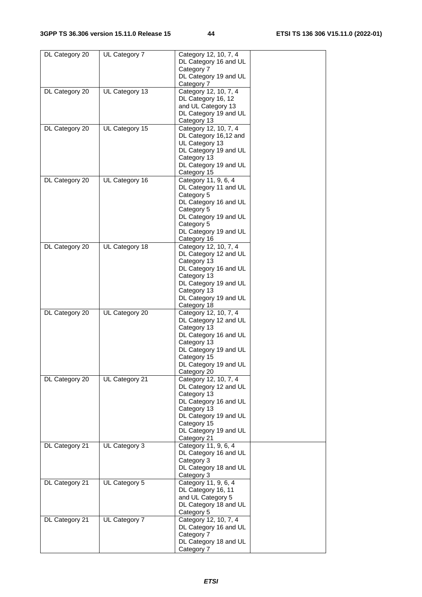| DL Category 20 | UL Category 7  | Category 12, 10, 7, 4<br>DL Category 16 and UL              |  |
|----------------|----------------|-------------------------------------------------------------|--|
|                |                | Category 7<br>DL Category 19 and UL<br>Category 7           |  |
| DL Category 20 | UL Category 13 | Category 12, 10, 7, 4<br>DL Category 16, 12                 |  |
|                |                | and UL Category 13<br>DL Category 19 and UL                 |  |
|                |                | Category 13                                                 |  |
| DL Category 20 | UL Category 15 | Category 12, 10, 7, 4<br>DL Category 16,12 and              |  |
|                |                | UL Category 13<br>DL Category 19 and UL                     |  |
|                |                | Category 13<br>DL Category 19 and UL<br>Category 15         |  |
| DL Category 20 | UL Category 16 | Category 11, 9, 6, 4                                        |  |
|                |                | DL Category 11 and UL<br>Category 5                         |  |
|                |                | DL Category 16 and UL<br>Category 5                         |  |
|                |                | DL Category 19 and UL<br>Category 5                         |  |
|                |                | DL Category 19 and UL<br>Category 16                        |  |
| DL Category 20 | UL Category 18 | Category 12, 10, 7, 4                                       |  |
|                |                | DL Category 12 and UL<br>Category 13                        |  |
|                |                | DL Category 16 and UL<br>Category 13                        |  |
|                |                | DL Category 19 and UL<br>Category 13                        |  |
|                |                | DL Category 19 and UL<br>Category 18                        |  |
| DL Category 20 | UL Category 20 | Category 12, 10, 7, 4<br>DL Category 12 and UL              |  |
|                |                | Category 13<br>DL Category 16 and UL<br>Category 13         |  |
|                |                | DL Category 19 and UL<br>Category 15                        |  |
|                |                | DL Category 19 and UL<br>Category 20                        |  |
| DL Category 20 | UL Category 21 | Category 12, 10, 7, 4<br>DL Category 12 and UL              |  |
|                |                | Category 13<br>DL Category 16 and UL                        |  |
|                |                | Category 13<br>DL Category 19 and UL                        |  |
|                |                | Category 15<br>DL Category 19 and UL                        |  |
|                |                | Category 21                                                 |  |
| DL Category 21 | UL Category 3  | Category 11, 9, 6, 4<br>DL Category 16 and UL<br>Category 3 |  |
|                |                | DL Category 18 and UL<br>Category 3                         |  |
| DL Category 21 | UL Category 5  | Category 11, 9, 6, 4<br>DL Category 16, 11                  |  |
|                |                | and UL Category 5<br>DL Category 18 and UL                  |  |
|                |                | Category 5                                                  |  |
| DL Category 21 | UL Category 7  | Category 12, 10, 7, 4<br>DL Category 16 and UL              |  |
|                |                | Category 7<br>DL Category 18 and UL                         |  |
|                |                | Category 7                                                  |  |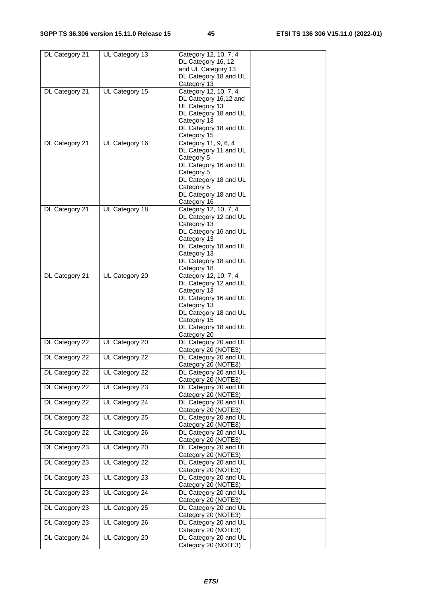| DL Category 21 | UL Category 13 | Category 12, 10, 7, 4 |  |
|----------------|----------------|-----------------------|--|
|                |                | DL Category 16, 12    |  |
|                |                | and UL Category 13    |  |
|                |                | DL Category 18 and UL |  |
|                |                | Category 13           |  |
| DL Category 21 | UL Category 15 | Category 12, 10, 7, 4 |  |
|                |                | DL Category 16,12 and |  |
|                |                | UL Category 13        |  |
|                |                | DL Category 18 and UL |  |
|                |                | Category 13           |  |
|                |                | DL Category 18 and UL |  |
|                |                | Category 15           |  |
| DL Category 21 | UL Category 16 | Category 11, 9, 6, 4  |  |
|                |                | DL Category 11 and UL |  |
|                |                | Category 5            |  |
|                |                | DL Category 16 and UL |  |
|                |                | Category 5            |  |
|                |                | DL Category 18 and UL |  |
|                |                | Category 5            |  |
|                |                | DL Category 18 and UL |  |
|                |                | Category 16           |  |
| DL Category 21 | UL Category 18 | Category 12, 10, 7, 4 |  |
|                |                | DL Category 12 and UL |  |
|                |                | Category 13           |  |
|                |                | DL Category 16 and UL |  |
|                |                | Category 13           |  |
|                |                | DL Category 18 and UL |  |
|                |                | Category 13           |  |
|                |                | DL Category 18 and UL |  |
|                |                | Category 18           |  |
| DL Category 21 | UL Category 20 | Category 12, 10, 7, 4 |  |
|                |                | DL Category 12 and UL |  |
|                |                | Category 13           |  |
|                |                | DL Category 16 and UL |  |
|                |                | Category 13           |  |
|                |                | DL Category 18 and UL |  |
|                |                | Category 15           |  |
|                |                | DL Category 18 and UL |  |
|                |                | Category 20           |  |
| DL Category 22 | UL Category 20 | DL Category 20 and UL |  |
|                |                | Category 20 (NOTE3)   |  |
| DL Category 22 | UL Category 22 | DL Category 20 and UL |  |
|                |                | Category 20 (NOTE3)   |  |
| DL Category 22 | UL Category 22 | DL Category 20 and UL |  |
|                |                | Category 20 (NOTE3)   |  |
| DL Category 22 | UL Category 23 | DL Category 20 and UL |  |
|                |                | Category 20 (NOTE3)   |  |
| DL Category 22 | UL Category 24 | DL Category 20 and UL |  |
|                |                | Category 20 (NOTE3)   |  |
| DL Category 22 | UL Category 25 | DL Category 20 and UL |  |
|                |                | Category 20 (NOTE3)   |  |
| DL Category 22 | UL Category 26 | DL Category 20 and UL |  |
|                |                | Category 20 (NOTE3)   |  |
| DL Category 23 | UL Category 20 | DL Category 20 and UL |  |
|                |                | Category 20 (NOTE3)   |  |
| DL Category 23 | UL Category 22 | DL Category 20 and UL |  |
|                |                | Category 20 (NOTE3)   |  |
| DL Category 23 | UL Category 23 | DL Category 20 and UL |  |
|                |                | Category 20 (NOTE3)   |  |
| DL Category 23 | UL Category 24 | DL Category 20 and UL |  |
|                |                | Category 20 (NOTE3)   |  |
| DL Category 23 | UL Category 25 | DL Category 20 and UL |  |
|                |                | Category 20 (NOTE3)   |  |
| DL Category 23 | UL Category 26 | DL Category 20 and UL |  |
|                |                | Category 20 (NOTE3)   |  |
| DL Category 24 | UL Category 20 | DL Category 20 and UL |  |
|                |                | Category 20 (NOTE3)   |  |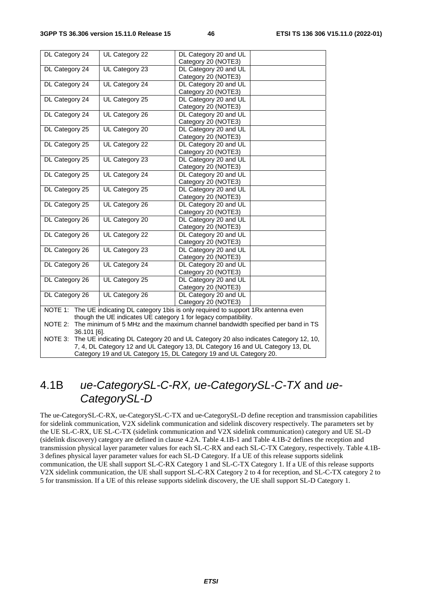| DL Category 24                                                                                 | UL Category 22 | DL Category 20 and UL<br>Category 20 (NOTE3) |  |  |
|------------------------------------------------------------------------------------------------|----------------|----------------------------------------------|--|--|
| DL Category 24                                                                                 | UL Category 23 | DL Category 20 and UL                        |  |  |
|                                                                                                |                | Category 20 (NOTE3)                          |  |  |
| DL Category 24                                                                                 | UL Category 24 | DL Category 20 and UL                        |  |  |
|                                                                                                |                | Category 20 (NOTE3)                          |  |  |
| DL Category 24                                                                                 | UL Category 25 | DL Category 20 and UL                        |  |  |
|                                                                                                |                | Category 20 (NOTE3)                          |  |  |
| DL Category 24                                                                                 | UL Category 26 | DL Category 20 and UL                        |  |  |
|                                                                                                |                | Category 20 (NOTE3)                          |  |  |
| DL Category 25                                                                                 | UL Category 20 | DL Category 20 and UL                        |  |  |
|                                                                                                |                | Category 20 (NOTE3)                          |  |  |
| DL Category 25                                                                                 | UL Category 22 | DL Category 20 and UL                        |  |  |
|                                                                                                |                | Category 20 (NOTE3)                          |  |  |
| DL Category 25                                                                                 | UL Category 23 | DL Category 20 and UL                        |  |  |
|                                                                                                |                | Category 20 (NOTE3)                          |  |  |
| DL Category 25                                                                                 | UL Category 24 | DL Category 20 and UL                        |  |  |
|                                                                                                |                | Category 20 (NOTE3)                          |  |  |
| DL Category 25                                                                                 | UL Category 25 | DL Category 20 and UL                        |  |  |
|                                                                                                |                | Category 20 (NOTE3)                          |  |  |
| DL Category 25                                                                                 | UL Category 26 | DL Category 20 and UL                        |  |  |
| DL Category 26                                                                                 | UL Category 20 | Category 20 (NOTE3)<br>DL Category 20 and UL |  |  |
|                                                                                                |                | Category 20 (NOTE3)                          |  |  |
| DL Category 26                                                                                 | UL Category 22 | DL Category 20 and UL                        |  |  |
|                                                                                                |                | Category 20 (NOTE3)                          |  |  |
| DL Category 26                                                                                 | UL Category 23 | DL Category 20 and UL                        |  |  |
|                                                                                                |                | Category 20 (NOTE3)                          |  |  |
| DL Category 26                                                                                 | UL Category 24 | DL Category 20 and UL                        |  |  |
|                                                                                                |                | Category 20 (NOTE3)                          |  |  |
| DL Category 26                                                                                 | UL Category 25 | DL Category 20 and UL                        |  |  |
|                                                                                                |                | Category 20 (NOTE3)                          |  |  |
| DL Category 26                                                                                 | UL Category 26 | DL Category 20 and UL                        |  |  |
|                                                                                                |                | Category 20 (NOTE3)                          |  |  |
| NOTE 1: The UE indicating DL category 1bis is only required to support 1Rx antenna even        |                |                                              |  |  |
| though the UE indicates UE category 1 for legacy compatibility.                                |                |                                              |  |  |
| NOTE 2:<br>The minimum of 5 MHz and the maximum channel bandwidth specified per band in TS     |                |                                              |  |  |
| 36.101 [6].                                                                                    |                |                                              |  |  |
| The UE indicating DL Category 20 and UL Category 20 also indicates Category 12, 10,<br>NOTE 3: |                |                                              |  |  |
| 7, 4, DL Category 12 and UL Category 13, DL Category 16 and UL Category 13, DL                 |                |                                              |  |  |
| Category 19 and UL Category 15, DL Category 19 and UL Category 20.                             |                |                                              |  |  |

# 4.1B *ue-CategorySL-C-RX, ue-CategorySL-C-TX* and *ue-CategorySL-D*

The ue-CategorySL-C-RX, ue-CategorySL-C-TX and ue-CategorySL-D define reception and transmission capabilities for sidelink communication, V2X sidelink communication and sidelink discovery respectively. The parameters set by the UE SL-C-RX, UE SL-C-TX (sidelink communication and V2X sidelink communication) category and UE SL-D (sidelink discovery) category are defined in clause 4.2A. Table 4.1B-1 and Table 4.1B-2 defines the reception and transmission physical layer parameter values for each SL-C-RX and each SL-C-TX Category, respectively. Table 4.1B-3 defines physical layer parameter values for each SL-D Category. If a UE of this release supports sidelink communication, the UE shall support SL-C-RX Category 1 and SL-C-TX Category 1. If a UE of this release supports V2X sidelink communication, the UE shall support SL-C-RX Category 2 to 4 for reception, and SL-C-TX category 2 to 5 for transmission. If a UE of this release supports sidelink discovery, the UE shall support SL-D Category 1.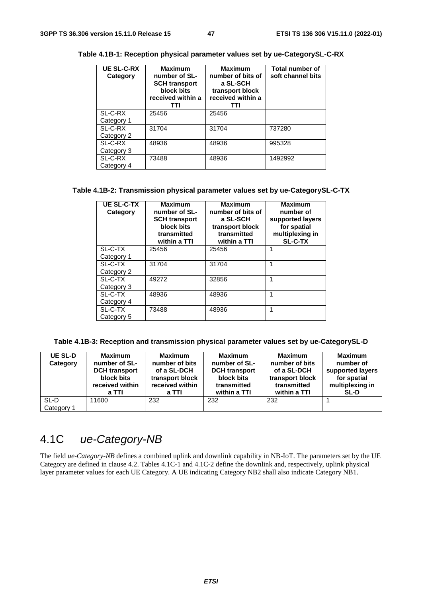| <b>UE SL-C-RX</b><br>Category | <b>Maximum</b><br>number of SL-<br><b>SCH transport</b><br>block bits<br>received within a<br>TTI | <b>Maximum</b><br>number of bits of<br>a SL-SCH<br>transport block<br>received within a<br>TTI | Total number of<br>soft channel bits |
|-------------------------------|---------------------------------------------------------------------------------------------------|------------------------------------------------------------------------------------------------|--------------------------------------|
| SL-C-RX                       | 25456                                                                                             | 25456                                                                                          |                                      |
| Category 1                    |                                                                                                   |                                                                                                |                                      |
| SL-C-RX                       | 31704                                                                                             | 31704                                                                                          | 737280                               |
| Category 2                    |                                                                                                   |                                                                                                |                                      |
| SL-C-RX                       | 48936                                                                                             | 48936                                                                                          | 995328                               |
| Category 3                    |                                                                                                   |                                                                                                |                                      |
| SL-C-RX                       | 73488                                                                                             | 48936                                                                                          | 1492992                              |
| Category 4                    |                                                                                                   |                                                                                                |                                      |

**Table 4.1B-1: Reception physical parameter values set by ue-CategorySL-C-RX** 

#### **Table 4.1B-2: Transmission physical parameter values set by ue-CategorySL-C-TX**

| <b>UE SL-C-TX</b><br>Category | <b>Maximum</b><br>number of SL-<br><b>SCH transport</b><br>block bits<br>transmitted<br>within a TTI | <b>Maximum</b><br>number of bits of<br>a SL-SCH<br>transport block<br>transmitted<br>within a TTI | <b>Maximum</b><br>number of<br>supported layers<br>for spatial<br>multiplexing in<br><b>SL-C-TX</b> |
|-------------------------------|------------------------------------------------------------------------------------------------------|---------------------------------------------------------------------------------------------------|-----------------------------------------------------------------------------------------------------|
| SL-C-TX                       | 25456                                                                                                | 25456                                                                                             | 1                                                                                                   |
| Category 1                    |                                                                                                      |                                                                                                   |                                                                                                     |
| SL-C-TX                       | 31704                                                                                                | 31704                                                                                             | 1                                                                                                   |
| Category 2                    |                                                                                                      |                                                                                                   |                                                                                                     |
| SL-C-TX                       | 49272                                                                                                | 32856                                                                                             | 1                                                                                                   |
| Category 3                    |                                                                                                      |                                                                                                   |                                                                                                     |
| SL-C-TX                       | 48936                                                                                                | 48936                                                                                             |                                                                                                     |
| Category 4                    |                                                                                                      |                                                                                                   |                                                                                                     |
| SL-C-TX                       | 73488                                                                                                | 48936                                                                                             | 1                                                                                                   |
| Category 5                    |                                                                                                      |                                                                                                   |                                                                                                     |

**Table 4.1B-3: Reception and transmission physical parameter values set by ue-CategorySL-D** 

| <b>UE SL-D</b> | <b>Maximum</b>       | <b>Maximum</b>  | <b>Maximum</b>       | <b>Maximum</b>  | <b>Maximum</b>   |
|----------------|----------------------|-----------------|----------------------|-----------------|------------------|
| Category       | number of SL-        | number of bits  | number of SL-        | number of bits  | number of        |
|                | <b>DCH</b> transport | of a SL-DCH     | <b>DCH</b> transport | of a SL-DCH     | supported layers |
|                | block bits           | transport block | block bits           | transport block | for spatial      |
|                | received within      | received within | transmitted          | transmitted     | multiplexing in  |
|                | a TTI                | a TTI           | within a TTI         | within a TTI    | <b>SL-D</b>      |
| SL-D           | 11600                | 232             | 232                  | 232             |                  |
| Category 1     |                      |                 |                      |                 |                  |

# 4.1C *ue-Category-NB*

The field *ue-Category-NB* defines a combined uplink and downlink capability in NB-IoT. The parameters set by the UE Category are defined in clause 4.2. Tables 4.1C-1 and 4.1C-2 define the downlink and, respectively, uplink physical layer parameter values for each UE Category. A UE indicating Category NB2 shall also indicate Category NB1.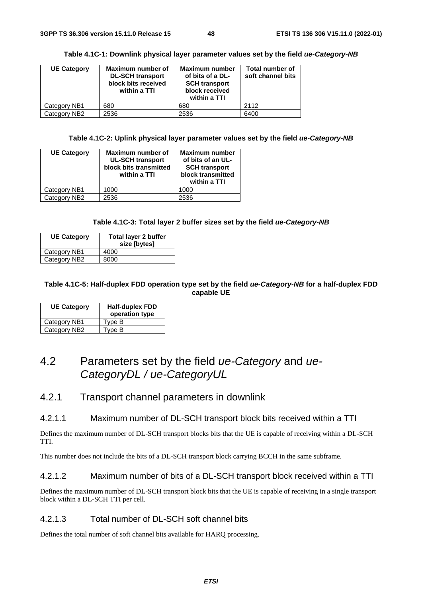| <b>UE Category</b> | Maximum number of<br><b>DL-SCH transport</b><br>block bits received<br>within a TTI | <b>Maximum number</b><br>of bits of a DL-<br><b>SCH transport</b><br>block received<br>within a TTI | <b>Total number of</b><br>soft channel bits |
|--------------------|-------------------------------------------------------------------------------------|-----------------------------------------------------------------------------------------------------|---------------------------------------------|
| Category NB1       | 680                                                                                 | 680                                                                                                 | 2112                                        |
| Category NB2       | 2536                                                                                | 2536                                                                                                | 6400                                        |

**Table 4.1C-2: Uplink physical layer parameter values set by the field** *ue-Category-NB* 

| <b>UE Category</b> | Maximum number of<br><b>UL-SCH transport</b><br>block bits transmitted<br>within a TTI | <b>Maximum number</b><br>of bits of an UL-<br><b>SCH transport</b><br>block transmitted<br>within a TTI |
|--------------------|----------------------------------------------------------------------------------------|---------------------------------------------------------------------------------------------------------|
| Category NB1       | 1000                                                                                   | 1000                                                                                                    |
| Category NB2       | 2536                                                                                   | 2536                                                                                                    |

#### **Table 4.1C-3: Total layer 2 buffer sizes set by the field** *ue-Category-NB*

| <b>UE Category</b> | Total layer 2 buffer<br>size [bytes] |
|--------------------|--------------------------------------|
| Category NB1       | 4000                                 |
| Category NB2       | 8000                                 |

#### **Table 4.1C-5: Half-duplex FDD operation type set by the field** *ue-Category-NB* **for a half-duplex FDD capable UE**

| <b>UE Category</b> | <b>Half-duplex FDD</b><br>operation type |
|--------------------|------------------------------------------|
| Category NB1       | Type B                                   |
| Category NB2       | Type B                                   |

# 4.2 Parameters set by the field *ue-Category* and *ue-CategoryDL / ue-CategoryUL*

### 4.2.1 Transport channel parameters in downlink

#### 4.2.1.1 Maximum number of DL-SCH transport block bits received within a TTI

Defines the maximum number of DL-SCH transport blocks bits that the UE is capable of receiving within a DL-SCH TTI.

This number does not include the bits of a DL-SCH transport block carrying BCCH in the same subframe.

#### 4.2.1.2 Maximum number of bits of a DL-SCH transport block received within a TTI

Defines the maximum number of DL-SCH transport block bits that the UE is capable of receiving in a single transport block within a DL-SCH TTI per cell.

#### 4.2.1.3 Total number of DL-SCH soft channel bits

Defines the total number of soft channel bits available for HARQ processing.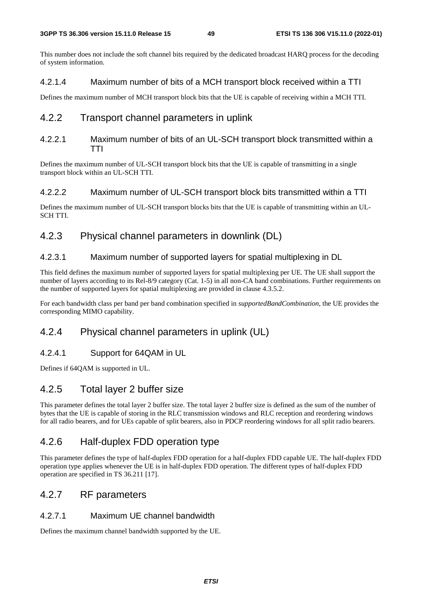This number does not include the soft channel bits required by the dedicated broadcast HARQ process for the decoding of system information.

### 4.2.1.4 Maximum number of bits of a MCH transport block received within a TTI

Defines the maximum number of MCH transport block bits that the UE is capable of receiving within a MCH TTI.

# 4.2.2 Transport channel parameters in uplink

### 4.2.2.1 Maximum number of bits of an UL-SCH transport block transmitted within a TTI

Defines the maximum number of UL-SCH transport block bits that the UE is capable of transmitting in a single transport block within an UL-SCH TTI.

### 4.2.2.2 Maximum number of UL-SCH transport block bits transmitted within a TTI

Defines the maximum number of UL-SCH transport blocks bits that the UE is capable of transmitting within an UL-SCH TTI.

# 4.2.3 Physical channel parameters in downlink (DL)

### 4.2.3.1 Maximum number of supported layers for spatial multiplexing in DL

This field defines the maximum number of supported layers for spatial multiplexing per UE. The UE shall support the number of layers according to its Rel-8/9 category (Cat. 1-5) in all non-CA band combinations. Further requirements on the number of supported layers for spatial multiplexing are provided in clause 4.3.5.2.

For each bandwidth class per band per band combination specified in *supportedBandCombination*, the UE provides the corresponding MIMO capability.

# 4.2.4 Physical channel parameters in uplink (UL)

### 4.2.4.1 Support for 64QAM in UL

Defines if 64QAM is supported in UL.

# 4.2.5 Total layer 2 buffer size

This parameter defines the total layer 2 buffer size. The total layer 2 buffer size is defined as the sum of the number of bytes that the UE is capable of storing in the RLC transmission windows and RLC reception and reordering windows for all radio bearers, and for UEs capable of split bearers, also in PDCP reordering windows for all split radio bearers.

# 4.2.6 Half-duplex FDD operation type

This parameter defines the type of half-duplex FDD operation for a half-duplex FDD capable UE. The half-duplex FDD operation type applies whenever the UE is in half-duplex FDD operation. The different types of half-duplex FDD operation are specified in TS 36.211 [17].

# 4.2.7 RF parameters

### 4.2.7.1 Maximum UE channel bandwidth

Defines the maximum channel bandwidth supported by the UE.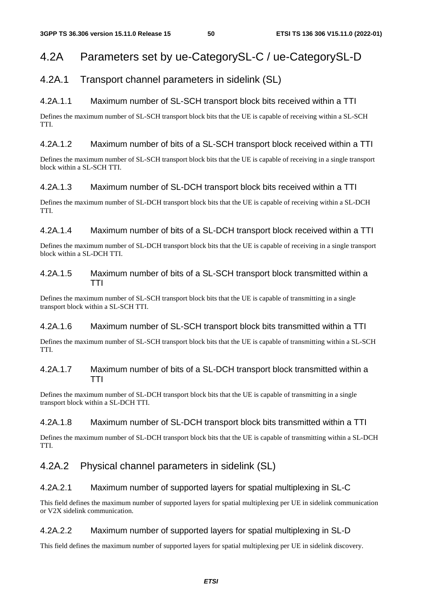# 4.2A Parameters set by ue-CategorySL-C / ue-CategorySL-D

# 4.2A.1 Transport channel parameters in sidelink (SL)

# 4.2A.1.1 Maximum number of SL-SCH transport block bits received within a TTI

Defines the maximum number of SL-SCH transport block bits that the UE is capable of receiving within a SL-SCH TTI.

### 4.2A.1.2 Maximum number of bits of a SL-SCH transport block received within a TTI

Defines the maximum number of SL-SCH transport block bits that the UE is capable of receiving in a single transport block within a SL-SCH TTI.

### 4.2A.1.3 Maximum number of SL-DCH transport block bits received within a TTI

Defines the maximum number of SL-DCH transport block bits that the UE is capable of receiving within a SL-DCH TTI.

# 4.2A.1.4 Maximum number of bits of a SL-DCH transport block received within a TTI

Defines the maximum number of SL-DCH transport block bits that the UE is capable of receiving in a single transport block within a SL-DCH TTI.

### 4.2A.1.5 Maximum number of bits of a SL-SCH transport block transmitted within a TTI

Defines the maximum number of SL-SCH transport block bits that the UE is capable of transmitting in a single transport block within a SL-SCH TTI.

### 4.2A.1.6 Maximum number of SL-SCH transport block bits transmitted within a TTI

Defines the maximum number of SL-SCH transport block bits that the UE is capable of transmitting within a SL-SCH TTI.

# 4.2A.1.7 Maximum number of bits of a SL-DCH transport block transmitted within a TTI

Defines the maximum number of SL-DCH transport block bits that the UE is capable of transmitting in a single transport block within a SL-DCH TTI.

### 4.2A.1.8 Maximum number of SL-DCH transport block bits transmitted within a TTI

Defines the maximum number of SL-DCH transport block bits that the UE is capable of transmitting within a SL-DCH TTI.

# 4.2A.2 Physical channel parameters in sidelink (SL)

### 4.2A.2.1 Maximum number of supported layers for spatial multiplexing in SL-C

This field defines the maximum number of supported layers for spatial multiplexing per UE in sidelink communication or V2X sidelink communication.

### 4.2A.2.2 Maximum number of supported layers for spatial multiplexing in SL-D

This field defines the maximum number of supported layers for spatial multiplexing per UE in sidelink discovery.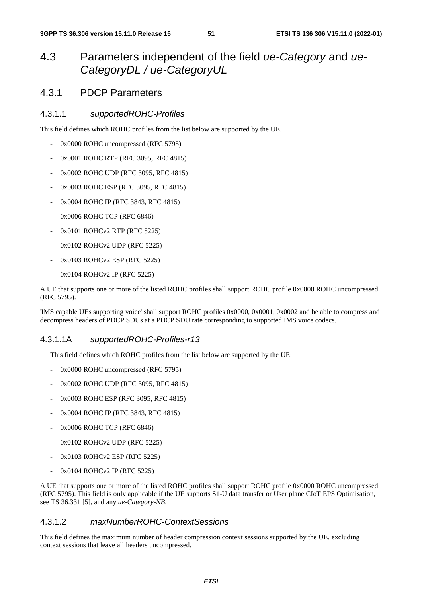# 4.3 Parameters independent of the field *ue-Category* and *ue-CategoryDL / ue-CategoryUL*

# 4.3.1 PDCP Parameters

### 4.3.1.1 *supportedROHC-Profiles*

This field defines which ROHC profiles from the list below are supported by the UE.

- 0x0000 ROHC uncompressed (RFC 5795)
- 0x0001 ROHC RTP (RFC 3095, RFC 4815)
- 0x0002 ROHC UDP (RFC 3095, RFC 4815)
- 0x0003 ROHC ESP (RFC 3095, RFC 4815)
- 0x0004 ROHC IP (RFC 3843, RFC 4815)
- 0x0006 ROHC TCP (RFC 6846)
- 0x0101 ROHCv2 RTP (RFC 5225)
- 0x0102 ROHCv2 UDP (RFC 5225)
- 0x0103 ROHCv2 ESP (RFC 5225)
- 0x0104 ROHCv2 IP (RFC 5225)

A UE that supports one or more of the listed ROHC profiles shall support ROHC profile 0x0000 ROHC uncompressed (RFC 5795).

'IMS capable UEs supporting voice' shall support ROHC profiles 0x0000, 0x0001, 0x0002 and be able to compress and decompress headers of PDCP SDUs at a PDCP SDU rate corresponding to supported IMS voice codecs.

### 4.3.1.1A *supportedROHC-Profiles-r13*

This field defines which ROHC profiles from the list below are supported by the UE:

- 0x0000 ROHC uncompressed (RFC 5795)
- 0x0002 ROHC UDP (RFC 3095, RFC 4815)
- 0x0003 ROHC ESP (RFC 3095, RFC 4815)
- 0x0004 ROHC IP (RFC 3843, RFC 4815)
- 0x0006 ROHC TCP (RFC 6846)
- 0x0102 ROHCv2 UDP (RFC 5225)
- 0x0103 ROHCv2 ESP (RFC 5225)
- 0x0104 ROHCv2 IP (RFC 5225)

A UE that supports one or more of the listed ROHC profiles shall support ROHC profile 0x0000 ROHC uncompressed (RFC 5795). This field is only applicable if the UE supports S1-U data transfer or User plane CIoT EPS Optimisation, see TS 36.331 [5], and any *ue-Category-NB*.

#### 4.3.1.2 *maxNumberROHC-ContextSessions*

This field defines the maximum number of header compression context sessions supported by the UE, excluding context sessions that leave all headers uncompressed.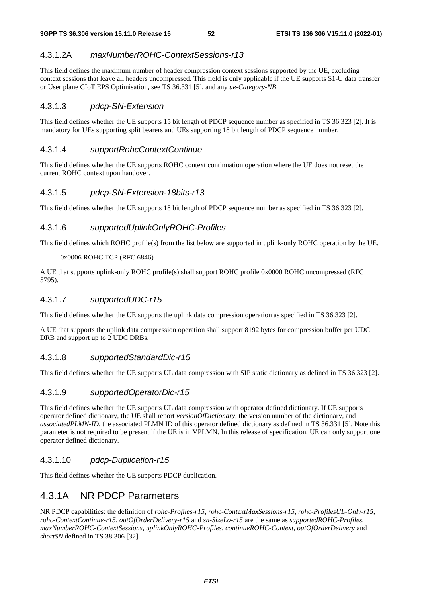# 4.3.1.2A *maxNumberROHC-ContextSessions-r13*

This field defines the maximum number of header compression context sessions supported by the UE, excluding context sessions that leave all headers uncompressed. This field is only applicable if the UE supports S1-U data transfer or User plane CIoT EPS Optimisation, see TS 36.331 [5], and any *ue-Category-NB*.

### 4.3.1.3 *pdcp-SN-Extension*

This field defines whether the UE supports 15 bit length of PDCP sequence number as specified in TS 36.323 [2]. It is mandatory for UEs supporting split bearers and UEs supporting 18 bit length of PDCP sequence number.

### 4.3.1.4 *supportRohcContextContinue*

This field defines whether the UE supports ROHC context continuation operation where the UE does not reset the current ROHC context upon handover.

### 4.3.1.5 *pdcp-SN-Extension-18bits-r13*

This field defines whether the UE supports 18 bit length of PDCP sequence number as specified in TS 36.323 [2].

### 4.3.1.6 *supportedUplinkOnlyROHC-Profiles*

This field defines which ROHC profile(s) from the list below are supported in uplink-only ROHC operation by the UE.

#### 0x0006 ROHC TCP (RFC 6846)

A UE that supports uplink-only ROHC profile(s) shall support ROHC profile 0x0000 ROHC uncompressed (RFC 5795).

#### 4.3.1.7 *supportedUDC-r15*

This field defines whether the UE supports the uplink data compression operation as specified in TS 36.323 [2].

A UE that supports the uplink data compression operation shall support 8192 bytes for compression buffer per UDC DRB and support up to 2 UDC DRBs.

### 4.3.1.8 *supportedStandardDic-r15*

This field defines whether the UE supports UL data compression with SIP static dictionary as defined in TS 36.323 [2].

### 4.3.1.9 *supportedOperatorDic-r15*

This field defines whether the UE supports UL data compression with operator defined dictionary. If UE supports operator defined dictionary, the UE shall report *versionOfDictionary*, the version number of the dictionary, and *associatedPLMN-ID*, the associated PLMN ID of this operator defined dictionary as defined in TS 36.331 [5]. Note this parameter is not required to be present if the UE is in VPLMN. In this release of specification, UE can only support one operator defined dictionary.

### 4.3.1.10 *pdcp-Duplication-r15*

This field defines whether the UE supports PDCP duplication.

# 4.3.1A NR PDCP Parameters

NR PDCP capabilities: the definition of *rohc-Profiles-r15*, *rohc-ContextMaxSessions-r15*, *rohc-ProfilesUL-Only-r15*, *rohc-ContextContinue-r15*, *outOfOrderDelivery-r15* and *sn-SizeLo-r15* are the same as *supportedROHC-Profiles*, *maxNumberROHC-ContextSessions*, *uplinkOnlyROHC-Profiles*, *continueROHC-Context*, *outOfOrderDelivery* and *shortSN* defined in TS 38.306 [32].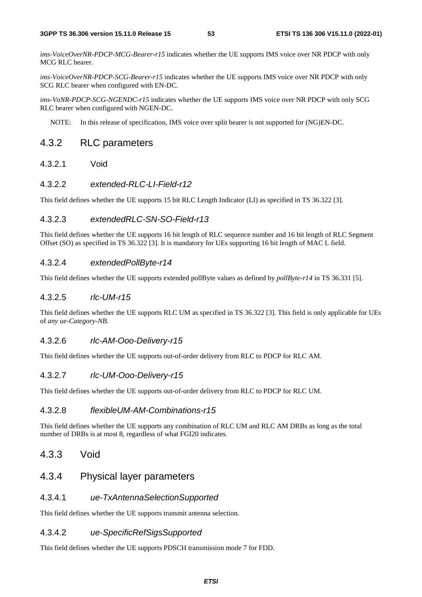*ims-VoiceOverNR-PDCP-MCG-Bearer-r15* indicates whether the UE supports IMS voice over NR PDCP with only MCG RLC bearer.

*ims-VoiceOverNR-PDCP-SCG-Bearer-r15* indicates whether the UE supports IMS voice over NR PDCP with only SCG RLC bearer when configured with EN-DC.

*ims-VoNR-PDCP-SCG-NGENDC-r15* indicates whether the UE supports IMS voice over NR PDCP with only SCG RLC bearer when configured with NGEN-DC.

NOTE: In this release of specification, IMS voice over split bearer is not supported for (NG)EN-DC.

# 4.3.2 RLC parameters

4.3.2.1 Void

#### 4.3.2.2 *extended-RLC-LI-Field-r12*

This field defines whether the UE supports 15 bit RLC Length Indicator (LI) as specified in TS 36.322 [3].

#### 4.3.2.3 *extendedRLC-SN-SO-Field-r13*

This field defines whether the UE supports 16 bit length of RLC sequence number and 16 bit length of RLC Segment Offset (SO) as specified in TS 36.322 [3]. It is mandatory for UEs supporting 16 bit length of MAC L field.

#### 4.3.2.4 *extendedPollByte-r14*

This field defines whether the UE supports extended pollByte values as defined by *pollByte-r14* in TS 36.331 [5].

#### 4.3.2.5 *rlc-UM-r15*

This field defines whether the UE supports RLC UM as specified in TS 36.322 [3]. This field is only applicable for UEs of *any ue-Category-NB*.

#### 4.3.2.6 *rlc-AM-Ooo-Delivery-r15*

This field defines whether the UE supports out-of-order delivery from RLC to PDCP for RLC AM.

#### 4.3.2.7 *rlc-UM-Ooo-Delivery-r15*

This field defines whether the UE supports out-of-order delivery from RLC to PDCP for RLC UM.

#### 4.3.2.8 *flexibleUM-AM-Combinations-r15*

This field defines whether the UE supports any combination of RLC UM and RLC AM DRBs as long as the total number of DRBs is at most 8, regardless of what FGI20 indicates.

# 4.3.3 Void

# 4.3.4 Physical layer parameters

#### 4.3.4.1 *ue-TxAntennaSelectionSupported*

This field defines whether the UE supports transmit antenna selection.

### 4.3.4.2 *ue-SpecificRefSigsSupported*

This field defines whether the UE supports PDSCH transmission mode 7 for FDD.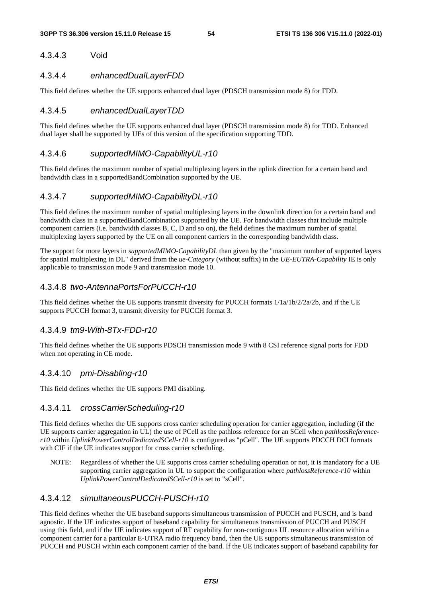# 4.3.4.3 Void

### 4.3.4.4 *enhancedDualLayerFDD*

This field defines whether the UE supports enhanced dual layer (PDSCH transmission mode 8) for FDD.

# 4.3.4.5 *enhancedDualLayerTDD*

This field defines whether the UE supports enhanced dual layer (PDSCH transmission mode 8) for TDD. Enhanced dual layer shall be supported by UEs of this version of the specification supporting TDD.

### 4.3.4.6 *supportedMIMO-CapabilityUL-r10*

This field defines the maximum number of spatial multiplexing layers in the uplink direction for a certain band and bandwidth class in a supportedBandCombination supported by the UE.

### 4.3.4.7 *supportedMIMO-CapabilityDL-r10*

This field defines the maximum number of spatial multiplexing layers in the downlink direction for a certain band and bandwidth class in a supportedBandCombination supported by the UE. For bandwidth classes that include multiple component carriers (i.e. bandwidth classes B, C, D and so on), the field defines the maximum number of spatial multiplexing layers supported by the UE on all component carriers in the corresponding bandwidth class.

The support for more layers in *supportedMIMO-CapabilityDL* than given by the "maximum number of supported layers for spatial multiplexing in DL" derived from the *ue-Category* (without suffix) in the *UE-EUTRA-Capability* IE is only applicable to transmission mode 9 and transmission mode 10.

# 4.3.4.8 *two-AntennaPortsForPUCCH-r10*

This field defines whether the UE supports transmit diversity for PUCCH formats 1/1a/1b/2/2a/2b, and if the UE supports PUCCH format 3, transmit diversity for PUCCH format 3.

#### 4.3.4.9 *tm9-With-8Tx-FDD-r10*

This field defines whether the UE supports PDSCH transmission mode 9 with 8 CSI reference signal ports for FDD when not operating in CE mode.

#### 4.3.4.10 *pmi-Disabling-r10*

This field defines whether the UE supports PMI disabling.

#### 4.3.4.11 *crossCarrierScheduling-r10*

This field defines whether the UE supports cross carrier scheduling operation for carrier aggregation, including (if the UE supports carrier aggregation in UL) the use of PCell as the pathloss reference for an SCell when *pathlossReferencer10* within *UplinkPowerControlDedicatedSCell-r10* is configured as "pCell". The UE supports PDCCH DCI formats with CIF if the UE indicates support for cross carrier scheduling.

NOTE: Regardless of whether the UE supports cross carrier scheduling operation or not, it is mandatory for a UE supporting carrier aggregation in UL to support the configuration where *pathlossReference-r10* within *UplinkPowerControlDedicatedSCell-r10* is set to "sCell".

### 4.3.4.12 *simultaneousPUCCH-PUSCH-r10*

This field defines whether the UE baseband supports simultaneous transmission of PUCCH and PUSCH, and is band agnostic. If the UE indicates support of baseband capability for simultaneous transmission of PUCCH and PUSCH using this field, and if the UE indicates support of RF capability for non-contiguous UL resource allocation within a component carrier for a particular E-UTRA radio frequency band, then the UE supports simultaneous transmission of PUCCH and PUSCH within each component carrier of the band. If the UE indicates support of baseband capability for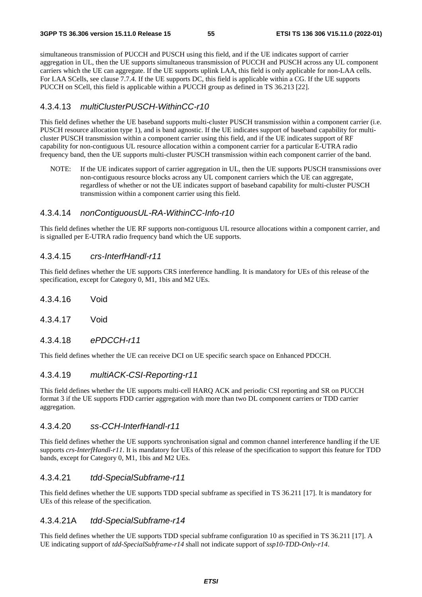simultaneous transmission of PUCCH and PUSCH using this field, and if the UE indicates support of carrier aggregation in UL, then the UE supports simultaneous transmission of PUCCH and PUSCH across any UL component carriers which the UE can aggregate. If the UE supports uplink LAA, this field is only applicable for non-LAA cells. For LAA SCells, see clause 7.7.4. If the UE supports DC, this field is applicable within a CG. If the UE supports PUCCH on SCell, this field is applicable within a PUCCH group as defined in TS 36.213 [22].

### 4.3.4.13 *multiClusterPUSCH-WithinCC-r10*

This field defines whether the UE baseband supports multi-cluster PUSCH transmission within a component carrier (i.e. PUSCH resource allocation type 1), and is band agnostic. If the UE indicates support of baseband capability for multicluster PUSCH transmission within a component carrier using this field, and if the UE indicates support of RF capability for non-contiguous UL resource allocation within a component carrier for a particular E-UTRA radio frequency band, then the UE supports multi-cluster PUSCH transmission within each component carrier of the band.

NOTE: If the UE indicates support of carrier aggregation in UL, then the UE supports PUSCH transmissions over non-contiguous resource blocks across any UL component carriers which the UE can aggregate, regardless of whether or not the UE indicates support of baseband capability for multi-cluster PUSCH transmission within a component carrier using this field.

### 4.3.4.14 *nonContiguousUL-RA-WithinCC-Info-r10*

This field defines whether the UE RF supports non-contiguous UL resource allocations within a component carrier, and is signalled per E-UTRA radio frequency band which the UE supports.

#### 4.3.4.15 *crs-InterfHandl-r11*

This field defines whether the UE supports CRS interference handling. It is mandatory for UEs of this release of the specification, except for Category 0, M1, 1bis and M2 UEs.

- 4.3.4.16 Void
- 4.3.4.17 Void
- 4.3.4.18 *ePDCCH-r11*

This field defines whether the UE can receive DCI on UE specific search space on Enhanced PDCCH.

#### 4.3.4.19 *multiACK-CSI-Reporting-r11*

This field defines whether the UE supports multi-cell HARQ ACK and periodic CSI reporting and SR on PUCCH format 3 if the UE supports FDD carrier aggregation with more than two DL component carriers or TDD carrier aggregation.

#### 4.3.4.20 *ss-CCH-InterfHandl-r11*

This field defines whether the UE supports synchronisation signal and common channel interference handling if the UE supports *crs-InterfHandl-r11*. It is mandatory for UEs of this release of the specification to support this feature for TDD bands, except for Category 0, M1, 1bis and M2 UEs.

#### 4.3.4.21 *tdd-SpecialSubframe-r11*

This field defines whether the UE supports TDD special subframe as specified in TS 36.211 [17]. It is mandatory for UEs of this release of the specification.

#### 4.3.4.21A *tdd-SpecialSubframe-r14*

This field defines whether the UE supports TDD special subframe configuration 10 as specified in TS 36.211 [17]. A UE indicating support of *tdd-SpecialSubframe-r14* shall not indicate support of *ssp10-TDD-Only-r14*.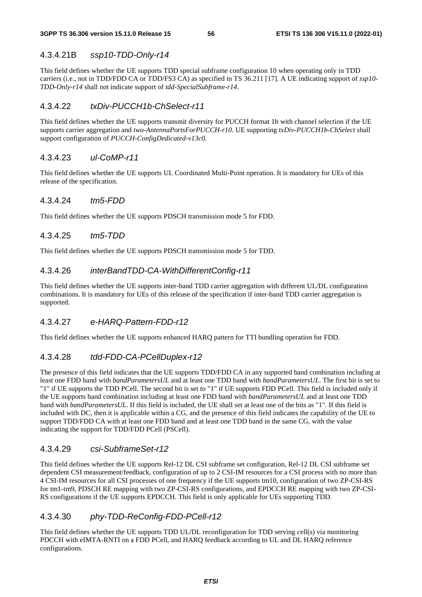# 4.3.4.21B *ssp10-TDD-Only-r14*

This field defines whether the UE supports TDD special subframe configuration 10 when operating only in TDD carriers (i.e., not in TDD/FDD CA or TDD/FS3 CA) as specified in TS 36.211 [17]. A UE indicating support of *ssp10- TDD-Only-r14* shall not indicate support of *tdd-SpecialSubframe-r14*.

# 4.3.4.22 *txDiv-PUCCH1b-ChSelect-r11*

This field defines whether the UE supports transmit diversity for PUCCH format 1b with channel selection if the UE supports carrier aggregation and *two-AntennaPortsForPUCCH-r10*. UE supporting *txDiv-PUCCH1b-ChSelect* shall support configuration of *PUCCH-ConfigDedicated-v13c0*.

# 4.3.4.23 *ul-CoMP-r11*

This field defines whether the UE supports UL Coordinated Multi-Point operation. It is mandatory for UEs of this release of the specification.

### 4.3.4.24 *tm5-FDD*

This field defines whether the UE supports PDSCH transmission mode 5 for FDD.

### 4.3.4.25 *tm5-TDD*

This field defines whether the UE supports PDSCH transmission mode 5 for TDD.

### 4.3.4.26 *interBandTDD-CA-WithDifferentConfig-r11*

This field defines whether the UE supports inter-band TDD carrier aggregation with different UL/DL configuration combinations. It is mandatory for UEs of this release of the specification if inter-band TDD carrier aggregation is supported.

### 4.3.4.27 *e-HARQ-Pattern-FDD-r12*

This field defines whether the UE supports enhanced HARQ pattern for TTI bundling operation for FDD.

### 4.3.4.28 *tdd-FDD-CA-PCellDuplex-r12*

The presence of this field indicates that the UE supports TDD/FDD CA in any supported band combination including at least one FDD band with *bandParametersUL* and at least one TDD band with *bandParametersUL*. The first bit is set to "1" if UE supports the TDD PCell. The second bit is set to "1" if UE supports FDD PCell. This field is included only if the UE supports band combination including at least one FDD band with *bandParametersUL* and at least one TDD band with *bandParametersUL*. If this field is included, the UE shall set at least one of the bits as "1". If this field is included with DC, then it is applicable within a CG, and the presence of this field indicates the capability of the UE to support TDD/FDD CA with at least one FDD band and at least one TDD band in the same CG, with the value indicating the support for TDD/FDD PCell (PSCell).

### 4.3.4.29 *csi-SubframeSet-r12*

This field defines whether the UE supports Rel-12 DL CSI subframe set configuration, Rel-12 DL CSI subframe set dependent CSI measurement/feedback, configuration of up to 2 CSI-IM resources for a CSI process with no more than 4 CSI-IM resources for all CSI processes of one frequency if the UE supports tm10, configuration of two ZP-CSI-RS for tm1-tm9, PDSCH RE mapping with two ZP-CSI-RS configurations, and EPDCCH RE mapping with two ZP-CSI-RS configurations if the UE supports EPDCCH. This field is only applicable for UEs supporting TDD.

### 4.3.4.30 *phy-TDD-ReConfig-FDD-PCell-r12*

This field defines whether the UE supports TDD UL/DL reconfiguration for TDD serving cell(s) via monitoring PDCCH with eIMTA-RNTI on a FDD PCell, and HARQ feedback according to UL and DL HARQ reference configurations.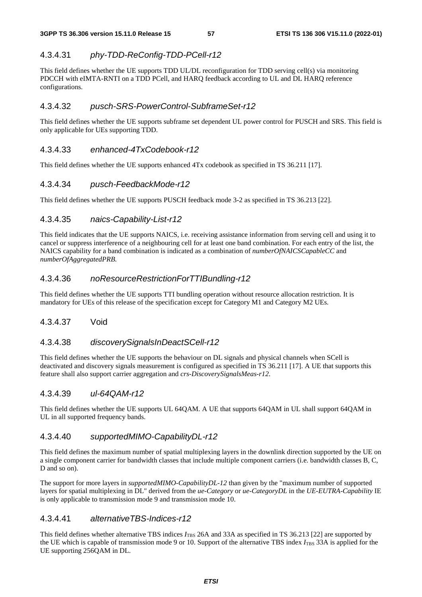# 4.3.4.31 *phy-TDD-ReConfig-TDD-PCell-r12*

This field defines whether the UE supports TDD UL/DL reconfiguration for TDD serving cell(s) via monitoring PDCCH with eIMTA-RNTI on a TDD PCell, and HARQ feedback according to UL and DL HARQ reference configurations.

### 4.3.4.32 *pusch-SRS-PowerControl-SubframeSet-r12*

This field defines whether the UE supports subframe set dependent UL power control for PUSCH and SRS. This field is only applicable for UEs supporting TDD.

### 4.3.4.33 *enhanced-4TxCodebook-r12*

This field defines whether the UE supports enhanced 4Tx codebook as specified in TS 36.211 [17].

# 4.3.4.34 *pusch-FeedbackMode-r12*

This field defines whether the UE supports PUSCH feedback mode 3-2 as specified in TS 36.213 [22].

# 4.3.4.35 *naics-Capability-List-r12*

This field indicates that the UE supports NAICS, i.e. receiving assistance information from serving cell and using it to cancel or suppress interference of a neighbouring cell for at least one band combination. For each entry of the list, the NAICS capability for a band combination is indicated as a combination of *numberOfNAICSCapableCC* and *numberOfAggregatedPRB*.

# 4.3.4.36 *noResourceRestrictionForTTIBundling-r12*

This field defines whether the UE supports TTI bundling operation without resource allocation restriction. It is mandatory for UEs of this release of the specification except for Category M1 and Category M2 UEs.

### 4.3.4.37 Void

### 4.3.4.38 *discoverySignalsInDeactSCell-r12*

This field defines whether the UE supports the behaviour on DL signals and physical channels when SCell is deactivated and discovery signals measurement is configured as specified in TS 36.211 [17]. A UE that supports this feature shall also support carrier aggregation and *crs-DiscoverySignalsMeas-r12*.

### 4.3.4.39 *ul-64QAM-r12*

This field defines whether the UE supports UL 64QAM. A UE that supports 64QAM in UL shall support 64QAM in UL in all supported frequency bands.

### 4.3.4.40 *supportedMIMO-CapabilityDL-r12*

This field defines the maximum number of spatial multiplexing layers in the downlink direction supported by the UE on a single component carrier for bandwidth classes that include multiple component carriers (i.e. bandwidth classes B, C, D and so on).

The support for more layers in *supportedMIMO-CapabilityDL-12* than given by the "maximum number of supported layers for spatial multiplexing in DL" derived from the *ue-Category* or *ue-CategoryDL* in the *UE-EUTRA-Capability* IE is only applicable to transmission mode 9 and transmission mode 10.

# 4.3.4.41 *alternativeTBS-Indices-r12*

This field defines whether alternative TBS indices *I*<sub>TBS</sub> 26A and 33A as specified in TS 36.213 [22] are supported by the UE which is capable of transmission mode 9 or 10. Support of the alternative TBS index  $I_{\text{TBS}}$  33A is applied for the UE supporting 256QAM in DL.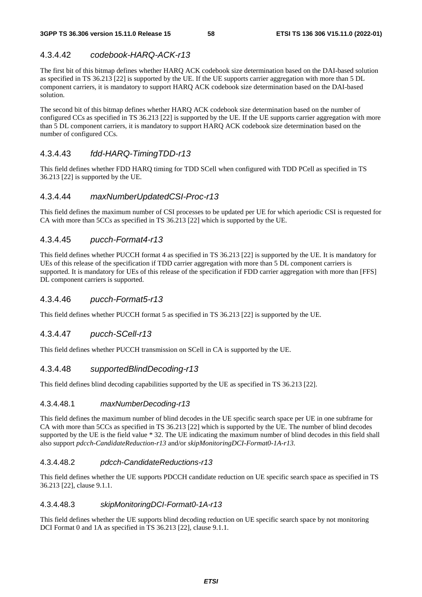# 4.3.4.42 *codebook-HARQ-ACK-r13*

The first bit of this bitmap defines whether HARQ ACK codebook size determination based on the DAI-based solution as specified in TS 36.213 [22] is supported by the UE. If the UE supports carrier aggregation with more than 5 DL component carriers, it is mandatory to support HARQ ACK codebook size determination based on the DAI-based solution.

The second bit of this bitmap defines whether HARQ ACK codebook size determination based on the number of configured CCs as specified in TS 36.213 [22] is supported by the UE. If the UE supports carrier aggregation with more than 5 DL component carriers, it is mandatory to support HARQ ACK codebook size determination based on the number of configured CCs.

# 4.3.4.43 *fdd-HARQ-TimingTDD-r13*

This field defines whether FDD HARQ timing for TDD SCell when configured with TDD PCell as specified in TS 36.213 [22] is supported by the UE.

### 4.3.4.44 *maxNumberUpdatedCSI-Proc-r13*

This field defines the maximum number of CSI processes to be updated per UE for which aperiodic CSI is requested for CA with more than 5CCs as specified in TS 36.213 [22] which is supported by the UE.

# 4.3.4.45 *pucch-Format4-r13*

This field defines whether PUCCH format 4 as specified in TS 36.213 [22] is supported by the UE. It is mandatory for UEs of this release of the specification if TDD carrier aggregation with more than 5 DL component carriers is supported. It is mandatory for UEs of this release of the specification if FDD carrier aggregation with more than [FFS] DL component carriers is supported.

### 4.3.4.46 *pucch-Format5-r13*

This field defines whether PUCCH format 5 as specified in TS 36.213 [22] is supported by the UE.

# 4.3.4.47 *pucch-SCell-r13*

This field defines whether PUCCH transmission on SCell in CA is supported by the UE.

### 4.3.4.48 *supportedBlindDecoding-r13*

This field defines blind decoding capabilities supported by the UE as specified in TS 36.213 [22].

#### 4.3.4.48.1 *maxNumberDecoding-r13*

This field defines the maximum number of blind decodes in the UE specific search space per UE in one subframe for CA with more than 5CCs as specified in TS 36.213 [22] which is supported by the UE. The number of blind decodes supported by the UE is the field value \* 32. The UE indicating the maximum number of blind decodes in this field shall also support *pdcch-CandidateReduction-r13* and/or *skipMonitoringDCI-Format0-1A-r13*.

#### 4.3.4.48.2 *pdcch-CandidateReductions-r13*

This field defines whether the UE supports PDCCH candidate reduction on UE specific search space as specified in TS 36.213 [22], clause 9.1.1.

#### 4.3.4.48.3 *skipMonitoringDCI-Format0-1A-r13*

This field defines whether the UE supports blind decoding reduction on UE specific search space by not monitoring DCI Format 0 and 1A as specified in TS 36.213 [22], clause 9.1.1.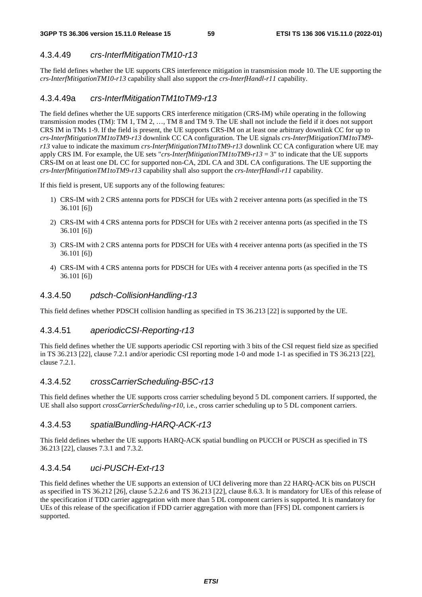### 4.3.4.49 *crs-InterfMitigationTM10-r13*

The field defines whether the UE supports CRS interference mitigation in transmission mode 10. The UE supporting the *crs-InterfMitigationTM10-r13* capability shall also support the *crs-InterfHandl-r11* capability.

#### 4.3.4.49a *crs-InterfMitigationTM1toTM9-r13*

The field defines whether the UE supports CRS interference mitigation (CRS-IM) while operating in the following transmission modes (TM): TM 1, TM 2, …, TM 8 and TM 9. The UE shall not include the field if it does not support CRS IM in TMs 1-9. If the field is present, the UE supports CRS-IM on at least one arbitrary downlink CC for up to *crs-InterfMitigationTM1toTM9-r13* downlink CC CA configuration. The UE signals *crs-InterfMitigationTM1toTM9 r13* value to indicate the maximum *crs-InterfMitigationTM1toTM9-r13* downlink CC CA configuration where UE may apply CRS IM. For example, the UE sets "*crs-InterfMitigationTM1toTM9-r13* = 3" to indicate that the UE supports CRS-IM on at least one DL CC for supported non-CA, 2DL CA and 3DL CA configurations. The UE supporting the *crs-InterfMitigationTM1toTM9-r13* capability shall also support the *crs-InterfHandl-r11* capability.

If this field is present, UE supports any of the following features:

- 1) CRS-IM with 2 CRS antenna ports for PDSCH for UEs with 2 receiver antenna ports (as specified in the TS 36.101 [6])
- 2) CRS-IM with 4 CRS antenna ports for PDSCH for UEs with 2 receiver antenna ports (as specified in the TS 36.101 [6])
- 3) CRS-IM with 2 CRS antenna ports for PDSCH for UEs with 4 receiver antenna ports (as specified in the TS 36.101 [6])
- 4) CRS-IM with 4 CRS antenna ports for PDSCH for UEs with 4 receiver antenna ports (as specified in the TS 36.101 [6])

#### 4.3.4.50 *pdsch-CollisionHandling-r13*

This field defines whether PDSCH collision handling as specified in TS 36.213 [22] is supported by the UE.

### 4.3.4.51 *aperiodicCSI-Reporting-r13*

This field defines whether the UE supports aperiodic CSI reporting with 3 bits of the CSI request field size as specified in TS 36.213 [22], clause 7.2.1 and/or aperiodic CSI reporting mode 1-0 and mode 1-1 as specified in TS 36.213 [22], clause 7.2.1.

#### 4.3.4.52 *crossCarrierScheduling-B5C-r13*

This field defines whether the UE supports cross carrier scheduling beyond 5 DL component carriers. If supported, the UE shall also support *crossCarrierScheduling-r10*, i.e., cross carrier scheduling up to 5 DL component carriers.

#### 4.3.4.53 *spatialBundling-HARQ-ACK-r13*

This field defines whether the UE supports HARQ-ACK spatial bundling on PUCCH or PUSCH as specified in TS 36.213 [22], clauses 7.3.1 and 7.3.2.

### 4.3.4.54 *uci-PUSCH-Ext-r13*

This field defines whether the UE supports an extension of UCI delivering more than 22 HARQ-ACK bits on PUSCH as specified in TS 36.212 [26], clause 5.2.2.6 and TS 36.213 [22], clause 8.6.3. It is mandatory for UEs of this release of the specification if TDD carrier aggregation with more than 5 DL component carriers is supported. It is mandatory for UEs of this release of the specification if FDD carrier aggregation with more than [FFS] DL component carriers is supported.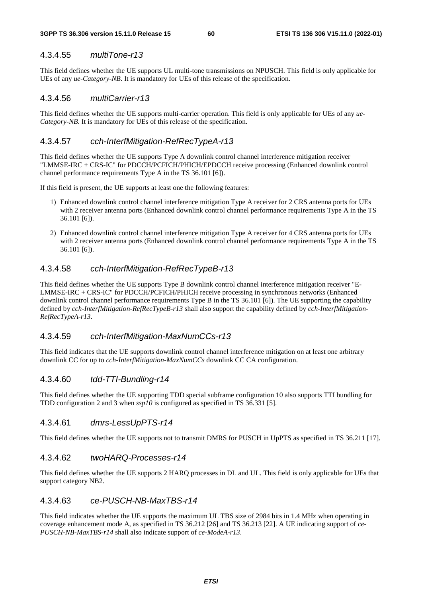### 4.3.4.55 *multiTone-r13*

This field defines whether the UE supports UL multi-tone transmissions on NPUSCH. This field is only applicable for UEs of any *ue-Category-NB*. It is mandatory for UEs of this release of the specification.

#### 4.3.4.56 *multiCarrier-r13*

This field defines whether the UE supports multi-carrier operation. This field is only applicable for UEs of any *ue-Category-NB*. It is mandatory for UEs of this release of the specification.

### 4.3.4.57 *cch-InterfMitigation-RefRecTypeA-r13*

This field defines whether the UE supports Type A downlink control channel interference mitigation receiver "LMMSE-IRC + CRS-IC" for PDCCH/PCFICH/PHICH/EPDCCH receive processing (Enhanced downlink control channel performance requirements Type A in the TS 36.101 [6]).

If this field is present, the UE supports at least one the following features:

- 1) Enhanced downlink control channel interference mitigation Type A receiver for 2 CRS antenna ports for UEs with 2 receiver antenna ports (Enhanced downlink control channel performance requirements Type A in the TS 36.101 [6]).
- 2) Enhanced downlink control channel interference mitigation Type A receiver for 4 CRS antenna ports for UEs with 2 receiver antenna ports (Enhanced downlink control channel performance requirements Type A in the TS 36.101 [6]).

### 4.3.4.58 *cch-InterfMitigation-RefRecTypeB-r13*

This field defines whether the UE supports Type B downlink control channel interference mitigation receiver "E-LMMSE-IRC + CRS-IC" for PDCCH/PCFICH/PHICH receive processing in synchronous networks (Enhanced downlink control channel performance requirements Type B in the TS 36.101 [6]). The UE supporting the capability defined by *cch-InterfMitigation-RefRecTypeB-r13* shall also support the capability defined by *cch-InterfMitigation-RefRecTypeA-r13*.

#### 4.3.4.59 *cch-InterfMitigation-MaxNumCCs-r13*

This field indicates that the UE supports downlink control channel interference mitigation on at least one arbitrary downlink CC for up to *cch-InterfMitigation-MaxNumCCs* downlink CC CA configuration.

# 4.3.4.60 *tdd-TTI-Bundling-r14*

This field defines whether the UE supporting TDD special subframe configuration 10 also supports TTI bundling for TDD configuration 2 and 3 when *ssp10* is configured as specified in TS 36.331 [5].

#### 4.3.4.61 *dmrs-LessUpPTS-r14*

This field defines whether the UE supports not to transmit DMRS for PUSCH in UpPTS as specified in TS 36.211 [17].

#### 4.3.4.62 *twoHARQ-Processes-r14*

This field defines whether the UE supports 2 HARQ processes in DL and UL. This field is only applicable for UEs that support category NB2.

# 4.3.4.63 *ce-PUSCH-NB-MaxTBS-r14*

This field indicates whether the UE supports the maximum UL TBS size of 2984 bits in 1.4 MHz when operating in coverage enhancement mode A, as specified in TS 36.212 [26] and TS 36.213 [22]. A UE indicating support of *ce-PUSCH-NB-MaxTBS-r14* shall also indicate support of *ce-ModeA-r13*.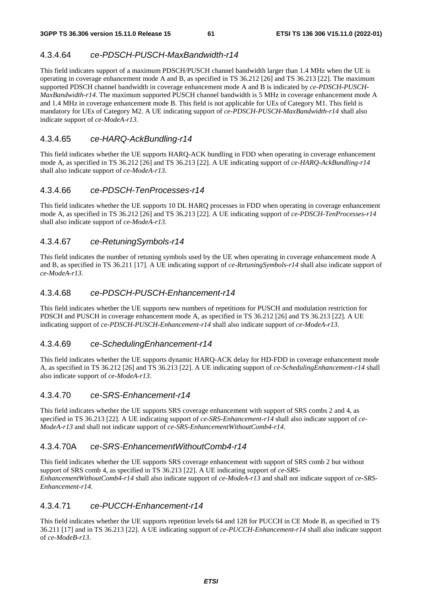### 4.3.4.64 *ce-PDSCH-PUSCH-MaxBandwidth-r14*

This field indicates support of a maximum PDSCH/PUSCH channel bandwidth larger than 1.4 MHz when the UE is operating in coverage enhancement mode A and B, as specified in TS 36.212 [26] and TS 36.213 [22]. The maximum supported PDSCH channel bandwidth in coverage enhancement mode A and B is indicated by *ce-PDSCH-PUSCH-MaxBandwidth-r14*. The maximum supported PUSCH channel bandwidth is 5 MHz in coverage enhancement mode A and 1.4 MHz in coverage enhancement mode B. This field is not applicable for UEs of Category M1. This field is mandatory for UEs of Category M2. A UE indicating support of *ce-PDSCH-PUSCH-MaxBandwidth-r14* shall also indicate support of *ce-ModeA-r13*.

#### 4.3.4.65 *ce-HARQ-AckBundling-r14*

This field indicates whether the UE supports HARQ-ACK bundling in FDD when operating in coverage enhancement mode A, as specified in TS 36.212 [26] and TS 36.213 [22]. A UE indicating support of *ce-HARQ-AckBundling-r14*  shall also indicate support of *ce-ModeA-r13*.

### 4.3.4.66 *ce-PDSCH-TenProcesses-r14*

This field indicates whether the UE supports 10 DL HARQ processes in FDD when operating in coverage enhancement mode A, as specified in TS 36.212 [26] and TS 36.213 [22]. A UE indicating support of *ce-PDSCH-TenProcesses-r14*  shall also indicate support of *ce-ModeA-r13*.

### 4.3.4.67 *ce-RetuningSymbols-r14*

This field indicates the number of retuning symbols used by the UE when operating in coverage enhancement mode A and B, as specified in TS 36.211 [17]. A UE indicating support of *ce-RetuningSymbols-r14* shall also indicate support of *ce-ModeA-r13*.

### 4.3.4.68 *ce-PDSCH-PUSCH-Enhancement-r14*

This field indicates whether the UE supports new numbers of repetitions for PUSCH and modulation restriction for PDSCH and PUSCH in coverage enhancement mode A, as specified in TS 36.212 [26] and TS 36.213 [22]. A UE indicating support of *ce-PDSCH-PUSCH-Enhancement-r14* shall also indicate support of *ce-ModeA-r13*.

#### 4.3.4.69 *ce-SchedulingEnhancement-r14*

This field indicates whether the UE supports dynamic HARQ-ACK delay for HD-FDD in coverage enhancement mode A, as specified in TS 36.212 [26] and TS 36.213 [22]. A UE indicating support of *ce-SchedulingEnhancement-r14* shall also indicate support of *ce-ModeA-r13*.

#### 4.3.4.70 *ce-SRS-Enhancement-r14*

This field indicates whether the UE supports SRS coverage enhancement with support of SRS combs 2 and 4, as specified in TS 36.213 [22]. A UE indicating support of *ce-SRS-Enhancement-r14* shall also indicate support of *ce-ModeA-r13* and shall not indicate support of *ce-SRS-EnhancementWithoutComb4-r14*.

### 4.3.4.70A *ce-SRS-EnhancementWithoutComb4-r14*

This field indicates whether the UE supports SRS coverage enhancement with support of SRS comb 2 but without support of SRS comb 4, as specified in TS 36.213 [22]. A UE indicating support of *ce-SRS-EnhancementWithoutComb4-r14* shall also indicate support of *ce-ModeA-r13* and shall not indicate support of *ce-SRS-Enhancement-r14*.

#### 4.3.4.71 *ce-PUCCH-Enhancement-r14*

This field indicates whether the UE supports repetition levels 64 and 128 for PUCCH in CE Mode B, as specified in TS 36.211 [17] and in TS 36.213 [22]. A UE indicating support of *ce-PUCCH-Enhancement-r14* shall also indicate support of *ce-ModeB-r13*.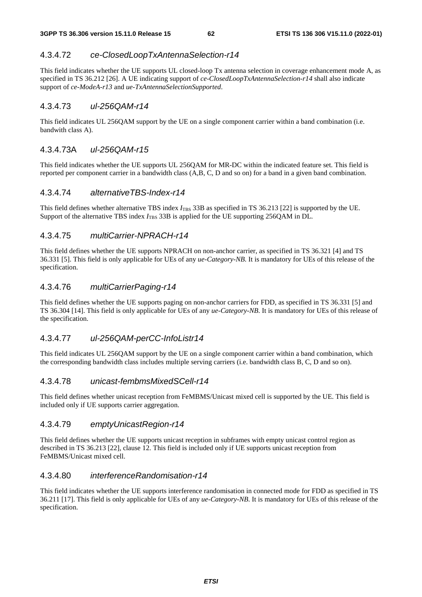# 4.3.4.72 *ce-ClosedLoopTxAntennaSelection-r14*

This field indicates whether the UE supports UL closed-loop Tx antenna selection in coverage enhancement mode A, as specified in TS 36.212 [26]. A UE indicating support of *ce-ClosedLoopTxAntennaSelection-r14* shall also indicate support of *ce-ModeA-r13* and *ue-TxAntennaSelectionSupported*.

### 4.3.4.73 *ul-256QAM-r14*

This field indicates UL 256QAM support by the UE on a single component carrier within a band combination (i.e. bandwith class A).

### 4.3.4.73A *ul-256QAM-r15*

This field indicates whether the UE supports UL 256QAM for MR-DC within the indicated feature set. This field is reported per component carrier in a bandwidth class (A,B, C, D and so on) for a band in a given band combination.

### 4.3.4.74 *alternativeTBS-Index-r14*

This field defines whether alternative TBS index *I*<sub>TBS</sub> 33B as specified in TS 36.213 [22] is supported by the UE. Support of the alternative TBS index *I*<sub>TBS</sub> 33B is applied for the UE supporting 256QAM in DL.

### 4.3.4.75 *multiCarrier-NPRACH-r14*

This field defines whether the UE supports NPRACH on non-anchor carrier, as specified in TS 36.321 [4] and TS 36.331 [5]. This field is only applicable for UEs of any *ue-Category-NB*. It is mandatory for UEs of this release of the specification.

### 4.3.4.76 *multiCarrierPaging-r14*

This field defines whether the UE supports paging on non-anchor carriers for FDD, as specified in TS 36.331 [5] and TS 36.304 [14]. This field is only applicable for UEs of any *ue-Category-NB*. It is mandatory for UEs of this release of the specification.

### 4.3.4.77 *ul-256QAM-perCC-InfoListr14*

This field indicates UL 256QAM support by the UE on a single component carrier within a band combination, which the corresponding bandwidth class includes multiple serving carriers (i.e. bandwidth class B, C, D and so on).

### 4.3.4.78 *unicast-fembmsMixedSCell-r14*

This field defines whether unicast reception from FeMBMS/Unicast mixed cell is supported by the UE. This field is included only if UE supports carrier aggregation.

#### 4.3.4.79 *emptyUnicastRegion-r14*

This field defines whether the UE supports unicast reception in subframes with empty unicast control region as described in TS 36.213 [22], clause 12. This field is included only if UE supports unicast reception from FeMBMS/Unicast mixed cell.

#### 4.3.4.80 *interferenceRandomisation-r14*

This field indicates whether the UE supports interference randomisation in connected mode for FDD as specified in TS 36.211 [17]. This field is only applicable for UEs of any *ue-Category-NB*. It is mandatory for UEs of this release of the specification.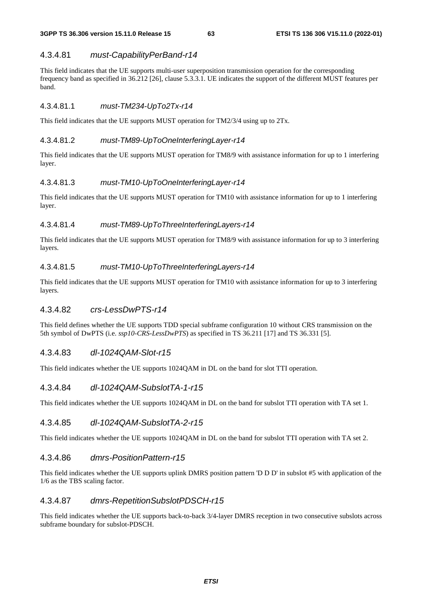### 4.3.4.81 *must-CapabilityPerBand-r14*

This field indicates that the UE supports multi-user superposition transmission operation for the corresponding frequency band as specified in 36.212 [26], clause 5.3.3.1. UE indicates the support of the different MUST features per band.

### 4.3.4.81.1 *must-TM234-UpTo2Tx-r14*

This field indicates that the UE supports MUST operation for TM2/3/4 using up to 2Tx.

### 4.3.4.81.2 *must-TM89-UpToOneInterferingLayer-r14*

This field indicates that the UE supports MUST operation for TM8/9 with assistance information for up to 1 interfering layer.

### 4.3.4.81.3 *must-TM10-UpToOneInterferingLayer-r14*

This field indicates that the UE supports MUST operation for TM10 with assistance information for up to 1 interfering layer.

### 4.3.4.81.4 *must-TM89-UpToThreeInterferingLayers-r14*

This field indicates that the UE supports MUST operation for TM8/9 with assistance information for up to 3 interfering layers.

### 4.3.4.81.5 *must-TM10-UpToThreeInterferingLayers-r14*

This field indicates that the UE supports MUST operation for TM10 with assistance information for up to 3 interfering layers.

### 4.3.4.82 *crs-LessDwPTS-r14*

This field defines whether the UE supports TDD special subframe configuration 10 without CRS transmission on the 5th symbol of DwPTS (i.e. *ssp10-CRS-LessDwPTS*) as specified in TS 36.211 [17] and TS 36.331 [5].

### 4.3.4.83 *dl-1024QAM-Slot-r15*

This field indicates whether the UE supports 1024QAM in DL on the band for slot TTI operation.

# 4.3.4.84 *dl-1024QAM-SubslotTA-1-r15*

This field indicates whether the UE supports 1024QAM in DL on the band for subslot TTI operation with TA set 1.

### 4.3.4.85 *dl-1024QAM-SubslotTA-2-r15*

This field indicates whether the UE supports 1024QAM in DL on the band for subslot TTI operation with TA set 2.

#### 4.3.4.86 *dmrs-PositionPattern-r15*

This field indicates whether the UE supports uplink DMRS position pattern 'D D D' in subslot #5 with application of the 1/6 as the TBS scaling factor.

#### 4.3.4.87 *dmrs-RepetitionSubslotPDSCH-r15*

This field indicates whether the UE supports back-to-back 3/4-layer DMRS reception in two consecutive subslots across subframe boundary for subslot-PDSCH.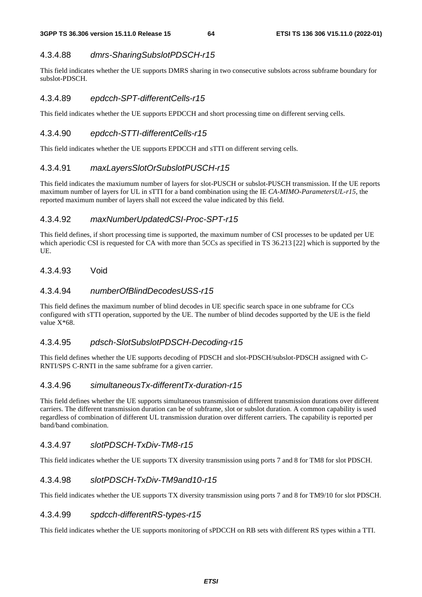# 4.3.4.88 *dmrs-SharingSubslotPDSCH-r15*

This field indicates whether the UE supports DMRS sharing in two consecutive subslots across subframe boundary for subslot-PDSCH.

### 4.3.4.89 *epdcch-SPT-differentCells-r15*

This field indicates whether the UE supports EPDCCH and short processing time on different serving cells.

### 4.3.4.90 *epdcch-STTI-differentCells-r15*

This field indicates whether the UE supports EPDCCH and sTTI on different serving cells.

### 4.3.4.91 *maxLayersSlotOrSubslotPUSCH-r15*

This field indicates the maxiumum number of layers for slot-PUSCH or subslot-PUSCH transmission. If the UE reports maximum number of layers for UL in sTTI for a band combination using the IE *CA-MIMO-ParametersUL-r15*, the reported maximum number of layers shall not exceed the value indicated by this field.

# 4.3.4.92 *maxNumberUpdatedCSI-Proc-SPT-r15*

This field defines, if short processing time is supported, the maximum number of CSI processes to be updated per UE which aperiodic CSI is requested for CA with more than 5CCs as specified in TS 36.213 [22] which is supported by the UE.

### 4.3.4.93 Void

### 4.3.4.94 *numberOfBlindDecodesUSS-r15*

This field defines the maximum number of blind decodes in UE specific search space in one subframe for CCs configured with sTTI operation, supported by the UE. The number of blind decodes supported by the UE is the field value  $X*68$ .

# 4.3.4.95 *pdsch-SlotSubslotPDSCH-Decoding-r15*

This field defines whether the UE supports decoding of PDSCH and slot-PDSCH/subslot-PDSCH assigned with C-RNTI/SPS C-RNTI in the same subframe for a given carrier.

### 4.3.4.96 *simultaneousTx-differentTx-duration-r15*

This field defines whether the UE supports simultaneous transmission of different transmission durations over different carriers. The different transmission duration can be of subframe, slot or subslot duration. A common capability is used regardless of combination of different UL transmission duration over different carriers. The capability is reported per band/band combination.

### 4.3.4.97 *slotPDSCH-TxDiv-TM8-r15*

This field indicates whether the UE supports TX diversity transmission using ports 7 and 8 for TM8 for slot PDSCH.

### 4.3.4.98 *slotPDSCH-TxDiv-TM9and10-r15*

This field indicates whether the UE supports TX diversity transmission using ports 7 and 8 for TM9/10 for slot PDSCH.

### 4.3.4.99 *spdcch-differentRS-types-r15*

This field indicates whether the UE supports monitoring of sPDCCH on RB sets with different RS types within a TTI.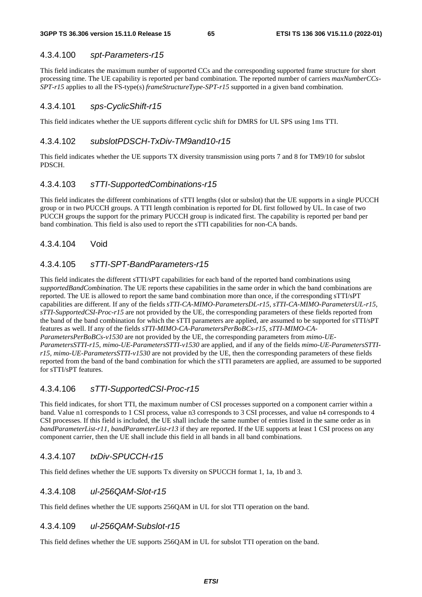#### 4.3.4.100 *spt-Parameters-r15*

This field indicates the maximum number of supported CCs and the corresponding supported frame structure for short processing time. The UE capability is reported per band combination. The reported number of carriers *maxNumberCCs-SPT-r15* applies to all the FS-type(s) *frameStructureType-SPT-r15* supported in a given band combination.

#### 4.3.4.101 *sps-CyclicShift-r15*

This field indicates whether the UE supports different cyclic shift for DMRS for UL SPS using 1ms TTI.

#### 4.3.4.102 *subslotPDSCH-TxDiv-TM9and10-r15*

This field indicates whether the UE supports TX diversity transmission using ports 7 and 8 for TM9/10 for subslot PDSCH.

### 4.3.4.103 *sTTI-SupportedCombinations-r15*

This field indicates the different combinations of sTTI lengths (slot or subslot) that the UE supports in a single PUCCH group or in two PUCCH groups. A TTI length combination is reported for DL first followed by UL. In case of two PUCCH groups the support for the primary PUCCH group is indicated first. The capability is reported per band per band combination. This field is also used to report the sTTI capabilities for non-CA bands.

#### 4.3.4.104 Void

#### 4.3.4.105 *sTTI-SPT-BandParameters-r15*

This field indicates the different sTTI/sPT capabilities for each band of the reported band combinations using *supportedBandCombination*. The UE reports these capabilities in the same order in which the band combinations are reported. The UE is allowed to report the same band combination more than once, if the corresponding sTTI/sPT capabilities are different. If any of the fields *sTTI-CA-MIMO-ParametersDL-r15, sTTI-CA-MIMO-ParametersUL-r15, sTTI-SupportedCSI-Proc-r15* are not provided by the UE, the corresponding parameters of these fields reported from the band of the band combination for which the sTTI parameters are applied, are assumed to be supported for sTTI/sPT features as well. If any of the fields *sTTI-MIMO-CA-ParametersPerBoBCs-r15, sTTI-MIMO-CA-ParametersPerBoBCs-v1530* are not provided by the UE, the corresponding parameters from *mimo-UE-ParametersSTTI-r15, mimo-UE-ParametersSTTI-v1530* are applied, and if any of the fields *mimo-UE-ParametersSTTIr15, mimo-UE-ParametersSTTI-v1530* are not provided by the UE, then the corresponding parameters of these fields reported from the band of the band combination for which the sTTI parameters are applied, are assumed to be supported for sTTI/sPT features.

#### 4.3.4.106 *sTTI-SupportedCSI-Proc-r15*

This field indicates, for short TTI, the maximum number of CSI processes supported on a component carrier within a band. Value n1 corresponds to 1 CSI process, value n3 corresponds to 3 CSI processes, and value n4 corresponds to 4 CSI processes. If this field is included, the UE shall include the same number of entries listed in the same order as in *bandParameterList-r11, bandParameterList-r13* if they are reported. If the UE supports at least 1 CSI process on any component carrier, then the UE shall include this field in all bands in all band combinations.

#### 4.3.4.107 *txDiv-SPUCCH-r15*

This field defines whether the UE supports Tx diversity on SPUCCH format 1, 1a, 1b and 3.

#### 4.3.4.108 *ul-256QAM-Slot-r15*

This field defines whether the UE supports 256QAM in UL for slot TTI operation on the band.

#### 4.3.4.109 *ul-256QAM-Subslot-r15*

This field defines whether the UE supports 256QAM in UL for subslot TTI operation on the band.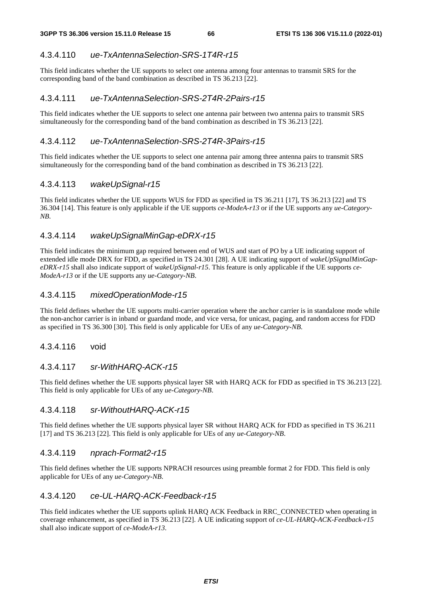### 4.3.4.110 *ue-TxAntennaSelection-SRS-1T4R-r15*

This field indicates whether the UE supports to select one antenna among four antennas to transmit SRS for the corresponding band of the band combination as described in TS 36.213 [22].

### 4.3.4.111 *ue-TxAntennaSelection-SRS-2T4R-2Pairs-r15*

This field indicates whether the UE supports to select one antenna pair between two antenna pairs to transmit SRS simultaneously for the corresponding band of the band combination as described in TS 36.213 [22].

### 4.3.4.112 *ue-TxAntennaSelection-SRS-2T4R-3Pairs-r15*

This field indicates whether the UE supports to select one antenna pair among three antenna pairs to transmit SRS simultaneously for the corresponding band of the band combination as described in TS 36.213 [22].

### 4.3.4.113 *wakeUpSignal-r15*

This field indicates whether the UE supports WUS for FDD as specified in TS 36.211 [17], TS 36.213 [22] and TS 36.304 [14]. This feature is only applicable if the UE supports *ce-ModeA-r13* or if the UE supports any *ue-Category-NB*.

### 4.3.4.114 *wakeUpSignalMinGap-eDRX-r15*

This field indicates the minimum gap required between end of WUS and start of PO by a UE indicating support of extended idle mode DRX for FDD, as specified in TS 24.301 [28]. A UE indicating support of *wakeUpSignalMinGapeDRX-r15* shall also indicate support of w*akeUpSignal-r15*. This feature is only applicable if the UE supports *ce-ModeA-r13* or if the UE supports any *ue-Category-NB*.

### 4.3.4.115 *mixedOperationMode-r15*

This field defines whether the UE supports multi-carrier operation where the anchor carrier is in standalone mode while the non-anchor carrier is in inband or guardand mode, and vice versa, for unicast, paging, and random access for FDD as specified in TS 36.300 [30]. This field is only applicable for UEs of any *ue-Category-NB*.

#### 4.3.4.116 void

#### 4.3.4.117 *sr-WithHARQ-ACK-r15*

This field defines whether the UE supports physical layer SR with HARQ ACK for FDD as specified in TS 36.213 [22]. This field is only applicable for UEs of any *ue-Category-NB*.

#### 4.3.4.118 *sr-WithoutHARQ-ACK-r15*

This field defines whether the UE supports physical layer SR without HARQ ACK for FDD as specified in TS 36.211 [17] and TS 36.213 [22]. This field is only applicable for UEs of any *ue-Category-NB*.

#### 4.3.4.119 *nprach-Format2-r15*

This field defines whether the UE supports NPRACH resources using preamble format 2 for FDD. This field is only applicable for UEs of any *ue-Category-NB*.

### 4.3.4.120 *ce-UL-HARQ-ACK-Feedback-r15*

This field indicates whether the UE supports uplink HARQ ACK Feedback in RRC\_CONNECTED when operating in coverage enhancement, as specified in TS 36.213 [22]. A UE indicating support of *ce-UL-HARQ-ACK-Feedback-r15*  shall also indicate support of *ce-ModeA-r13*.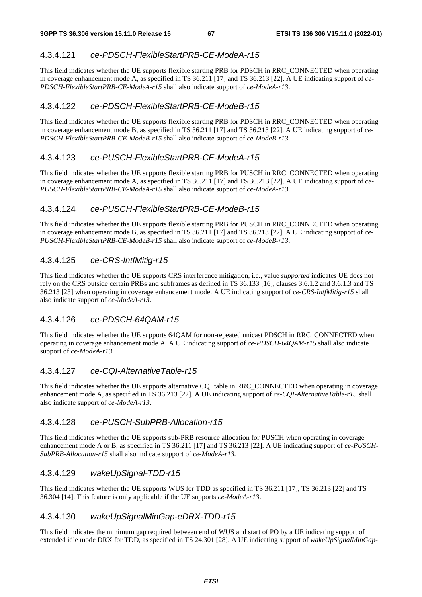# 4.3.4.121 *ce-PDSCH-FlexibleStartPRB-CE-ModeA-r15*

This field indicates whether the UE supports flexible starting PRB for PDSCH in RRC\_CONNECTED when operating in coverage enhancement mode A, as specified in TS 36.211 [17] and TS 36.213 [22]. A UE indicating support of *ce-PDSCH-FlexibleStartPRB-CE-ModeA-r15* shall also indicate support of *ce-ModeA-r13*.

# 4.3.4.122 *ce-PDSCH-FlexibleStartPRB-CE-ModeB-r15*

This field indicates whether the UE supports flexible starting PRB for PDSCH in RRC\_CONNECTED when operating in coverage enhancement mode B, as specified in TS 36.211 [17] and TS 36.213 [22]. A UE indicating support of *ce-PDSCH-FlexibleStartPRB-CE-ModeB-r15* shall also indicate support of *ce-ModeB-r13*.

# 4.3.4.123 *ce-PUSCH-FlexibleStartPRB-CE-ModeA-r15*

This field indicates whether the UE supports flexible starting PRB for PUSCH in RRC\_CONNECTED when operating in coverage enhancement mode A, as specified in TS 36.211 [17] and TS 36.213 [22]. A UE indicating support of *ce-PUSCH-FlexibleStartPRB-CE-ModeA-r15* shall also indicate support of *ce-ModeA-r13*.

# 4.3.4.124 *ce-PUSCH-FlexibleStartPRB-CE-ModeB-r15*

This field indicates whether the UE supports flexible starting PRB for PUSCH in RRC\_CONNECTED when operating in coverage enhancement mode B, as specified in TS 36.211 [17] and TS 36.213 [22]. A UE indicating support of *ce-PUSCH-FlexibleStartPRB-CE-ModeB-r15* shall also indicate support of *ce-ModeB-r13*.

# 4.3.4.125 *ce-CRS-IntfMitig-r15*

This field indicates whether the UE supports CRS interference mitigation, i.e., value *supported* indicates UE does not rely on the CRS outside certain PRBs and subframes as defined in TS 36.133 [16], clauses 3.6.1.2 and 3.6.1.3 and TS 36.213 [23] when operating in coverage enhancement mode. A UE indicating support of *ce-CRS-IntfMitig-r15* shall also indicate support of *ce-ModeA-r13*.

### 4.3.4.126 *ce-PDSCH-64QAM-r15*

This field indicates whether the UE supports 64QAM for non-repeated unicast PDSCH in RRC\_CONNECTED when operating in coverage enhancement mode A. A UE indicating support of *ce-PDSCH-64QAM-r15* shall also indicate support of *ce-ModeA-r13*.

### 4.3.4.127 *ce-CQI-AlternativeTable-r15*

This field indicates whether the UE supports alternative CQI table in RRC\_CONNECTED when operating in coverage enhancement mode A, as specified in TS 36.213 [22]. A UE indicating support of *ce-CQI-AlternativeTable-r15* shall also indicate support of *ce-ModeA-r13*.

### 4.3.4.128 *ce-PUSCH-SubPRB-Allocation-r15*

This field indicates whether the UE supports sub-PRB resource allocation for PUSCH when operating in coverage enhancement mode A or B, as specified in TS 36.211 [17] and TS 36.213 [22]. A UE indicating support of *ce-PUSCH-SubPRB-Allocation-r15* shall also indicate support of *ce-ModeA-r13.* 

### 4.3.4.129 *wakeUpSignal-TDD-r15*

This field indicates whether the UE supports WUS for TDD as specified in TS 36.211 [17], TS 36.213 [22] and TS 36.304 [14]. This feature is only applicable if the UE supports *ce-ModeA-r13*.

### 4.3.4.130 *wakeUpSignalMinGap-eDRX-TDD-r15*

This field indicates the minimum gap required between end of WUS and start of PO by a UE indicating support of extended idle mode DRX for TDD, as specified in TS 24.301 [28]. A UE indicating support of *wakeUpSignalMinGap-*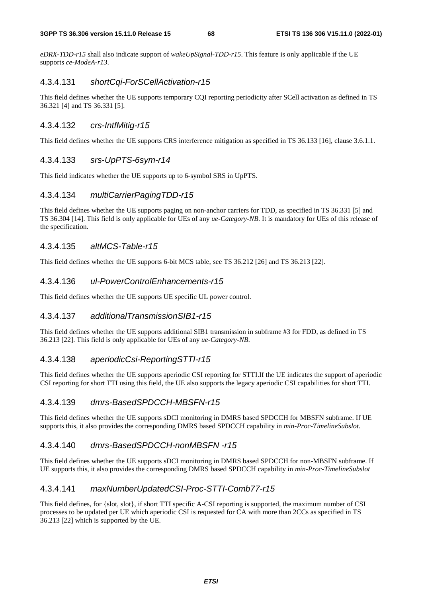*eDRX-TDD-r15* shall also indicate support of *wakeUpSignal-TDD-r15*. This feature is only applicable if the UE supports *ce-ModeA-r13*.

#### 4.3.4.131 *shortCqi-ForSCellActivation-r15*

This field defines whether the UE supports temporary CQI reporting periodicity after SCell activation as defined in TS 36.321 [4] and TS 36.331 [5].

### 4.3.4.132 *crs-IntfMitig-r15*

This field defines whether the UE supports CRS interference mitigation as specified in TS 36.133 [16], clause 3.6.1.1.

### 4.3.4.133 *srs-UpPTS-6sym-r14*

This field indicates whether the UE supports up to 6-symbol SRS in UpPTS.

### 4.3.4.134 *multiCarrierPagingTDD-r15*

This field defines whether the UE supports paging on non-anchor carriers for TDD, as specified in TS 36.331 [5] and TS 36.304 [14]. This field is only applicable for UEs of any *ue-Category-NB*. It is mandatory for UEs of this release of the specification.

### 4.3.4.135 *altMCS-Table-r15*

This field defines whether the UE supports 6-bit MCS table, see TS 36.212 [26] and TS 36.213 [22].

### 4.3.4.136 *ul-PowerControlEnhancements-r15*

This field defines whether the UE supports UE specific UL power control.

#### 4.3.4.137 *additionalTransmissionSIB1-r15*

This field defines whether the UE supports additional SIB1 transmission in subframe #3 for FDD, as defined in TS 36.213 [22]. This field is only applicable for UEs of any *ue-Category-NB*.

#### 4.3.4.138 *aperiodicCsi-ReportingSTTI-r15*

This field defines whether the UE supports aperiodic CSI reporting for STTI.If the UE indicates the support of aperiodic CSI reporting for short TTI using this field, the UE also supports the legacy aperiodic CSI capabilities for short TTI.

### 4.3.4.139 *dmrs-BasedSPDCCH-MBSFN-r15*

This field defines whether the UE supports sDCI monitoring in DMRS based SPDCCH for MBSFN subframe. If UE supports this, it also provides the corresponding DMRS based SPDCCH capability in *min-Proc-TimelineSubslot.*

### 4.3.4.140 *dmrs-BasedSPDCCH-nonMBSFN -r15*

This field defines whether the UE supports sDCI monitoring in DMRS based SPDCCH for non-MBSFN subframe. If UE supports this, it also provides the corresponding DMRS based SPDCCH capability in *min-Proc-TimelineSubslot* 

### 4.3.4.141 *maxNumberUpdatedCSI-Proc-STTI-Comb77-r15*

This field defines, for {slot, slot}, if short TTI specific A-CSI reporting is supported, the maximum number of CSI processes to be updated per UE which aperiodic CSI is requested for CA with more than 2CCs as specified in TS 36.213 [22] which is supported by the UE.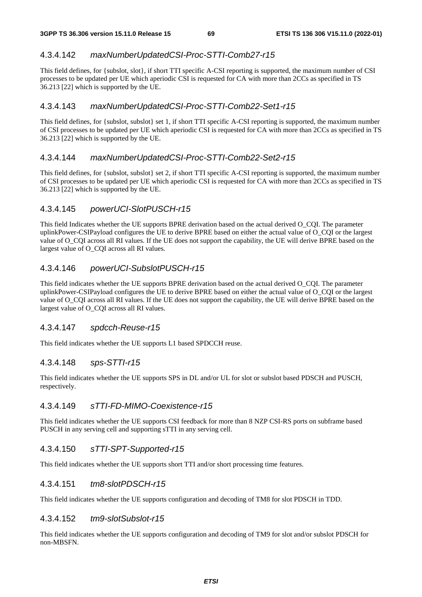# 4.3.4.142 *maxNumberUpdatedCSI-Proc-STTI-Comb27-r15*

This field defines, for {subslot, slot}, if short TTI specific A-CSI reporting is supported, the maximum number of CSI processes to be updated per UE which aperiodic CSI is requested for CA with more than 2CCs as specified in TS 36.213 [22] which is supported by the UE.

### 4.3.4.143 *maxNumberUpdatedCSI-Proc-STTI-Comb22-Set1-r15*

This field defines, for {subslot, subslot} set 1, if short TTI specific A-CSI reporting is supported, the maximum number of CSI processes to be updated per UE which aperiodic CSI is requested for CA with more than 2CCs as specified in TS 36.213 [22] which is supported by the UE.

### 4.3.4.144 *maxNumberUpdatedCSI-Proc-STTI-Comb22-Set2-r15*

This field defines, for {subslot, subslot} set 2, if short TTI specific A-CSI reporting is supported, the maximum number of CSI processes to be updated per UE which aperiodic CSI is requested for CA with more than 2CCs as specified in TS 36.213 [22] which is supported by the UE.

# 4.3.4.145 *powerUCI-SlotPUSCH-r15*

This field Indicates whether the UE supports BPRE derivation based on the actual derived O\_CQI. The parameter uplinkPower-CSIPayload configures the UE to derive BPRE based on either the actual value of O\_CQI or the largest value of O\_CQI across all RI values. If the UE does not support the capability, the UE will derive BPRE based on the largest value of O\_COI across all RI values.

# 4.3.4.146 *powerUCI-SubslotPUSCH-r15*

This field indicates whether the UE supports BPRE derivation based on the actual derived O\_CQI. The parameter uplinkPower-CSIPayload configures the UE to derive BPRE based on either the actual value of O\_CQI or the largest value of O\_CQI across all RI values. If the UE does not support the capability, the UE will derive BPRE based on the largest value of O\_CQI across all RI values.

### 4.3.4.147 *spdcch-Reuse-r15*

This field indicates whether the UE supports L1 based SPDCCH reuse.

### 4.3.4.148 *sps-STTI-r15*

This field indicates whether the UE supports SPS in DL and/or UL for slot or subslot based PDSCH and PUSCH, respectively.

### 4.3.4.149 *sTTI-FD-MIMO-Coexistence-r15*

This field indicates whether the UE supports CSI feedback for more than 8 NZP CSI-RS ports on subframe based PUSCH in any serving cell and supporting sTTI in any serving cell.

# 4.3.4.150 *sTTI-SPT-Supported-r15*

This field indicates whether the UE supports short TTI and/or short processing time features.

### 4.3.4.151 *tm8-slotPDSCH-r15*

This field indicates whether the UE supports configuration and decoding of TM8 for slot PDSCH in TDD.

### 4.3.4.152 *tm9-slotSubslot-r15*

This field indicates whether the UE supports configuration and decoding of TM9 for slot and/or subslot PDSCH for non-MBSFN.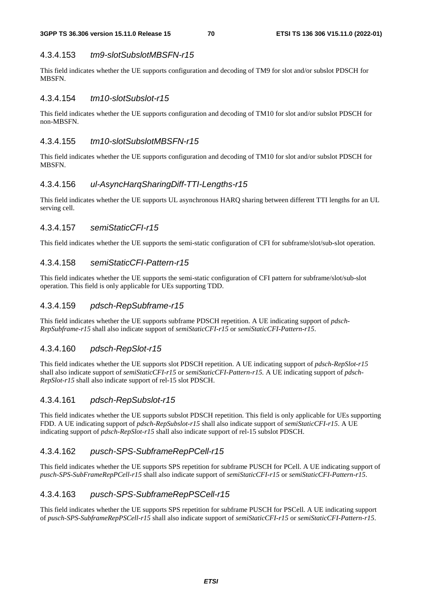# 4.3.4.153 *tm9-slotSubslotMBSFN-r15*

This field indicates whether the UE supports configuration and decoding of TM9 for slot and/or subslot PDSCH for **MBSFN.** 

#### 4.3.4.154 *tm10-slotSubslot-r15*

This field indicates whether the UE supports configuration and decoding of TM10 for slot and/or subslot PDSCH for non-MBSFN.

#### 4.3.4.155 *tm10-slotSubslotMBSFN-r15*

This field indicates whether the UE supports configuration and decoding of TM10 for slot and/or subslot PDSCH for MBSFN.

#### 4.3.4.156 *ul-AsyncHarqSharingDiff-TTI-Lengths-r15*

This field indicates whether the UE supports UL asynchronous HARQ sharing between different TTI lengths for an UL serving cell.

#### 4.3.4.157 *semiStaticCFI-r15*

This field indicates whether the UE supports the semi-static configuration of CFI for subframe/slot/sub-slot operation.

#### 4.3.4.158 *semiStaticCFI-Pattern-r15*

This field indicates whether the UE supports the semi-static configuration of CFI pattern for subframe/slot/sub-slot operation. This field is only applicable for UEs supporting TDD.

#### 4.3.4.159 *pdsch-RepSubframe-r15*

This field indicates whether the UE supports subframe PDSCH repetition. A UE indicating support of *pdsch-RepSubframe-r15* shall also indicate support of *semiStaticCFI-r15* or *semiStaticCFI-Pattern*-*r15*.

#### 4.3.4.160 *pdsch-RepSlot-r15*

This field indicates whether the UE supports slot PDSCH repetition. A UE indicating support of *pdsch-RepSlot-r15* shall also indicate support of *semiStaticCFI-r15* or *semiStaticCFI-Pattern-r15.* A UE indicating support of *pdsch-RepSlot-r15* shall also indicate support of rel-15 slot PDSCH.

#### 4.3.4.161 *pdsch-RepSubslot-r15*

This field indicates whether the UE supports subslot PDSCH repetition. This field is only applicable for UEs supporting FDD. A UE indicating support of *pdsch-RepSubslot-r15* shall also indicate support of *semiStaticCFI-r15*. A UE indicating support of *pdsch-RepSlot-r15* shall also indicate support of rel-15 subslot PDSCH.

#### 4.3.4.162 *pusch-SPS-SubframeRepPCell-r15*

This field indicates whether the UE supports SPS repetition for subframe PUSCH for PCell. A UE indicating support of *pusch-SPS-SubFrameRepPCell-r15* shall also indicate support of *semiStaticCFI-r15* or *semiStaticCFI-Pattern*-*r15*.

#### 4.3.4.163 *pusch-SPS-SubframeRepPSCell-r15*

This field indicates whether the UE supports SPS repetition for subframe PUSCH for PSCell. A UE indicating support of *pusch-SPS-SubframeRepPSCell-r15* shall also indicate support of *semiStaticCFI-r15* or *semiStaticCFI-Pattern*-*r15*.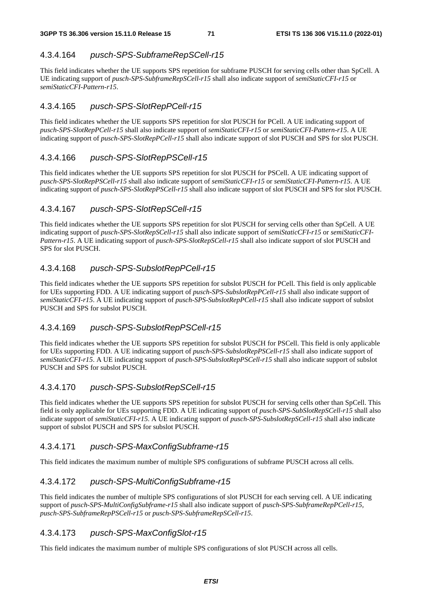# 4.3.4.164 *pusch-SPS-SubframeRepSCell-r15*

This field indicates whether the UE supports SPS repetition for subframe PUSCH for serving cells other than SpCell. A UE indicating support of *pusch-SPS-SubframeRepSCell-r15* shall also indicate support of *semiStaticCFI-r15* or *semiStaticCFI-Pattern*-*r15*.

# 4.3.4.165 *pusch-SPS-SlotRepPCell-r15*

This field indicates whether the UE supports SPS repetition for slot PUSCH for PCell. A UE indicating support of *pusch-SPS-SlotRepPCell-r15* shall also indicate support of *semiStaticCFI-r15* or *semiStaticCFI-Pattern*-*r15*. A UE indicating support of *pusch-SPS-SlotRepPCell-r15* shall also indicate support of slot PUSCH and SPS for slot PUSCH.

# 4.3.4.166 *pusch-SPS-SlotRepPSCell-r15*

This field indicates whether the UE supports SPS repetition for slot PUSCH for PSCell. A UE indicating support of *pusch-SPS-SlotRepPSCell-r15* shall also indicate support of *semiStaticCFI-r15* or *semiStaticCFI-Pattern*-*r15*. A UE indicating support of *pusch-SPS-SlotRepPSCell-r15* shall also indicate support of slot PUSCH and SPS for slot PUSCH.

# 4.3.4.167 *pusch-SPS-SlotRepSCell-r15*

This field indicates whether the UE supports SPS repetition for slot PUSCH for serving cells other than SpCell. A UE indicating support of *pusch-SPS-SlotRepSCell-r15* shall also indicate support of *semiStaticCFI-r15* or *semiStaticCFI-Pattern*-*r15*. A UE indicating support of *pusch-SPS-SlotRepSCell-r15* shall also indicate support of slot PUSCH and SPS for slot PUSCH.

# 4.3.4.168 *pusch-SPS-SubslotRepPCell-r15*

This field indicates whether the UE supports SPS repetition for subslot PUSCH for PCell. This field is only applicable for UEs supporting FDD. A UE indicating support of *pusch-SPS-SubslotRepPCell-r15* shall also indicate support of *semiStaticCFI-r15*. A UE indicating support of *pusch-SPS-SubslotRepPCell-r15* shall also indicate support of subslot PUSCH and SPS for subslot PUSCH.

### 4.3.4.169 *pusch-SPS-SubslotRepPSCell-r15*

This field indicates whether the UE supports SPS repetition for subslot PUSCH for PSCell. This field is only applicable for UEs supporting FDD. A UE indicating support of *pusch-SPS-SubslotRepPSCell-r15* shall also indicate support of *semiStaticCFI-r15*. A UE indicating support of *pusch-SPS-SubslotRepPSCell-r15* shall also indicate support of subslot PUSCH and SPS for subslot PUSCH.

### 4.3.4.170 *pusch-SPS-SubslotRepSCell-r15*

This field indicates whether the UE supports SPS repetition for subslot PUSCH for serving cells other than SpCell. This field is only applicable for UEs supporting FDD. A UE indicating support of *pusch-SPS-SubSlotRepSCell-r15* shall also indicate support of *semiStaticCFI-r15*. A UE indicating support of *pusch-SPS-SubslotRepSCell-r15* shall also indicate support of subslot PUSCH and SPS for subslot PUSCH.

### 4.3.4.171 *pusch-SPS-MaxConfigSubframe-r15*

This field indicates the maximum number of multiple SPS configurations of subframe PUSCH across all cells.

# 4.3.4.172 *pusch-SPS-MultiConfigSubframe-r15*

This field indicates the number of multiple SPS configurations of slot PUSCH for each serving cell. A UE indicating support of *pusch-SPS-MultiConfigSubframe-r15* shall also indicate support of *pusch-SPS-SubframeRepPCell-r15, pusch-SPS-SubframeRepPSCell-r15* or *pusch-SPS-SubframeRepSCell-r15*.

# 4.3.4.173 *pusch-SPS-MaxConfigSlot-r15*

This field indicates the maximum number of multiple SPS configurations of slot PUSCH across all cells.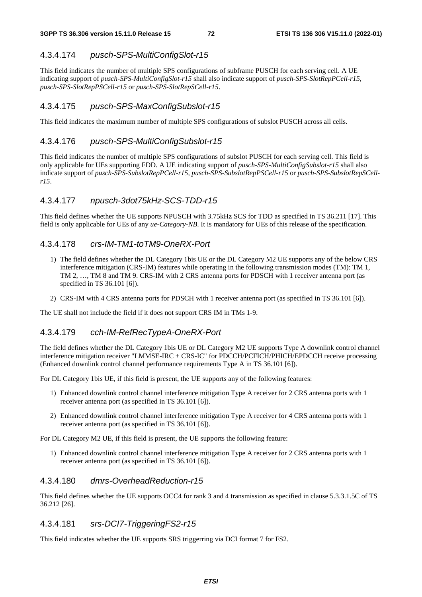## 4.3.4.174 *pusch-SPS-MultiConfigSlot-r15*

This field indicates the number of multiple SPS configurations of subframe PUSCH for each serving cell. A UE indicating support of *pusch-SPS-MultiConfigSlot-r15* shall also indicate support of *pusch-SPS-SlotRepPCell-r15, pusch-SPS-SlotRepPSCell-r15* or *pusch-SPS-SlotRepSCell-r15*.

## 4.3.4.175 *pusch-SPS-MaxConfigSubslot-r15*

This field indicates the maximum number of multiple SPS configurations of subslot PUSCH across all cells.

## 4.3.4.176 *pusch-SPS-MultiConfigSubslot-r15*

This field indicates the number of multiple SPS configurations of subslot PUSCH for each serving cell. This field is only applicable for UEs supporting FDD. A UE indicating support of *pusch-SPS-MultiConfigSubslot-r15* shall also indicate support of *pusch-SPS-SubslotRepPCell-r15, pusch-SPS-SubslotRepPSCell-r15* or *pusch-SPS-SubslotRepSCellr15*.

## 4.3.4.177 *npusch-3dot75kHz-SCS-TDD-r15*

This field defines whether the UE supports NPUSCH with 3.75kHz SCS for TDD as specified in TS 36.211 [17]. This field is only applicable for UEs of any *ue-Category-NB*. It is mandatory for UEs of this release of the specification.

## 4.3.4.178 *crs-IM-TM1-toTM9-OneRX-Port*

- 1) The field defines whether the DL Category 1bis UE or the DL Category M2 UE supports any of the below CRS interference mitigation (CRS-IM) features while operating in the following transmission modes (TM): TM 1, TM 2, …, TM 8 and TM 9. CRS-IM with 2 CRS antenna ports for PDSCH with 1 receiver antenna port (as specified in TS 36.101 [6]).
- 2) CRS-IM with 4 CRS antenna ports for PDSCH with 1 receiver antenna port (as specified in TS 36.101 [6]).

The UE shall not include the field if it does not support CRS IM in TMs 1-9.

# 4.3.4.179 *cch-IM-RefRecTypeA-OneRX-Port*

The field defines whether the DL Category 1bis UE or DL Category M2 UE supports Type A downlink control channel interference mitigation receiver "LMMSE-IRC + CRS-IC" for PDCCH/PCFICH/PHICH/EPDCCH receive processing (Enhanced downlink control channel performance requirements Type A in TS 36.101 [6]).

For DL Category 1bis UE, if this field is present, the UE supports any of the following features:

- 1) Enhanced downlink control channel interference mitigation Type A receiver for 2 CRS antenna ports with 1 receiver antenna port (as specified in TS 36.101 [6]).
- 2) Enhanced downlink control channel interference mitigation Type A receiver for 4 CRS antenna ports with 1 receiver antenna port (as specified in TS 36.101 [6]).

For DL Category M2 UE, if this field is present, the UE supports the following feature:

1) Enhanced downlink control channel interference mitigation Type A receiver for 2 CRS antenna ports with 1 receiver antenna port (as specified in TS 36.101 [6]).

# 4.3.4.180 *dmrs-OverheadReduction-r15*

This field defines whether the UE supports OCC4 for rank 3 and 4 transmission as specified in clause 5.3.3.1.5C of TS 36.212 [26].

## 4.3.4.181 *srs-DCI7-TriggeringFS2-r15*

This field indicates whether the UE supports SRS triggerring via DCI format 7 for FS2.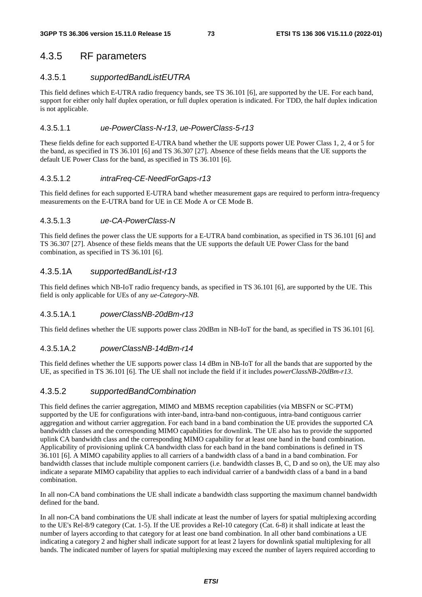# 4.3.5 RF parameters

# 4.3.5.1 *supportedBandListEUTRA*

This field defines which E-UTRA radio frequency bands, see TS 36.101 [6], are supported by the UE. For each band, support for either only half duplex operation, or full duplex operation is indicated. For TDD, the half duplex indication is not applicable.

## 4.3.5.1.1 *ue-PowerClass-N-r13*, *ue-PowerClass-5-r13*

These fields define for each supported E-UTRA band whether the UE supports power UE Power Class 1, 2, 4 or 5 for the band, as specified in TS 36.101 [6] and TS 36.307 [27]. Absence of these fields means that the UE supports the default UE Power Class for the band, as specified in TS 36.101 [6].

## 4.3.5.1.2 *intraFreq-CE-NeedForGaps-r13*

This field defines for each supported E-UTRA band whether measurement gaps are required to perform intra-frequency measurements on the E-UTRA band for UE in CE Mode A or CE Mode B.

## 4.3.5.1.3 *ue-CA-PowerClass-N*

This field defines the power class the UE supports for a E-UTRA band combination, as specified in TS 36.101 [6] and TS 36.307 [27]. Absence of these fields means that the UE supports the default UE Power Class for the band combination, as specified in TS 36.101 [6].

# 4.3.5.1A *supportedBandList-r13*

This field defines which NB-IoT radio frequency bands, as specified in TS 36.101 [6], are supported by the UE. This field is only applicable for UEs of any *ue-Category-NB*.

## 4.3.5.1A.1 *powerClassNB-20dBm-r13*

This field defines whether the UE supports power class 20dBm in NB-IoT for the band, as specified in TS 36.101 [6].

# 4.3.5.1A.2 *powerClassNB-14dBm-r14*

This field defines whether the UE supports power class 14 dBm in NB-IoT for all the bands that are supported by the UE, as specified in TS 36.101 [6]. The UE shall not include the field if it includes *powerClassNB-20dBm-r13*.

# 4.3.5.2 *supportedBandCombination*

This field defines the carrier aggregation, MIMO and MBMS reception capabilities (via MBSFN or SC-PTM) supported by the UE for configurations with inter-band, intra-band non-contiguous, intra-band contiguous carrier aggregation and without carrier aggregation. For each band in a band combination the UE provides the supported CA bandwidth classes and the corresponding MIMO capabilities for downlink. The UE also has to provide the supported uplink CA bandwidth class and the corresponding MIMO capability for at least one band in the band combination. Applicability of provisioning uplink CA bandwidth class for each band in the band combinations is defined in TS 36.101 [6]. A MIMO capability applies to all carriers of a bandwidth class of a band in a band combination. For bandwidth classes that include multiple component carriers (i.e. bandwidth classes B, C, D and so on), the UE may also indicate a separate MIMO capability that applies to each individual carrier of a bandwidth class of a band in a band combination.

In all non-CA band combinations the UE shall indicate a bandwidth class supporting the maximum channel bandwidth defined for the band.

In all non-CA band combinations the UE shall indicate at least the number of layers for spatial multiplexing according to the UE's Rel-8/9 category (Cat. 1-5). If the UE provides a Rel-10 category (Cat. 6-8) it shall indicate at least the number of layers according to that category for at least one band combination. In all other band combinations a UE indicating a category 2 and higher shall indicate support for at least 2 layers for downlink spatial multiplexing for all bands. The indicated number of layers for spatial multiplexing may exceed the number of layers required according to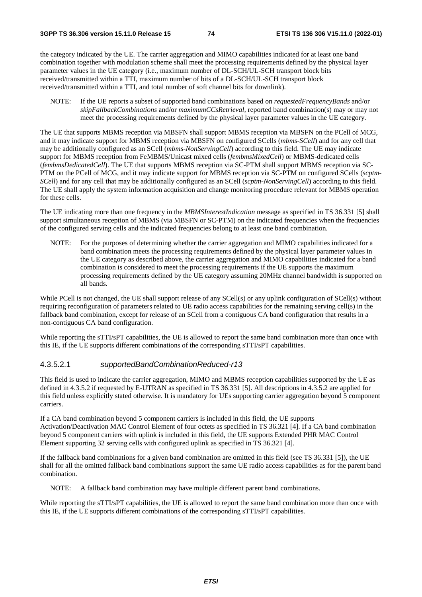the category indicated by the UE. The carrier aggregation and MIMO capabilities indicated for at least one band combination together with modulation scheme shall meet the processing requirements defined by the physical layer parameter values in the UE category (i.e., maximum number of DL-SCH/UL-SCH transport block bits received/transmitted within a TTI, maximum number of bits of a DL-SCH/UL-SCH transport block received/transmitted within a TTI, and total number of soft channel bits for downlink).

NOTE: If the UE reports a subset of supported band combinations based on *requestedFrequencyBands* and/or *skipFallbackCombinations* and/or *maximumCCsRetrieval,* reported band combination(s) may or may not meet the processing requirements defined by the physical layer parameter values in the UE category.

The UE that supports MBMS reception via MBSFN shall support MBMS reception via MBSFN on the PCell of MCG, and it may indicate support for MBMS reception via MBSFN on configured SCells (*mbms-SCell*) and for any cell that may be additionally configured as an SCell (*mbms-NonServingCell*) according to this field. The UE may indicate support for MBMS reception from FeMBMS/Unicast mixed cells (*fembmsMixedCell*) or MBMS-dedicated cells (*fembmsDedicatedCell*). The UE that supports MBMS reception via SC-PTM shall support MBMS reception via SC-PTM on the PCell of MCG, and it may indicate support for MBMS reception via SC-PTM on configured SCells (*scptm-SCell*) and for any cell that may be additionally configured as an SCell (*scptm-NonServingCell*) according to this field. The UE shall apply the system information acquisition and change monitoring procedure relevant for MBMS operation for these cells.

The UE indicating more than one frequency in the *MBMSInterestIndication* message as specified in TS 36.331 [5] shall support simultaneous reception of MBMS (via MBSFN or SC-PTM) on the indicated frequencies when the frequencies of the configured serving cells and the indicated frequencies belong to at least one band combination.

NOTE: For the purposes of determining whether the carrier aggregation and MIMO capabilities indicated for a band combination meets the processing requirements defined by the physical layer parameter values in the UE category as described above, the carrier aggregation and MIMO capabilities indicated for a band combination is considered to meet the processing requirements if the UE supports the maximum processing requirements defined by the UE category assuming 20MHz channel bandwidth is supported on all bands.

While PCell is not changed, the UE shall support release of any SCell(s) or any uplink configuration of SCell(s) without requiring reconfiguration of parameters related to UE radio access capabilities for the remaining serving cell(s) in the fallback band combination, except for release of an SCell from a contiguous CA band configuration that results in a non-contiguous CA band configuration.

While reporting the sTTI/sPT capabilities, the UE is allowed to report the same band combination more than once with this IE, if the UE supports different combinations of the corresponding sTTI/sPT capabilities.

#### 4.3.5.2.1 *supportedBandCombinationReduced-r13*

This field is used to indicate the carrier aggregation, MIMO and MBMS reception capabilities supported by the UE as defined in 4.3.5.2 if requested by E-UTRAN as specified in TS 36.331 [5]. All descriptions in 4.3.5.2 are applied for this field unless explicitly stated otherwise. It is mandatory for UEs supporting carrier aggregation beyond 5 component carriers.

If a CA band combination beyond 5 component carriers is included in this field, the UE supports Activation/Deactivation MAC Control Element of four octets as specified in TS 36.321 [4]. If a CA band combination beyond 5 component carriers with uplink is included in this field, the UE supports Extended PHR MAC Control Element supporting 32 serving cells with configured uplink as specified in TS 36.321 [4].

If the fallback band combinations for a given band combination are omitted in this field (see TS 36.331 [5]), the UE shall for all the omitted fallback band combinations support the same UE radio access capabilities as for the parent band combination.

NOTE: A fallback band combination may have multiple different parent band combinations.

While reporting the sTTI/sPT capabilities, the UE is allowed to report the same band combination more than once with this IE, if the UE supports different combinations of the corresponding sTTI/sPT capabilities.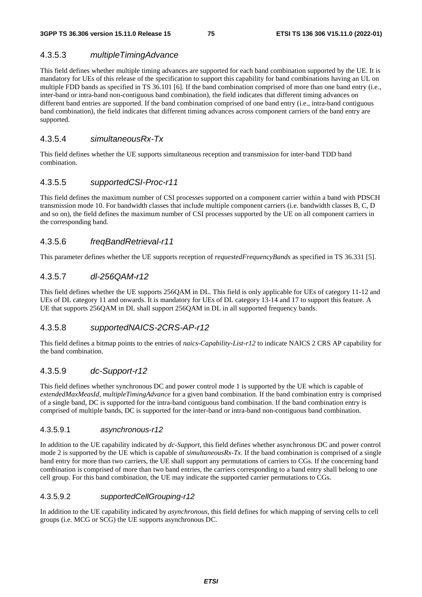# 4.3.5.3 *multipleTimingAdvance*

This field defines whether multiple timing advances are supported for each band combination supported by the UE. It is mandatory for UEs of this release of the specification to support this capability for band combinations having an UL on multiple FDD bands as specified in TS 36.101 [6]. If the band combination comprised of more than one band entry (i.e., inter-band or intra-band non-contiguous band combination), the field indicates that different timing advances on different band entries are supported. If the band combination comprised of one band entry (i.e., intra-band contiguous band combination), the field indicates that different timing advances across component carriers of the band entry are supported.

# 4.3.5.4 *simultaneousRx-Tx*

This field defines whether the UE supports simultaneous reception and transmission for inter-band TDD band combination.

# 4.3.5.5 *supportedCSI-Proc-r11*

This field defines the maximum number of CSI processes supported on a component carrier within a band with PDSCH transmission mode 10. For bandwidth classes that include multiple component carriers (i.e. bandwidth classes B, C, D and so on), the field defines the maximum number of CSI processes supported by the UE on all component carriers in the corresponding band.

# 4.3.5.6 *freqBandRetrieval-r11*

This parameter defines whether the UE supports reception of *requestedFrequencyBands* as specified in TS 36.331 [5].

# 4.3.5.7 *dl-256QAM-r12*

This field defines whether the UE supports 256QAM in DL. This field is only applicable for UEs of category 11-12 and UEs of DL category 11 and onwards. It is mandatory for UEs of DL category 13-14 and 17 to support this feature. A UE that supports 256QAM in DL shall support 256QAM in DL in all supported frequency bands.

# 4.3.5.8 *supportedNAICS-2CRS-AP-r12*

This field defines a bitmap points to the entries of *naics-Capability-List-r12* to indicate NAICS 2 CRS AP capability for the band combination.

# 4.3.5.9 *dc-Support-r12*

This field defines whether synchronous DC and power control mode 1 is supported by the UE which is capable of *extendedMaxMeasId*, *multipleTimingAdvance* for a given band combination. If the band combination entry is comprised of a single band, DC is supported for the intra-band contiguous band combination. If the band combination entry is comprised of multiple bands, DC is supported for the inter-band or intra-band non-contiguous band combination.

## 4.3.5.9.1 *asynchronous-r12*

In addition to the UE capability indicated by *dc-Support*, this field defines whether asynchronous DC and power control mode 2 is supported by the UE which is capable of *simultaneousRx-Tx*. If the band combination is comprised of a single band entry for more than two carriers, the UE shall support any permutations of carriers to CGs. If the concerning band combination is comprised of more than two band entries, the carriers corresponding to a band entry shall belong to one cell group. For this band combination, the UE may indicate the supported carrier permutations to CGs.

## 4.3.5.9.2 *supportedCellGrouping-r12*

In addition to the UE capability indicated by *asynchronous*, this field defines for which mapping of serving cells to cell groups (i.e. MCG or SCG) the UE supports asynchronous DC.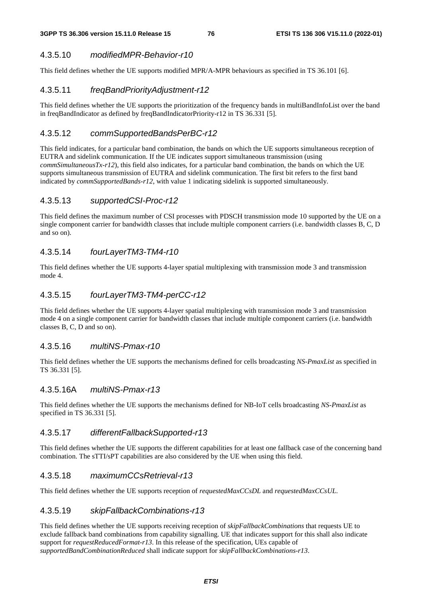# 4.3.5.10 *modifiedMPR-Behavior-r10*

This field defines whether the UE supports modified MPR/A-MPR behaviours as specified in TS 36.101 [6].

# 4.3.5.11 *freqBandPriorityAdjustment-r12*

This field defines whether the UE supports the prioritization of the frequency bands in multiBandInfoList over the band in freqBandIndicator as defined by freqBandIndicatorPriority-r12 in TS 36.331 [5].

## 4.3.5.12 *commSupportedBandsPerBC-r12*

This field indicates, for a particular band combination, the bands on which the UE supports simultaneous reception of EUTRA and sidelink communication. If the UE indicates support simultaneous transmission (using *commSimultaneousTx-r12*), this field also indicates, for a particular band combination, the bands on which the UE supports simultaneous transmission of EUTRA and sidelink communication. The first bit refers to the first band indicated by *commSupportedBands-r12*, with value 1 indicating sidelink is supported simultaneously.

## 4.3.5.13 *supportedCSI-Proc-r12*

This field defines the maximum number of CSI processes with PDSCH transmission mode 10 supported by the UE on a single component carrier for bandwidth classes that include multiple component carriers (i.e. bandwidth classes B, C, D and so on).

# 4.3.5.14 *fourLayerTM3-TM4-r10*

This field defines whether the UE supports 4-layer spatial multiplexing with transmission mode 3 and transmission mode 4.

# 4.3.5.15 *fourLayerTM3-TM4-perCC-r12*

This field defines whether the UE supports 4-layer spatial multiplexing with transmission mode 3 and transmission mode 4 on a single component carrier for bandwidth classes that include multiple component carriers (i.e. bandwidth classes B, C, D and so on).

## 4.3.5.16 *multiNS-Pmax-r10*

This field defines whether the UE supports the mechanisms defined for cells broadcasting *NS-PmaxList* as specified in TS 36.331 [5].

# 4.3.5.16A *multiNS-Pmax-r13*

This field defines whether the UE supports the mechanisms defined for NB-IoT cells broadcasting *NS-PmaxList* as specified in TS 36.331 [5].

## 4.3.5.17 *differentFallbackSupported-r13*

This field defines whether the UE supports the different capabilities for at least one fallback case of the concerning band combination. The sTTI/sPT capabilities are also considered by the UE when using this field.

## 4.3.5.18 *maximumCCsRetrieval-r13*

This field defines whether the UE supports reception of *requestedMaxCCsDL* and *requestedMaxCCsUL*.

# 4.3.5.19 *skipFallbackCombinations-r13*

This field defines whether the UE supports receiving reception of *skipFallbackCombinations* that requests UE to exclude fallback band combinations from capability signalling. UE that indicates support for this shall also indicate support for *requestReducedFormat-r13*. In this release of the specification, UEs capable of *supportedBandCombinationReduced* shall indicate support for *skipFallbackCombinations-r13*.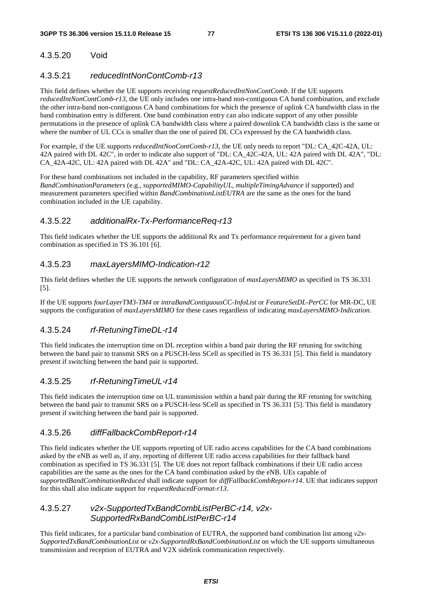# 4.3.5.20 Void

# 4.3.5.21 *reducedIntNonContComb-r13*

This field defines whether the UE supports receiving *requestReducedIntNonContComb*. If the UE supports *reducedIntNonContComb-r13,* the UE only includes one intra-band non-contiguous CA band combination, and exclude the other intra-band non-contiguous CA band combinations for which the presence of uplink CA bandwidth class in the band combination entry is different. One band combination entry can also indicate support of any other possible permutations in the presence of uplink CA bandwidth class where a paired downlink CA bandwidth class is the same or where the number of UL CCs is smaller than the one of paired DL CCs expressed by the CA bandwidth class.

For example, if the UE supports *reducedIntNonContComb-r13,* the UE only needs to report "DL: CA\_42C-42A, UL: 42A paired with DL 42C", in order to indicate also support of "DL: CA\_42C-42A, UL: 42A paired with DL 42A", "DL: CA\_42A-42C, UL: 42A paired with DL 42A" and "DL: CA\_42A-42C, UL: 42A paired with DL 42C".

For these band combinations not included in the capability, RF parameters specified within *BandCombinationParameters* (e.g., *supportedMIMO-CapabilityUL*, *multipleTimingAdvance* if supported) and measurement parameters specified within *BandCombinationListEUTRA* are the same as the ones for the band combination included in the UE capability.

# 4.3.5.22 *additionalRx-Tx-PerformanceReq-r13*

This field indicates whether the UE supports the additional Rx and Tx performance requirement for a given band combination as specified in TS 36.101 [6].

# 4.3.5.23 *maxLayersMIMO-Indication-r12*

This field defines whether the UE supports the network configuration of *maxLayersMIMO* as specified in TS 36.331 [5].

If the UE supports *fourLayerTM3-TM4* or *intraBandContiguousCC-InfoList* or *FeatureSetDL-PerCC* for MR-DC, UE supports the configuration of *maxLayersMIMO* for these cases regardless of indicating *maxLayersMIMO-Indication*.

# 4.3.5.24 *rf-RetuningTimeDL-r14*

This field indicates the interruption time on DL reception within a band pair during the RF retuning for switching between the band pair to transmit SRS on a PUSCH-less SCell as specified in TS 36.331 [5]. This field is mandatory present if switching between the band pair is supported.

# 4.3.5.25 *rf-RetuningTimeUL-r14*

This field indicates the interruption time on UL transmission within a band pair during the RF retuning for switching between the band pair to transmit SRS on a PUSCH-less SCell as specified in TS 36.331 [5]. This field is mandatory present if switching between the band pair is supported.

# 4.3.5.26 *diffFallbackCombReport-r14*

This field indicates whether the UE supports reporting of UE radio access capabilities for the CA band combinations asked by the eNB as well as, if any, reporting of different UE radio access capabilities for their fallback band combination as specified in TS 36.331 [5]. The UE does not report fallback combinations if their UE radio access capabilities are the same as the ones for the CA band combination asked by the eNB. UEs capable of *supportedBandCombinationReduced* shall indicate support for *diffFallbackCombReport-r14*. UE that indicates support for this shall also indicate support for *requestReducedFormat-r13*.

# 4.3.5.27 *v2x-SupportedTxBandCombListPerBC-r14, v2x-SupportedRxBandCombListPerBC-r14*

This field indicates, for a particular band combination of EUTRA, the supported band combination list among *v2x-SupportedTxBandCombinationList* or *v2x-SupportedRxBandCombinationList* on which the UE supports simultaneous transmission and reception of EUTRA and V2X sidelink communication respectively.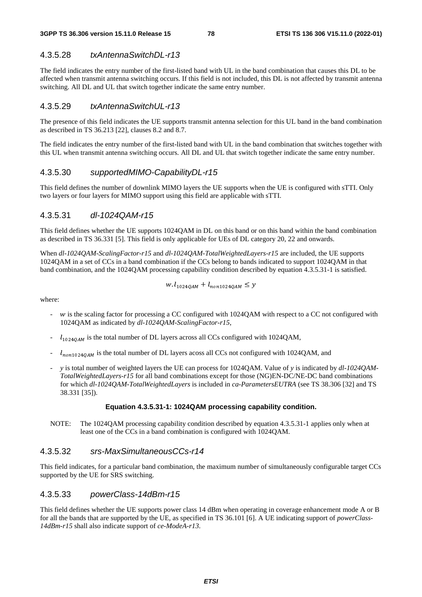## 4.3.5.28 *txAntennaSwitchDL-r13*

The field indicates the entry number of the first-listed band with UL in the band combination that causes this DL to be affected when transmit antenna switching occurs. If this field is not included, this DL is not affected by transmit antenna switching. All DL and UL that switch together indicate the same entry number.

## 4.3.5.29 *txAntennaSwitchUL-r13*

The presence of this field indicates the UE supports transmit antenna selection for this UL band in the band combination as described in TS 36.213 [22], clauses 8.2 and 8.7.

The field indicates the entry number of the first-listed band with UL in the band combination that switches together with this UL when transmit antenna switching occurs. All DL and UL that switch together indicate the same entry number.

## 4.3.5.30 *supportedMIMO-CapabilityDL-r15*

This field defines the number of downlink MIMO layers the UE supports when the UE is configured with sTTI. Only two layers or four layers for MIMO support using this field are applicable with sTTI.

## 4.3.5.31 *dl-1024QAM-r15*

This field defines whether the UE supports 1024QAM in DL on this band or on this band within the band combination as described in TS 36.331 [5]. This field is only applicable for UEs of DL category 20, 22 and onwards.

When *dl-1024QAM-ScalingFactor-r15* and *dl-1024QAM-TotalWeightedLayers-r15* are included, the UE supports 1024QAM in a set of CCs in a band combination if the CCs belong to bands indicated to support 1024QAM in that band combination, and the 1024QAM processing capability condition described by equation 4.3.5.31-1 is satisfied.

$$
w. l_{1024QAM} + l_{non1024QAM} \le y
$$

where:

- w is the scaling factor for processing a CC configured with 1024QAM with respect to a CC not configured with 1024QAM as indicated by *dl-1024QAM-ScalingFactor-r15*,
- $l_{1024QAM}$  is the total number of DL layers across all CCs configured with 1024QAM,
- $\frac{1}{10001024QAM}$  is the total number of DL layers acoss all CCs not configured with 1024QAM, and
- *y* is total number of weighted layers the UE can process for 1024QAM. Value of *y* is indicated by *dl-1024QAM-TotalWeightedLayers-r15* for all band combinations except for those (NG)EN-DC/NE-DC band combinations for which *dl-1024QAM-TotalWeightedLayers* is included in *ca-ParametersEUTRA* (see TS 38.306 [32] and TS 38.331 [35]).

#### **Equation 4.3.5.31-1: 1024QAM processing capability condition.**

NOTE: The 1024QAM processing capability condition described by equation 4.3.5.31-1 applies only when at least one of the CCs in a band combination is configured with 1024QAM.

## 4.3.5.32 *srs-MaxSimultaneousCCs-r14*

This field indicates, for a particular band combination, the maximum number of simultaneously configurable target CCs supported by the UE for SRS switching.

### 4.3.5.33 *powerClass-14dBm-r15*

This field defines whether the UE supports power class 14 dBm when operating in coverage enhancement mode A or B for all the bands that are supported by the UE, as specified in TS 36.101 [6]. A UE indicating support of *powerClass-14dBm-r15* shall also indicate support of *ce-ModeA-r13*.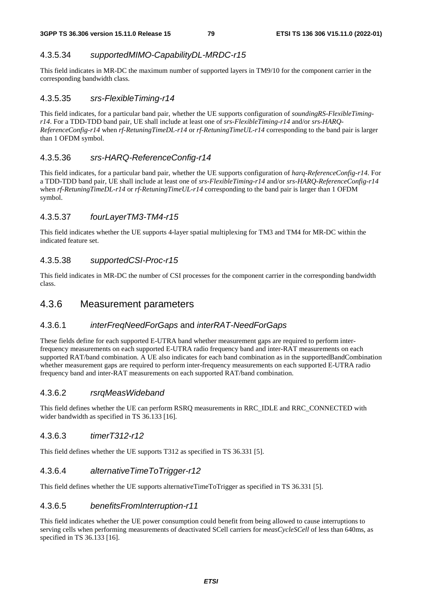# 4.3.5.34 *supportedMIMO-CapabilityDL-MRDC-r15*

This field indicates in MR-DC the maximum number of supported layers in TM9/10 for the component carrier in the corresponding bandwidth class.

# 4.3.5.35 *srs-FlexibleTiming-r14*

This field indicates, for a particular band pair, whether the UE supports configuration of *soundingRS-FlexibleTimingr14*. For a TDD-TDD band pair, UE shall include at least one of *srs-FlexibleTiming-r14* and/or *srs-HARQ-ReferenceConfig-r14* when *rf-RetuningTimeDL-r14* or *rf-RetuningTimeUL-r14* corresponding to the band pair is larger than 1 OFDM symbol.

# 4.3.5.36 *srs-HARQ-ReferenceConfig-r14*

This field indicates, for a particular band pair, whether the UE supports configuration of *harq-ReferenceConfig-r14*. For a TDD-TDD band pair, UE shall include at least one of *srs-FlexibleTiming-r14* and/or *srs-HARQ-ReferenceConfig-r14* when *rf-RetuningTimeDL-r14* or *rf-RetuningTimeUL-r14* corresponding to the band pair is larger than 1 OFDM symbol.

# 4.3.5.37 *fourLayerTM3-TM4-r15*

This field indicates whether the UE supports 4-layer spatial multiplexing for TM3 and TM4 for MR-DC within the indicated feature set.

# 4.3.5.38 *supportedCSI-Proc-r15*

This field indicates in MR-DC the number of CSI processes for the component carrier in the corresponding bandwidth class.

# 4.3.6 Measurement parameters

# 4.3.6.1 *interFreqNeedForGaps* and *interRAT-NeedForGaps*

These fields define for each supported E-UTRA band whether measurement gaps are required to perform interfrequency measurements on each supported E-UTRA radio frequency band and inter-RAT measurements on each supported RAT/band combination. A UE also indicates for each band combination as in the supportedBandCombination whether measurement gaps are required to perform inter-frequency measurements on each supported E-UTRA radio frequency band and inter-RAT measurements on each supported RAT/band combination.

# 4.3.6.2 *rsrqMeasWideband*

This field defines whether the UE can perform RSRQ measurements in RRC\_IDLE and RRC\_CONNECTED with wider bandwidth as specified in TS 36.133 [16].

# 4.3.6.3 *timerT312-r12*

This field defines whether the UE supports T312 as specified in TS 36.331 [5].

# 4.3.6.4 *alternativeTimeToTrigger-r12*

This field defines whether the UE supports alternativeTimeToTrigger as specified in TS 36.331 [5].

# 4.3.6.5 *benefitsFromInterruption-r11*

This field indicates whether the UE power consumption could benefit from being allowed to cause interruptions to serving cells when performing measurements of deactivated SCell carriers for *measCycleSCell* of less than 640ms, as specified in TS 36.133 [16].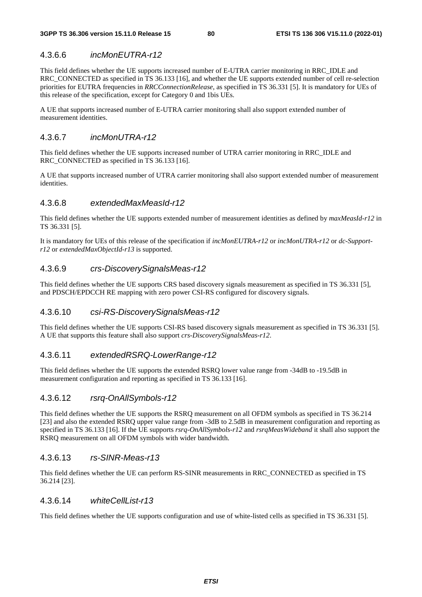## 4.3.6.6 *incMonEUTRA-r12*

This field defines whether the UE supports increased number of E-UTRA carrier monitoring in RRC\_IDLE and RRC\_CONNECTED as specified in TS 36.133 [16], and whether the UE supports extended number of cell re-selection priorities for EUTRA frequencies in *RRCConnectionRelease*, as specified in TS 36.331 [5]. It is mandatory for UEs of this release of the specification, except for Category 0 and 1bis UEs.

A UE that supports increased number of E-UTRA carrier monitoring shall also support extended number of measurement identities.

## 4.3.6.7 *incMonUTRA-r12*

This field defines whether the UE supports increased number of UTRA carrier monitoring in RRC\_IDLE and RRC\_CONNECTED as specified in TS 36.133 [16].

A UE that supports increased number of UTRA carrier monitoring shall also support extended number of measurement identities.

#### 4.3.6.8 *extendedMaxMeasId-r12*

This field defines whether the UE supports extended number of measurement identities as defined by *maxMeasId-r12* in TS 36.331 [5].

It is mandatory for UEs of this release of the specification if *incMonEUTRA-r12* or *incMonUTRA-r12* or *dc-Supportr12* or *extendedMaxObjectId-r13* is supported.

## 4.3.6.9 *crs-DiscoverySignalsMeas-r12*

This field defines whether the UE supports CRS based discovery signals measurement as specified in TS 36.331 [5], and PDSCH/EPDCCH RE mapping with zero power CSI-RS configured for discovery signals.

## 4.3.6.10 *csi-RS-DiscoverySignalsMeas-r12*

This field defines whether the UE supports CSI-RS based discovery signals measurement as specified in TS 36.331 [5]. A UE that supports this feature shall also support *crs-DiscoverySignalsMeas-r12*.

## 4.3.6.11 *extendedRSRQ-LowerRange-r12*

This field defines whether the UE supports the extended RSRQ lower value range from -34dB to -19.5dB in measurement configuration and reporting as specified in TS 36.133 [16].

#### 4.3.6.12 *rsrq-OnAllSymbols-r12*

This field defines whether the UE supports the RSRQ measurement on all OFDM symbols as specified in TS 36.214 [23] and also the extended RSRQ upper value range from -3dB to 2.5dB in measurement configuration and reporting as specified in TS 36.133 [16]. If the UE supports *rsrq-OnAllSymbols-r12* and *rsrqMeasWideband* it shall also support the RSRQ measurement on all OFDM symbols with wider bandwidth.

#### 4.3.6.13 *rs-SINR-Meas-r13*

This field defines whether the UE can perform RS-SINR measurements in RRC\_CONNECTED as specified in TS 36.214 [23].

### 4.3.6.14 *whiteCellList-r13*

This field defines whether the UE supports configuration and use of white-listed cells as specified in TS 36.331 [5].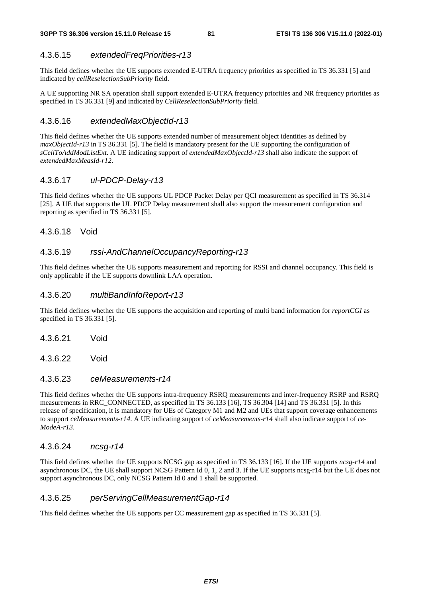# 4.3.6.15 *extendedFreqPriorities-r13*

This field defines whether the UE supports extended E-UTRA frequency priorities as specified in TS 36.331 [5] and indicated by *cellReselectionSubPriority* field.

A UE supporting NR SA operation shall support extended E-UTRA frequency priorities and NR frequency priorities as specified in TS 36.331 [9] and indicated by *CellReselectionSubPriority* field.

## 4.3.6.16 *extendedMaxObjectId-r13*

This field defines whether the UE supports extended number of measurement object identities as defined by *maxObjectId-r13* in TS 36.331 [5]. The field is mandatory present for the UE supporting the configuration of *sCellToAddModListExt*. A UE indicating support of *extendedMaxObjectId-r13* shall also indicate the support of *extendedMaxMeasId-r12*.

# 4.3.6.17 *ul-PDCP-Delay-r13*

This field defines whether the UE supports UL PDCP Packet Delay per QCI measurement as specified in TS 36.314 [25]. A UE that supports the UL PDCP Delay measurement shall also support the measurement configuration and reporting as specified in TS 36.331 [5].

## 4.3.6.18 Void

## 4.3.6.19 *rssi-AndChannelOccupancyReporting-r13*

This field defines whether the UE supports measurement and reporting for RSSI and channel occupancy. This field is only applicable if the UE supports downlink LAA operation.

## 4.3.6.20 *multiBandInfoReport-r13*

This field defines whether the UE supports the acquisition and reporting of multi band information for *reportCGI* as specified in TS 36.331 [5].

- 4.3.6.21 Void
- 4.3.6.22 Void

## 4.3.6.23 *ceMeasurements-r14*

This field defines whether the UE supports intra-frequency RSRQ measurements and inter-frequency RSRP and RSRQ measurements in RRC\_CONNECTED, as specified in TS 36.133 [16], TS 36.304 [14] and TS 36.331 [5]. In this release of specification, it is mandatory for UEs of Category M1 and M2 and UEs that support coverage enhancements to support *ceMeasurements-r14*. A UE indicating support of *ceMeasurements-r14* shall also indicate support of *ce-ModeA-r13*.

# 4.3.6.24 *ncsg-r14*

This field defines whether the UE supports NCSG gap as specified in TS 36.133 [16]. If the UE supports *ncsg-r14* and asynchronous DC, the UE shall support NCSG Pattern Id 0, 1, 2 and 3. If the UE supports ncsg-r14 but the UE does not support asynchronous DC, only NCSG Pattern Id 0 and 1 shall be supported.

#### 4.3.6.25 *perServingCellMeasurementGap-r14*

This field defines whether the UE supports per CC measurement gap as specified in TS 36.331 [5].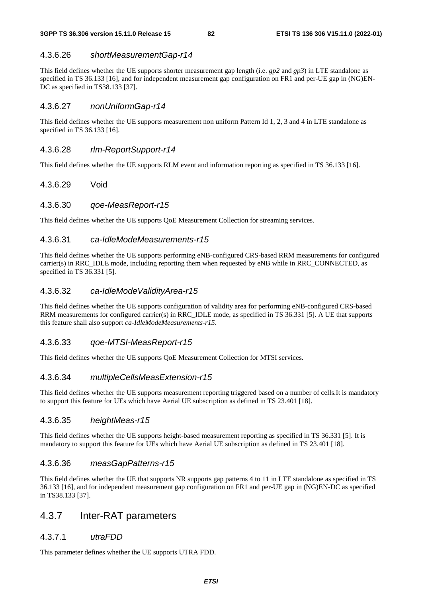# 4.3.6.26 *shortMeasurementGap-r14*

This field defines whether the UE supports shorter measurement gap length (i.e. *gp2* and *gp3*) in LTE standalone as specified in TS 36.133 [16], and for independent measurement gap configuration on FR1 and per-UE gap in (NG)EN-DC as specified in TS38.133 [37].

# 4.3.6.27 *nonUniformGap-r14*

This field defines whether the UE supports measurement non uniform Pattern Id 1, 2, 3 and 4 in LTE standalone as specified in TS 36.133 [16].

## 4.3.6.28 *rlm-ReportSupport-r14*

This field defines whether the UE supports RLM event and information reporting as specified in TS 36.133 [16].

# 4.3.6.29 Void

## 4.3.6.30 *qoe-MeasReport-r15*

This field defines whether the UE supports QoE Measurement Collection for streaming services.

## 4.3.6.31 *ca-IdleModeMeasurements-r15*

This field defines whether the UE supports performing eNB-configured CRS-based RRM measurements for configured carrier(s) in RRC\_IDLE mode, including reporting them when requested by eNB while in RRC\_CONNECTED, as specified in TS 36.331 [5].

# 4.3.6.32 *ca-IdleModeValidityArea-r15*

This field defines whether the UE supports configuration of validity area for performing eNB-configured CRS-based RRM measurements for configured carrier(s) in RRC\_IDLE mode, as specified in TS 36.331 [5]. A UE that supports this feature shall also support *ca-IdleModeMeasurements-r15*.

# 4.3.6.33 *qoe-MTSI-MeasReport-r15*

This field defines whether the UE supports QoE Measurement Collection for MTSI services.

## 4.3.6.34 *multipleCellsMeasExtension-r15*

This field defines whether the UE supports measurement reporting triggered based on a number of cells.It is mandatory to support this feature for UEs which have Aerial UE subscription as defined in TS 23.401 [18].

## 4.3.6.35 *heightMeas-r15*

This field defines whether the UE supports height-based measurement reporting as specified in TS 36.331 [5]. It is mandatory to support this feature for UEs which have Aerial UE subscription as defined in TS 23.401 [18].

# 4.3.6.36 *measGapPatterns-r15*

This field defines whether the UE that supports NR supports gap patterns 4 to 11 in LTE standalone as specified in TS 36.133 [16], and for independent measurement gap configuration on FR1 and per-UE gap in (NG)EN-DC as specified in TS38.133 [37].

# 4.3.7 Inter-RAT parameters

# 4.3.7.1 *utraFDD*

This parameter defines whether the UE supports UTRA FDD.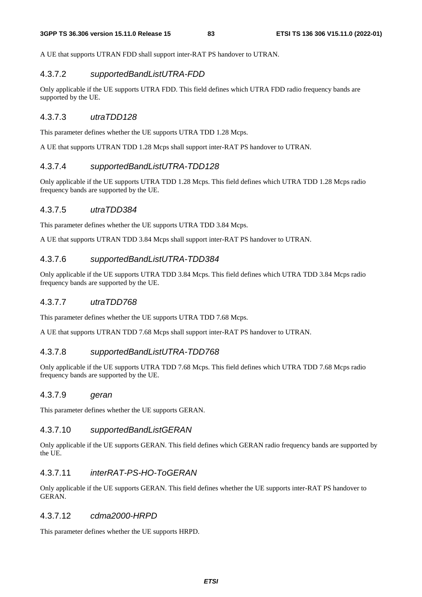A UE that supports UTRAN FDD shall support inter-RAT PS handover to UTRAN.

#### 4.3.7.2 *supportedBandListUTRA-FDD*

Only applicable if the UE supports UTRA FDD. This field defines which UTRA FDD radio frequency bands are supported by the UE.

## 4.3.7.3 *utraTDD128*

This parameter defines whether the UE supports UTRA TDD 1.28 Mcps.

A UE that supports UTRAN TDD 1.28 Mcps shall support inter-RAT PS handover to UTRAN.

## 4.3.7.4 *supportedBandListUTRA-TDD128*

Only applicable if the UE supports UTRA TDD 1.28 Mcps. This field defines which UTRA TDD 1.28 Mcps radio frequency bands are supported by the UE.

## 4.3.7.5 *utraTDD384*

This parameter defines whether the UE supports UTRA TDD 3.84 Mcps.

A UE that supports UTRAN TDD 3.84 Mcps shall support inter-RAT PS handover to UTRAN.

#### 4.3.7.6 *supportedBandListUTRA-TDD384*

Only applicable if the UE supports UTRA TDD 3.84 Mcps. This field defines which UTRA TDD 3.84 Mcps radio frequency bands are supported by the UE.

#### 4.3.7.7 *utraTDD768*

This parameter defines whether the UE supports UTRA TDD 7.68 Mcps.

A UE that supports UTRAN TDD 7.68 Mcps shall support inter-RAT PS handover to UTRAN.

#### 4.3.7.8 *supportedBandListUTRA-TDD768*

Only applicable if the UE supports UTRA TDD 7.68 Mcps. This field defines which UTRA TDD 7.68 Mcps radio frequency bands are supported by the UE.

#### 4.3.7.9 *geran*

This parameter defines whether the UE supports GERAN.

#### 4.3.7.10 *supportedBandListGERAN*

Only applicable if the UE supports GERAN. This field defines which GERAN radio frequency bands are supported by the UE.

### 4.3.7.11 *interRAT-PS-HO-ToGERAN*

Only applicable if the UE supports GERAN. This field defines whether the UE supports inter-RAT PS handover to GERAN.

## 4.3.7.12 *cdma2000-HRPD*

This parameter defines whether the UE supports HRPD.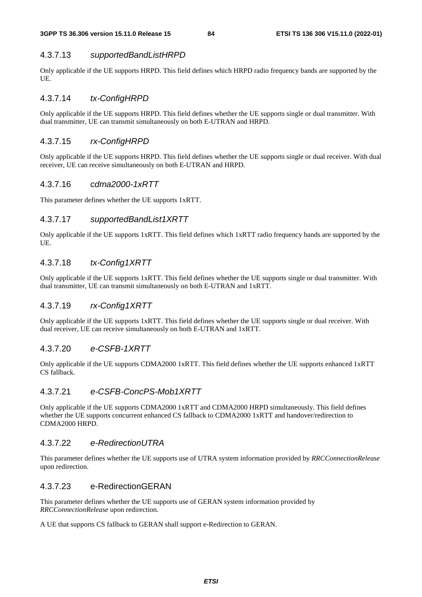## 4.3.7.13 *supportedBandListHRPD*

Only applicable if the UE supports HRPD. This field defines which HRPD radio frequency bands are supported by the UE.

## 4.3.7.14 *tx-ConfigHRPD*

Only applicable if the UE supports HRPD. This field defines whether the UE supports single or dual transmitter. With dual transmitter, UE can transmit simultaneously on both E-UTRAN and HRPD.

# 4.3.7.15 *rx-ConfigHRPD*

Only applicable if the UE supports HRPD. This field defines whether the UE supports single or dual receiver. With dual receiver, UE can receive simultaneously on both E-UTRAN and HRPD.

## 4.3.7.16 *cdma2000-1xRTT*

This parameter defines whether the UE supports 1xRTT.

## 4.3.7.17 *supportedBandList1XRTT*

Only applicable if the UE supports 1xRTT. This field defines which 1xRTT radio frequency bands are supported by the UE.

# 4.3.7.18 *tx-Config1XRTT*

Only applicable if the UE supports 1xRTT. This field defines whether the UE supports single or dual transmitter. With dual transmitter, UE can transmit simultaneously on both E-UTRAN and 1xRTT.

# 4.3.7.19 *rx-Config1XRTT*

Only applicable if the UE supports 1xRTT. This field defines whether the UE supports single or dual receiver. With dual receiver, UE can receive simultaneously on both E-UTRAN and 1xRTT.

# 4.3.7.20 *e-CSFB-1XRTT*

Only applicable if the UE supports CDMA2000 1xRTT. This field defines whether the UE supports enhanced 1xRTT CS fallback.

## 4.3.7.21 *e-CSFB-ConcPS-Mob1XRTT*

Only applicable if the UE supports CDMA2000 1xRTT and CDMA2000 HRPD simultaneously. This field defines whether the UE supports concurrent enhanced CS fallback to CDMA2000 1xRTT and handover/redirection to CDMA2000 HRPD.

# 4.3.7.22 *e-RedirectionUTRA*

This parameter defines whether the UE supports use of UTRA system information provided by *RRCConnectionRelease* upon redirection.

## 4.3.7.23 e-RedirectionGERAN

This parameter defines whether the UE supports use of GERAN system information provided by *RRCConnectionRelease* upon redirection.

A UE that supports CS fallback to GERAN shall support e-Redirection to GERAN.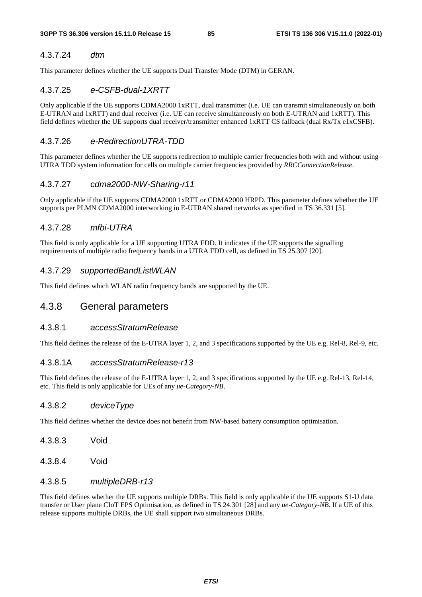## 4.3.7.24 *dtm*

This parameter defines whether the UE supports Dual Transfer Mode (DTM) in GERAN.

# 4.3.7.25 *e-CSFB-dual-1XRTT*

Only applicable if the UE supports CDMA2000 1xRTT, dual transmitter (i.e. UE can transmit simultaneously on both E-UTRAN and 1xRTT) and dual receiver (i.e. UE can receive simultaneously on both E-UTRAN and 1xRTT). This field defines whether the UE supports dual receiver/transmitter enhanced 1xRTT CS fallback (dual Rx/Tx e1xCSFB).

# 4.3.7.26 *e-RedirectionUTRA-TDD*

This parameter defines whether the UE supports redirection to multiple carrier frequencies both with and without using UTRA TDD system information for cells on multiple carrier frequencies provided by *RRCConnectionRelease*.

# 4.3.7.27 *cdma2000-NW-Sharing-r11*

Only applicable if the UE supports CDMA2000 1xRTT or CDMA2000 HRPD. This parameter defines whether the UE supports per PLMN CDMA2000 interworking in E-UTRAN shared networks as specified in TS 36.331 [5].

# 4.3.7.28 *mfbi-UTRA*

This field is only applicable for a UE supporting UTRA FDD. It indicates if the UE supports the signalling requirements of multiple radio frequency bands in a UTRA FDD cell, as defined in TS 25.307 [20].

# 4.3.7.29 *supportedBandListWLAN*

This field defines which WLAN radio frequency bands are supported by the UE.

# 4.3.8 General parameters

## 4.3.8.1 *accessStratumRelease*

This field defines the release of the E-UTRA layer 1, 2, and 3 specifications supported by the UE e.g. Rel-8, Rel-9, etc.

## 4.3.8.1A *accessStratumRelease-r13*

This field defines the release of the E-UTRA layer 1, 2, and 3 specifications supported by the UE e.g. Rel-13, Rel-14, etc. This field is only applicable for UEs of any *ue-Category-NB*.

# 4.3.8.2 *deviceType*

This field defines whether the device does not benefit from NW-based battery consumption optimisation.

- 4.3.8.3 Void
- 4.3.8.4 Void

# 4.3.8.5 *multipleDRB-r13*

This field defines whether the UE supports multiple DRBs. This field is only applicable if the UE supports S1-U data transfer or User plane CIoT EPS Optimisation, as defined in TS 24.301 [28] and any *ue-Category-NB*. If a UE of this release supports multiple DRBs, the UE shall support two simultaneous DRBs.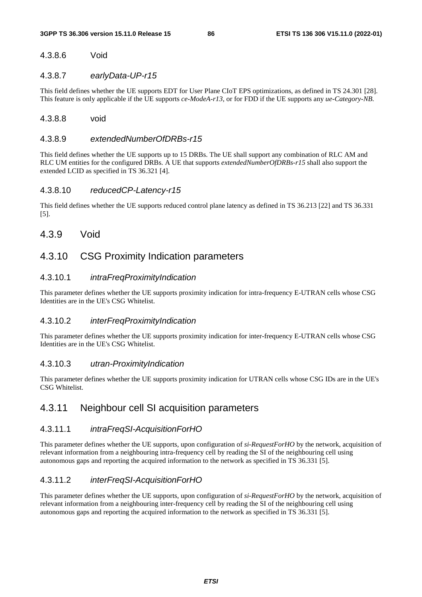# 4.3.8.6 Void

### 4.3.8.7 *earlyData-UP-r15*

This field defines whether the UE supports EDT for User Plane CIoT EPS optimizations, as defined in TS 24.301 [28]. This feature is only applicable if the UE supports *ce-ModeA-r13*, or for FDD if the UE supports any *ue-Category-NB*.

#### 4.3.8.8 void

### 4.3.8.9 *extendedNumberOfDRBs-r15*

This field defines whether the UE supports up to 15 DRBs. The UE shall support any combination of RLC AM and RLC UM entities for the configured DRBs. A UE that supports *extendedNumberOfDRBs-r15* shall also support the extended LCID as specified in TS 36.321 [4].

#### 4.3.8.10 *reducedCP-Latency-r15*

This field defines whether the UE supports reduced control plane latency as defined in TS 36.213 [22] and TS 36.331 [5].

# 4.3.9 Void

# 4.3.10 CSG Proximity Indication parameters

## 4.3.10.1 *intraFreqProximityIndication*

This parameter defines whether the UE supports proximity indication for intra-frequency E-UTRAN cells whose CSG Identities are in the UE's CSG Whitelist.

#### 4.3.10.2 *interFreqProximityIndication*

This parameter defines whether the UE supports proximity indication for inter-frequency E-UTRAN cells whose CSG Identities are in the UE's CSG Whitelist.

#### 4.3.10.3 *utran-ProximityIndication*

This parameter defines whether the UE supports proximity indication for UTRAN cells whose CSG IDs are in the UE's CSG Whitelist.

# 4.3.11 Neighbour cell SI acquisition parameters

#### 4.3.11.1 *intraFreqSI-AcquisitionForHO*

This parameter defines whether the UE supports, upon configuration of *si-RequestForHO* by the network, acquisition of relevant information from a neighbouring intra-frequency cell by reading the SI of the neighbouring cell using autonomous gaps and reporting the acquired information to the network as specified in TS 36.331 [5].

# 4.3.11.2 *interFreqSI-AcquisitionForHO*

This parameter defines whether the UE supports, upon configuration of *si-RequestForHO* by the network, acquisition of relevant information from a neighbouring inter-frequency cell by reading the SI of the neighbouring cell using autonomous gaps and reporting the acquired information to the network as specified in TS 36.331 [5].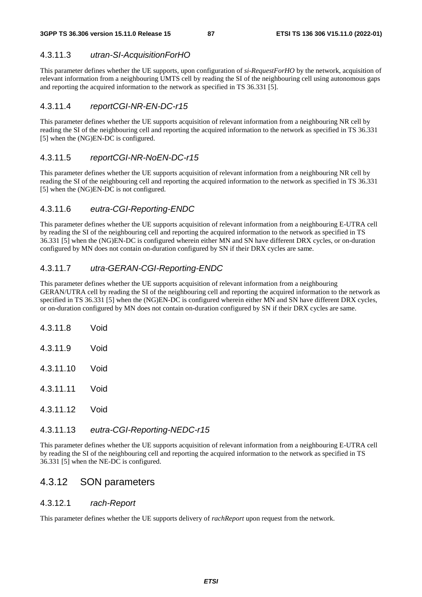## 4.3.11.3 *utran-SI-AcquisitionForHO*

This parameter defines whether the UE supports, upon configuration of *si-RequestForHO* by the network, acquisition of relevant information from a neighbouring UMTS cell by reading the SI of the neighbouring cell using autonomous gaps and reporting the acquired information to the network as specified in TS 36.331 [5].

## 4.3.11.4 *reportCGI-NR-EN-DC-r15*

This parameter defines whether the UE supports acquisition of relevant information from a neighbouring NR cell by reading the SI of the neighbouring cell and reporting the acquired information to the network as specified in TS 36.331 [5] when the (NG)EN-DC is configured.

## 4.3.11.5 *reportCGI-NR-NoEN-DC-r15*

This parameter defines whether the UE supports acquisition of relevant information from a neighbouring NR cell by reading the SI of the neighbouring cell and reporting the acquired information to the network as specified in TS 36.331 [5] when the (NG)EN-DC is not configured.

# 4.3.11.6 *eutra-CGI-Reporting-ENDC*

This parameter defines whether the UE supports acquisition of relevant information from a neighbouring E-UTRA cell by reading the SI of the neighbouring cell and reporting the acquired information to the network as specified in TS 36.331 [5] when the (NG)EN-DC is configured wherein either MN and SN have different DRX cycles, or on-duration configured by MN does not contain on-duration configured by SN if their DRX cycles are same.

# 4.3.11.7 *utra-GERAN-CGI-Reporting-ENDC*

This parameter defines whether the UE supports acquisition of relevant information from a neighbouring GERAN/UTRA cell by reading the SI of the neighbouring cell and reporting the acquired information to the network as specified in TS 36.331 [5] when the (NG)EN-DC is configured wherein either MN and SN have different DRX cycles, or on-duration configured by MN does not contain on-duration configured by SN if their DRX cycles are same.

4.3.11.8 Void 4.3.11.9 Void 4.3.11.10 Void 4.3.11.11 Void 4.3.11.12 Void

## 4.3.11.13 *eutra-CGI-Reporting-NEDC-r15*

This parameter defines whether the UE supports acquisition of relevant information from a neighbouring E-UTRA cell by reading the SI of the neighbouring cell and reporting the acquired information to the network as specified in TS 36.331 [5] when the NE-DC is configured.

# 4.3.12 SON parameters

## 4.3.12.1 *rach-Report*

This parameter defines whether the UE supports delivery of *rachReport* upon request from the network.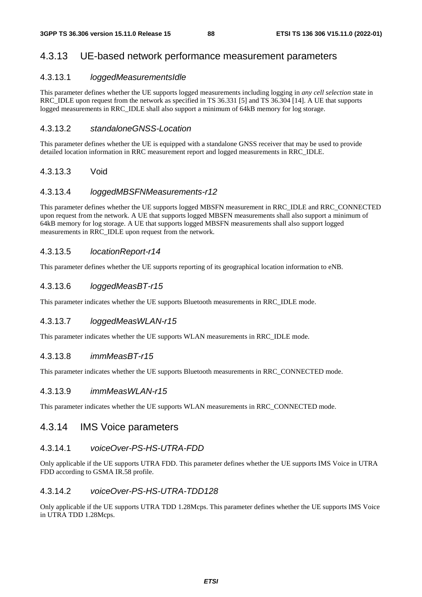# 4.3.13 UE-based network performance measurement parameters

## 4.3.13.1 *loggedMeasurementsIdle*

This parameter defines whether the UE supports logged measurements including logging in *any cell selection* state in RRC\_IDLE upon request from the network as specified in TS 36.331 [5] and TS 36.304 [14]. A UE that supports logged measurements in RRC\_IDLE shall also support a minimum of 64kB memory for log storage.

## 4.3.13.2 *standaloneGNSS-Location*

This parameter defines whether the UE is equipped with a standalone GNSS receiver that may be used to provide detailed location information in RRC measurement report and logged measurements in RRC\_IDLE.

## 4.3.13.3 Void

## 4.3.13.4 *loggedMBSFNMeasurements-r12*

This parameter defines whether the UE supports logged MBSFN measurement in RRC\_IDLE and RRC\_CONNECTED upon request from the network. A UE that supports logged MBSFN measurements shall also support a minimum of 64kB memory for log storage. A UE that supports logged MBSFN measurements shall also support logged measurements in RRC\_IDLE upon request from the network.

## 4.3.13.5 *locationReport-r14*

This parameter defines whether the UE supports reporting of its geographical location information to eNB.

## 4.3.13.6 *loggedMeasBT-r15*

This parameter indicates whether the UE supports Bluetooth measurements in RRC\_IDLE mode.

# 4.3.13.7 *loggedMeasWLAN-r15*

This parameter indicates whether the UE supports WLAN measurements in RRC\_IDLE mode.

## 4.3.13.8 *immMeasBT-r15*

This parameter indicates whether the UE supports Bluetooth measurements in RRC\_CONNECTED mode.

# 4.3.13.9 *immMeasWLAN-r15*

This parameter indicates whether the UE supports WLAN measurements in RRC\_CONNECTED mode.

# 4.3.14 IMS Voice parameters

## 4.3.14.1 *voiceOver-PS-HS-UTRA-FDD*

Only applicable if the UE supports UTRA FDD. This parameter defines whether the UE supports IMS Voice in UTRA FDD according to GSMA IR.58 profile.

# 4.3.14.2 *voiceOver-PS-HS-UTRA-TDD128*

Only applicable if the UE supports UTRA TDD 1.28Mcps. This parameter defines whether the UE supports IMS Voice in UTRA TDD 1.28Mcps.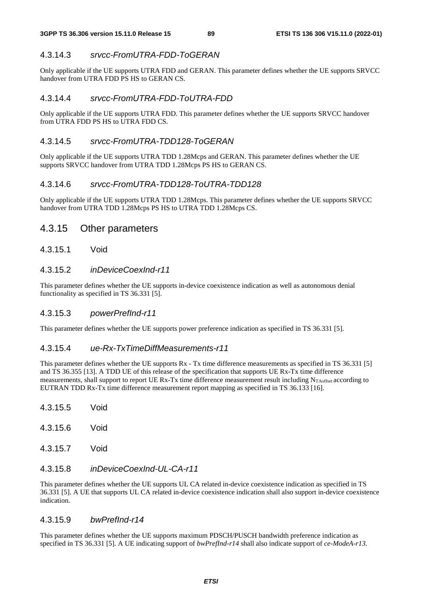# 4.3.14.3 *srvcc-FromUTRA-FDD-ToGERAN*

Only applicable if the UE supports UTRA FDD and GERAN. This parameter defines whether the UE supports SRVCC handover from UTRA FDD PS HS to GERAN CS.

# 4.3.14.4 *srvcc-FromUTRA-FDD-ToUTRA-FDD*

Only applicable if the UE supports UTRA FDD. This parameter defines whether the UE supports SRVCC handover from UTRA FDD PS HS to UTRA FDD CS.

# 4.3.14.5 *srvcc-FromUTRA-TDD128-ToGERAN*

Only applicable if the UE supports UTRA TDD 1.28Mcps and GERAN. This parameter defines whether the UE supports SRVCC handover from UTRA TDD 1.28Mcps PS HS to GERAN CS.

# 4.3.14.6 *srvcc-FromUTRA-TDD128-ToUTRA-TDD128*

Only applicable if the UE supports UTRA TDD 1.28Mcps. This parameter defines whether the UE supports SRVCC handover from UTRA TDD 1.28Mcps PS HS to UTRA TDD 1.28Mcps CS.

# 4.3.15 Other parameters

## 4.3.15.1 Void

# 4.3.15.2 *inDeviceCoexInd-r11*

This parameter defines whether the UE supports in-device coexistence indication as well as autonomous denial functionality as specified in TS 36.331 [5].

## 4.3.15.3 *powerPrefInd-r11*

This parameter defines whether the UE supports power preference indication as specified in TS 36.331 [5].

## 4.3.15.4 *ue-Rx-TxTimeDiffMeasurements-r11*

This parameter defines whether the UE supports Rx - Tx time difference measurements as specified in TS 36.331 [5] and TS 36.355 [13]. A TDD UE of this release of the specification that supports UE Rx-Tx time difference measurements, shall support to report UE Rx-Tx time difference measurement result including  $N_{T\text{Aoffset}}$  according to EUTRAN TDD Rx-Tx time difference measurement report mapping as specified in TS 36.133 [16].

- 4.3.15.5 Void 4.3.15.6 Void
- 4.3.15.7 Void

# 4.3.15.8 *inDeviceCoexInd-UL-CA-r11*

This parameter defines whether the UE supports UL CA related in-device coexistence indication as specified in TS 36.331 [5]. A UE that supports UL CA related in-device coexistence indication shall also support in-device coexistence indication.

## 4.3.15.9 *bwPrefInd-r14*

This parameter defines whether the UE supports maximum PDSCH/PUSCH bandwidth preference indication as specified in TS 36.331 [5]. A UE indicating support of *bwPrefInd-r14* shall also indicate support of *ce-ModeA-r13*.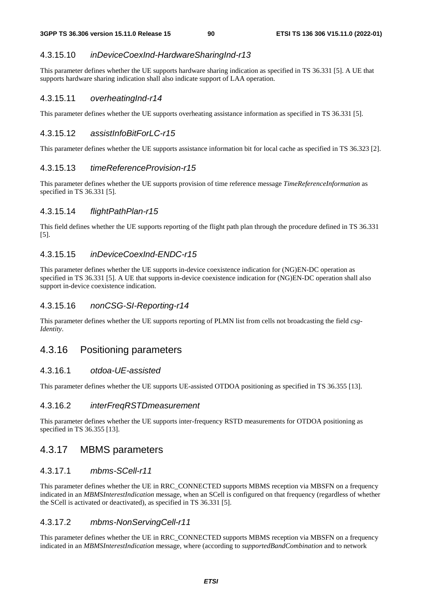## 4.3.15.10 *inDeviceCoexInd-HardwareSharingInd-r13*

This parameter defines whether the UE supports hardware sharing indication as specified in TS 36.331 [5]. A UE that supports hardware sharing indication shall also indicate support of LAA operation.

#### 4.3.15.11 *overheatingInd-r14*

This parameter defines whether the UE supports overheating assistance information as specified in TS 36.331 [5].

## 4.3.15.12 *assistInfoBitForLC-r15*

This parameter defines whether the UE supports assistance information bit for local cache as specified in TS 36.323 [2].

#### 4.3.15.13 *timeReferenceProvision-r15*

This parameter defines whether the UE supports provision of time reference message *TimeReferenceInformation* as specified in TS 36.331 [5].

#### 4.3.15.14 *flightPathPlan-r15*

This field defines whether the UE supports reporting of the flight path plan through the procedure defined in TS 36.331 [5].

#### 4.3.15.15 *inDeviceCoexInd-ENDC-r15*

This parameter defines whether the UE supports in-device coexistence indication for (NG)EN-DC operation as specified in TS 36.331 [5]. A UE that supports in-device coexistence indication for (NG)EN-DC operation shall also support in-device coexistence indication.

#### 4.3.15.16 *nonCSG-SI-Reporting-r14*

This parameter defines whether the UE supports reporting of PLMN list from cells not broadcasting the field *csg-Identity*.

## 4.3.16 Positioning parameters

## 4.3.16.1 *otdoa-UE-assisted*

This parameter defines whether the UE supports UE-assisted OTDOA positioning as specified in TS 36.355 [13].

### 4.3.16.2 *interFreqRSTDmeasurement*

This parameter defines whether the UE supports inter-frequency RSTD measurements for OTDOA positioning as specified in TS 36.355 [13].

## 4.3.17 MBMS parameters

## 4.3.17.1 *mbms-SCell-r11*

This parameter defines whether the UE in RRC\_CONNECTED supports MBMS reception via MBSFN on a frequency indicated in an *MBMSInterestIndication* message, when an SCell is configured on that frequency (regardless of whether the SCell is activated or deactivated), as specified in TS 36.331 [5].

#### 4.3.17.2 *mbms-NonServingCell-r11*

This parameter defines whether the UE in RRC\_CONNECTED supports MBMS reception via MBSFN on a frequency indicated in an *MBMSInterestIndication* message, where (according to *supportedBandCombination* and to network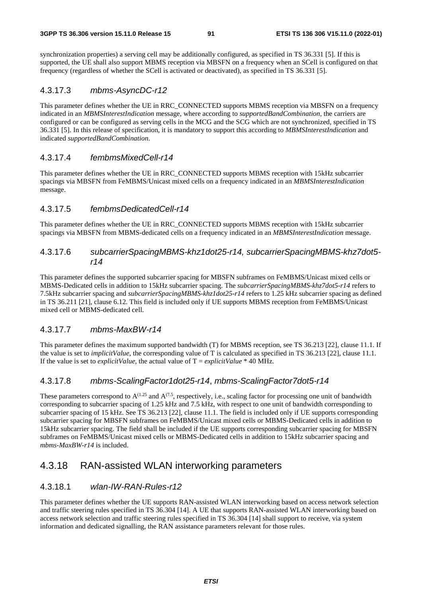synchronization properties) a serving cell may be additionally configured, as specified in TS 36.331 [5]. If this is supported, the UE shall also support MBMS reception via MBSFN on a frequency when an SCell is configured on that frequency (regardless of whether the SCell is activated or deactivated), as specified in TS 36.331 [5].

## 4.3.17.3 *mbms-AsyncDC-r12*

This parameter defines whether the UE in RRC\_CONNECTED supports MBMS reception via MBSFN on a frequency indicated in an *MBMSInterestIndication* message, where according to *supportedBandCombination*, the carriers are configured or can be configured as serving cells in the MCG and the SCG which are not synchronized, specified in TS 36.331 [5]. In this release of specification, it is mandatory to support this according to *MBMSInterestIndication* and indicated *supportedBandCombination*.

## 4.3.17.4 *fembmsMixedCell-r14*

This parameter defines whether the UE in RRC\_CONNECTED supports MBMS reception with 15kHz subcarrier spacings via MBSFN from FeMBMS/Unicast mixed cells on a frequency indicated in an *MBMSInterestIndication* message.

## 4.3.17.5 *fembmsDedicatedCell-r14*

This parameter defines whether the UE in RRC\_CONNECTED supports MBMS reception with 15kHz subcarrier spacings via MBSFN from MBMS-dedicated cells on a frequency indicated in an *MBMSInterestIndication* message.

## 4.3.17.6 *subcarrierSpacingMBMS-khz1dot25-r14, subcarrierSpacingMBMS-khz7dot5 r14*

This parameter defines the supported subcarrier spacing for MBSFN subframes on FeMBMS/Unicast mixed cells or MBMS-Dedicated cells in addition to 15kHz subcarrier spacing. The *subcarrierSpacingMBMS-khz7dot5-r14* refers to 7.5kHz subcarrier spacing and *subcarrierSpacingMBMS-khz1dot25-r14* refers to 1.25 kHz subcarrier spacing as defined in TS 36.211 [21], clause 6.12. This field is included only if UE supports MBMS reception from FeMBMS/Unicast mixed cell or MBMS-dedicated cell.

## 4.3.17.7 *mbms-MaxBW-r14*

This parameter defines the maximum supported bandwidth (T) for MBMS reception, see TS 36.213 [22], clause 11.1. If the value is set to *implicitValue*, the corresponding value of T is calculated as specified in TS 36.213 [22], clause 11.1. If the value is set to *explicitValue*, the actual value of  $T = explicitValue * 40 MHz$ .

# 4.3.17.8 *mbms-ScalingFactor1dot25-r14*, *mbms-ScalingFactor7dot5-r14*

These parameters correspond to  $A^{(1.25)}$  and  $A^{(7.5)}$ , respectively, i.e., scaling factor for processing one unit of bandwidth corresponding to subcarrier spacing of 1.25 kHz and 7.5 kHz, with respect to one unit of bandwidth corresponding to subcarrier spacing of 15 kHz. See TS 36.213 [22], clause 11.1. The field is included only if UE supports corresponding subcarrier spacing for MBSFN subframes on FeMBMS/Unicast mixed cells or MBMS-Dedicated cells in addition to 15kHz subcarrier spacing. The field shall be included if the UE supports corresponding subcarrier spacing for MBSFN subframes on FeMBMS/Unicast mixed cells or MBMS-Dedicated cells in addition to 15kHz subcarrier spacing and *mbms-MaxBW-r14* is included.

# 4.3.18 RAN-assisted WLAN interworking parameters

# 4.3.18.1 *wlan-IW-RAN-Rules-r12*

This parameter defines whether the UE supports RAN-assisted WLAN interworking based on access network selection and traffic steering rules specified in TS 36.304 [14]. A UE that supports RAN-assisted WLAN interworking based on access network selection and traffic steering rules specified in TS 36.304 [14] shall support to receive, via system information and dedicated signalling, the RAN assistance parameters relevant for those rules.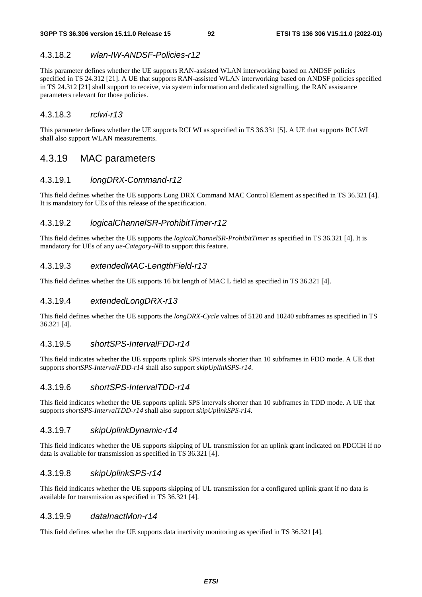## 4.3.18.2 *wlan-IW-ANDSF-Policies-r12*

This parameter defines whether the UE supports RAN-assisted WLAN interworking based on ANDSF policies specified in TS 24.312 [21]. A UE that supports RAN-assisted WLAN interworking based on ANDSF policies specified in TS 24.312 [21] shall support to receive, via system information and dedicated signalling, the RAN assistance parameters relevant for those policies.

### 4.3.18.3 *rclwi-r13*

This parameter defines whether the UE supports RCLWI as specified in TS 36.331 [5]. A UE that supports RCLWI shall also support WLAN measurements.

# 4.3.19 MAC parameters

## 4.3.19.1 *longDRX-Command-r12*

This field defines whether the UE supports Long DRX Command MAC Control Element as specified in TS 36.321 [4]. It is mandatory for UEs of this release of the specification.

#### 4.3.19.2 *logicalChannelSR-ProhibitTimer-r12*

This field defines whether the UE supports the *logicalChannelSR-ProhibitTimer* as specified in TS 36.321 [4]. It is mandatory for UEs of any *ue-Category-NB* to support this feature.

#### 4.3.19.3 *extendedMAC-LengthField-r13*

This field defines whether the UE supports 16 bit length of MAC L field as specified in TS 36.321 [4].

#### 4.3.19.4 *extendedLongDRX-r13*

This field defines whether the UE supports the *longDRX-Cycle* values of 5120 and 10240 subframes as specified in TS 36.321 [4].

### 4.3.19.5 *shortSPS-IntervalFDD-r14*

This field indicates whether the UE supports uplink SPS intervals shorter than 10 subframes in FDD mode. A UE that supports *shortSPS-IntervalFDD-r14* shall also support *skipUplinkSPS-r14*.

## 4.3.19.6 *shortSPS-IntervalTDD-r14*

This field indicates whether the UE supports uplink SPS intervals shorter than 10 subframes in TDD mode. A UE that supports *shortSPS-IntervalTDD-r14* shall also support *skipUplinkSPS-r14*.

## 4.3.19.7 *skipUplinkDynamic-r14*

This field indicates whether the UE supports skipping of UL transmission for an uplink grant indicated on PDCCH if no data is available for transmission as specified in TS 36.321 [4].

#### 4.3.19.8 *skipUplinkSPS-r14*

This field indicates whether the UE supports skipping of UL transmission for a configured uplink grant if no data is available for transmission as specified in TS 36.321 [4].

## 4.3.19.9 *dataInactMon-r14*

This field defines whether the UE supports data inactivity monitoring as specified in TS 36.321 [4].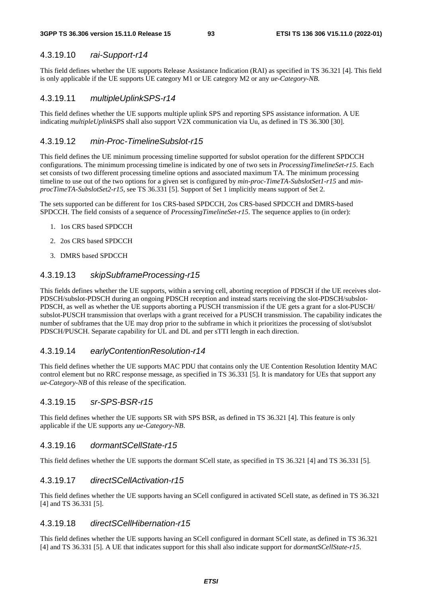#### **3GPP TS 36.306 version 15.11.0 Release 15 93 ETSI TS 136 306 V15.11.0 (2022-01)**

# 4.3.19.10 *rai-Support-r14*

This field defines whether the UE supports Release Assistance Indication (RAI) as specified in TS 36.321 [4]. This field is only applicable if the UE supports UE category M1 or UE category M2 or any *ue-Category-NB*.

## 4.3.19.11 *multipleUplinkSPS-r14*

This field defines whether the UE supports multiple uplink SPS and reporting SPS assistance information. A UE indicating *multipleUplinkSPS* shall also support V2X communication via Uu, as defined in TS 36.300 [30].

## 4.3.19.12 *min-Proc-TimelineSubslot-r15*

This field defines the UE minimum processing timeline supported for subslot operation for the different SPDCCH configurations. The minimum processing timeline is indicated by one of two sets in *ProcessingTimelineSet-r15*. Each set consists of two different processing timeline options and associated maximum TA. The minimum processing timeline to use out of the two options for a given set is configured by *min-proc-TimeTA-SubslotSet1-r15* and *minprocTimeTA-SubslotSet2-r15,* see TS 36.331 [5]. Support of Set 1 implicitly means support of Set 2.

The sets supported can be different for 1os CRS-based SPDCCH, 2os CRS-based SPDCCH and DMRS-based SPDCCH. The field consists of a sequence of *ProcessingTimelineSet-r15*. The sequence applies to (in order):

- 1. 1os CRS based SPDCCH
- 2. 2os CRS based SPDCCH
- 3. DMRS based SPDCCH

## 4.3.19.13 *skipSubframeProcessing-r15*

This fields defines whether the UE supports, within a serving cell, aborting reception of PDSCH if the UE receives slot-PDSCH/subslot-PDSCH during an ongoing PDSCH reception and instead starts receiving the slot-PDSCH/subslot-PDSCH, as well as whether the UE supports aborting a PUSCH transmission if the UE gets a grant for a slot-PUSCH/ subslot-PUSCH transmission that overlaps with a grant received for a PUSCH transmission. The capability indicates the number of subframes that the UE may drop prior to the subframe in which it prioritizes the processing of slot/subslot PDSCH/PUSCH. Separate capability for UL and DL and per sTTI length in each direction.

## 4.3.19.14 *earlyContentionResolution-r14*

This field defines whether the UE supports MAC PDU that contains only the UE Contention Resolution Identity MAC control element but no RRC response message, as specified in TS 36.331 [5]. It is mandatory for UEs that support any *ue-Category-NB* of this release of the specification.

## 4.3.19.15 *sr-SPS-BSR-r15*

This field defines whether the UE supports SR with SPS BSR, as defined in TS 36.321 [4]. This feature is only applicable if the UE supports any *ue-Category-NB*.

## 4.3.19.16 *dormantSCellState-r15*

This field defines whether the UE supports the dormant SCell state, as specified in TS 36.321 [4] and TS 36.331 [5].

## 4.3.19.17 *directSCellActivation-r15*

This field defines whether the UE supports having an SCell configured in activated SCell state, as defined in TS 36.321 [4] and TS 36.331 [5].

## 4.3.19.18 *directSCellHibernation-r15*

This field defines whether the UE supports having an SCell configured in dormant SCell state, as defined in TS 36.321 [4] and TS 36.331 [5]. A UE that indicates support for this shall also indicate support for *dormantSCellState-r15*.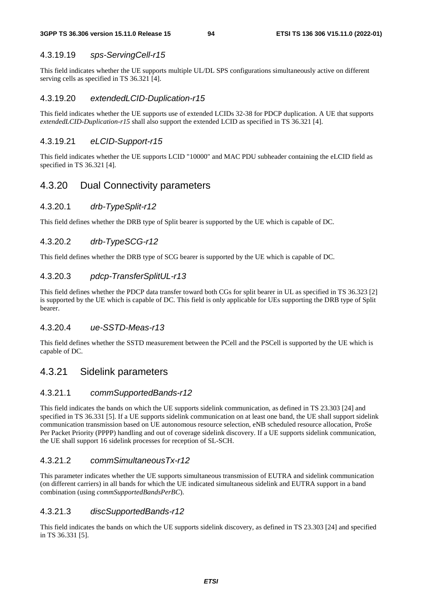# 4.3.19.19 *sps-ServingCell-r15*

This field indicates whether the UE supports multiple UL/DL SPS configurations simultaneously active on different serving cells as specified in TS 36.321 [4].

# 4.3.19.20 *extendedLCID-Duplication-r15*

This field indicates whether the UE supports use of extended LCIDs 32-38 for PDCP duplication. A UE that supports *extendedLCID-Duplication-r15* shall also support the extended LCID as specified in TS 36.321 [4].

# 4.3.19.21 *eLCID-Support-r15*

This field indicates whether the UE supports LCID "10000" and MAC PDU subheader containing the eLCID field as specified in TS 36.321 [4].

# 4.3.20 Dual Connectivity parameters

## 4.3.20.1 *drb-TypeSplit-r12*

This field defines whether the DRB type of Split bearer is supported by the UE which is capable of DC.

# 4.3.20.2 *drb-TypeSCG-r12*

This field defines whether the DRB type of SCG bearer is supported by the UE which is capable of DC.

# 4.3.20.3 *pdcp-TransferSplitUL-r13*

This field defines whether the PDCP data transfer toward both CGs for split bearer in UL as specified in TS 36.323 [2] is supported by the UE which is capable of DC. This field is only applicable for UEs supporting the DRB type of Split bearer.

## 4.3.20.4 *ue-SSTD-Meas-r13*

This field defines whether the SSTD measurement between the PCell and the PSCell is supported by the UE which is capable of DC.

# 4.3.21 Sidelink parameters

# 4.3.21.1 *commSupportedBands-r12*

This field indicates the bands on which the UE supports sidelink communication, as defined in TS 23.303 [24] and specified in TS 36.331 [5]. If a UE supports sidelink communication on at least one band, the UE shall support sidelink communication transmission based on UE autonomous resource selection, eNB scheduled resource allocation, ProSe Per Packet Priority (PPPP) handling and out of coverage sidelink discovery. If a UE supports sidelink communication, the UE shall support 16 sidelink processes for reception of SL-SCH.

# 4.3.21.2 *commSimultaneousTx-r12*

This parameter indicates whether the UE supports simultaneous transmission of EUTRA and sidelink communication (on different carriers) in all bands for which the UE indicated simultaneous sidelink and EUTRA support in a band combination (using *commSupportedBandsPerBC*).

# 4.3.21.3 *discSupportedBands-r12*

This field indicates the bands on which the UE supports sidelink discovery, as defined in TS 23.303 [24] and specified in TS 36.331 [5].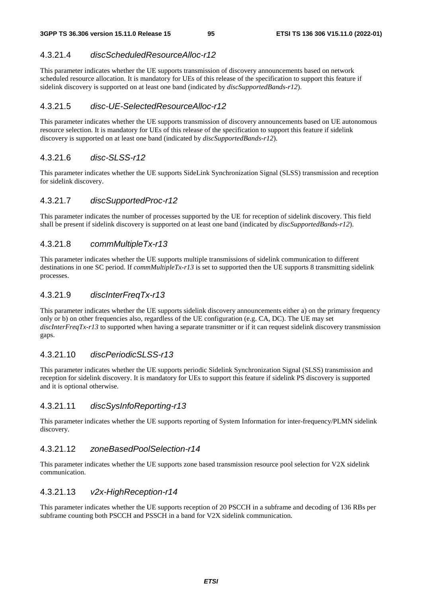# 4.3.21.4 *discScheduledResourceAlloc-r12*

This parameter indicates whether the UE supports transmission of discovery announcements based on network scheduled resource allocation. It is mandatory for UEs of this release of the specification to support this feature if sidelink discovery is supported on at least one band (indicated by *discSupportedBands-r12*).

# 4.3.21.5 *disc-UE-SelectedResourceAlloc-r12*

This parameter indicates whether the UE supports transmission of discovery announcements based on UE autonomous resource selection. It is mandatory for UEs of this release of the specification to support this feature if sidelink discovery is supported on at least one band (indicated by *discSupportedBands-r12*).

# 4.3.21.6 *disc-SLSS-r12*

This parameter indicates whether the UE supports SideLink Synchronization Signal (SLSS) transmission and reception for sidelink discovery.

# 4.3.21.7 *discSupportedProc-r12*

This parameter indicates the number of processes supported by the UE for reception of sidelink discovery. This field shall be present if sidelink discovery is supported on at least one band (indicated by *discSupportedBands-r12*).

# 4.3.21.8 *commMultipleTx-r13*

This parameter indicates whether the UE supports multiple transmissions of sidelink communication to different destinations in one SC period. If *commMultipleTx-r13* is set to supported then the UE supports 8 transmitting sidelink processes.

# 4.3.21.9 *discInterFreqTx-r13*

This parameter indicates whether the UE supports sidelink discovery announcements either a) on the primary frequency only or b) on other frequencies also, regardless of the UE configuration (e.g. CA, DC). The UE may set *discInterFreqTx-r13* to supported when having a separate transmitter or if it can request sidelink discovery transmission gaps.

# 4.3.21.10 *discPeriodicSLSS-r13*

This parameter indicates whether the UE supports periodic Sidelink Synchronization Signal (SLSS) transmission and reception for sidelink discovery. It is mandatory for UEs to support this feature if sidelink PS discovery is supported and it is optional otherwise.

# 4.3.21.11 *discSysInfoReporting-r13*

This parameter indicates whether the UE supports reporting of System Information for inter-frequency/PLMN sidelink discovery.

# 4.3.21.12 *zoneBasedPoolSelection-r14*

This parameter indicates whether the UE supports zone based transmission resource pool selection for V2X sidelink communication.

# 4.3.21.13 *v2x-HighReception-r14*

This parameter indicates whether the UE supports reception of 20 PSCCH in a subframe and decoding of 136 RBs per subframe counting both PSCCH and PSSCH in a band for V2X sidelink communication.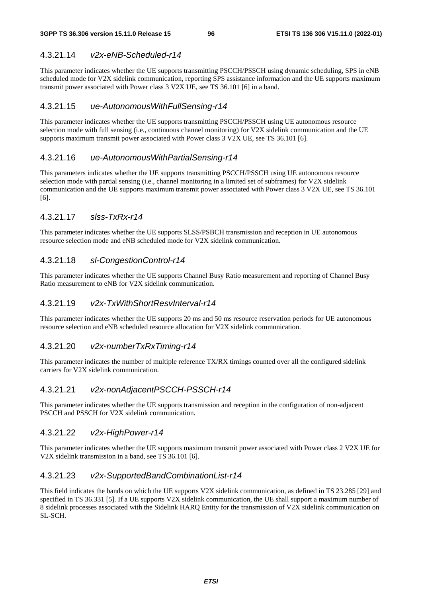# 4.3.21.14 *v2x-eNB-Scheduled-r14*

This parameter indicates whether the UE supports transmitting PSCCH/PSSCH using dynamic scheduling, SPS in eNB scheduled mode for V2X sidelink communication, reporting SPS assistance information and the UE supports maximum transmit power associated with Power class 3 V2X UE, see TS 36.101 [6] in a band.

# 4.3.21.15 *ue-AutonomousWithFullSensing-r14*

This parameter indicates whether the UE supports transmitting PSCCH/PSSCH using UE autonomous resource selection mode with full sensing (i.e., continuous channel monitoring) for V2X sidelink communication and the UE supports maximum transmit power associated with Power class 3 V2X UE, see TS 36.101 [6].

# 4.3.21.16 *ue-AutonomousWithPartialSensing-r14*

This parameters indicates whether the UE supports transmitting PSCCH/PSSCH using UE autonomous resource selection mode with partial sensing (i.e., channel monitoring in a limited set of subframes) for V2X sidelink communication and the UE supports maximum transmit power associated with Power class 3 V2X UE, see TS 36.101 [6].

# 4.3.21.17 *slss-TxRx-r14*

This parameter indicates whether the UE supports SLSS/PSBCH transmission and reception in UE autonomous resource selection mode and eNB scheduled mode for V2X sidelink communication.

# 4.3.21.18 *sl-CongestionControl-r14*

This parameter indicates whether the UE supports Channel Busy Ratio measurement and reporting of Channel Busy Ratio measurement to eNB for V2X sidelink communication.

# 4.3.21.19 *v2x-TxWithShortResvInterval-r14*

This parameter indicates whether the UE supports 20 ms and 50 ms resource reservation periods for UE autonomous resource selection and eNB scheduled resource allocation for V2X sidelink communication.

# 4.3.21.20 *v2x-numberTxRxTiming-r14*

This parameter indicates the number of multiple reference TX/RX timings counted over all the configured sidelink carriers for V2X sidelink communication.

# 4.3.21.21 *v2x-nonAdjacentPSCCH-PSSCH-r14*

This parameter indicates whether the UE supports transmission and reception in the configuration of non-adjacent PSCCH and PSSCH for V2X sidelink communication.

# 4.3.21.22 *v2x-HighPower-r14*

This parameter indicates whether the UE supports maximum transmit power associated with Power class 2 V2X UE for V2X sidelink transmission in a band, see TS 36.101 [6].

# 4.3.21.23 *v2x-SupportedBandCombinationList-r14*

This field indicates the bands on which the UE supports V2X sidelink communication, as defined in TS 23.285 [29] and specified in TS 36.331 [5]. If a UE supports V2X sidelink communication, the UE shall support a maximum number of 8 sidelink processes associated with the Sidelink HARQ Entity for the transmission of V2X sidelink communication on SL-SCH.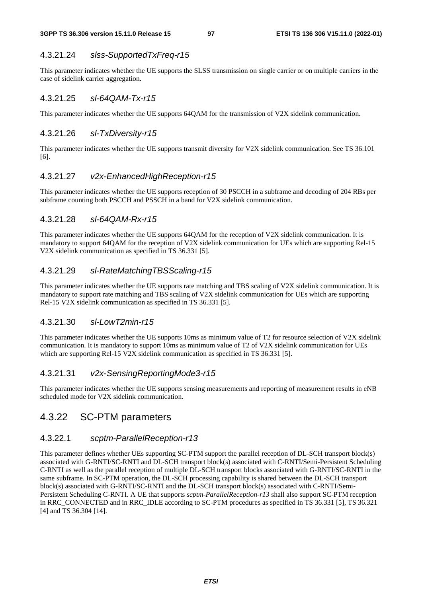### 4.3.21.24 *slss-SupportedTxFreq-r15*

This parameter indicates whether the UE supports the SLSS transmission on single carrier or on multiple carriers in the case of sidelink carrier aggregation.

## 4.3.21.25 *sl-64QAM-Tx-r15*

This parameter indicates whether the UE supports 64QAM for the transmission of V2X sidelink communication.

#### 4.3.21.26 *sl-TxDiversity-r15*

This parameter indicates whether the UE supports transmit diversity for V2X sidelink communication. See TS 36.101 [6].

# 4.3.21.27 *v2x-EnhancedHighReception-r15*

This parameter indicates whether the UE supports reception of 30 PSCCH in a subframe and decoding of 204 RBs per subframe counting both PSCCH and PSSCH in a band for V2X sidelink communication.

### 4.3.21.28 *sl-64QAM-Rx-r15*

This parameter indicates whether the UE supports 64QAM for the reception of V2X sidelink communication. It is mandatory to support 64QAM for the reception of V2X sidelink communication for UEs which are supporting Rel-15 V2X sidelink communication as specified in TS 36.331 [5].

### 4.3.21.29 *sl-RateMatchingTBSScaling-r15*

This parameter indicates whether the UE supports rate matching and TBS scaling of V2X sidelink communication. It is mandatory to support rate matching and TBS scaling of V2X sidelink communication for UEs which are supporting Rel-15 V2X sidelink communication as specified in TS 36.331 [5].

## 4.3.21.30 *sl-LowT2min-r15*

This parameter indicates whether the UE supports 10ms as minimum value of T2 for resource selection of V2X sidelink communication. It is mandatory to support 10ms as minimum value of T2 of V2X sidelink communication for UEs which are supporting Rel-15 V2X sidelink communication as specified in TS 36.331 [5].

#### 4.3.21.31 *v2x-SensingReportingMode3-r15*

This parameter indicates whether the UE supports sensing measurements and reporting of measurement results in eNB scheduled mode for V2X sidelink communication.

# 4.3.22 SC-PTM parameters

# 4.3.22.1 *scptm-ParallelReception-r13*

This parameter defines whether UEs supporting SC-PTM support the parallel reception of DL-SCH transport block(s) associated with G-RNTI/SC-RNTI and DL-SCH transport block(s) associated with C-RNTI/Semi-Persistent Scheduling C-RNTI as well as the parallel reception of multiple DL-SCH transport blocks associated with G-RNTI/SC-RNTI in the same subframe. In SC-PTM operation, the DL-SCH processing capability is shared between the DL-SCH transport block(s) associated with G-RNTI/SC-RNTI and the DL-SCH transport block(s) associated with C-RNTI/Semi-Persistent Scheduling C-RNTI. A UE that supports *scptm-ParallelReception-r13* shall also support SC-PTM reception in RRC\_CONNECTED and in RRC\_IDLE according to SC-PTM procedures as specified in TS 36.331 [5], TS 36.321 [4] and TS 36.304 [14].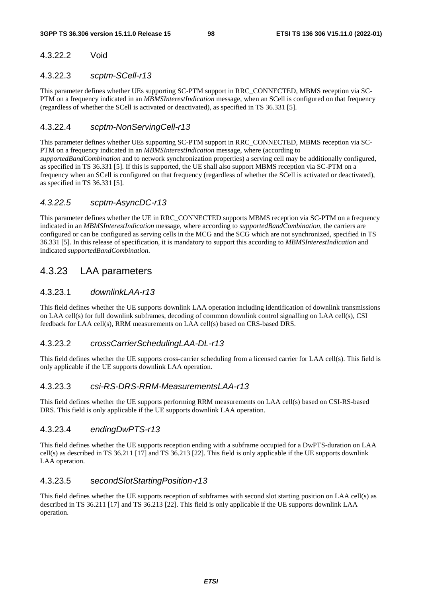# 4.3.22.2 Void

## 4.3.22.3 *scptm-SCell-r13*

This parameter defines whether UEs supporting SC-PTM support in RRC\_CONNECTED, MBMS reception via SC-PTM on a frequency indicated in an *MBMSInterestIndication* message, when an SCell is configured on that frequency (regardless of whether the SCell is activated or deactivated), as specified in TS 36.331 [5].

# 4.3.22.4 *scptm-NonServingCell-r13*

This parameter defines whether UEs supporting SC-PTM support in RRC\_CONNECTED, MBMS reception via SC-PTM on a frequency indicated in an *MBMSInterestIndication* message, where (according to *supportedBandCombination* and to network synchronization properties) a serving cell may be additionally configured, as specified in TS 36.331 [5]. If this is supported, the UE shall also support MBMS reception via SC-PTM on a frequency when an SCell is configured on that frequency (regardless of whether the SCell is activated or deactivated), as specified in TS 36.331 [5].

# *4.3.22.5 scptm-AsyncDC-r13*

This parameter defines whether the UE in RRC\_CONNECTED supports MBMS reception via SC-PTM on a frequency indicated in an *MBMSInterestIndication* message, where according to *supportedBandCombination*, the carriers are configured or can be configured as serving cells in the MCG and the SCG which are not synchronized, specified in TS 36.331 [5]. In this release of specification, it is mandatory to support this according to *MBMSInterestIndication* and indicated *supportedBandCombination*.

# 4.3.23 LAA parameters

# 4.3.23.1 *downlinkLAA-r13*

This field defines whether the UE supports downlink LAA operation including identification of downlink transmissions on LAA cell(s) for full downlink subframes, decoding of common downlink control signalling on LAA cell(s), CSI feedback for LAA cell(s), RRM measurements on LAA cell(s) based on CRS-based DRS.

# 4.3.23.2 *crossCarrierSchedulingLAA-DL-r13*

This field defines whether the UE supports cross-carrier scheduling from a licensed carrier for LAA cell(s). This field is only applicable if the UE supports downlink LAA operation.

# 4.3.23.3 *csi-RS-DRS-RRM-MeasurementsLAA-r13*

This field defines whether the UE supports performing RRM measurements on LAA cell(s) based on CSI-RS-based DRS. This field is only applicable if the UE supports downlink LAA operation.

# 4.3.23.4 *endingDwPTS-r13*

This field defines whether the UE supports reception ending with a subframe occupied for a DwPTS-duration on LAA cell(s) as described in TS 36.211 [17] and TS 36.213 [22]. This field is only applicable if the UE supports downlink LAA operation.

# 4.3.23.5 s*econdSlotStartingPosition-r13*

This field defines whether the UE supports reception of subframes with second slot starting position on LAA cell(s) as described in TS 36.211 [17] and TS 36.213 [22]. This field is only applicable if the UE supports downlink LAA operation.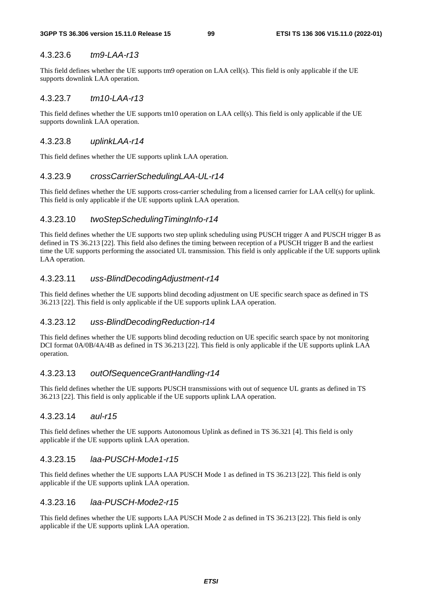## 4.3.23.6 *tm9-LAA-r13*

This field defines whether the UE supports tm9 operation on LAA cell(s). This field is only applicable if the UE supports downlink LAA operation.

## 4.3.23.7 *tm10-LAA-r13*

This field defines whether the UE supports tm10 operation on LAA cell(s). This field is only applicable if the UE supports downlink LAA operation.

#### 4.3.23.8 *uplinkLAA-r14*

This field defines whether the UE supports uplink LAA operation.

## 4.3.23.9 *crossCarrierSchedulingLAA-UL-r14*

This field defines whether the UE supports cross-carrier scheduling from a licensed carrier for LAA cell(s) for uplink. This field is only applicable if the UE supports uplink LAA operation.

### 4.3.23.10 *twoStepSchedulingTimingInfo-r14*

This field defines whether the UE supports two step uplink scheduling using PUSCH trigger A and PUSCH trigger B as defined in TS 36.213 [22]. This field also defines the timing between reception of a PUSCH trigger B and the earliest time the UE supports performing the associated UL transmission. This field is only applicable if the UE supports uplink LAA operation.

#### 4.3.23.11 *uss-BlindDecodingAdjustment-r14*

This field defines whether the UE supports blind decoding adjustment on UE specific search space as defined in TS 36.213 [22]. This field is only applicable if the UE supports uplink LAA operation.

#### 4.3.23.12 *uss-BlindDecodingReduction-r14*

This field defines whether the UE supports blind decoding reduction on UE specific search space by not monitoring DCI format 0A/0B/4A/4B as defined in TS 36.213 [22]. This field is only applicable if the UE supports uplink LAA operation.

#### 4.3.23.13 *outOfSequenceGrantHandling-r14*

This field defines whether the UE supports PUSCH transmissions with out of sequence UL grants as defined in TS 36.213 [22]. This field is only applicable if the UE supports uplink LAA operation.

## 4.3.23.14 *aul-r15*

This field defines whether the UE supports Autonomous Uplink as defined in TS 36.321 [4]. This field is only applicable if the UE supports uplink LAA operation.

#### 4.3.23.15 *laa-PUSCH-Mode1-r15*

This field defines whether the UE supports LAA PUSCH Mode 1 as defined in TS 36.213 [22]. This field is only applicable if the UE supports uplink LAA operation.

## 4.3.23.16 *laa-PUSCH-Mode2-r15*

This field defines whether the UE supports LAA PUSCH Mode 2 as defined in TS 36.213 [22]. This field is only applicable if the UE supports uplink LAA operation.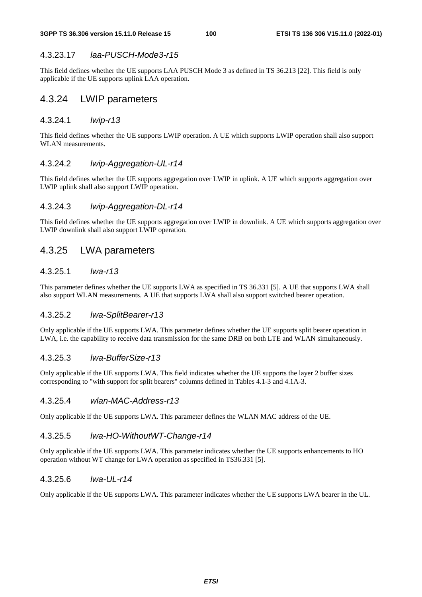## 4.3.23.17 *laa-PUSCH-Mode3-r15*

This field defines whether the UE supports LAA PUSCH Mode 3 as defined in TS 36.213 [22]. This field is only applicable if the UE supports uplink LAA operation.

# 4.3.24 LWIP parameters

## 4.3.24.1 *lwip-r13*

This field defines whether the UE supports LWIP operation. A UE which supports LWIP operation shall also support WLAN measurements.

## 4.3.24.2 *lwip-Aggregation-UL-r14*

This field defines whether the UE supports aggregation over LWIP in uplink. A UE which supports aggregation over LWIP uplink shall also support LWIP operation.

## 4.3.24.3 *lwip-Aggregation-DL-r14*

This field defines whether the UE supports aggregation over LWIP in downlink. A UE which supports aggregation over LWIP downlink shall also support LWIP operation.

# 4.3.25 LWA parameters

## 4.3.25.1 *lwa-r13*

This parameter defines whether the UE supports LWA as specified in TS 36.331 [5]. A UE that supports LWA shall also support WLAN measurements. A UE that supports LWA shall also support switched bearer operation.

## 4.3.25.2 *lwa-SplitBearer-r13*

Only applicable if the UE supports LWA. This parameter defines whether the UE supports split bearer operation in LWA, i.e. the capability to receive data transmission for the same DRB on both LTE and WLAN simultaneously.

## 4.3.25.3 *lwa-BufferSize-r13*

Only applicable if the UE supports LWA. This field indicates whether the UE supports the layer 2 buffer sizes corresponding to "with support for split bearers" columns defined in Tables 4.1-3 and 4.1A-3.

## 4.3.25.4 *wlan-MAC-Address-r13*

Only applicable if the UE supports LWA. This parameter defines the WLAN MAC address of the UE.

# 4.3.25.5 *lwa-HO-WithoutWT-Change-r14*

Only applicable if the UE supports LWA. This parameter indicates whether the UE supports enhancements to HO operation without WT change for LWA operation as specified in TS36.331 [5].

## 4.3.25.6 *lwa-UL-r14*

Only applicable if the UE supports LWA. This parameter indicates whether the UE supports LWA bearer in the UL.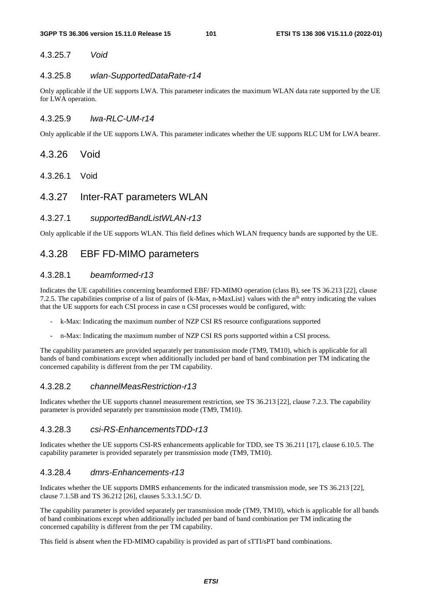# 4.3.25.7 *Void*

## 4.3.25.8 *wlan-SupportedDataRate-r14*

Only applicable if the UE supports LWA. This parameter indicates the maximum WLAN data rate supported by the UE for LWA operation.

## 4.3.25.9 *lwa-RLC-UM-r14*

Only applicable if the UE supports LWA. This parameter indicates whether the UE supports RLC UM for LWA bearer.

- 4.3.26 Void
- 4.3.26.1 Void
- 4.3.27 Inter-RAT parameters WLAN

## 4.3.27.1 *supportedBandListWLAN-r13*

Only applicable if the UE supports WLAN. This field defines which WLAN frequency bands are supported by the UE.

# 4.3.28 EBF FD-MIMO parameters

## 4.3.28.1 *beamformed-r13*

Indicates the UE capabilities concerning beamformed EBF/ FD-MIMO operation (class B), see TS 36.213 [22], clause 7.2.5. The capabilities comprise of a list of pairs of  $\{k-Max, n-MaxList\}$  values with the n<sup>th</sup> entry indicating the values that the UE supports for each CSI process in case n CSI processes would be configured, with:

- k-Max: Indicating the maximum number of NZP CSI RS resource configurations supported
- n-Max: Indicating the maximum number of NZP CSI RS ports supported within a CSI process.

The capability parameters are provided separately per transmission mode (TM9, TM10), which is applicable for all bands of band combinations except when additionally included per band of band combination per TM indicating the concerned capability is different from the per TM capability.

## 4.3.28.2 *channelMeasRestriction-r13*

Indicates whether the UE supports channel measurement restriction, see TS 36.213 [22], clause 7.2.3. The capability parameter is provided separately per transmission mode (TM9, TM10).

#### 4.3.28.3 *csi-RS-EnhancementsTDD-r13*

Indicates whether the UE supports CSI-RS enhancements applicable for TDD, see TS 36.211 [17], clause 6.10.5. The capability parameter is provided separately per transmission mode (TM9, TM10).

## 4.3.28.4 *dmrs-Enhancements-r13*

Indicates whether the UE supports DMRS enhancements for the indicated transmission mode, see TS 36.213 [22], clause 7.1.5B and TS 36.212 [26], clauses 5.3.3.1.5C/ D.

The capability parameter is provided separately per transmission mode (TM9, TM10), which is applicable for all bands of band combinations except when additionally included per band of band combination per TM indicating the concerned capability is different from the per TM capability.

This field is absent when the FD-MIMO capability is provided as part of sTTI/sPT band combinations.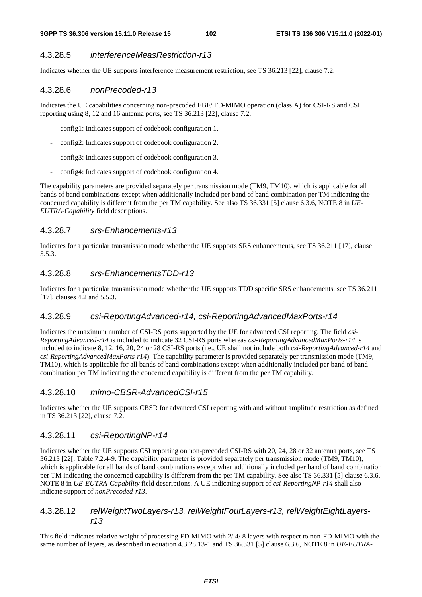## 4.3.28.5 *interferenceMeasRestriction-r13*

Indicates whether the UE supports interference measurement restriction, see TS 36.213 [22], clause 7.2.

## 4.3.28.6 *nonPrecoded-r13*

Indicates the UE capabilities concerning non-precoded EBF/ FD-MIMO operation (class A) for CSI-RS and CSI reporting using 8, 12 and 16 antenna ports, see TS 36.213 [22], clause 7.2.

- config1: Indicates support of codebook configuration 1.
- config2: Indicates support of codebook configuration 2.
- config3: Indicates support of codebook configuration 3.
- config4: Indicates support of codebook configuration 4.

The capability parameters are provided separately per transmission mode (TM9, TM10), which is applicable for all bands of band combinations except when additionally included per band of band combination per TM indicating the concerned capability is different from the per TM capability. See also TS 36.331 [5] clause 6.3.6, NOTE 8 in *UE-EUTRA-Capability* field descriptions.

## 4.3.28.7 *srs-Enhancements-r13*

Indicates for a particular transmission mode whether the UE supports SRS enhancements, see TS 36.211 [17], clause 5.5.3.

## 4.3.28.8 *srs-EnhancementsTDD-r13*

Indicates for a particular transmission mode whether the UE supports TDD specific SRS enhancements, see TS 36.211 [17], clauses 4.2 and 5.5.3.

## 4.3.28.9 *csi-ReportingAdvanced-r14, csi-ReportingAdvancedMaxPorts-r14*

Indicates the maximum number of CSI-RS ports supported by the UE for advanced CSI reporting. The field *csi-ReportingAdvanced-r14* is included to indicate 32 CSI-RS ports whereas *csi-ReportingAdvancedMaxPorts-r14* is included to indicate 8, 12, 16, 20, 24 or 28 CSI-RS ports (i.e., UE shall not include both *csi-ReportingAdvanced-r14* and *csi-ReportingAdvancedMaxPorts-r14*). The capability parameter is provided separately per transmission mode (TM9, TM10), which is applicable for all bands of band combinations except when additionally included per band of band combination per TM indicating the concerned capability is different from the per TM capability.

## 4.3.28.10 *mimo-CBSR-AdvancedCSI-r15*

Indicates whether the UE supports CBSR for advanced CSI reporting with and without amplitude restriction as defined in TS 36.213 [22], clause 7.2.

## 4.3.28.11 *csi-ReportingNP-r14*

Indicates whether the UE supports CSI reporting on non-precoded CSI-RS with 20, 24, 28 or 32 antenna ports, see TS 36.213 [22[, Table 7.2.4-9. The capability parameter is provided separately per transmission mode (TM9, TM10), which is applicable for all bands of band combinations except when additionally included per band of band combination per TM indicating the concerned capability is different from the per TM capability. See also TS 36.331 [5] clause 6.3.6, NOTE 8 in *UE-EUTRA-Capability* field descriptions. A UE indicating support of *csi-ReportingNP-r14* shall also indicate support of *nonPrecoded-r13*.

## 4.3.28.12 *relWeightTwoLayers-r13, relWeightFourLayers-r13, relWeightEightLayersr13*

This field indicates relative weight of processing FD-MIMO with 2/ 4/ 8 layers with respect to non-FD-MIMO with the same number of layers, as described in equation 4.3.28.13-1 and TS 36.331 [5] clause 6.3.6, NOTE 8 in *UE-EUTRA-*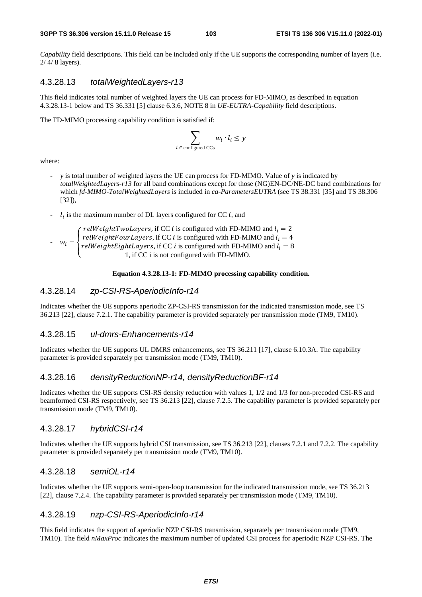*Capability* field descriptions. This field can be included only if the UE supports the corresponding number of layers (i.e. 2/ 4/ 8 layers).

## 4.3.28.13 *totalWeightedLayers-r13*

This field indicates total number of weighted layers the UE can process for FD-MIMO, as described in equation 4.3.28.13-1 below and TS 36.331 [5] clause 6.3.6, NOTE 8 in *UE-EUTRA-Capability* field descriptions.

The FD-MIMO processing capability condition is satisfied if:

$$
\sum_{i \in \text{ configured CCs}} w_i \cdot l_i \leq y
$$

where:

- *y* is total number of weighted layers the UE can process for FD-MIMO. Value of *y* is indicated by *totalWeightedLayers-r13* for all band combinations except for those (NG)EN-DC/NE-DC band combinations for which *fd-MIMO-TotalWeightedLayers* is included in *ca-ParametersEUTRA* (see TS 38.331 [35] and TS 38.306 [32]),
- $l_i$  is the maximum number of DL layers configured for CC *i*, and i

- 
$$
w_i = \begin{cases} \n\text{relWeightTwoLayers, if CC } i \text{ is configured with FD-MIMO and } l_i = 2\\ \n\text{relWeightFourLayers, if CC } i \text{ is configured with FD-MIMO and } l_i = 4\\ \n\text{relWeightEightLayers, if CC } i \text{ is configured with FD-MIMO and } l_i = 8\\ \n1, \text{ if CC } i \text{ is not configured with FD-MIMO.} \n\end{cases}
$$

#### **Equation 4.3.28.13-1: FD-MIMO processing capability condition.**

## 4.3.28.14 *zp-CSI-RS-AperiodicInfo-r14*

Indicates whether the UE supports aperiodic ZP-CSI-RS transmission for the indicated transmission mode, see TS 36.213 [22], clause 7.2.1. The capability parameter is provided separately per transmission mode (TM9, TM10).

#### 4.3.28.15 *ul-dmrs-Enhancements-r14*

Indicates whether the UE supports UL DMRS enhancements, see TS 36.211 [17], clause 6.10.3A. The capability parameter is provided separately per transmission mode (TM9, TM10).

## 4.3.28.16 *densityReductionNP-r14, densityReductionBF-r14*

Indicates whether the UE supports CSI-RS density reduction with values 1, 1/2 and 1/3 for non-precoded CSI-RS and beamformed CSI-RS respectively, see TS 36.213 [22], clause 7.2.5. The capability parameter is provided separately per transmission mode (TM9, TM10).

#### 4.3.28.17 *hybridCSI-r14*

Indicates whether the UE supports hybrid CSI transmission, see TS 36.213 [22], clauses 7.2.1 and 7.2.2. The capability parameter is provided separately per transmission mode (TM9, TM10).

#### 4.3.28.18 *semiOL-r14*

Indicates whether the UE supports semi-open-loop transmission for the indicated transmission mode, see TS 36.213 [22], clause 7.2.4. The capability parameter is provided separately per transmission mode (TM9, TM10).

## 4.3.28.19 *nzp-CSI-RS-AperiodicInfo-r14*

This field indicates the support of aperiodic NZP CSI-RS transmission, separately per transmission mode (TM9, TM10). The field *nMaxProc* indicates the maximum number of updated CSI process for aperiodic NZP CSI-RS. The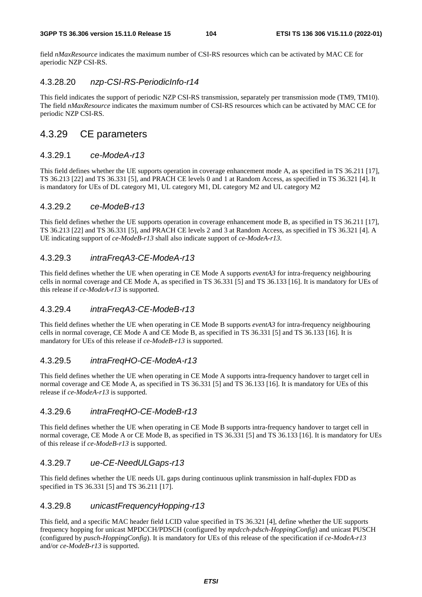field *nMaxResource* indicates the maximum number of CSI-RS resources which can be activated by MAC CE for aperiodic NZP CSI-RS.

## 4.3.28.20 *nzp-CSI-RS-PeriodicInfo-r14*

This field indicates the support of periodic NZP CSI-RS transmission, separately per transmission mode (TM9, TM10). The field *nMaxResource* indicates the maximum number of CSI-RS resources which can be activated by MAC CE for periodic NZP CSI-RS.

# 4.3.29 CE parameters

## 4.3.29.1 *ce-ModeA-r13*

This field defines whether the UE supports operation in coverage enhancement mode A, as specified in TS 36.211 [17], TS 36.213 [22] and TS 36.331 [5], and PRACH CE levels 0 and 1 at Random Access, as specified in TS 36.321 [4]. It is mandatory for UEs of DL category M1, UL category M1, DL category M2 and UL category M2

## 4.3.29.2 *ce-ModeB-r13*

This field defines whether the UE supports operation in coverage enhancement mode B, as specified in TS 36.211 [17], TS 36.213 [22] and TS 36.331 [5], and PRACH CE levels 2 and 3 at Random Access, as specified in TS 36.321 [4]. A UE indicating support of *ce-ModeB-r13* shall also indicate support of *ce-ModeA-r13*.

# 4.3.29.3 *intraFreqA3-CE-ModeA-r13*

This field defines whether the UE when operating in CE Mode A supports *eventA3* for intra-frequency neighbouring cells in normal coverage and CE Mode A, as specified in TS 36.331 [5] and TS 36.133 [16]. It is mandatory for UEs of this release if *ce-ModeA-r13* is supported.

# 4.3.29.4 *intraFreqA3-CE-ModeB-r13*

This field defines whether the UE when operating in CE Mode B supports *eventA3* for intra-frequency neighbouring cells in normal coverage, CE Mode A and CE Mode B, as specified in TS 36.331 [5] and TS 36.133 [16]. It is mandatory for UEs of this release if *ce-ModeB-r13* is supported.

# 4.3.29.5 *intraFreqHO-CE-ModeA-r13*

This field defines whether the UE when operating in CE Mode A supports intra-frequency handover to target cell in normal coverage and CE Mode A, as specified in TS 36.331 [5] and TS 36.133 [16]. It is mandatory for UEs of this release if *ce-ModeA-r13* is supported.

## 4.3.29.6 *intraFreqHO-CE-ModeB-r13*

This field defines whether the UE when operating in CE Mode B supports intra-frequency handover to target cell in normal coverage, CE Mode A or CE Mode B, as specified in TS 36.331 [5] and TS 36.133 [16]. It is mandatory for UEs of this release if *ce-ModeB-r13* is supported.

## 4.3.29.7 *ue-CE-NeedULGaps-r13*

This field defines whether the UE needs UL gaps during continuous uplink transmission in half-duplex FDD as specified in TS 36.331 [5] and TS 36.211 [17].

## 4.3.29.8 *unicastFrequencyHopping-r13*

This field, and a specific MAC header field LCID value specified in TS 36.321 [4], define whether the UE supports frequency hopping for unicast MPDCCH/PDSCH (configured by *mpdcch-pdsch-HoppingConfig*) and unicast PUSCH (configured by *pusch-HoppingConfig*). It is mandatory for UEs of this release of the specification if *ce-ModeA-r13* and/or *ce-ModeB-r13* is supported.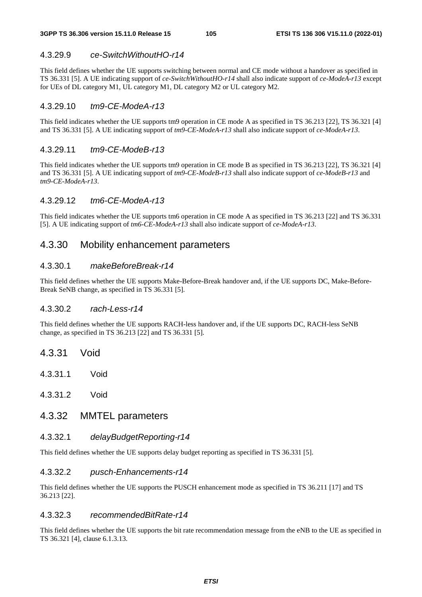## 4.3.29.9 *ce-SwitchWithoutHO-r14*

This field defines whether the UE supports switching between normal and CE mode without a handover as specified in TS 36.331 [5]. A UE indicating support of *ce-SwitchWithoutHO-r14* shall also indicate support of *ce-ModeA-r13* except for UEs of DL category M1, UL category M1, DL category M2 or UL category M2.

## 4.3.29.10 *tm9-CE-ModeA-r13*

This field indicates whether the UE supports tm9 operation in CE mode A as specified in TS 36.213 [22], TS 36.321 [4] and TS 36.331 [5]. A UE indicating support of *tm9-CE-ModeA-r13* shall also indicate support of *ce-ModeA-r13*.

## 4.3.29.11 *tm9-CE-ModeB-r13*

This field indicates whether the UE supports tm9 operation in CE mode B as specified in TS 36.213 [22], TS 36.321 [4] and TS 36.331 [5]. A UE indicating support of *tm9-CE-ModeB-r13* shall also indicate support of *ce-ModeB-r13* and *tm9-CE-ModeA-r13*.

### 4.3.29.12 *tm6-CE-ModeA-r13*

This field indicates whether the UE supports tm6 operation in CE mode A as specified in TS 36.213 [22] and TS 36.331 [5]. A UE indicating support of *tm6-CE-ModeA-r13* shall also indicate support of *ce-ModeA-r13*.

# 4.3.30 Mobility enhancement parameters

## 4.3.30.1 *makeBeforeBreak-r14*

This field defines whether the UE supports Make-Before-Break handover and, if the UE supports DC, Make-Before-Break SeNB change, as specified in TS 36.331 [5].

## 4.3.30.2 *rach-Less-r14*

This field defines whether the UE supports RACH-less handover and, if the UE supports DC, RACH-less SeNB change, as specified in TS 36.213 [22] and TS 36.331 [5].

- 4.3.31 Void
- 4.3.31.1 Void
- 4.3.31.2 Void

# 4.3.32 MMTEL parameters

### 4.3.32.1 *delayBudgetReporting-r14*

This field defines whether the UE supports delay budget reporting as specified in TS 36.331 [5].

#### 4.3.32.2 *pusch-Enhancements-r14*

This field defines whether the UE supports the PUSCH enhancement mode as specified in TS 36.211 [17] and TS 36.213 [22].

## 4.3.32.3 *recommendedBitRate-r14*

This field defines whether the UE supports the bit rate recommendation message from the eNB to the UE as specified in TS 36.321 [4], clause 6.1.3.13.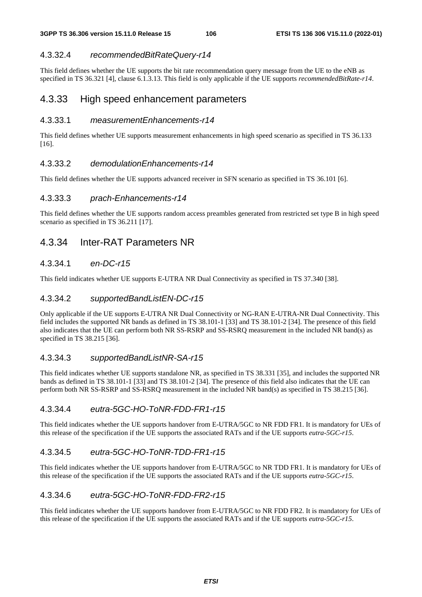# 4.3.32.4 *recommendedBitRateQuery-r14*

This field defines whether the UE supports the bit rate recommendation query message from the UE to the eNB as specified in TS 36.321 [4], clause 6.1.3.13. This field is only applicable if the UE supports *recommendedBitRate-r14*.

# 4.3.33 High speed enhancement parameters

## 4.3.33.1 *measurementEnhancements-r14*

This field defines whether UE supports measurement enhancements in high speed scenario as specified in TS 36.133 [16].

## 4.3.33.2 *demodulationEnhancements-r14*

This field defines whether the UE supports advanced receiver in SFN scenario as specified in TS 36.101 [6].

## 4.3.33.3 *prach-Enhancements-r14*

This field defines whether the UE supports random access preambles generated from restricted set type B in high speed scenario as specified in TS 36.211 [17].

# 4.3.34 Inter-RAT Parameters NR

# 4.3.34.1 *en-DC-r15*

This field indicates whether UE supports E-UTRA NR Dual Connectivity as specified in TS 37.340 [38].

## 4.3.34.2 *supportedBandListEN-DC-r15*

Only applicable if the UE supports E-UTRA NR Dual Connectivity or NG-RAN E-UTRA-NR Dual Connectivity. This field includes the supported NR bands as defined in TS 38.101-1 [33] and TS 38.101-2 [34]. The presence of this field also indicates that the UE can perform both NR SS-RSRP and SS-RSRQ measurement in the included NR band(s) as specified in TS 38.215 [36].

## 4.3.34.3 *supportedBandListNR-SA-r15*

This field indicates whether UE supports standalone NR, as specified in TS 38.331 [35], and includes the supported NR bands as defined in TS 38.101-1 [33] and TS 38.101-2 [34]. The presence of this field also indicates that the UE can perform both NR SS-RSRP and SS-RSRQ measurement in the included NR band(s) as specified in TS 38.215 [36].

# 4.3.34.4 *eutra-5GC-HO-ToNR-FDD-FR1-r15*

This field indicates whether the UE supports handover from E-UTRA/5GC to NR FDD FR1. It is mandatory for UEs of this release of the specification if the UE supports the associated RATs and if the UE supports *eutra-5GC-r15*.

# 4.3.34.5 *eutra-5GC-HO-ToNR-TDD-FR1-r15*

This field indicates whether the UE supports handover from E-UTRA/5GC to NR TDD FR1. It is mandatory for UEs of this release of the specification if the UE supports the associated RATs and if the UE supports *eutra-5GC-r15*.

# 4.3.34.6 *eutra-5GC-HO-ToNR-FDD-FR2-r15*

This field indicates whether the UE supports handover from E-UTRA/5GC to NR FDD FR2. It is mandatory for UEs of this release of the specification if the UE supports the associated RATs and if the UE supports *eutra-5GC-r15*.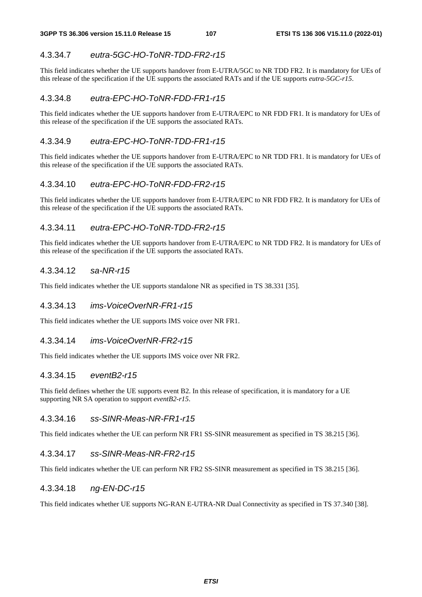## 4.3.34.7 *eutra-5GC-HO-ToNR-TDD-FR2-r15*

This field indicates whether the UE supports handover from E-UTRA/5GC to NR TDD FR2. It is mandatory for UEs of this release of the specification if the UE supports the associated RATs and if the UE supports *eutra-5GC-r15*.

## 4.3.34.8 *eutra-EPC-HO-ToNR-FDD-FR1-r15*

This field indicates whether the UE supports handover from E-UTRA/EPC to NR FDD FR1. It is mandatory for UEs of this release of the specification if the UE supports the associated RATs.

## 4.3.34.9 *eutra-EPC-HO-ToNR-TDD-FR1-r15*

This field indicates whether the UE supports handover from E-UTRA/EPC to NR TDD FR1. It is mandatory for UEs of this release of the specification if the UE supports the associated RATs.

## 4.3.34.10 *eutra-EPC-HO-ToNR-FDD-FR2-r15*

This field indicates whether the UE supports handover from E-UTRA/EPC to NR FDD FR2. It is mandatory for UEs of this release of the specification if the UE supports the associated RATs.

## 4.3.34.11 *eutra-EPC-HO-ToNR-TDD-FR2-r15*

This field indicates whether the UE supports handover from E-UTRA/EPC to NR TDD FR2. It is mandatory for UEs of this release of the specification if the UE supports the associated RATs.

## 4.3.34.12 *sa-NR-r15*

This field indicates whether the UE supports standalone NR as specified in TS 38.331 [35].

## 4.3.34.13 *ims-VoiceOverNR-FR1-r15*

This field indicates whether the UE supports IMS voice over NR FR1.

## 4.3.34.14 *ims-VoiceOverNR-FR2-r15*

This field indicates whether the UE supports IMS voice over NR FR2.

## 4.3.34.15 *eventB2-r15*

This field defines whether the UE supports event B2. In this release of specification, it is mandatory for a UE supporting NR SA operation to support *eventB2-r15*.

## 4.3.34.16 *ss-SINR-Meas-NR-FR1-r15*

This field indicates whether the UE can perform NR FR1 SS-SINR measurement as specified in TS 38.215 [36].

## 4.3.34.17 *ss-SINR-Meas-NR-FR2-r15*

This field indicates whether the UE can perform NR FR2 SS-SINR measurement as specified in TS 38.215 [36].

## 4.3.34.18 *ng-EN-DC-r15*

This field indicates whether UE supports NG-RAN E-UTRA-NR Dual Connectivity as specified in TS 37.340 [38].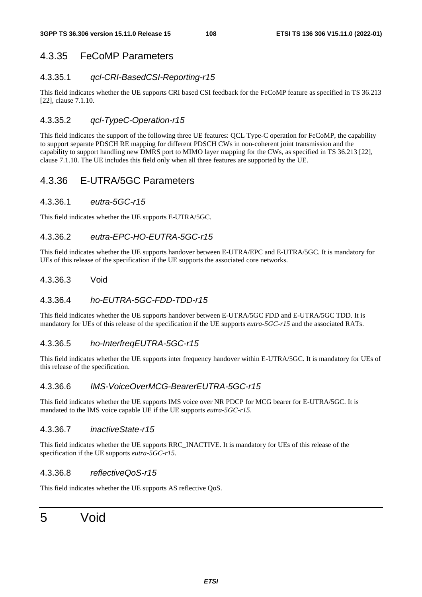## 4.3.35 FeCoMP Parameters

#### 4.3.35.1 *qcl-CRI-BasedCSI-Reporting-r15*

This field indicates whether the UE supports CRI based CSI feedback for the FeCoMP feature as specified in TS 36.213 [22], clause 7.1.10.

#### 4.3.35.2 *qcl-TypeC-Operation-r15*

This field indicates the support of the following three UE features: QCL Type-C operation for FeCoMP, the capability to support separate PDSCH RE mapping for different PDSCH CWs in non-coherent joint transmission and the capability to support handling new DMRS port to MIMO layer mapping for the CWs, as specified in TS 36.213 [22], clause 7.1.10. The UE includes this field only when all three features are supported by the UE.

#### 4.3.36 E-UTRA/5GC Parameters

#### 4.3.36.1 *eutra-5GC-r15*

This field indicates whether the UE supports E-UTRA/5GC.

#### 4.3.36.2 *eutra-EPC-HO-EUTRA-5GC-r15*

This field indicates whether the UE supports handover between E-UTRA/EPC and E-UTRA/5GC. It is mandatory for UEs of this release of the specification if the UE supports the associated core networks.

#### 4.3.36.3 Void

#### 4.3.36.4 *ho-EUTRA-5GC-FDD-TDD-r15*

This field indicates whether the UE supports handover between E-UTRA/5GC FDD and E-UTRA/5GC TDD. It is mandatory for UEs of this release of the specification if the UE supports *eutra-5GC-r15* and the associated RATs.

#### 4.3.36.5 *ho-InterfreqEUTRA-5GC-r15*

This field indicates whether the UE supports inter frequency handover within E-UTRA/5GC. It is mandatory for UEs of this release of the specification.

#### 4.3.36.6 *IMS-VoiceOverMCG-BearerEUTRA-5GC-r15*

This field indicates whether the UE supports IMS voice over NR PDCP for MCG bearer for E-UTRA/5GC. It is mandated to the IMS voice capable UE if the UE supports *eutra-5GC-r15*.

#### 4.3.36.7 *inactiveState-r15*

This field indicates whether the UE supports RRC\_INACTIVE. It is mandatory for UEs of this release of the specification if the UE supports *eutra-5GC-r15*.

#### 4.3.36.8 *reflectiveQoS-r15*

This field indicates whether the UE supports AS reflective QoS.

# 5 Void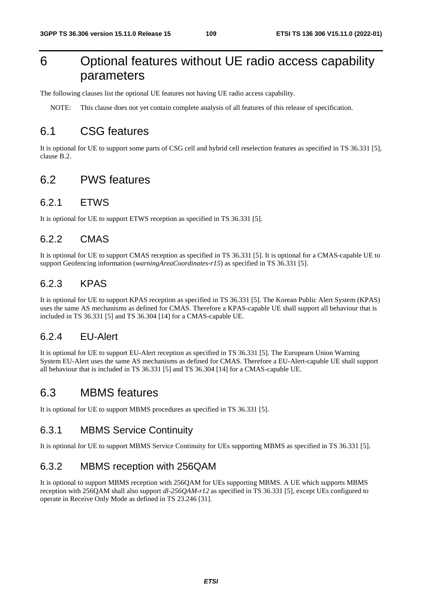# 6 Optional features without UE radio access capability parameters

The following clauses list the optional UE features not having UE radio access capability.

NOTE: This clause does not yet contain complete analysis of all features of this release of specification.

## 6.1 CSG features

It is optional for UE to support some parts of CSG cell and hybrid cell reselection features as specified in TS 36.331 [5], clause B.2.

#### 6.2 PWS features

#### 6.2.1 ETWS

It is optional for UE to support ETWS reception as specified in TS 36.331 [5].

#### 6.2.2 CMAS

It is optional for UE to support CMAS reception as specified in TS 36.331 [5]. It is optional for a CMAS-capable UE to support Geofencing information (*warningAreaCoordinates-r15*) as specified in TS 36.331 [5].

#### 6.2.3 KPAS

It is optional for UE to support KPAS reception as specified in TS 36.331 [5]. The Korean Public Alert System (KPAS) uses the same AS mechanisms as defined for CMAS. Therefore a KPAS-capable UE shall support all behaviour that is included in TS 36.331 [5] and TS 36.304 [14] for a CMAS-capable UE.

#### 6.2.4 EU-Alert

It is optional for UE to support EU-Alert reception as specified in TS 36.331 [5]. The Europearn Union Warning System EU-Alert uses the same AS mechanisms as defined for CMAS. Therefore a EU-Alert-capable UE shall support all behaviour that is included in TS 36.331 [5] and TS 36.304 [14] for a CMAS-capable UE.

## 6.3 MBMS features

It is optional for UE to support MBMS procedures as specified in TS 36.331 [5].

#### 6.3.1 MBMS Service Continuity

It is optional for UE to support MBMS Service Continuity for UEs supporting MBMS as specified in TS 36.331 [5].

#### 6.3.2 MBMS reception with 256QAM

It is optional to support MBMS reception with 256QAM for UEs supporting MBMS. A UE which supports MBMS reception with 256QAM shall also support *dl-256QAM-r12* as specified in TS 36.331 [5], except UEs configured to operate in Receive Only Mode as defined in TS 23.246 [31].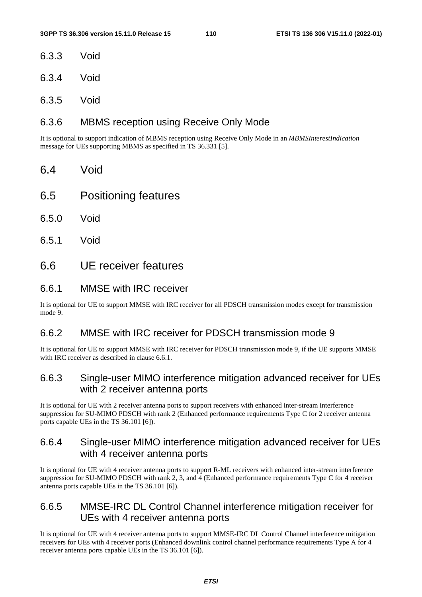- 6.3.3 Void
- 6.3.4 Void
- 6.3.5 Void

#### 6.3.6 MBMS reception using Receive Only Mode

It is optional to support indication of MBMS reception using Receive Only Mode in an *MBMSInterestIndication* message for UEs supporting MBMS as specified in TS 36.331 [5].

- 6.4 Void
- 6.5 Positioning features
- 6.5.0 Void
- 6.5.1 Void
- 6.6 UE receiver features

#### 6.6.1 MMSE with IRC receiver

It is optional for UE to support MMSE with IRC receiver for all PDSCH transmission modes except for transmission mode 9.

#### 6.6.2 MMSE with IRC receiver for PDSCH transmission mode 9

It is optional for UE to support MMSE with IRC receiver for PDSCH transmission mode 9, if the UE supports MMSE with IRC receiver as described in clause 6.6.1.

#### 6.6.3 Single-user MIMO interference mitigation advanced receiver for UEs with 2 receiver antenna ports

It is optional for UE with 2 receiver antenna ports to support receivers with enhanced inter-stream interference suppression for SU-MIMO PDSCH with rank 2 (Enhanced performance requirements Type C for 2 receiver antenna ports capable UEs in the TS 36.101 [6]).

#### 6.6.4 Single-user MIMO interference mitigation advanced receiver for UEs with 4 receiver antenna ports

It is optional for UE with 4 receiver antenna ports to support R-ML receivers with enhanced inter-stream interference suppression for SU-MIMO PDSCH with rank 2, 3, and 4 (Enhanced performance requirements Type C for 4 receiver antenna ports capable UEs in the TS 36.101 [6]).

#### 6.6.5 MMSE-IRC DL Control Channel interference mitigation receiver for UEs with 4 receiver antenna ports

It is optional for UE with 4 receiver antenna ports to support MMSE-IRC DL Control Channel interference mitigation receivers for UEs with 4 receiver ports (Enhanced downlink control channel performance requirements Type A for 4 receiver antenna ports capable UEs in the TS 36.101 [6]).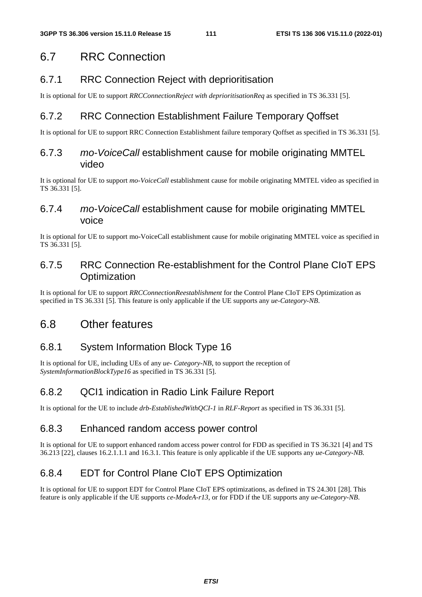# 6.7 RRC Connection

# 6.7.1 RRC Connection Reject with deprioritisation

It is optional for UE to support *RRCConnectionReject with deprioritisationReq* as specified in TS 36.331 [5].

# 6.7.2 RRC Connection Establishment Failure Temporary Qoffset

It is optional for UE to support RRC Connection Establishment failure temporary Qoffset as specified in TS 36.331 [5].

#### 6.7.3 *mo-VoiceCall* establishment cause for mobile originating MMTEL video

It is optional for UE to support *mo-VoiceCall* establishment cause for mobile originating MMTEL video as specified in TS 36.331 [5].

#### 6.7.4 *mo-VoiceCall* establishment cause for mobile originating MMTEL voice

It is optional for UE to support mo-VoiceCall establishment cause for mobile originating MMTEL voice as specified in TS 36.331 [5].

## 6.7.5 RRC Connection Re-establishment for the Control Plane CIoT EPS **Optimization**

It is optional for UE to support *RRCConnectionReestablishment* for the Control Plane CIoT EPS Optimization as specified in TS 36.331 [5]. This feature is only applicable if the UE supports any *ue-Category-NB*.

# 6.8 Other features

# 6.8.1 System Information Block Type 16

It is optional for UE, including UEs of any *ue- Category-NB*, to support the reception of *SystemInformationBlockType16* as specified in TS 36.331 [5].

# 6.8.2 QCI1 indication in Radio Link Failure Report

It is optional for the UE to include *drb-EstablishedWithQCI-1* in *RLF-Report* as specified in TS 36.331 [5].

# 6.8.3 Enhanced random access power control

It is optional for UE to support enhanced random access power control for FDD as specified in TS 36.321 [4] and TS 36.213 [22], clauses 16.2.1.1.1 and 16.3.1. This feature is only applicable if the UE supports any *ue-Category-NB*.

# 6.8.4 EDT for Control Plane CIoT EPS Optimization

It is optional for UE to support EDT for Control Plane CIoT EPS optimizations, as defined in TS 24.301 [28]. This feature is only applicable if the UE supports *ce-ModeA-r13*, or for FDD if the UE supports any *ue-Category-NB*.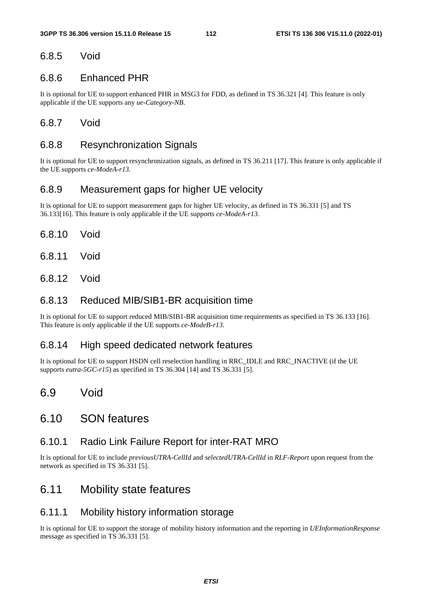#### 6.8.5 Void

#### 6.8.6 Enhanced PHR

It is optional for UE to support enhanced PHR in MSG3 for FDD, as defined in TS 36.321 [4]. This feature is only applicable if the UE supports any *ue-Category-NB*.

#### 6.8.7 Void

#### 6.8.8 Resynchronization Signals

It is optional for UE to support resynchronization signals, as defined in TS 36.211 [17]. This feature is only applicable if the UE supports *ce-ModeA-r13*.

#### 6.8.9 Measurement gaps for higher UE velocity

It is optional for UE to support measurement gaps for higher UE velocity, as defined in TS 36.331 [5] and TS 36.133[16]. This feature is only applicable if the UE supports *ce-ModeA-r13*.

- 6.8.10 Void
- 6.8.11 Void
- 6.8.12 Void

#### 6.8.13 Reduced MIB/SIB1-BR acquisition time

It is optional for UE to support reduced MIB/SIB1-BR acquisition time requirements as specified in TS 36.133 [16]. This feature is only applicable if the UE supports *ce-ModeB-r13.* 

#### 6.8.14 High speed dedicated network features

It is optional for UE to support HSDN cell reselection handling in RRC\_IDLE and RRC\_INACTIVE (if the UE supports *eutra-5GC-r15*) as specified in TS 36.304 [14] and TS 36.331 [5].

## 6.9 Void

#### 6.10 SON features

#### 6.10.1 Radio Link Failure Report for inter-RAT MRO

It is optional for UE to include *previousUTRA-CellId* and *selectedUTRA-CellId* in *RLF-Report* upon request from the network as specified in TS 36.331 [5].

## 6.11 Mobility state features

#### 6.11.1 Mobility history information storage

It is optional for UE to support the storage of mobility history information and the reporting in *UEInformationResponse* message as specified in TS 36.331 [5].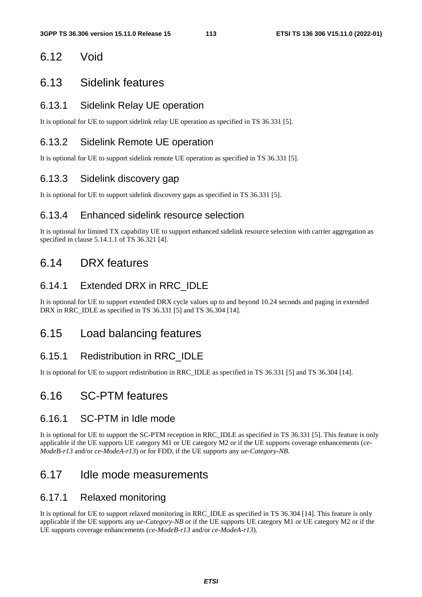## 6.12 Void

#### 6.13 Sidelink features

#### 6.13.1 Sidelink Relay UE operation

It is optional for UE to support sidelink relay UE operation as specified in TS 36.331 [5].

#### 6.13.2 Sidelink Remote UE operation

It is optional for UE to support sidelink remote UE operation as specified in TS 36.331 [5].

#### 6.13.3 Sidelink discovery gap

It is optional for UE to support sidelink discovery gaps as specified in TS 36.331 [5].

#### 6.13.4 Enhanced sidelink resource selection

It is optional for limited TX capability UE to support enhanced sidelink resource selection with carrier aggregation as specified in clause 5.14.1.1 of TS 36.321 [4].

## 6.14 DRX features

#### 6.14.1 Extended DRX in RRC\_IDLE

It is optional for UE to support extended DRX cycle values up to and beyond 10.24 seconds and paging in extended DRX in RRC\_IDLE as specified in TS 36.331 [5] and TS 36.304 [14].

## 6.15 Load balancing features

#### 6.15.1 Redistribution in RRC\_IDLE

It is optional for UE to support redistribution in RRC\_IDLE as specified in TS 36.331 [5] and TS 36.304 [14].

## 6.16 SC-PTM features

#### 6.16.1 SC-PTM in Idle mode

It is optional for UE to support the SC-PTM reception in RRC\_IDLE as specified in TS 36.331 [5]. This feature is only applicable if the UE supports UE category M1 or UE category M2 or if the UE supports coverage enhancements (*ce-ModeB-r13* and/or *ce-ModeA-r13*) or for FDD, if the UE supports any *ue-Category-NB*.

## 6.17 Idle mode measurements

#### 6.17.1 Relaxed monitoring

It is optional for UE to support relaxed monitoring in RRC\_IDLE as specified in TS 36.304 [14]. This feature is only applicable if the UE supports any *ue-Category-NB* or if the UE supports UE category M1 or UE category M2 or if the UE supports coverage enhancements (*ce-ModeB-r13* and/or *ce-ModeA-r13*).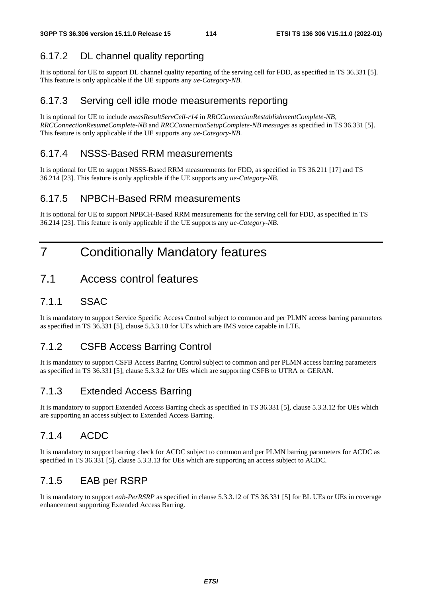# 6.17.2 DL channel quality reporting

It is optional for UE to support DL channel quality reporting of the serving cell for FDD, as specified in TS 36.331 [5]. This feature is only applicable if the UE supports any *ue-Category-NB*.

#### 6.17.3 Serving cell idle mode measurements reporting

It is optional for UE to include *measResultServCell-r14* in *RRCConnectionRestablishmentComplete-NB, RRCConnectionResumeComplete-NB* and *RRCConnectionSetupComplete-NB messages* as specified in TS 36.331 [5]. This feature is only applicable if the UE supports any *ue-Category-NB*.

#### 6.17.4 NSSS-Based RRM measurements

It is optional for UE to support NSSS-Based RRM measurements for FDD, as specified in TS 36.211 [17] and TS 36.214 [23]. This feature is only applicable if the UE supports any *ue-Category-NB*.

#### 6.17.5 NPBCH-Based RRM measurements

It is optional for UE to support NPBCH-Based RRM measurements for the serving cell for FDD, as specified in TS 36.214 [23]. This feature is only applicable if the UE supports any *ue-Category-NB*.

# 7 Conditionally Mandatory features

# 7.1 Access control features

#### 7.1.1 SSAC

It is mandatory to support Service Specific Access Control subject to common and per PLMN access barring parameters as specified in TS 36.331 [5], clause 5.3.3.10 for UEs which are IMS voice capable in LTE.

#### 7.1.2 CSFB Access Barring Control

It is mandatory to support CSFB Access Barring Control subject to common and per PLMN access barring parameters as specified in TS 36.331 [5], clause 5.3.3.2 for UEs which are supporting CSFB to UTRA or GERAN.

## 7.1.3 Extended Access Barring

It is mandatory to support Extended Access Barring check as specified in TS 36.331 [5], clause 5.3.3.12 for UEs which are supporting an access subject to Extended Access Barring.

## 7.1.4 ACDC

It is mandatory to support barring check for ACDC subject to common and per PLMN barring parameters for ACDC as specified in TS 36.331 [5], clause 5.3.3.13 for UEs which are supporting an access subject to ACDC.

## 7.1.5 EAB per RSRP

It is mandatory to support *eab-PerRSRP* as specified in clause 5.3.3.12 of TS 36.331 [5] for BL UEs or UEs in coverage enhancement supporting Extended Access Barring.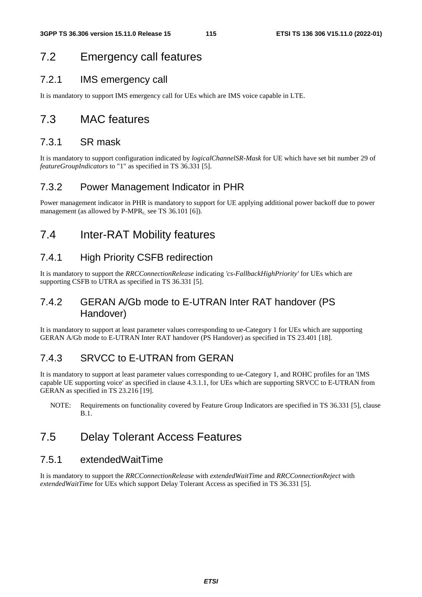# 7.2 Emergency call features

#### 7.2.1 IMS emergency call

It is mandatory to support IMS emergency call for UEs which are IMS voice capable in LTE.

## 7.3 MAC features

#### 7.3.1 SR mask

It is mandatory to support configuration indicated by *logicalChannelSR-Mask* for UE which have set bit number 29 of *featureGroupIndicators* to "1" as specified in TS 36.331 [5].

#### 7.3.2 Power Management Indicator in PHR

Power management indicator in PHR is mandatory to support for UE applying additional power backoff due to power management (as allowed by  $P-MPR<sub>c</sub>$  see TS 36.101 [6]).

# 7.4 Inter-RAT Mobility features

#### 7.4.1 High Priority CSFB redirection

It is mandatory to support the *RRCConnectionRelease* indicating *'cs-FallbackHighPriority'* for UEs which are supporting CSFB to UTRA as specified in TS 36.331 [5].

#### 7.4.2 GERAN A/Gb mode to E-UTRAN Inter RAT handover (PS Handover)

It is mandatory to support at least parameter values corresponding to ue-Category 1 for UEs which are supporting GERAN A/Gb mode to E-UTRAN Inter RAT handover (PS Handover) as specified in TS 23.401 [18].

#### 7.4.3 SRVCC to E-UTRAN from GERAN

It is mandatory to support at least parameter values corresponding to ue-Category 1, and ROHC profiles for an 'IMS capable UE supporting voice' as specified in clause 4.3.1.1, for UEs which are supporting SRVCC to E-UTRAN from GERAN as specified in TS 23.216 [19].

NOTE: Requirements on functionality covered by Feature Group Indicators are specified in TS 36.331 [5], clause B.1.

# 7.5 Delay Tolerant Access Features

#### 7.5.1 extendedWaitTime

It is mandatory to support the *RRCConnectionRelease* with *extendedWaitTime* and *RRCConnectionReject* with *extendedWaitTime* for UEs which support Delay Tolerant Access as specified in TS 36.331 [5].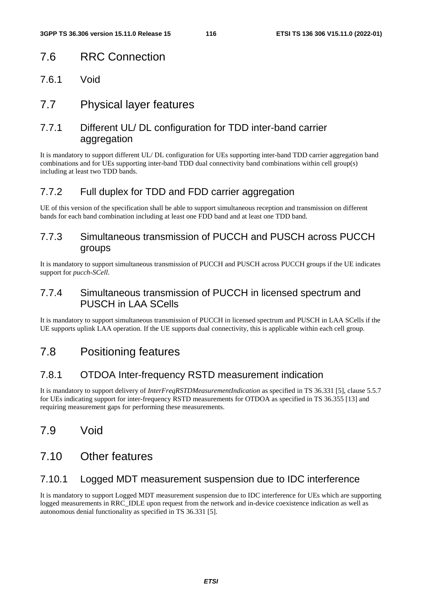## 7.6 RRC Connection

7.6.1 Void

## 7.7 Physical layer features

#### 7.7.1 Different UL/ DL configuration for TDD inter-band carrier aggregation

It is mandatory to support different UL/ DL configuration for UEs supporting inter-band TDD carrier aggregation band combinations and for UEs supporting inter-band TDD dual connectivity band combinations within cell group(s) including at least two TDD bands.

#### 7.7.2 Full duplex for TDD and FDD carrier aggregation

UE of this version of the specification shall be able to support simultaneous reception and transmission on different bands for each band combination including at least one FDD band and at least one TDD band.

#### 7.7.3 Simultaneous transmission of PUCCH and PUSCH across PUCCH groups

It is mandatory to support simultaneous transmission of PUCCH and PUSCH across PUCCH groups if the UE indicates support for *pucch-SCell*.

#### 7.7.4 Simultaneous transmission of PUCCH in licensed spectrum and PUSCH in LAA SCells

It is mandatory to support simultaneous transmission of PUCCH in licensed spectrum and PUSCH in LAA SCells if the UE supports uplink LAA operation. If the UE supports dual connectivity, this is applicable within each cell group.

# 7.8 Positioning features

#### 7.8.1 OTDOA Inter-frequency RSTD measurement indication

It is mandatory to support delivery of *InterFreqRSTDMeasurementIndication* as specified in TS 36.331 [5], clause 5.5.7 for UEs indicating support for inter-frequency RSTD measurements for OTDOA as specified in TS 36.355 [13] and requiring measurement gaps for performing these measurements.

## 7.9 Void

# 7.10 Other features

#### 7.10.1 Logged MDT measurement suspension due to IDC interference

It is mandatory to support Logged MDT measurement suspension due to IDC interference for UEs which are supporting logged measurements in RRC\_IDLE upon request from the network and in-device coexistence indication as well as autonomous denial functionality as specified in TS 36.331 [5].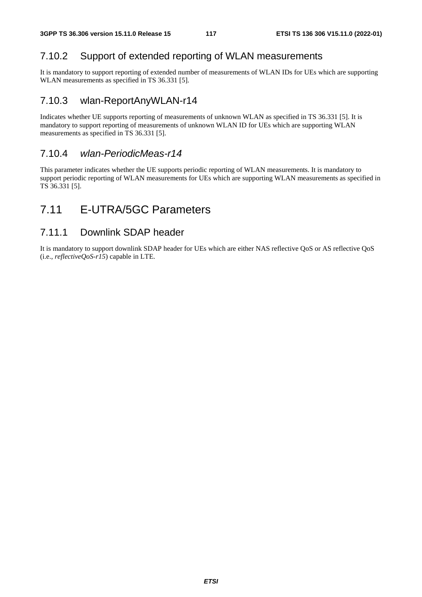## 7.10.2 Support of extended reporting of WLAN measurements

It is mandatory to support reporting of extended number of measurements of WLAN IDs for UEs which are supporting WLAN measurements as specified in TS 36.331 [5].

#### 7.10.3 wlan-ReportAnyWLAN-r14

Indicates whether UE supports reporting of measurements of unknown WLAN as specified in TS 36.331 [5]. It is mandatory to support reporting of measurements of unknown WLAN ID for UEs which are supporting WLAN measurements as specified in TS 36.331 [5].

#### 7.10.4 *wlan-PeriodicMeas-r14*

This parameter indicates whether the UE supports periodic reporting of WLAN measurements. It is mandatory to support periodic reporting of WLAN measurements for UEs which are supporting WLAN measurements as specified in TS 36.331 [5].

# 7.11 E-UTRA/5GC Parameters

#### 7.11.1 Downlink SDAP header

It is mandatory to support downlink SDAP header for UEs which are either NAS reflective QoS or AS reflective QoS (i.e., *reflectiveQoS-r15*) capable in LTE.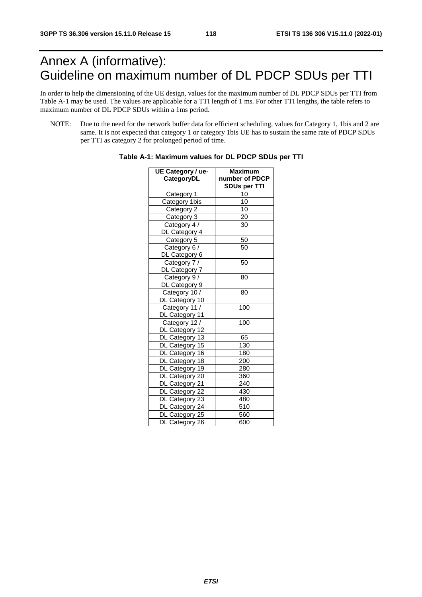# Annex A (informative): Guideline on maximum number of DL PDCP SDUs per TTI

In order to help the dimensioning of the UE design, values for the maximum number of DL PDCP SDUs per TTI from Table A-1 may be used. The values are applicable for a TTI length of 1 ms. For other TTI lengths, the table refers to maximum number of DL PDCP SDUs within a 1ms period.

NOTE: Due to the need for the network buffer data for efficient scheduling, values for Category 1, 1bis and 2 are same. It is not expected that category 1 or category 1bis UE has to sustain the same rate of PDCP SDUs per TTI as category 2 for prolonged period of time.

| UE Category / ue- | Maximum             |
|-------------------|---------------------|
| CategoryDL        | number of PDCP      |
|                   | <b>SDUs per TTI</b> |
| Category 1        | 10                  |
| Category 1bis     | 10                  |
| Category 2        | 10                  |
| Category 3        | 20                  |
| Category 4 /      | 30                  |
| DL Category 4     |                     |
| Category 5        | 50                  |
| Category 6 /      | 50                  |
| DL Category 6     |                     |
| Category 7 /      | 50                  |
| DL Category 7     |                     |
| Category 9/       | 80                  |
| DL Category 9     |                     |
| Category 10 /     | 80                  |
| DL Category 10    |                     |
| Category 11 /     | 100                 |
| DL Category 11    |                     |
| Category 12 /     | 100                 |
| DL Category 12    |                     |
| DL Category 13    | 65                  |
| DL Category 15    | 130                 |
| DL Category 16    | 180                 |
| DL Category 18    | 200                 |
| DL Category 19    | 280                 |
| DL Category 20    | 360                 |
| DL Category 21    | 240                 |
| DL Category 22    | 430                 |
| DL Category 23    | 480                 |
| DL Category 24    | 510                 |
| DL Category 25    | 560                 |
| DL Category 26    | 600                 |

| Table A-1: Maximum values for DL PDCP SDUs per TTI |  |  |  |
|----------------------------------------------------|--|--|--|
|----------------------------------------------------|--|--|--|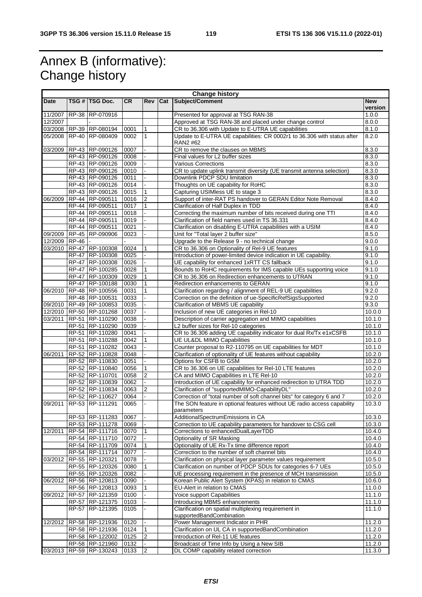# Annex B (informative): Change history

r

|             | <b>Change history</b> |                                    |              |                              |     |                                                                                                                             |                  |
|-------------|-----------------------|------------------------------------|--------------|------------------------------|-----|-----------------------------------------------------------------------------------------------------------------------------|------------------|
| <b>Date</b> |                       | TSG # TSG Doc.                     | <b>CR</b>    | <b>Rev</b>                   | Cat | Subject/Comment                                                                                                             | <b>New</b>       |
|             |                       |                                    |              |                              |     |                                                                                                                             | version          |
| 11/2007     |                       | RP-38 RP-070916                    |              |                              |     | Presented for approval at TSG RAN-38                                                                                        | 1.0.0            |
| 12/2007     |                       | 03/2008 RP-39 RP-080194            |              |                              |     | Approved at TSG RAN-38 and placed under change control                                                                      | 8.0.0            |
| 05/2008     |                       | RP-40 RP-080409                    | 0001<br>0002 | $\mathbf{1}$<br>$\mathbf{1}$ |     | CR to 36.306 with Update to E-UTRA UE capabilities                                                                          | 8.1.0<br>8.2.0   |
|             |                       |                                    |              |                              |     | Update to E-UTRA UE capabilities: CR 0002r1 to 36.306 with status after<br>RAN2 #62                                         |                  |
| 03/2009     |                       | RP-43 RP-090126                    | 0007         |                              |     | CR to remove the clauses on MBMS                                                                                            | 8.3.0            |
|             |                       | RP-43 RP-090126                    | 0008         |                              |     | Final values for L2 buffer sizes                                                                                            | 8.3.0            |
|             |                       | RP-43 RP-090126                    | 0009         |                              |     | Various Corrections                                                                                                         | 8.3.0            |
|             |                       | RP-43 RP-090126                    | 0010         |                              |     | CR to update uplink transmit diversity (UE transmit antenna selection)                                                      | 8.3.0            |
|             |                       | RP-43 RP-090126                    | 0011         |                              |     | Downlink PDCP SDU limitation                                                                                                | 8.3.0            |
|             |                       | RP-43 RP-090126                    | 0014         |                              |     | Thoughts on UE capability for RoHC                                                                                          | 8.3.0            |
|             |                       | RP-43 RP-090126                    | 0015         | $\mathbf{1}$                 |     | Capturing USIMless UE to stage 3                                                                                            | 8.3.0            |
| 06/2009     |                       | RP-44 RP-090511                    | 0016         | $\overline{2}$               |     | Support of inter-RAT PS handover to GERAN Editor Note Removal                                                               | 8.4.0            |
|             |                       | RP-44 RP-090511                    | 0017         | $\mathbf{1}$                 |     | Clarification of Half Duplex in TDD                                                                                         | 8.4.0            |
|             |                       | RP-44 RP-090511                    | 0018         |                              |     | Correcting the maximum number of bits received during one TTI                                                               | 8.4.0            |
|             |                       | RP-44 RP-090511                    | 0019         |                              |     | Clarification of field names used in TS 36.331                                                                              | 8.4.0            |
|             |                       | RP-44 RP-090511                    | 0021         |                              |     | Clarification on disabling E-UTRA capabilities with a USIM                                                                  | 8.4.0            |
| 09/2009     |                       | RP-45 RP-090906                    | 0023         |                              |     | Unit for "Total layer 2 buffer size"                                                                                        | 8.5.0            |
| 12/2009     | <b>RP-46</b>          |                                    |              |                              |     | Upgrade to the Release 9 - no technical change                                                                              | 9.0.0            |
| 03/2010     |                       | RP-47 RP-100308                    | 0024         | 1                            |     | CR to 36.306 on Optionality of Rel-9 UE features                                                                            | 9.1.0            |
|             |                       | RP-47 RP-100308                    | 0025         |                              |     | Introduction of power-limited device indication in UE capability.                                                           | 9.1.0            |
|             |                       | RP-47 RP-100308                    | 0026         |                              |     | UE capability for enhanced 1xRTT CS fallback                                                                                | 9.1.0            |
|             |                       | RP-47 RP-100285                    | 0028         | 1                            |     | Bounds to RoHC requirements for IMS capable UEs supporting voice                                                            | 9.1.0            |
|             |                       | RP-47 RP-100309                    | 0029         | $\mathbf{1}$                 |     | CR to 36.306 on Redirection enhancements to UTRAN                                                                           | 9.1.0            |
|             |                       | RP-47 RP-100188<br>RP-48 RP-100556 | 0030<br>0031 | $\mathbf{1}$<br>1            |     | Redirection enhancements to GERAN                                                                                           | 9.1.0<br>9.2.0   |
| 06/2010     |                       | RP-48 RP-100531                    | 0033         |                              |     | Clarification regarding / alignment of REL-9 UE capabilities<br>Correction on the definition of ue-SpecificRefSigsSupported | 9.2.0            |
| 09/2010     |                       | RP-49 RP-100853                    | 0035         |                              |     | Clarification of MBMS UE capability                                                                                         | 9.3.0            |
| 12/2010     |                       | RP-50 RP-101268                    | 0037         |                              |     | Inclusion of new UE categories in Rel-10                                                                                    | 10.0.0           |
| 03/2011     |                       | RP-51 RP-110290                    | 0038         |                              |     | Description of carrier aggregation and MIMO capabilities                                                                    | 10.1.0           |
|             |                       | RP-51 RP-110290                    | 0039         |                              |     | L2 buffer sizes for Rel-10 categories                                                                                       | 10.1.0           |
|             |                       | RP-51 RP-110280                    | 0041         |                              |     | CR to 36.306 adding UE capability indicator for dual Rx/Tx e1xCSFB                                                          | 10.1.0           |
|             |                       | RP-51 RP-110288                    | 0042         | 1                            |     | <b>UE UL&amp;DL MIMO Capabilities</b>                                                                                       | 10.1.0           |
|             |                       | RP-51 RP-110282                    | 0043         |                              |     | Counter proposal to R2-110795 on UE capabilities for MDT                                                                    | 10.1.0           |
| 06/2011     |                       | RP-52 RP-110828                    | 0048         |                              |     | Clarification of optionality of UE features without capability                                                              | 10.2.0           |
|             |                       | RP-52 RP-110830                    | 0051         |                              |     | Options for CSFB to GSM                                                                                                     | 10.2.0           |
|             |                       | RP-52 RP-110840                    | 0056         | 1                            |     | CR to 36.306 on UE capabilities for Rel-10 LTE features                                                                     | 10.2.0           |
|             |                       | RP-52 RP-110701                    | 0058         | $\overline{\mathbf{c}}$      |     | CA and MIMO Capabilities in LTE Rel-10                                                                                      | 10.2.0           |
|             |                       | RP-52 RP-110839                    | 0062         |                              |     | Introduction of UE capability for enhanced redirection to UTRA TDD                                                          | 10.2.0           |
|             |                       | RP-52 RP-110834                    | 0063         | $\overline{2}$               |     | Clarification of "supportedMIMO-CapabilityDL"                                                                               | 10.2.0           |
|             |                       | RP-52 RP-110627                    | 0064         |                              |     | Correction of "total number of soft channel bits" for category 6 and 7                                                      | 10.2.0           |
| 09/2011     |                       | RP-53 RP-111291                    | 0065         |                              |     | The SON feature in optional features without UE radio access capability                                                     | 10.3.0           |
|             |                       |                                    |              |                              |     | parameters                                                                                                                  |                  |
|             |                       | RP-53 RP-111283                    | 0067         | $\Box$                       |     | AdditionalSpectrumEmissions in CA                                                                                           | 10.3.0           |
|             |                       | RP-53 RP-111278                    | 0069         |                              |     | Correction to UE capability parameters for handover to CSG cell                                                             | 10.3.0           |
| 12/2011     |                       | RP-54 RP-111716                    | 0070         | $\mathbf{1}$                 |     | Corrections to enhancedDualLayerTDD<br>Optionality of SR Masking                                                            | 10.4.0           |
|             |                       | RP-54 RP-111710<br>RP-54 RP-111709 | 0072<br>0074 | 1                            |     | Optionality of UE Rx-Tx time difference report                                                                              | 10.4.0<br>10.4.0 |
|             |                       | RP-54 RP-111714                    | 0077         |                              |     | Correction to the number of soft channel bits                                                                               | 10.4.0           |
| 03/2012     |                       | RP-55 RP-120321                    | 0078         |                              |     | Clarification on physical layer parameter values requirement                                                                | 10.5.0           |
|             |                       | RP-55 RP-120326                    | 0080         | 1                            |     | Clarification on number of PDCP SDUs for categories 6-7 UEs                                                                 | 10.5.0           |
|             |                       | RP-55 RP-120326                    | 0082         |                              |     | UE processing requirement in the presence of MCH transmission                                                               | 10.5.0           |
| 06/2012     |                       | RP-56 RP-120813                    | 0090         |                              |     | Korean Public Alert System (KPAS) in relation to CMAS                                                                       | 10.6.0           |
|             |                       | RP-56 RP-120813                    | 0093         |                              |     | EU-Alert in relation to CMAS                                                                                                | 11.0.0           |
| 09/2012     |                       | RP-57 RP-121359                    | 0100         |                              |     | Voice support Capabilities                                                                                                  | 11.1.0           |
|             |                       | RP-57 RP-121375                    | 0103         |                              |     | Introducing MBMS enhancements                                                                                               | 11.1.0           |
|             |                       | RP-57 RP-121395                    | 0105         |                              |     | Clarification on spatial multiplexing requirement in                                                                        | 11.1.0           |
|             |                       |                                    |              |                              |     | supportedBandCombination                                                                                                    |                  |
| 12/2012     |                       | RP-58 RP-121936                    | 0120         |                              |     | Power Management Indicator in PHR                                                                                           | 11.2.0           |
|             |                       | RP-58 RP-121936                    | 0124         | 1                            |     | Clarification on UL CA in supportedBandCombination                                                                          | 11.2.0           |
|             |                       | RP-58 RP-122002                    | 0125         | $\overline{2}$               |     | Introduction of Rel-11 UE features                                                                                          | 11.2.0           |
|             |                       | RP-58 RP-121960                    | 0132         |                              |     | Broadcast of Time Info by Using a New SIB                                                                                   | 11.2.0           |
| 03/2013     |                       | RP-59 RP-130243                    | 0133         | 2                            |     | DL COMP capability related correction                                                                                       | 11.3.0           |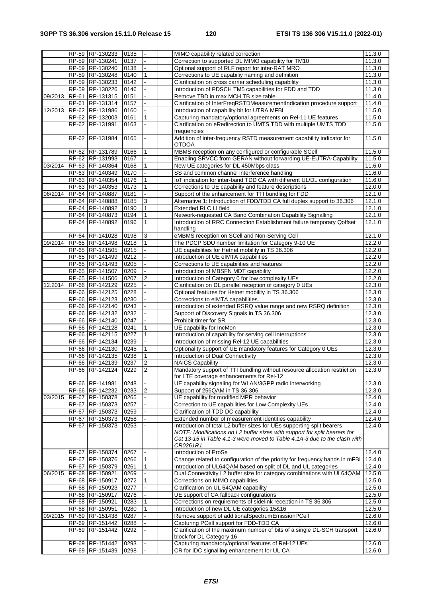|         |       | RP-59 RP-130233                    | 0135         |                | MIMO capability related correction                                                                                    | 11.3.0               |
|---------|-------|------------------------------------|--------------|----------------|-----------------------------------------------------------------------------------------------------------------------|----------------------|
|         |       | RP-59 RP-130241                    | 0137         |                | Correction to supported DL MIMO capability for TM10                                                                   | 11.3.0               |
|         |       | RP-59 RP-130240                    | 0138         |                | Optional support of RLF report for inter-RAT MRO                                                                      | 11.3.0               |
|         |       | RP-59 RP-130248                    | 0140         | 1              | Corrections to UE capabiliy naming and definition                                                                     | 11.3.0               |
|         |       | RP-59 RP-130233                    | 0142         |                | Clarification on cross carrier scheduling capability                                                                  | 11.3.0               |
|         |       | RP-59 RP-130226                    | 0146         |                | Introduction of PDSCH TM5 capabilities for FDD and TDD                                                                | 11.3.0               |
| 09/2013 |       | RP-61 RP-131315                    | 0151         |                | Remove TBD in max MCH TB size table                                                                                   | 11.4.0               |
|         |       | RP-61 RP-131314                    | 0157         |                | Clarification of InterFreqRSTDMeasurementIndication procedure support                                                 | 11.4.0               |
| 12/2013 |       | RP-62 RP-131986                    | 0160         |                | Introduction of capability bit for UTRA MFBI                                                                          | 11.5.0               |
|         |       | RP-62 RP-132003                    | 0161         | 1              | Capturing mandatory/optional agreements on Rel-11 UE features                                                         | 11.5.0               |
|         |       | RP-62 RP-131991                    | 0163         |                | Clarification on eRedirection to UMTS TDD with multiple UMTS TDD                                                      | 11.5.0               |
|         |       |                                    |              |                | frequencies                                                                                                           |                      |
|         |       | RP-62 RP-131984                    | 0165         |                | Addition of inter-frequency RSTD measurement capability indicator for                                                 | 11.5.0               |
|         |       |                                    |              | 1              | <b>OTDOA</b><br>MBMS reception on any configured or configurable SCell                                                |                      |
|         |       | RP-62 RP-131789<br>RP-62 RP-131993 | 0166<br>0167 |                | Enabling SRVCC from GERAN without forwarding UE-EUTRA-Capability                                                      | 11.5.0<br>11.5.0     |
| 03/2014 |       | RP-63 RP-140364                    | 0168         | 1              | New UE categories for DL 450Mbps class                                                                                | 11.6.0               |
|         |       | RP-63 RP-140349                    | 0170         |                | SS and common channel interference handling                                                                           | 11.6.0               |
|         |       | RP-63 RP-140354                    | 0176         | $\mathbf{1}$   | IoT indication for inter-band TDD CA with different UL/DL configuration                                               | 11.6.0               |
|         |       | RP-63 RP-140353                    | 0173         | 1              | Corrections to UE capability and feature descriptions                                                                 | 12.0.0               |
| 06/2014 |       | RP-64 RP-140887                    | 0181         |                | Support of the enhancement for TTI bundling for FDD                                                                   | 12.1.0               |
|         |       | RP-64 RP-140888                    | 0185         | 3              | Alternative 1: Introduction of FDD/TDD CA full duplex support to 36.306                                               | 12.1.0               |
|         |       | RP-64 RP-140892                    | 0190         | $\mathbf{1}$   | Extended RLC LI field                                                                                                 | 12.1.0               |
|         |       | RP-64 RP-140873                    | 0194         | 1              | Network-requested CA Band Combination Capability Signalling                                                           | 12.1.0               |
|         |       | RP-64 RP-140892                    | 0196         | 1              | Introduction of RRC Connection Establishment failure temporary Qoffset                                                | 12.1.0               |
|         |       |                                    |              |                | handling                                                                                                              |                      |
|         |       | RP-64 RP-141028                    | 0198         | $\mathbf{3}$   | eMBMS reception on SCell and Non-Serving Cell                                                                         | $\overline{1}$ 2.1.0 |
| 09/2014 |       | RP-65 RP-141498                    | 0218         | $\mathbf{1}$   | The PDCP SDU number limitation for Category 9-10 UE                                                                   | 12.2.0               |
|         |       | RP-65 RP-141505                    | 0215         |                | UE capabilities for Hetnet mobility in TS 36.306                                                                      | 12.2.0               |
|         |       | RP-65 RP-141499                    | 0212         |                | Introduction of UE eIMTA capabilities                                                                                 | 12.2.0               |
|         |       | RP-65 RP-141493                    | 0205         |                | Corrections to UE capabilities and features                                                                           | 12.2.0               |
|         |       | RP-65 RP-141507<br>RP-65 RP-141506 | 0209<br>0207 | $\overline{2}$ | Introduction of MBSFN MDT capability<br>Introduction of Category 0 for low complexity UEs                             | 12.2.0<br>12.2.0     |
| 12.2014 |       | RP-66 RP-142129                    | 0225         |                | Clarification on DL parallel reception of category 0 UEs                                                              | 12.3.0               |
|         |       | RP-66 RP-142125                    | 0228         |                | Optional features for Hetnet mobility in TS 36.306                                                                    | 12.3.0               |
|         |       | RP-66 RP-142123                    | 0230         |                | Corrections to eIMTA capabilities                                                                                     | 12.3.0               |
|         |       | RP-66 RP-142140                    | 0243         |                | Introduction of extended RSRQ value range and new RSRQ definition                                                     | 12.3.0               |
|         |       | RP-66 RP-142132                    | 0232         |                | Support of Discovery Signals in TS 36.306                                                                             | 12.3.0               |
|         |       | RP-66 RP-142140                    | 0247         |                | Prohibit timer for SR                                                                                                 | 12.3.0               |
|         |       | RP-66 RP-142128                    | 0241         | 1              | UE capability for IncMon                                                                                              | 12.3.0               |
|         |       | RP-66 RP-142115                    | 0227         | $\mathbf{1}$   | Introduction of capability for serving cell interruptions                                                             | 12.3.0               |
|         |       | RP-66 RP-142134                    | 0239         |                | Introduction of missing Rel-12 UE capabilities                                                                        | 12.3.0               |
|         |       | RP-66 RP-142130                    | 0245         | 1              | Optionality support of UE mandatory features for Category 0 UEs                                                       | 12.3.0               |
|         |       | RP-66 RP-142135                    | 0238         | $\mathbf{1}$   | Introduction of Dual Connectivity                                                                                     | 12.3.0               |
|         |       | RP-66 RP-142139                    | 0237         | $\overline{2}$ | <b>NAICS Capability</b>                                                                                               | 12.3.0               |
|         |       | RP-66 RP-142124                    | 0229         | $\vert$ 2      | Mandatory support of TTI bundling without resource allocation restriction<br>for LTE coverage enhancements for Rel-12 | 12.3.0               |
|         |       | RP-66 RP-141981                    | 0248         |                | UE capability signaling for WLAN/3GPP radio interworking                                                              | 12.3.0               |
|         |       | RP-66 RP-142232                    | 0233         | $\sqrt{2}$     | Support of 256QAM in TS 36.306                                                                                        | 12.3.0               |
| 03/2015 |       | RP-67 RP-150378                    | 0265         |                | UE capability for modified MPR behavior                                                                               | $\overline{12.4.0}$  |
|         | RP-67 | RP-150373                          | 0257         |                | Correction to UE capabilities for Low Complexity UEs                                                                  | 12.4.0               |
|         |       | RP-67 RP-150373                    | 0259         |                | Clarification of TDD DC capability                                                                                    | 12.4.0               |
|         |       | RP-67 RP-150373                    | 0258         |                | Extended number of measurement identities capability                                                                  | $\overline{1}$ 2.4.0 |
|         |       | RP-67 RP-150373                    | 0253         |                | Introduction of total L2 buffer sizes for UEs supporting split bearers                                                | 12.4.0               |
|         |       |                                    |              |                | NOTE: Modifications on L2 buffer sizes with support for split bearers for                                             |                      |
|         |       |                                    |              |                | Cat 13-15 in Table 4.1-3 were moved to Table 4.1A-3 due to the clash with                                             |                      |
|         |       | RP-67 RP-150374                    | 0267         |                | CR0261R1.<br>Introduction of ProSe                                                                                    | 12.4.0               |
|         | RP-67 | RP-150376                          | 0266         | 1              | Change related to configuration of the priority for frequency bands in mFBI                                           | 12.4.0               |
|         |       | RP-67 RP-150379                    | 0261         | 1              | Introduction of UL64QAM based on split of DL and UL categories                                                        | 12.4.0               |
| 06/2015 |       | RP-68 RP-150921                    | 0269         |                | Dual Connectivity L2 buffer size for category combinations with UL64QAM                                               | 12.5.0               |
|         |       | RP-68 RP-150917                    | 0272         |                | Corrections on MIMO capabilities                                                                                      | 12.5.0               |
|         |       | RP-68 RP-150923                    | 0277         |                | Clarification on UL 64QAM capability                                                                                  | 12.5.0               |
|         |       | RP-68 RP-150917                    | 0276         |                | UE support of CA fallback configurations                                                                              | 12.5.0               |
|         |       | RP-68 RP-150921                    | 0283         |                | Corrections on requirements of sidelink reception in TS 36.306                                                        | 12.5.0               |
|         |       | RP-68 RP-150951                    | 0280         | 1              | Introduction of new DL UE categories 15&16                                                                            | 12.5.0               |
| 09/2015 |       | RP-69 RP-151438                    | 0287         |                | Remove support of additionalSpectrumEmissionPCell                                                                     | 12.6.0               |
|         |       | RP-69 RP-151442                    | 0288         |                | Capturing PCell support for FDD-TDD CA                                                                                | 12.6.0               |
|         |       | RP-69 RP-151442                    | 0292         |                | Clarification of the maximum number of bits of a single DL-SCH transport                                              | 12.6.0               |
|         |       | RP-69 RP-151442                    | 0293         |                | block for DL Category 16<br>Capturing mandatory/optional features of Rel-12 UEs                                       | 12.6.0               |
|         |       | RP-69 RP-151439                    | 0298         |                | CR for IDC signalling enhancement for UL CA                                                                           | $\overline{12.6.0}$  |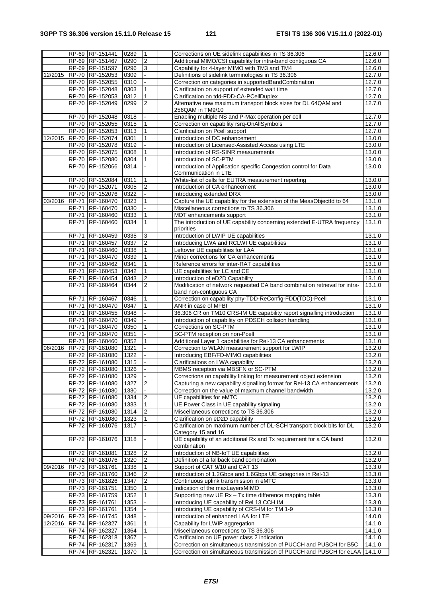|         |              | RP-69 RP-151441                    | 0289         | $\mathbf{1}$   | Corrections on UE sidelink capabilities in TS 36.306                                                                                      | $\overline{12.6.0}$ |
|---------|--------------|------------------------------------|--------------|----------------|-------------------------------------------------------------------------------------------------------------------------------------------|---------------------|
|         |              |                                    |              |                |                                                                                                                                           |                     |
|         |              | RP-69 RP-151467                    | 0290         | $\overline{2}$ | Additional MIMO/CSI capability for intra-band contiguous CA                                                                               | 12.6.0              |
|         |              | RP-69 RP-151597                    | 0296         | 3              | Capability for 4-layer MIMO with TM3 and TM4                                                                                              | 12.6.0              |
| 12/2015 |              | RP-70 RP-152053                    | 0309         |                | Definitions of sidelink terminologies in TS 36.306                                                                                        | 12.7.0              |
|         |              |                                    |              |                |                                                                                                                                           |                     |
|         |              | RP-70 RP-152055                    | 0310         |                | Correction on categories in supportedBandCombination                                                                                      | 12.7.0              |
|         |              | RP-70 RP-152048                    | 0303         |                | Clarification on support of extended wait time                                                                                            | 12.7.0              |
|         |              | RP-70 RP-152053                    | 0312         | 1              | Clarification on tdd-FDD-CA-PCellDuplex                                                                                                   | 12.7.0              |
|         |              |                                    |              |                |                                                                                                                                           |                     |
|         |              | RP-70 RP-152049                    | 0299         | $\overline{2}$ | Alternative new maximum transport block sizes for DL 64QAM and                                                                            | 12.7.0              |
|         |              |                                    |              |                | 256QAM in TM9/10                                                                                                                          |                     |
|         |              | RP-70 RP-152048                    | 0318         |                | Enabling multiple NS and P-Max operation per cell                                                                                         | 12.7.0              |
|         |              |                                    |              |                |                                                                                                                                           |                     |
|         |              | RP-70 RP-152055                    | 0315         | 1              | Correction on capability rsrq-OnAllSymbols                                                                                                | 12.7.0              |
|         |              | RP-70 RP-152053                    | 0313         | 1              | Clarification on Pcell support                                                                                                            | 12.7.0              |
| 12/2015 |              | RP-70 RP-152074                    | 0301         |                | Introduction of DC enhancement                                                                                                            | 13.0.0              |
|         |              | RP-70 RP-152078                    | 0319         |                | Introduction of Licensed-Assisted Access using LTE                                                                                        | 13.0.0              |
|         |              |                                    |              |                |                                                                                                                                           |                     |
|         |              | RP-70 RP-152075                    | 0308         | 1              | Introduction of RS-SINR measurements                                                                                                      | 13.0.0              |
|         |              | RP-70 RP-152080                    | 0304         | 1              | Introduction of SC-PTM                                                                                                                    | 13.0.0              |
|         |              | RP-70 RP-152066                    | 0314         |                | Introduction of Application specific Congestion control for Data                                                                          | 13.0.0              |
|         |              |                                    |              |                |                                                                                                                                           |                     |
|         |              |                                    |              |                | Communication in LTE                                                                                                                      |                     |
|         |              | RP-70 RP-152084                    | 0311         | $\mathbf{1}$   | White-list of cells for EUTRA measurement reporting                                                                                       | 13.0.0              |
|         |              | RP-70 RP-152071                    | 0305         | $\overline{2}$ | Introduction of CA enhancement                                                                                                            | 13.0.0              |
|         |              | RP-70 RP-152076                    | 0322         |                | Introducing extended DRX                                                                                                                  | 13.0.0              |
|         |              |                                    |              |                |                                                                                                                                           |                     |
| 03/2016 |              | RP-71 RP-160470                    | 0323         | $\mathbf{1}$   | Capture the UE capability for the extension of the MeasObjectId to 64                                                                     | 13.1.0              |
|         |              | RP-71 RP-160470                    | 0330         |                | Miscellaneous corrections to TS 36.306                                                                                                    | 13.1.0              |
|         |              | RP-71 RP-160460                    | 0333         | 1              | MDT enhancements support                                                                                                                  | 13.1.0              |
|         |              |                                    |              |                |                                                                                                                                           |                     |
|         | <b>RP-71</b> | RP-160460                          | 0334         | $\mathbf{1}$   | The introduction of UE capability concerning extended E-UTRA frequency                                                                    | 13.1.0              |
|         |              |                                    |              |                | priorities                                                                                                                                |                     |
|         | RP-71        | RP-160459                          | 0335         | $\mathsf 3$    | Introduction of LWIP UE capabilities                                                                                                      | 13.1.0              |
|         |              | RP-71 RP-160457                    | 0337         | $\overline{2}$ | Introducing LWA and RCLWI UE capabilities                                                                                                 | 13.1.0              |
|         |              | RP-71 RP-160460                    | 0338         | 1              | Leftover UE capabilities for LAA                                                                                                          | 13.1.0              |
|         |              |                                    |              |                |                                                                                                                                           |                     |
|         |              | RP-71 RP-160470                    | 0339         | $\mathbf{1}$   | Minor corrections for CA enhancements                                                                                                     | 13.1.0              |
|         |              | RP-71 RP-160462                    | 0341         | $\mathbf{1}$   | Reference errors for inter-RAT capabilities                                                                                               | 13.1.0              |
|         | <b>RP-71</b> | RP-160453                          | 0342         | 1              | UE capabilities for LC and CE                                                                                                             | 13.1.0              |
|         | RP-71        | RP-160454                          | 0343         | $\overline{2}$ | Introduction of eD2D Capability                                                                                                           | 13.1.0              |
|         |              |                                    |              |                |                                                                                                                                           |                     |
|         | <b>RP-71</b> | RP-160464                          | 0344         | $\overline{2}$ | Modification of network requested CA band combination retrieval for intra-                                                                | 13.1.0              |
|         |              |                                    |              |                | band non-contiguous CA                                                                                                                    |                     |
|         | <b>RP-71</b> | RP-160467                          | 0346         | $\mathbf{1}$   | Correction on capability phy-TDD-ReConfig-FDD(TDD)-Pcell                                                                                  | 13.1.0              |
|         |              | RP-71 RP-160470                    | 0347         | 1              | ANR in case of MFBI                                                                                                                       | 13.1.0              |
|         |              |                                    |              |                |                                                                                                                                           |                     |
|         |              | RP-71 RP-160455                    | 0348         |                | 36.306 CR on TM10 CRS-IM UE capability report signalling introduction                                                                     | 13.1.0              |
|         |              | RP-71 RP-160470                    | 0349         |                | Introduction of capability on PDSCH collision handling                                                                                    | 13.1.0              |
|         |              | RP-71 RP-160470                    | 0350         | 1              | Corrections on SC-PTM                                                                                                                     | 13.1.0              |
|         | <b>RP-71</b> | RP-160470                          | 0351         |                | SC-PTM reception on non-Pcell                                                                                                             | 13.1.0              |
|         |              |                                    |              |                |                                                                                                                                           |                     |
|         |              | RP-71 RP-160460                    | 0352         | 1              | Additional Layer 1 capabilities for Rel-13 CA enhancements                                                                                | 13.1.0              |
| 06/2016 |              | RP-72 RP-161080                    | 1321         |                | Correction to WLAN measurement support for LWIP                                                                                           | 13.2.0              |
|         |              | RP-72 RP-161080                    | 1322         |                | Introducing EBF/FD-MIMO capabilities                                                                                                      | 13.2.0              |
|         |              | RP-72 RP-161080                    | 1315         |                | Clarifications on LWA capability                                                                                                          | 13.2.0              |
|         |              |                                    |              |                |                                                                                                                                           |                     |
|         |              | RP-72 RP-161080                    | 1326         |                | MBMS reception via MBSFN or SC-PTM                                                                                                        | 13.2.0              |
|         |              | RP-72 RP-161080                    | 1329         |                | Corrections on capability linking for measurement object extension                                                                        | 13.2.0              |
|         |              | RP-72 RP-161080                    | 1327         | $\overline{2}$ | Capturing a new capability signalling format for Rel-13 CA enhancements                                                                   | 13.2.0              |
|         |              | RP-72 RP-161080                    |              |                |                                                                                                                                           |                     |
|         |              |                                    | 1330         |                | Correction on the value of maxmum channel bandwidth                                                                                       | 13.2.0              |
|         |              | RP-72 RP-161080                    | 1334         | $\overline{2}$ | UE capabilities for eMTC                                                                                                                  | 13.2.0              |
|         |              | RP-72 RP-161080                    | 1333         | $\mathbf{1}$   | UE Power Class in UE capability signaling                                                                                                 | 13.2.0              |
|         |              | RP-72 RP-161080                    | 1314         | 2              | Miscellaneous corrections to TS 36.306                                                                                                    | 13.2.0              |
|         |              | RP-72 RP-161080                    | 1323         | $\mathbf{1}$   | Clarification on eD2D capability                                                                                                          | 13.2.0              |
|         |              |                                    |              |                |                                                                                                                                           |                     |
|         |              | RP-72 RP-161076                    | 1317         |                | Clarification on maximum number of DL-SCH transport block bits for DL                                                                     | 13.2.0              |
|         |              |                                    |              |                | Category 15 and 16                                                                                                                        |                     |
|         |              | RP-72 RP-161076                    | 1318         | ä,             | UE capability of an additional Rx and Tx requirement for a CA band                                                                        | 13.2.0              |
|         |              |                                    |              |                | combination                                                                                                                               |                     |
|         |              | RP-72 RP-161081                    | 1328         | $\overline{c}$ | Introduction of NB-IoT UE capabilities                                                                                                    | 13.2.0              |
|         |              |                                    |              |                |                                                                                                                                           |                     |
|         |              | RP-72 RP-161076                    | 1320         | $\overline{2}$ | Definition of a fallback band combination                                                                                                 | 13.2.0              |
| 09/2016 |              | RP-73 RP-161761                    | 1338         | $\mathbf{1}$   | Support of CAT 9/10 and CAT 13                                                                                                            | 13.3.0              |
|         |              | RP-73 RP-161760                    | 1346         | $\overline{2}$ | Introduction of 1.2Gbps and 1.6Gbps UE categories in Rel-13                                                                               | 13.3.0              |
|         |              | RP-73 RP-161826                    | 1347         | 2              | Continuous uplink transmission in eMTC                                                                                                    | 13.3.0              |
|         |              |                                    |              |                |                                                                                                                                           |                     |
|         |              | RP-73 RP-161751                    | 1350         |                | Indication of the maxLayersMIMO                                                                                                           | 13.3.0              |
|         |              | RP-73 RP-161759                    | 1352         |                | Supporting new UE Rx - Tx time difference mapping table                                                                                   | 13.3.0              |
|         |              | RP-73 RP-161761                    | 1353         |                | Introducing UE capability of Rel 13 CCH IM                                                                                                | 13.3.0              |
|         |              | RP-73 RP-161761                    | 1354         |                | Introducing UE capability of CRS-IM for TM 1-9                                                                                            | 13.3.0              |
|         |              |                                    |              |                |                                                                                                                                           |                     |
| 09/2016 |              | RP-73 RP-161745                    | 1348         |                | Introduction of enhanced LAA for LTE                                                                                                      | 14.0.0              |
| 12/2016 |              | RP-74 RP-162327                    | 1361         | 1              | Capability for LWIP aggregation                                                                                                           | 14.1.0              |
|         |              | RP-74 RP-162327                    | 1364         | 1              | Miscellaneous corrections to TS 36.306                                                                                                    | 14.1.0              |
|         |              | RP-74 RP-162318                    | 1367         |                | Clarification on UE power class 2 indication                                                                                              | 14.1.0              |
|         |              |                                    |              |                |                                                                                                                                           |                     |
|         |              |                                    |              |                |                                                                                                                                           |                     |
|         |              | RP-74 RP-162317<br>RP-74 RP-162321 | 1369<br>1370 |                | Correction on simultaneous transmission of PUCCH and PUSCH for B5C<br>Correction on simultaneous transmission of PUCCH and PUSCH for eLAA | 14.1.0<br>14.1.0    |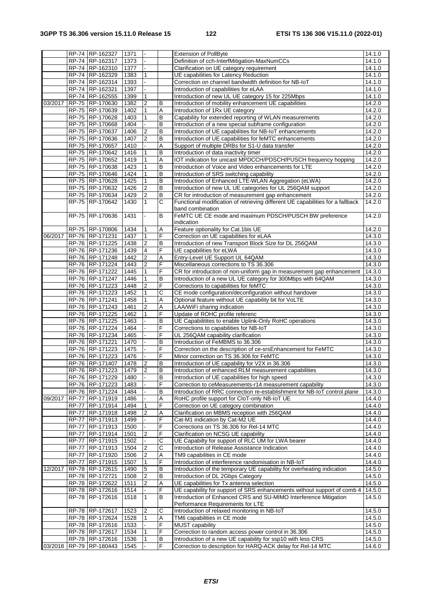|         |              | RP-74 RP-162327         | 1371         |                  |                     | <b>Extension of PollByte</b>                                                   | 14.1.0 |
|---------|--------------|-------------------------|--------------|------------------|---------------------|--------------------------------------------------------------------------------|--------|
|         |              | RP-74 RP-162317         | 1373         |                  |                     | Definition of cch-InterfMitigation-MaxNumCCs                                   | 14.1.0 |
|         |              | RP-74 RP-162310         | 1377         |                  |                     | Clarification on UE category requirement                                       | 14.1.0 |
|         |              | RP-74 RP-162329         | 1383         | $\mathbf{1}$     |                     | UE capabilities for Latency Reduction                                          | 14.1.0 |
|         |              | RP-74 RP-162314         | 1393         |                  |                     | Correction on channel bandwidth definition for NB-IoT                          | 14.1.0 |
|         |              | RP-74 RP-162321         | 1397         |                  |                     | Introduction of capabilities for eLAA                                          | 14.1.0 |
|         |              | RP-74 RP-162555         | 1399         | $\mathbf{1}$     |                     | Introduction of new UL UE category 15 for 225Mbps                              | 14.1.0 |
| 03/2017 |              | RP-75 RP-170630         | 1382         | $\boldsymbol{2}$ | B                   | Introduction of mobility enhancement UE capabilities                           | 14.2.0 |
|         |              | RP-75 RP-170639         | 1402         | 1                | Α                   | Introduction of 1Rx UE category                                                | 14.2.0 |
|         |              | RP-75 RP-170628         | 1403         | 1                | B                   | Capability for extended reporting of WLAN measurements                         | 14.2.0 |
|         |              | RP-75 RP-170668         | 1404         |                  | B                   | Introduction of a new special subframe configuration                           | 14.2.0 |
|         |              | RP-75 RP-170637         | 1406         | $\overline{c}$   | B                   | Introduction of UE capabilities for NB-IoT enhancements                        | 14.2.0 |
|         |              | RP-75 RP-170636         | 1407         | $\overline{2}$   | B                   | Introduction of UE capabilities for feMTC enhancements                         | 14.2.0 |
|         |              | RP-75 RP-170657         |              |                  | Α                   |                                                                                | 14.2.0 |
|         |              |                         | 1410<br>1416 |                  |                     | Support of multiple DRBs for S1-U data transfer                                | 14.2.0 |
|         |              | RP-75 RP-170642         |              | 1                | B                   | Introduction of data inactivity timer                                          |        |
|         |              | RP-75 RP-170652         | 1419         | 1                | Α<br>$\overline{B}$ | IOT indication for unicast MPDCCH/PDSCH/PUSCH frequency hopping                | 14.2.0 |
|         |              | RP-75 RP-170638         | 1423         | $\mathbf{1}$     |                     | Introduction of Voice and Video enhancements for LTE                           | 14.2.0 |
|         |              | RP-75 RP-170646         | 1424         | $\mathbf{1}$     | B                   | Introduction of SRS switching capability                                       | 14.2.0 |
|         |              | RP-75 RP-170628         | 1425         | $\mathbf{1}$     | B                   | Introduction of Enhanced LTE-WLAN Aggregation (eLWA)                           | 14.2.0 |
|         |              | RP-75 RP-170632         | 1426         | $\overline{2}$   | B                   | Introduction of new UL UE categories for UL 256QAM support                     | 14.2.0 |
|         |              | RP-75 RP-170634         | 1429         | $\overline{2}$   | В                   | CR for introduction of measurement gap enhancement                             | 14.2.0 |
|         |              | RP-75 RP-170642         | 1430         |                  | C                   | Functional modification of retrieving different UE capabilities for a fallback | 14.2.0 |
|         |              |                         |              |                  |                     | band combination                                                               |        |
|         |              | RP-75 RP-170636         | 1431         | $\blacksquare$   | B                   | FeMTC UE CE mode and maximum PDSCH/PUSCH BW preference                         | 14.2.0 |
|         |              |                         |              |                  |                     | indication                                                                     |        |
|         |              | RP-75 RP-170806         | 1434         | 1                | Α                   | Feature optionality for Cat.1bis UE                                            | 14.2.0 |
| 06/2017 |              | RP-76 RP-171231         | 1437         | $\mathbf{1}$     | F                   | Correction on UE capabilities for eLAA                                         | 14.3.0 |
|         |              | RP-76 RP-171225         | 1438         | $\overline{2}$   | B                   | Introduction of new Transport Block Size for DL 256QAM                         | 14.3.0 |
|         |              | RP-76 RP-171236         | 1439         | 4                | F                   | UE capabilities for eLWA                                                       | 14.3.0 |
|         |              | RP-76 RP-171248         | 1442         | $\boldsymbol{2}$ | Α                   | Entry-Level UE Support UL 64QAM                                                | 14.3.0 |
|         |              | RP-76 RP-171224         | 1443         | $\overline{2}$   | F                   | Miscellaneous corrections to TS 36.306                                         | 14.3.0 |
|         |              | RP-76 RP-171222         | 1445         | $\mathbf{1}$     | F                   | CR for introduction of non-uniform gap in measurement gap enhancement          | 14.3.0 |
|         |              | RP-76 RP-171247         | 1446         | $\mathbf{1}$     | B                   | Introduction of a new UL UE category for 300Mbps with 64QAM                    | 14.3.0 |
|         |              | RP-76 RP-171223         | 1448         | $\overline{2}$   | F                   | Corrections to capabilities for feMTC                                          | 14.3.0 |
|         |              | RP-76 RP-171223         | 1452         | $\mathbf{1}$     | C                   | CE mode configuration/deconfiguration without handover                         | 14.3.0 |
|         |              | RP-76 RP-171241         | 1458         | $\mathbf{1}$     | Α                   | Optional feature without UE capability bit for VoLTE                           | 14.3.0 |
|         |              | RP-76 RP-171243         | 1461         | $\overline{2}$   | Α                   | LAA/WiFi sharing indication                                                    | 14.3.0 |
|         |              | RP-76 RP-171225         | 1462         | $\mathbf{1}$     | F                   | Update of ROHC profile referenc                                                | 14.3.0 |
|         |              | RP-76 RP-171225         | 1463         |                  | $\overline{B}$      | UE Capabilitites to enable Uplink-Only RoHC operations                         | 14.3.0 |
|         |              | RP-76 RP-171224         | 1464         |                  | F                   | Corrections to capabilities for NB-IoT                                         | 14.3.0 |
|         |              | RP-76 RP-171234         | 1465         |                  | F                   | UL 256QAM capability clarification                                             | 14.3.0 |
|         |              | RP-76 RP-171221         | 1470         |                  | B                   | Introduction of FeMBMS to 36.306                                               | 14.3.0 |
|         |              | RP-76 RP-171223         | 1475         |                  | F                   | Correction on the description of ce-srsEnhancement for FeMTC                   | 14.3.0 |
|         |              | RP-76 RP-171223         | 1476         |                  | F                   | Minor correction on TS 36.306 for FeMTC                                        | 14.3.0 |
|         |              | RP-76 RP-171407         | 1478         | $\overline{2}$   | B                   | Introduction of UE capability for V2X in 36.306                                | 14.3.0 |
|         |              | RP-76 RP-171223         | 1479         | $\overline{2}$   | B                   | Introduction of enhanced RLM measurement capabilities                          | 14.3.0 |
|         |              | RP-76 RP-171229         | 1480         |                  | B                   | Introduction of UE capabilities for high speed                                 | 14.3.0 |
|         |              | RP-76 RP-171223         | 1483         |                  | F                   | Correction to ceMeasurements-r14 measurement capability                        | 14.3.0 |
|         |              |                         |              |                  |                     |                                                                                |        |
|         |              | RP-76 RP-171224         | 1484         |                  | В                   | Introduction of RRC connection re-establishment for NB-IoT control plane       | 14.3.0 |
| 09/2017 |              | RP-77 RP-171919         | 1486         |                  | Α<br>F              | RoHC profile support for CloT-only NB-IoT UE                                   | 14.4.0 |
|         | RP-77        | RP-171914               | 1494         | $\mathbf{1}$     |                     | Correction on UE category combination                                          | 14.4.0 |
|         |              | RP-77 RP-171918         | 1498         | 2                | A                   | Clarification on MBMS reception with 256QAM                                    | 14.4.0 |
|         |              | RP-77 RP-171913         | 1499         |                  | F                   | Cat-M1 indication by Cat-M2 UE                                                 | 14.4.0 |
|         |              | RP-77 RP-171913         | 1500         |                  | F                   | Corrections on TS 36.306 for Rel-14 MTC                                        | 14.4.0 |
|         |              | RP-77 RP-171914         | 1501         | 2                | F                   | Clarification on NCSG UE capability                                            | 14.4.0 |
|         | <b>RP-77</b> | RP-171915               | 1502         |                  | С                   | UE Capabilty for support of RLC UM for LWA bearer                              | 14.4.0 |
|         |              | RP-77 RP-171913         | 1504         | $\boldsymbol{2}$ | С                   | Introduction of Release Assistance Indication                                  | 14.4.0 |
|         | RP-77        | RP-171920               | 1506         | $\boldsymbol{2}$ | Α                   | TM9 capabilities in CE mode                                                    | 14.4.0 |
|         |              | RP-77 RP-171915         | 1507         | $\mathbf{1}$     | F                   | Introduction of interference randomisation in NB-IoT                           | 14.4.0 |
| 12/2017 |              | RP-78 RP-172615         | 1490         | 5                | B                   | Introduction of the temporary UE capability for overheating indication         | 14.5.0 |
|         |              | RP-78 RP-172721         | 1508         | $\overline{c}$   | B                   | Introduction of DL 2Gbps Category                                              | 14.5.0 |
|         |              | RP-78 RP-172622         | 1511         | 2                | Α                   | UE capabilities for Tx antenna selection                                       | 14.5.0 |
|         |              | RP-78 RP-172616         | 1514         |                  | F                   | UE capability for support of SRS enhancements without support of comb 4        | 14.5.0 |
|         |              | RP-78 RP-172616         | 1518         | $\mathbf{1}$     | B                   | Introduction of Enhanced CRS and SU-MIMO Interference Mitigation               | 14.5.0 |
|         |              |                         |              |                  |                     | Performance Requirements for LTE                                               |        |
|         |              | RP-78 RP-172617         | 1523         | $\overline{2}$   | С                   | Introduction of relaxed monitoring in NB-IoT                                   | 14.5.0 |
|         |              | RP-78 RP-172624         | 1528         | 1                | Α                   | TM6 capabilities in CE mode                                                    | 14.5.0 |
|         |              | RP-78 RP-172616         | 1533         |                  | F                   | MUST capability                                                                | 14.5.0 |
|         |              | RP-78 RP-172617         | 1534         | 1                | F                   | Correction to random access power control in 36.306                            | 14.5.0 |
|         |              | RP-78 RP-172616         | 1536         | $\mathbf{1}$     | В                   | Introduction of a new UE capability for ssp10 with less CRS                    | 14.5.0 |
|         |              | 03/2018 RP-79 RP-180443 | 1545         |                  | F                   | Correction to description for HARQ-ACK delay for Rel-14 MTC                    | 14.6.0 |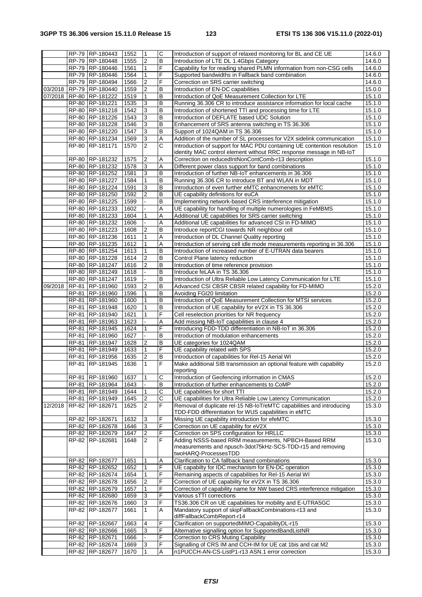| B<br>RP-79 RP-180448<br>$\overline{2}$<br>Introduction of LTE DL 1.4Gbps Category<br>1555<br>RP-79 RP-180446<br>F<br>1561<br>1<br>Capability for for reading shared PLMN information from non-CSG cells<br>F<br>RP-79 RP-180446<br>1<br>Supported bandwidths in Fallback band combination<br>1564<br>F<br>RP-79 RP-180494<br>1566<br>$\overline{2}$<br>Correction on SRS carrier switching<br>RP-79 RP-180440<br>$\overline{2}$<br>B<br>03/2018<br>1559<br>Introduction of EN-DC capabilities<br>$\sf B$<br>07/2018<br>RP-80 RP-181222<br>1<br>Introduction of QoE Measurement Collection for LTE<br>1519<br>B<br>RP-80 RP-181221<br>1535<br>3<br>Running 36.306 CR to introduce assistance information for local cache<br>3<br>B<br>RP-80 RP-181218<br>1542<br>Introduction of shortened TTI and processing time for LTE<br>3<br>B<br>RP-80 RP-181226<br>1543<br>Introduction of DEFLATE based UDC Solution<br>B<br>RP-80 RP-181228<br>1546<br>3<br>Enhancement of SRS antenna switching in TS 36.306<br>3<br>B<br>RP-80 RP-181220<br>1547<br>Support of 1024QAM in TS 36.306<br>Addition of the number of SL processes for V2X sidelink communication<br>RP-80 RP-181234<br>3<br>Α<br>1569<br>$\overline{2}$<br>C<br>Introduction of support for MAC PDU containing UE contention resolution<br>RP-80 RP-181171<br>1570<br>identity MAC control element without RRC response message in NB-IoT<br>RP-80 RP-181232<br>$\overline{c}$<br>A<br>Correction on reducedIntNonContComb-r13 description<br>1575<br>RP-80 RP-181232<br>3<br>1578<br>Α<br>Different power class support for band combinations<br>3<br>RP-80 RP-181252<br>1581<br>B<br>Introduction of further NB-IoT enhancements in 36.306<br>B<br>RP-80 RP-181227<br>1584<br>$\mathbf{1}$<br>Running 36.306 CR to introduce BT and WLAN in MDT<br>3<br>B<br>RP-80 RP-181224<br>1591<br>Introduction of even further eMTC enhancmenets for eMTC<br>$\overline{c}$<br>B<br>RP-80 RP-181250<br>1592<br>UE capability definitions for euCA<br>B<br>RP-80 RP-181225<br>1599<br>Implementing network-based CRS interference mitigation<br>RP-80 RP-181233<br>1602<br>Α<br>UE capability for handling of multiple numerologies in FeMBMS<br>Α<br>Additional UE capabilities for SRS carrier switching<br>RP-80 RP-181233<br>1604<br>$\mathbf{1}$<br>Α<br>RP-80 RP-181232<br>1606<br>Additional UE capabilities for advanced CSI in FD-MIMO<br>$\overline{2}$<br>RP-80 RP-181223<br>1608<br>B<br>Introduce reportCGI towards NR neighbour cell<br>$\mathbf{1}$<br>Α<br>Introduction of DL Channel Quality reporting<br>RP-80 RP-181236<br>1611<br>RP-80 RP-181235<br>1612<br>$\mathbf{1}$<br>Α<br>Introduction of serving cell idle mode measurements reporting in 36.306<br>RP-80 RP-181254<br>1613<br>$\mathbf{1}$<br>B<br>Introduction of increased number of E-UTRAN data bearers<br>RP-80 RP-181228<br>$\overline{c}$<br>B<br>1614<br>Control Plane latency reduction<br>$\overline{2}$<br>B<br>RP-80 RP-181247<br>1616<br>Introduction of time reference provision<br>RP-80 RP-181249<br>1618<br>B<br>Introduce feLAA in TS 36.306<br>B<br>RP-80 RP-181247<br>1619<br>Introduction of Ultra Reliable Low Latency Communication for LTE<br>B<br>RP-81 RP-181960<br>1593<br>$\overline{2}$<br>Advanced CSI CBSR CBSR related capability for FD-MIMO<br>09/2018<br>B<br>RP-181960<br>1596<br>$\mathbf{1}$<br>Avoiding FGI20 limitation<br>RP-81<br>$\sf B$<br>RP-181960<br>$\mathbf{1}$<br>Introduction of QoE Measurement Collection for MTSI services<br>RP-81<br>1600<br>B<br>RP-81 RP-181948<br>1620<br>Introduction of UE capability for eV2X in TS 36.306<br>1<br>F<br>RP-81<br>RP-181940<br>1621<br>$\mathbf{1}$<br>Cell reselection priorities for NR frequency<br>RP-81<br>1623<br>Α<br>RP-181963<br>Add missing NB-IoT capabilities in clause 4<br>F<br>RP-81 RP-181945<br>1624<br>1<br>Introducing FDD-TDD differentiation in NB-IoT in 36.306 | 14.6.0<br>14.6.0<br>14.6.0<br>14.6.0<br>15.0.0<br>15.1.0<br>15.1.0<br>15.1.0<br>15.1.0<br>15.1.0<br>15.1.0<br>15.1.0<br>15.1.0<br>15.1.0<br>15.1.0<br>15.1.0<br>15.1.0<br>15.1.0<br>15.1.0<br>15.1.0<br>15.1.0<br>15.1.0<br>15.1.0<br>15.1.0<br>15.1.0<br>15.1.0<br>15.1.0<br>15.1.0<br>15.1.0<br>15.1.0<br>15.1.0<br>15.2.0<br>15.2.0<br>15.2.0<br>15.2.0<br>15.2.0<br>15.2.0<br>15.2.0 |  | RP-79 RP-180443 | 1552 | 1              | $\overline{c}$ | Introduction of support of relaxed monitoring for BL and CE UE         | 14.6.0 |
|----------------------------------------------------------------------------------------------------------------------------------------------------------------------------------------------------------------------------------------------------------------------------------------------------------------------------------------------------------------------------------------------------------------------------------------------------------------------------------------------------------------------------------------------------------------------------------------------------------------------------------------------------------------------------------------------------------------------------------------------------------------------------------------------------------------------------------------------------------------------------------------------------------------------------------------------------------------------------------------------------------------------------------------------------------------------------------------------------------------------------------------------------------------------------------------------------------------------------------------------------------------------------------------------------------------------------------------------------------------------------------------------------------------------------------------------------------------------------------------------------------------------------------------------------------------------------------------------------------------------------------------------------------------------------------------------------------------------------------------------------------------------------------------------------------------------------------------------------------------------------------------------------------------------------------------------------------------------------------------------------------------------------------------------------------------------------------------------------------------------------------------------------------------------------------------------------------------------------------------------------------------------------------------------------------------------------------------------------------------------------------------------------------------------------------------------------------------------------------------------------------------------------------------------------------------------------------------------------------------------------------------------------------------------------------------------------------------------------------------------------------------------------------------------------------------------------------------------------------------------------------------------------------------------------------------------------------------------------------------------------------------------------------------------------------------------------------------------------------------------------------------------------------------------------------------------------------------------------------------------------------------------------------------------------------------------------------------------------------------------------------------------------------------------------------------------------------------------------------------------------------------------------------------------------------------------------------------------------------------------------------------------------------------------------------------------------------------------------------------------------------------------------------------------------------------------------------------------------------------------------------------------------------------|------------------------------------------------------------------------------------------------------------------------------------------------------------------------------------------------------------------------------------------------------------------------------------------------------------------------------------------------------------------------------------------|--|-----------------|------|----------------|----------------|------------------------------------------------------------------------|--------|
|                                                                                                                                                                                                                                                                                                                                                                                                                                                                                                                                                                                                                                                                                                                                                                                                                                                                                                                                                                                                                                                                                                                                                                                                                                                                                                                                                                                                                                                                                                                                                                                                                                                                                                                                                                                                                                                                                                                                                                                                                                                                                                                                                                                                                                                                                                                                                                                                                                                                                                                                                                                                                                                                                                                                                                                                                                                                                                                                                                                                                                                                                                                                                                                                                                                                                                                                                                                                                                                                                                                                                                                                                                                                                                                                                                                                                                                                                                                |                                                                                                                                                                                                                                                                                                                                                                                          |  |                 |      |                |                |                                                                        |        |
|                                                                                                                                                                                                                                                                                                                                                                                                                                                                                                                                                                                                                                                                                                                                                                                                                                                                                                                                                                                                                                                                                                                                                                                                                                                                                                                                                                                                                                                                                                                                                                                                                                                                                                                                                                                                                                                                                                                                                                                                                                                                                                                                                                                                                                                                                                                                                                                                                                                                                                                                                                                                                                                                                                                                                                                                                                                                                                                                                                                                                                                                                                                                                                                                                                                                                                                                                                                                                                                                                                                                                                                                                                                                                                                                                                                                                                                                                                                |                                                                                                                                                                                                                                                                                                                                                                                          |  |                 |      |                |                |                                                                        |        |
|                                                                                                                                                                                                                                                                                                                                                                                                                                                                                                                                                                                                                                                                                                                                                                                                                                                                                                                                                                                                                                                                                                                                                                                                                                                                                                                                                                                                                                                                                                                                                                                                                                                                                                                                                                                                                                                                                                                                                                                                                                                                                                                                                                                                                                                                                                                                                                                                                                                                                                                                                                                                                                                                                                                                                                                                                                                                                                                                                                                                                                                                                                                                                                                                                                                                                                                                                                                                                                                                                                                                                                                                                                                                                                                                                                                                                                                                                                                |                                                                                                                                                                                                                                                                                                                                                                                          |  |                 |      |                |                |                                                                        |        |
|                                                                                                                                                                                                                                                                                                                                                                                                                                                                                                                                                                                                                                                                                                                                                                                                                                                                                                                                                                                                                                                                                                                                                                                                                                                                                                                                                                                                                                                                                                                                                                                                                                                                                                                                                                                                                                                                                                                                                                                                                                                                                                                                                                                                                                                                                                                                                                                                                                                                                                                                                                                                                                                                                                                                                                                                                                                                                                                                                                                                                                                                                                                                                                                                                                                                                                                                                                                                                                                                                                                                                                                                                                                                                                                                                                                                                                                                                                                |                                                                                                                                                                                                                                                                                                                                                                                          |  |                 |      |                |                |                                                                        |        |
|                                                                                                                                                                                                                                                                                                                                                                                                                                                                                                                                                                                                                                                                                                                                                                                                                                                                                                                                                                                                                                                                                                                                                                                                                                                                                                                                                                                                                                                                                                                                                                                                                                                                                                                                                                                                                                                                                                                                                                                                                                                                                                                                                                                                                                                                                                                                                                                                                                                                                                                                                                                                                                                                                                                                                                                                                                                                                                                                                                                                                                                                                                                                                                                                                                                                                                                                                                                                                                                                                                                                                                                                                                                                                                                                                                                                                                                                                                                |                                                                                                                                                                                                                                                                                                                                                                                          |  |                 |      |                |                |                                                                        |        |
|                                                                                                                                                                                                                                                                                                                                                                                                                                                                                                                                                                                                                                                                                                                                                                                                                                                                                                                                                                                                                                                                                                                                                                                                                                                                                                                                                                                                                                                                                                                                                                                                                                                                                                                                                                                                                                                                                                                                                                                                                                                                                                                                                                                                                                                                                                                                                                                                                                                                                                                                                                                                                                                                                                                                                                                                                                                                                                                                                                                                                                                                                                                                                                                                                                                                                                                                                                                                                                                                                                                                                                                                                                                                                                                                                                                                                                                                                                                |                                                                                                                                                                                                                                                                                                                                                                                          |  |                 |      |                |                |                                                                        |        |
|                                                                                                                                                                                                                                                                                                                                                                                                                                                                                                                                                                                                                                                                                                                                                                                                                                                                                                                                                                                                                                                                                                                                                                                                                                                                                                                                                                                                                                                                                                                                                                                                                                                                                                                                                                                                                                                                                                                                                                                                                                                                                                                                                                                                                                                                                                                                                                                                                                                                                                                                                                                                                                                                                                                                                                                                                                                                                                                                                                                                                                                                                                                                                                                                                                                                                                                                                                                                                                                                                                                                                                                                                                                                                                                                                                                                                                                                                                                |                                                                                                                                                                                                                                                                                                                                                                                          |  |                 |      |                |                |                                                                        |        |
|                                                                                                                                                                                                                                                                                                                                                                                                                                                                                                                                                                                                                                                                                                                                                                                                                                                                                                                                                                                                                                                                                                                                                                                                                                                                                                                                                                                                                                                                                                                                                                                                                                                                                                                                                                                                                                                                                                                                                                                                                                                                                                                                                                                                                                                                                                                                                                                                                                                                                                                                                                                                                                                                                                                                                                                                                                                                                                                                                                                                                                                                                                                                                                                                                                                                                                                                                                                                                                                                                                                                                                                                                                                                                                                                                                                                                                                                                                                |                                                                                                                                                                                                                                                                                                                                                                                          |  |                 |      |                |                |                                                                        |        |
|                                                                                                                                                                                                                                                                                                                                                                                                                                                                                                                                                                                                                                                                                                                                                                                                                                                                                                                                                                                                                                                                                                                                                                                                                                                                                                                                                                                                                                                                                                                                                                                                                                                                                                                                                                                                                                                                                                                                                                                                                                                                                                                                                                                                                                                                                                                                                                                                                                                                                                                                                                                                                                                                                                                                                                                                                                                                                                                                                                                                                                                                                                                                                                                                                                                                                                                                                                                                                                                                                                                                                                                                                                                                                                                                                                                                                                                                                                                |                                                                                                                                                                                                                                                                                                                                                                                          |  |                 |      |                |                |                                                                        |        |
|                                                                                                                                                                                                                                                                                                                                                                                                                                                                                                                                                                                                                                                                                                                                                                                                                                                                                                                                                                                                                                                                                                                                                                                                                                                                                                                                                                                                                                                                                                                                                                                                                                                                                                                                                                                                                                                                                                                                                                                                                                                                                                                                                                                                                                                                                                                                                                                                                                                                                                                                                                                                                                                                                                                                                                                                                                                                                                                                                                                                                                                                                                                                                                                                                                                                                                                                                                                                                                                                                                                                                                                                                                                                                                                                                                                                                                                                                                                |                                                                                                                                                                                                                                                                                                                                                                                          |  |                 |      |                |                |                                                                        |        |
|                                                                                                                                                                                                                                                                                                                                                                                                                                                                                                                                                                                                                                                                                                                                                                                                                                                                                                                                                                                                                                                                                                                                                                                                                                                                                                                                                                                                                                                                                                                                                                                                                                                                                                                                                                                                                                                                                                                                                                                                                                                                                                                                                                                                                                                                                                                                                                                                                                                                                                                                                                                                                                                                                                                                                                                                                                                                                                                                                                                                                                                                                                                                                                                                                                                                                                                                                                                                                                                                                                                                                                                                                                                                                                                                                                                                                                                                                                                |                                                                                                                                                                                                                                                                                                                                                                                          |  |                 |      |                |                |                                                                        |        |
|                                                                                                                                                                                                                                                                                                                                                                                                                                                                                                                                                                                                                                                                                                                                                                                                                                                                                                                                                                                                                                                                                                                                                                                                                                                                                                                                                                                                                                                                                                                                                                                                                                                                                                                                                                                                                                                                                                                                                                                                                                                                                                                                                                                                                                                                                                                                                                                                                                                                                                                                                                                                                                                                                                                                                                                                                                                                                                                                                                                                                                                                                                                                                                                                                                                                                                                                                                                                                                                                                                                                                                                                                                                                                                                                                                                                                                                                                                                |                                                                                                                                                                                                                                                                                                                                                                                          |  |                 |      |                |                |                                                                        |        |
|                                                                                                                                                                                                                                                                                                                                                                                                                                                                                                                                                                                                                                                                                                                                                                                                                                                                                                                                                                                                                                                                                                                                                                                                                                                                                                                                                                                                                                                                                                                                                                                                                                                                                                                                                                                                                                                                                                                                                                                                                                                                                                                                                                                                                                                                                                                                                                                                                                                                                                                                                                                                                                                                                                                                                                                                                                                                                                                                                                                                                                                                                                                                                                                                                                                                                                                                                                                                                                                                                                                                                                                                                                                                                                                                                                                                                                                                                                                |                                                                                                                                                                                                                                                                                                                                                                                          |  |                 |      |                |                |                                                                        |        |
|                                                                                                                                                                                                                                                                                                                                                                                                                                                                                                                                                                                                                                                                                                                                                                                                                                                                                                                                                                                                                                                                                                                                                                                                                                                                                                                                                                                                                                                                                                                                                                                                                                                                                                                                                                                                                                                                                                                                                                                                                                                                                                                                                                                                                                                                                                                                                                                                                                                                                                                                                                                                                                                                                                                                                                                                                                                                                                                                                                                                                                                                                                                                                                                                                                                                                                                                                                                                                                                                                                                                                                                                                                                                                                                                                                                                                                                                                                                |                                                                                                                                                                                                                                                                                                                                                                                          |  |                 |      |                |                |                                                                        |        |
|                                                                                                                                                                                                                                                                                                                                                                                                                                                                                                                                                                                                                                                                                                                                                                                                                                                                                                                                                                                                                                                                                                                                                                                                                                                                                                                                                                                                                                                                                                                                                                                                                                                                                                                                                                                                                                                                                                                                                                                                                                                                                                                                                                                                                                                                                                                                                                                                                                                                                                                                                                                                                                                                                                                                                                                                                                                                                                                                                                                                                                                                                                                                                                                                                                                                                                                                                                                                                                                                                                                                                                                                                                                                                                                                                                                                                                                                                                                |                                                                                                                                                                                                                                                                                                                                                                                          |  |                 |      |                |                |                                                                        |        |
|                                                                                                                                                                                                                                                                                                                                                                                                                                                                                                                                                                                                                                                                                                                                                                                                                                                                                                                                                                                                                                                                                                                                                                                                                                                                                                                                                                                                                                                                                                                                                                                                                                                                                                                                                                                                                                                                                                                                                                                                                                                                                                                                                                                                                                                                                                                                                                                                                                                                                                                                                                                                                                                                                                                                                                                                                                                                                                                                                                                                                                                                                                                                                                                                                                                                                                                                                                                                                                                                                                                                                                                                                                                                                                                                                                                                                                                                                                                |                                                                                                                                                                                                                                                                                                                                                                                          |  |                 |      |                |                |                                                                        |        |
|                                                                                                                                                                                                                                                                                                                                                                                                                                                                                                                                                                                                                                                                                                                                                                                                                                                                                                                                                                                                                                                                                                                                                                                                                                                                                                                                                                                                                                                                                                                                                                                                                                                                                                                                                                                                                                                                                                                                                                                                                                                                                                                                                                                                                                                                                                                                                                                                                                                                                                                                                                                                                                                                                                                                                                                                                                                                                                                                                                                                                                                                                                                                                                                                                                                                                                                                                                                                                                                                                                                                                                                                                                                                                                                                                                                                                                                                                                                |                                                                                                                                                                                                                                                                                                                                                                                          |  |                 |      |                |                |                                                                        |        |
|                                                                                                                                                                                                                                                                                                                                                                                                                                                                                                                                                                                                                                                                                                                                                                                                                                                                                                                                                                                                                                                                                                                                                                                                                                                                                                                                                                                                                                                                                                                                                                                                                                                                                                                                                                                                                                                                                                                                                                                                                                                                                                                                                                                                                                                                                                                                                                                                                                                                                                                                                                                                                                                                                                                                                                                                                                                                                                                                                                                                                                                                                                                                                                                                                                                                                                                                                                                                                                                                                                                                                                                                                                                                                                                                                                                                                                                                                                                |                                                                                                                                                                                                                                                                                                                                                                                          |  |                 |      |                |                |                                                                        |        |
|                                                                                                                                                                                                                                                                                                                                                                                                                                                                                                                                                                                                                                                                                                                                                                                                                                                                                                                                                                                                                                                                                                                                                                                                                                                                                                                                                                                                                                                                                                                                                                                                                                                                                                                                                                                                                                                                                                                                                                                                                                                                                                                                                                                                                                                                                                                                                                                                                                                                                                                                                                                                                                                                                                                                                                                                                                                                                                                                                                                                                                                                                                                                                                                                                                                                                                                                                                                                                                                                                                                                                                                                                                                                                                                                                                                                                                                                                                                |                                                                                                                                                                                                                                                                                                                                                                                          |  |                 |      |                |                |                                                                        |        |
|                                                                                                                                                                                                                                                                                                                                                                                                                                                                                                                                                                                                                                                                                                                                                                                                                                                                                                                                                                                                                                                                                                                                                                                                                                                                                                                                                                                                                                                                                                                                                                                                                                                                                                                                                                                                                                                                                                                                                                                                                                                                                                                                                                                                                                                                                                                                                                                                                                                                                                                                                                                                                                                                                                                                                                                                                                                                                                                                                                                                                                                                                                                                                                                                                                                                                                                                                                                                                                                                                                                                                                                                                                                                                                                                                                                                                                                                                                                |                                                                                                                                                                                                                                                                                                                                                                                          |  |                 |      |                |                |                                                                        |        |
|                                                                                                                                                                                                                                                                                                                                                                                                                                                                                                                                                                                                                                                                                                                                                                                                                                                                                                                                                                                                                                                                                                                                                                                                                                                                                                                                                                                                                                                                                                                                                                                                                                                                                                                                                                                                                                                                                                                                                                                                                                                                                                                                                                                                                                                                                                                                                                                                                                                                                                                                                                                                                                                                                                                                                                                                                                                                                                                                                                                                                                                                                                                                                                                                                                                                                                                                                                                                                                                                                                                                                                                                                                                                                                                                                                                                                                                                                                                |                                                                                                                                                                                                                                                                                                                                                                                          |  |                 |      |                |                |                                                                        |        |
|                                                                                                                                                                                                                                                                                                                                                                                                                                                                                                                                                                                                                                                                                                                                                                                                                                                                                                                                                                                                                                                                                                                                                                                                                                                                                                                                                                                                                                                                                                                                                                                                                                                                                                                                                                                                                                                                                                                                                                                                                                                                                                                                                                                                                                                                                                                                                                                                                                                                                                                                                                                                                                                                                                                                                                                                                                                                                                                                                                                                                                                                                                                                                                                                                                                                                                                                                                                                                                                                                                                                                                                                                                                                                                                                                                                                                                                                                                                |                                                                                                                                                                                                                                                                                                                                                                                          |  |                 |      |                |                |                                                                        |        |
|                                                                                                                                                                                                                                                                                                                                                                                                                                                                                                                                                                                                                                                                                                                                                                                                                                                                                                                                                                                                                                                                                                                                                                                                                                                                                                                                                                                                                                                                                                                                                                                                                                                                                                                                                                                                                                                                                                                                                                                                                                                                                                                                                                                                                                                                                                                                                                                                                                                                                                                                                                                                                                                                                                                                                                                                                                                                                                                                                                                                                                                                                                                                                                                                                                                                                                                                                                                                                                                                                                                                                                                                                                                                                                                                                                                                                                                                                                                |                                                                                                                                                                                                                                                                                                                                                                                          |  |                 |      |                |                |                                                                        |        |
|                                                                                                                                                                                                                                                                                                                                                                                                                                                                                                                                                                                                                                                                                                                                                                                                                                                                                                                                                                                                                                                                                                                                                                                                                                                                                                                                                                                                                                                                                                                                                                                                                                                                                                                                                                                                                                                                                                                                                                                                                                                                                                                                                                                                                                                                                                                                                                                                                                                                                                                                                                                                                                                                                                                                                                                                                                                                                                                                                                                                                                                                                                                                                                                                                                                                                                                                                                                                                                                                                                                                                                                                                                                                                                                                                                                                                                                                                                                |                                                                                                                                                                                                                                                                                                                                                                                          |  |                 |      |                |                |                                                                        |        |
|                                                                                                                                                                                                                                                                                                                                                                                                                                                                                                                                                                                                                                                                                                                                                                                                                                                                                                                                                                                                                                                                                                                                                                                                                                                                                                                                                                                                                                                                                                                                                                                                                                                                                                                                                                                                                                                                                                                                                                                                                                                                                                                                                                                                                                                                                                                                                                                                                                                                                                                                                                                                                                                                                                                                                                                                                                                                                                                                                                                                                                                                                                                                                                                                                                                                                                                                                                                                                                                                                                                                                                                                                                                                                                                                                                                                                                                                                                                |                                                                                                                                                                                                                                                                                                                                                                                          |  |                 |      |                |                |                                                                        |        |
|                                                                                                                                                                                                                                                                                                                                                                                                                                                                                                                                                                                                                                                                                                                                                                                                                                                                                                                                                                                                                                                                                                                                                                                                                                                                                                                                                                                                                                                                                                                                                                                                                                                                                                                                                                                                                                                                                                                                                                                                                                                                                                                                                                                                                                                                                                                                                                                                                                                                                                                                                                                                                                                                                                                                                                                                                                                                                                                                                                                                                                                                                                                                                                                                                                                                                                                                                                                                                                                                                                                                                                                                                                                                                                                                                                                                                                                                                                                |                                                                                                                                                                                                                                                                                                                                                                                          |  |                 |      |                |                |                                                                        |        |
|                                                                                                                                                                                                                                                                                                                                                                                                                                                                                                                                                                                                                                                                                                                                                                                                                                                                                                                                                                                                                                                                                                                                                                                                                                                                                                                                                                                                                                                                                                                                                                                                                                                                                                                                                                                                                                                                                                                                                                                                                                                                                                                                                                                                                                                                                                                                                                                                                                                                                                                                                                                                                                                                                                                                                                                                                                                                                                                                                                                                                                                                                                                                                                                                                                                                                                                                                                                                                                                                                                                                                                                                                                                                                                                                                                                                                                                                                                                |                                                                                                                                                                                                                                                                                                                                                                                          |  |                 |      |                |                |                                                                        |        |
|                                                                                                                                                                                                                                                                                                                                                                                                                                                                                                                                                                                                                                                                                                                                                                                                                                                                                                                                                                                                                                                                                                                                                                                                                                                                                                                                                                                                                                                                                                                                                                                                                                                                                                                                                                                                                                                                                                                                                                                                                                                                                                                                                                                                                                                                                                                                                                                                                                                                                                                                                                                                                                                                                                                                                                                                                                                                                                                                                                                                                                                                                                                                                                                                                                                                                                                                                                                                                                                                                                                                                                                                                                                                                                                                                                                                                                                                                                                |                                                                                                                                                                                                                                                                                                                                                                                          |  |                 |      |                |                |                                                                        |        |
|                                                                                                                                                                                                                                                                                                                                                                                                                                                                                                                                                                                                                                                                                                                                                                                                                                                                                                                                                                                                                                                                                                                                                                                                                                                                                                                                                                                                                                                                                                                                                                                                                                                                                                                                                                                                                                                                                                                                                                                                                                                                                                                                                                                                                                                                                                                                                                                                                                                                                                                                                                                                                                                                                                                                                                                                                                                                                                                                                                                                                                                                                                                                                                                                                                                                                                                                                                                                                                                                                                                                                                                                                                                                                                                                                                                                                                                                                                                |                                                                                                                                                                                                                                                                                                                                                                                          |  |                 |      |                |                |                                                                        |        |
|                                                                                                                                                                                                                                                                                                                                                                                                                                                                                                                                                                                                                                                                                                                                                                                                                                                                                                                                                                                                                                                                                                                                                                                                                                                                                                                                                                                                                                                                                                                                                                                                                                                                                                                                                                                                                                                                                                                                                                                                                                                                                                                                                                                                                                                                                                                                                                                                                                                                                                                                                                                                                                                                                                                                                                                                                                                                                                                                                                                                                                                                                                                                                                                                                                                                                                                                                                                                                                                                                                                                                                                                                                                                                                                                                                                                                                                                                                                |                                                                                                                                                                                                                                                                                                                                                                                          |  |                 |      |                |                |                                                                        |        |
|                                                                                                                                                                                                                                                                                                                                                                                                                                                                                                                                                                                                                                                                                                                                                                                                                                                                                                                                                                                                                                                                                                                                                                                                                                                                                                                                                                                                                                                                                                                                                                                                                                                                                                                                                                                                                                                                                                                                                                                                                                                                                                                                                                                                                                                                                                                                                                                                                                                                                                                                                                                                                                                                                                                                                                                                                                                                                                                                                                                                                                                                                                                                                                                                                                                                                                                                                                                                                                                                                                                                                                                                                                                                                                                                                                                                                                                                                                                |                                                                                                                                                                                                                                                                                                                                                                                          |  |                 |      |                |                |                                                                        |        |
|                                                                                                                                                                                                                                                                                                                                                                                                                                                                                                                                                                                                                                                                                                                                                                                                                                                                                                                                                                                                                                                                                                                                                                                                                                                                                                                                                                                                                                                                                                                                                                                                                                                                                                                                                                                                                                                                                                                                                                                                                                                                                                                                                                                                                                                                                                                                                                                                                                                                                                                                                                                                                                                                                                                                                                                                                                                                                                                                                                                                                                                                                                                                                                                                                                                                                                                                                                                                                                                                                                                                                                                                                                                                                                                                                                                                                                                                                                                |                                                                                                                                                                                                                                                                                                                                                                                          |  |                 |      |                |                |                                                                        |        |
|                                                                                                                                                                                                                                                                                                                                                                                                                                                                                                                                                                                                                                                                                                                                                                                                                                                                                                                                                                                                                                                                                                                                                                                                                                                                                                                                                                                                                                                                                                                                                                                                                                                                                                                                                                                                                                                                                                                                                                                                                                                                                                                                                                                                                                                                                                                                                                                                                                                                                                                                                                                                                                                                                                                                                                                                                                                                                                                                                                                                                                                                                                                                                                                                                                                                                                                                                                                                                                                                                                                                                                                                                                                                                                                                                                                                                                                                                                                |                                                                                                                                                                                                                                                                                                                                                                                          |  |                 |      |                |                |                                                                        |        |
|                                                                                                                                                                                                                                                                                                                                                                                                                                                                                                                                                                                                                                                                                                                                                                                                                                                                                                                                                                                                                                                                                                                                                                                                                                                                                                                                                                                                                                                                                                                                                                                                                                                                                                                                                                                                                                                                                                                                                                                                                                                                                                                                                                                                                                                                                                                                                                                                                                                                                                                                                                                                                                                                                                                                                                                                                                                                                                                                                                                                                                                                                                                                                                                                                                                                                                                                                                                                                                                                                                                                                                                                                                                                                                                                                                                                                                                                                                                |                                                                                                                                                                                                                                                                                                                                                                                          |  |                 |      |                |                |                                                                        |        |
|                                                                                                                                                                                                                                                                                                                                                                                                                                                                                                                                                                                                                                                                                                                                                                                                                                                                                                                                                                                                                                                                                                                                                                                                                                                                                                                                                                                                                                                                                                                                                                                                                                                                                                                                                                                                                                                                                                                                                                                                                                                                                                                                                                                                                                                                                                                                                                                                                                                                                                                                                                                                                                                                                                                                                                                                                                                                                                                                                                                                                                                                                                                                                                                                                                                                                                                                                                                                                                                                                                                                                                                                                                                                                                                                                                                                                                                                                                                |                                                                                                                                                                                                                                                                                                                                                                                          |  |                 |      |                |                |                                                                        |        |
|                                                                                                                                                                                                                                                                                                                                                                                                                                                                                                                                                                                                                                                                                                                                                                                                                                                                                                                                                                                                                                                                                                                                                                                                                                                                                                                                                                                                                                                                                                                                                                                                                                                                                                                                                                                                                                                                                                                                                                                                                                                                                                                                                                                                                                                                                                                                                                                                                                                                                                                                                                                                                                                                                                                                                                                                                                                                                                                                                                                                                                                                                                                                                                                                                                                                                                                                                                                                                                                                                                                                                                                                                                                                                                                                                                                                                                                                                                                |                                                                                                                                                                                                                                                                                                                                                                                          |  |                 |      |                |                |                                                                        |        |
|                                                                                                                                                                                                                                                                                                                                                                                                                                                                                                                                                                                                                                                                                                                                                                                                                                                                                                                                                                                                                                                                                                                                                                                                                                                                                                                                                                                                                                                                                                                                                                                                                                                                                                                                                                                                                                                                                                                                                                                                                                                                                                                                                                                                                                                                                                                                                                                                                                                                                                                                                                                                                                                                                                                                                                                                                                                                                                                                                                                                                                                                                                                                                                                                                                                                                                                                                                                                                                                                                                                                                                                                                                                                                                                                                                                                                                                                                                                |                                                                                                                                                                                                                                                                                                                                                                                          |  |                 |      |                |                |                                                                        |        |
|                                                                                                                                                                                                                                                                                                                                                                                                                                                                                                                                                                                                                                                                                                                                                                                                                                                                                                                                                                                                                                                                                                                                                                                                                                                                                                                                                                                                                                                                                                                                                                                                                                                                                                                                                                                                                                                                                                                                                                                                                                                                                                                                                                                                                                                                                                                                                                                                                                                                                                                                                                                                                                                                                                                                                                                                                                                                                                                                                                                                                                                                                                                                                                                                                                                                                                                                                                                                                                                                                                                                                                                                                                                                                                                                                                                                                                                                                                                |                                                                                                                                                                                                                                                                                                                                                                                          |  |                 |      |                |                |                                                                        |        |
|                                                                                                                                                                                                                                                                                                                                                                                                                                                                                                                                                                                                                                                                                                                                                                                                                                                                                                                                                                                                                                                                                                                                                                                                                                                                                                                                                                                                                                                                                                                                                                                                                                                                                                                                                                                                                                                                                                                                                                                                                                                                                                                                                                                                                                                                                                                                                                                                                                                                                                                                                                                                                                                                                                                                                                                                                                                                                                                                                                                                                                                                                                                                                                                                                                                                                                                                                                                                                                                                                                                                                                                                                                                                                                                                                                                                                                                                                                                |                                                                                                                                                                                                                                                                                                                                                                                          |  |                 |      |                |                |                                                                        |        |
|                                                                                                                                                                                                                                                                                                                                                                                                                                                                                                                                                                                                                                                                                                                                                                                                                                                                                                                                                                                                                                                                                                                                                                                                                                                                                                                                                                                                                                                                                                                                                                                                                                                                                                                                                                                                                                                                                                                                                                                                                                                                                                                                                                                                                                                                                                                                                                                                                                                                                                                                                                                                                                                                                                                                                                                                                                                                                                                                                                                                                                                                                                                                                                                                                                                                                                                                                                                                                                                                                                                                                                                                                                                                                                                                                                                                                                                                                                                |                                                                                                                                                                                                                                                                                                                                                                                          |  |                 |      |                |                |                                                                        |        |
|                                                                                                                                                                                                                                                                                                                                                                                                                                                                                                                                                                                                                                                                                                                                                                                                                                                                                                                                                                                                                                                                                                                                                                                                                                                                                                                                                                                                                                                                                                                                                                                                                                                                                                                                                                                                                                                                                                                                                                                                                                                                                                                                                                                                                                                                                                                                                                                                                                                                                                                                                                                                                                                                                                                                                                                                                                                                                                                                                                                                                                                                                                                                                                                                                                                                                                                                                                                                                                                                                                                                                                                                                                                                                                                                                                                                                                                                                                                |                                                                                                                                                                                                                                                                                                                                                                                          |  |                 |      |                |                |                                                                        |        |
|                                                                                                                                                                                                                                                                                                                                                                                                                                                                                                                                                                                                                                                                                                                                                                                                                                                                                                                                                                                                                                                                                                                                                                                                                                                                                                                                                                                                                                                                                                                                                                                                                                                                                                                                                                                                                                                                                                                                                                                                                                                                                                                                                                                                                                                                                                                                                                                                                                                                                                                                                                                                                                                                                                                                                                                                                                                                                                                                                                                                                                                                                                                                                                                                                                                                                                                                                                                                                                                                                                                                                                                                                                                                                                                                                                                                                                                                                                                |                                                                                                                                                                                                                                                                                                                                                                                          |  |                 |      |                |                |                                                                        |        |
| RP-81 RP-181960                                                                                                                                                                                                                                                                                                                                                                                                                                                                                                                                                                                                                                                                                                                                                                                                                                                                                                                                                                                                                                                                                                                                                                                                                                                                                                                                                                                                                                                                                                                                                                                                                                                                                                                                                                                                                                                                                                                                                                                                                                                                                                                                                                                                                                                                                                                                                                                                                                                                                                                                                                                                                                                                                                                                                                                                                                                                                                                                                                                                                                                                                                                                                                                                                                                                                                                                                                                                                                                                                                                                                                                                                                                                                                                                                                                                                                                                                                |                                                                                                                                                                                                                                                                                                                                                                                          |  |                 | 1627 |                | B              | Introduction of modulation enhancements                                | 15.2.0 |
|                                                                                                                                                                                                                                                                                                                                                                                                                                                                                                                                                                                                                                                                                                                                                                                                                                                                                                                                                                                                                                                                                                                                                                                                                                                                                                                                                                                                                                                                                                                                                                                                                                                                                                                                                                                                                                                                                                                                                                                                                                                                                                                                                                                                                                                                                                                                                                                                                                                                                                                                                                                                                                                                                                                                                                                                                                                                                                                                                                                                                                                                                                                                                                                                                                                                                                                                                                                                                                                                                                                                                                                                                                                                                                                                                                                                                                                                                                                |                                                                                                                                                                                                                                                                                                                                                                                          |  |                 |      |                |                |                                                                        |        |
| F<br>RP-81 RP-181949<br>$\mathbf{1}$<br>UE capability related with SPS<br>1633                                                                                                                                                                                                                                                                                                                                                                                                                                                                                                                                                                                                                                                                                                                                                                                                                                                                                                                                                                                                                                                                                                                                                                                                                                                                                                                                                                                                                                                                                                                                                                                                                                                                                                                                                                                                                                                                                                                                                                                                                                                                                                                                                                                                                                                                                                                                                                                                                                                                                                                                                                                                                                                                                                                                                                                                                                                                                                                                                                                                                                                                                                                                                                                                                                                                                                                                                                                                                                                                                                                                                                                                                                                                                                                                                                                                                                 | 15.2.0                                                                                                                                                                                                                                                                                                                                                                                   |  |                 |      |                |                |                                                                        |        |
|                                                                                                                                                                                                                                                                                                                                                                                                                                                                                                                                                                                                                                                                                                                                                                                                                                                                                                                                                                                                                                                                                                                                                                                                                                                                                                                                                                                                                                                                                                                                                                                                                                                                                                                                                                                                                                                                                                                                                                                                                                                                                                                                                                                                                                                                                                                                                                                                                                                                                                                                                                                                                                                                                                                                                                                                                                                                                                                                                                                                                                                                                                                                                                                                                                                                                                                                                                                                                                                                                                                                                                                                                                                                                                                                                                                                                                                                                                                |                                                                                                                                                                                                                                                                                                                                                                                          |  |                 |      |                |                |                                                                        |        |
|                                                                                                                                                                                                                                                                                                                                                                                                                                                                                                                                                                                                                                                                                                                                                                                                                                                                                                                                                                                                                                                                                                                                                                                                                                                                                                                                                                                                                                                                                                                                                                                                                                                                                                                                                                                                                                                                                                                                                                                                                                                                                                                                                                                                                                                                                                                                                                                                                                                                                                                                                                                                                                                                                                                                                                                                                                                                                                                                                                                                                                                                                                                                                                                                                                                                                                                                                                                                                                                                                                                                                                                                                                                                                                                                                                                                                                                                                                                |                                                                                                                                                                                                                                                                                                                                                                                          |  |                 |      |                |                |                                                                        |        |
|                                                                                                                                                                                                                                                                                                                                                                                                                                                                                                                                                                                                                                                                                                                                                                                                                                                                                                                                                                                                                                                                                                                                                                                                                                                                                                                                                                                                                                                                                                                                                                                                                                                                                                                                                                                                                                                                                                                                                                                                                                                                                                                                                                                                                                                                                                                                                                                                                                                                                                                                                                                                                                                                                                                                                                                                                                                                                                                                                                                                                                                                                                                                                                                                                                                                                                                                                                                                                                                                                                                                                                                                                                                                                                                                                                                                                                                                                                                | 15.2.0                                                                                                                                                                                                                                                                                                                                                                                   |  |                 |      |                |                |                                                                        |        |
|                                                                                                                                                                                                                                                                                                                                                                                                                                                                                                                                                                                                                                                                                                                                                                                                                                                                                                                                                                                                                                                                                                                                                                                                                                                                                                                                                                                                                                                                                                                                                                                                                                                                                                                                                                                                                                                                                                                                                                                                                                                                                                                                                                                                                                                                                                                                                                                                                                                                                                                                                                                                                                                                                                                                                                                                                                                                                                                                                                                                                                                                                                                                                                                                                                                                                                                                                                                                                                                                                                                                                                                                                                                                                                                                                                                                                                                                                                                | 15.2.0                                                                                                                                                                                                                                                                                                                                                                                   |  |                 |      |                |                |                                                                        |        |
| $\overline{B}$                                                                                                                                                                                                                                                                                                                                                                                                                                                                                                                                                                                                                                                                                                                                                                                                                                                                                                                                                                                                                                                                                                                                                                                                                                                                                                                                                                                                                                                                                                                                                                                                                                                                                                                                                                                                                                                                                                                                                                                                                                                                                                                                                                                                                                                                                                                                                                                                                                                                                                                                                                                                                                                                                                                                                                                                                                                                                                                                                                                                                                                                                                                                                                                                                                                                                                                                                                                                                                                                                                                                                                                                                                                                                                                                                                                                                                                                                                 |                                                                                                                                                                                                                                                                                                                                                                                          |  |                 |      |                |                |                                                                        |        |
| RP-81 RP-181964<br>1643                                                                                                                                                                                                                                                                                                                                                                                                                                                                                                                                                                                                                                                                                                                                                                                                                                                                                                                                                                                                                                                                                                                                                                                                                                                                                                                                                                                                                                                                                                                                                                                                                                                                                                                                                                                                                                                                                                                                                                                                                                                                                                                                                                                                                                                                                                                                                                                                                                                                                                                                                                                                                                                                                                                                                                                                                                                                                                                                                                                                                                                                                                                                                                                                                                                                                                                                                                                                                                                                                                                                                                                                                                                                                                                                                                                                                                                                                        | Introduction of Geofencing information in CMAS<br>15.2.0                                                                                                                                                                                                                                                                                                                                 |  |                 |      |                |                |                                                                        |        |
| С<br>RP-181949<br>1644<br>$\mathbf{1}$<br>RP-81                                                                                                                                                                                                                                                                                                                                                                                                                                                                                                                                                                                                                                                                                                                                                                                                                                                                                                                                                                                                                                                                                                                                                                                                                                                                                                                                                                                                                                                                                                                                                                                                                                                                                                                                                                                                                                                                                                                                                                                                                                                                                                                                                                                                                                                                                                                                                                                                                                                                                                                                                                                                                                                                                                                                                                                                                                                                                                                                                                                                                                                                                                                                                                                                                                                                                                                                                                                                                                                                                                                                                                                                                                                                                                                                                                                                                                                                | Introduction of further enhancements to CoMP<br>15.2.0                                                                                                                                                                                                                                                                                                                                   |  |                 |      |                |                |                                                                        |        |
|                                                                                                                                                                                                                                                                                                                                                                                                                                                                                                                                                                                                                                                                                                                                                                                                                                                                                                                                                                                                                                                                                                                                                                                                                                                                                                                                                                                                                                                                                                                                                                                                                                                                                                                                                                                                                                                                                                                                                                                                                                                                                                                                                                                                                                                                                                                                                                                                                                                                                                                                                                                                                                                                                                                                                                                                                                                                                                                                                                                                                                                                                                                                                                                                                                                                                                                                                                                                                                                                                                                                                                                                                                                                                                                                                                                                                                                                                                                | UE capabilities for short TTI<br>15.2.0                                                                                                                                                                                                                                                                                                                                                  |  |                 |      |                |                |                                                                        |        |
| С<br>RP-181949<br>$\overline{2}$<br>RP-81<br>1645                                                                                                                                                                                                                                                                                                                                                                                                                                                                                                                                                                                                                                                                                                                                                                                                                                                                                                                                                                                                                                                                                                                                                                                                                                                                                                                                                                                                                                                                                                                                                                                                                                                                                                                                                                                                                                                                                                                                                                                                                                                                                                                                                                                                                                                                                                                                                                                                                                                                                                                                                                                                                                                                                                                                                                                                                                                                                                                                                                                                                                                                                                                                                                                                                                                                                                                                                                                                                                                                                                                                                                                                                                                                                                                                                                                                                                                              | UE capabilities for Ultra Reliable Low Latency Communication<br>15.2.0                                                                                                                                                                                                                                                                                                                   |  |                 |      |                |                |                                                                        |        |
| F<br>$\overline{2}$<br>Removal of duplicate rel-15 NB-IoT/eMTC capabilities and introducing<br>RP-82 RP-182671<br>1625<br>12/2018                                                                                                                                                                                                                                                                                                                                                                                                                                                                                                                                                                                                                                                                                                                                                                                                                                                                                                                                                                                                                                                                                                                                                                                                                                                                                                                                                                                                                                                                                                                                                                                                                                                                                                                                                                                                                                                                                                                                                                                                                                                                                                                                                                                                                                                                                                                                                                                                                                                                                                                                                                                                                                                                                                                                                                                                                                                                                                                                                                                                                                                                                                                                                                                                                                                                                                                                                                                                                                                                                                                                                                                                                                                                                                                                                                              | 15.3.0                                                                                                                                                                                                                                                                                                                                                                                   |  |                 |      |                |                |                                                                        |        |
| TDD-FDD differentiation for WUS capabilities in eMTC                                                                                                                                                                                                                                                                                                                                                                                                                                                                                                                                                                                                                                                                                                                                                                                                                                                                                                                                                                                                                                                                                                                                                                                                                                                                                                                                                                                                                                                                                                                                                                                                                                                                                                                                                                                                                                                                                                                                                                                                                                                                                                                                                                                                                                                                                                                                                                                                                                                                                                                                                                                                                                                                                                                                                                                                                                                                                                                                                                                                                                                                                                                                                                                                                                                                                                                                                                                                                                                                                                                                                                                                                                                                                                                                                                                                                                                           |                                                                                                                                                                                                                                                                                                                                                                                          |  |                 |      |                |                |                                                                        |        |
| RP-82 RP-182671<br>1632<br>F<br>Missing UE capability introduction for efeMTC<br>3                                                                                                                                                                                                                                                                                                                                                                                                                                                                                                                                                                                                                                                                                                                                                                                                                                                                                                                                                                                                                                                                                                                                                                                                                                                                                                                                                                                                                                                                                                                                                                                                                                                                                                                                                                                                                                                                                                                                                                                                                                                                                                                                                                                                                                                                                                                                                                                                                                                                                                                                                                                                                                                                                                                                                                                                                                                                                                                                                                                                                                                                                                                                                                                                                                                                                                                                                                                                                                                                                                                                                                                                                                                                                                                                                                                                                             | 15.3.0                                                                                                                                                                                                                                                                                                                                                                                   |  |                 |      |                |                |                                                                        |        |
| F<br>$\overline{3}$<br>RP-82 RP-182678<br>1646<br>Correction on UE capability for eV2X                                                                                                                                                                                                                                                                                                                                                                                                                                                                                                                                                                                                                                                                                                                                                                                                                                                                                                                                                                                                                                                                                                                                                                                                                                                                                                                                                                                                                                                                                                                                                                                                                                                                                                                                                                                                                                                                                                                                                                                                                                                                                                                                                                                                                                                                                                                                                                                                                                                                                                                                                                                                                                                                                                                                                                                                                                                                                                                                                                                                                                                                                                                                                                                                                                                                                                                                                                                                                                                                                                                                                                                                                                                                                                                                                                                                                         | 15.3.0                                                                                                                                                                                                                                                                                                                                                                                   |  |                 |      |                |                |                                                                        |        |
| $\overline{2}$<br>F<br>RP-82 RP-182679<br>Correction on SPS configuration for HRLLC<br>1647                                                                                                                                                                                                                                                                                                                                                                                                                                                                                                                                                                                                                                                                                                                                                                                                                                                                                                                                                                                                                                                                                                                                                                                                                                                                                                                                                                                                                                                                                                                                                                                                                                                                                                                                                                                                                                                                                                                                                                                                                                                                                                                                                                                                                                                                                                                                                                                                                                                                                                                                                                                                                                                                                                                                                                                                                                                                                                                                                                                                                                                                                                                                                                                                                                                                                                                                                                                                                                                                                                                                                                                                                                                                                                                                                                                                                    | 15.3.0                                                                                                                                                                                                                                                                                                                                                                                   |  |                 | 1648 |                |                |                                                                        |        |
| Adding NSSS-based RRM measurements, NPBCH-Based RRM<br>F<br>RP-82 RP-182681<br>2                                                                                                                                                                                                                                                                                                                                                                                                                                                                                                                                                                                                                                                                                                                                                                                                                                                                                                                                                                                                                                                                                                                                                                                                                                                                                                                                                                                                                                                                                                                                                                                                                                                                                                                                                                                                                                                                                                                                                                                                                                                                                                                                                                                                                                                                                                                                                                                                                                                                                                                                                                                                                                                                                                                                                                                                                                                                                                                                                                                                                                                                                                                                                                                                                                                                                                                                                                                                                                                                                                                                                                                                                                                                                                                                                                                                                               | 15.3.0                                                                                                                                                                                                                                                                                                                                                                                   |  |                 |      |                |                |                                                                        |        |
| measurements and npusch-3dot75kHz-SCS-TDD-r15 and removing                                                                                                                                                                                                                                                                                                                                                                                                                                                                                                                                                                                                                                                                                                                                                                                                                                                                                                                                                                                                                                                                                                                                                                                                                                                                                                                                                                                                                                                                                                                                                                                                                                                                                                                                                                                                                                                                                                                                                                                                                                                                                                                                                                                                                                                                                                                                                                                                                                                                                                                                                                                                                                                                                                                                                                                                                                                                                                                                                                                                                                                                                                                                                                                                                                                                                                                                                                                                                                                                                                                                                                                                                                                                                                                                                                                                                                                     |                                                                                                                                                                                                                                                                                                                                                                                          |  |                 |      |                |                |                                                                        |        |
| twoHARQ-ProcessesTDD                                                                                                                                                                                                                                                                                                                                                                                                                                                                                                                                                                                                                                                                                                                                                                                                                                                                                                                                                                                                                                                                                                                                                                                                                                                                                                                                                                                                                                                                                                                                                                                                                                                                                                                                                                                                                                                                                                                                                                                                                                                                                                                                                                                                                                                                                                                                                                                                                                                                                                                                                                                                                                                                                                                                                                                                                                                                                                                                                                                                                                                                                                                                                                                                                                                                                                                                                                                                                                                                                                                                                                                                                                                                                                                                                                                                                                                                                           |                                                                                                                                                                                                                                                                                                                                                                                          |  |                 |      |                | Α              |                                                                        |        |
| RP-82 RP-182677<br>1651<br>$\mathbf{1}$<br>Clarification to CA fallback band combinations                                                                                                                                                                                                                                                                                                                                                                                                                                                                                                                                                                                                                                                                                                                                                                                                                                                                                                                                                                                                                                                                                                                                                                                                                                                                                                                                                                                                                                                                                                                                                                                                                                                                                                                                                                                                                                                                                                                                                                                                                                                                                                                                                                                                                                                                                                                                                                                                                                                                                                                                                                                                                                                                                                                                                                                                                                                                                                                                                                                                                                                                                                                                                                                                                                                                                                                                                                                                                                                                                                                                                                                                                                                                                                                                                                                                                      | 15.3.0                                                                                                                                                                                                                                                                                                                                                                                   |  |                 |      | 1              |                |                                                                        |        |
| F<br>RP-82 RP-182652<br>1652<br>UE capabilty for IDC mechanism for EN-DC operation                                                                                                                                                                                                                                                                                                                                                                                                                                                                                                                                                                                                                                                                                                                                                                                                                                                                                                                                                                                                                                                                                                                                                                                                                                                                                                                                                                                                                                                                                                                                                                                                                                                                                                                                                                                                                                                                                                                                                                                                                                                                                                                                                                                                                                                                                                                                                                                                                                                                                                                                                                                                                                                                                                                                                                                                                                                                                                                                                                                                                                                                                                                                                                                                                                                                                                                                                                                                                                                                                                                                                                                                                                                                                                                                                                                                                             | 15.3.0                                                                                                                                                                                                                                                                                                                                                                                   |  |                 | 1654 | $\mathbf{1}$   | F              |                                                                        | 15.3.0 |
| RP-82 RP-182674<br>Remaining aspects of capabilities for Rel-15 Aerial WI                                                                                                                                                                                                                                                                                                                                                                                                                                                                                                                                                                                                                                                                                                                                                                                                                                                                                                                                                                                                                                                                                                                                                                                                                                                                                                                                                                                                                                                                                                                                                                                                                                                                                                                                                                                                                                                                                                                                                                                                                                                                                                                                                                                                                                                                                                                                                                                                                                                                                                                                                                                                                                                                                                                                                                                                                                                                                                                                                                                                                                                                                                                                                                                                                                                                                                                                                                                                                                                                                                                                                                                                                                                                                                                                                                                                                                      |                                                                                                                                                                                                                                                                                                                                                                                          |  |                 | 1656 | $\overline{c}$ | F              | Correction of UE capability for eV2X in TS 36.306                      | 15.3.0 |
| RP-82 RP-182678                                                                                                                                                                                                                                                                                                                                                                                                                                                                                                                                                                                                                                                                                                                                                                                                                                                                                                                                                                                                                                                                                                                                                                                                                                                                                                                                                                                                                                                                                                                                                                                                                                                                                                                                                                                                                                                                                                                                                                                                                                                                                                                                                                                                                                                                                                                                                                                                                                                                                                                                                                                                                                                                                                                                                                                                                                                                                                                                                                                                                                                                                                                                                                                                                                                                                                                                                                                                                                                                                                                                                                                                                                                                                                                                                                                                                                                                                                |                                                                                                                                                                                                                                                                                                                                                                                          |  |                 | 1657 | $\mathbf{1}$   | F              | Correction of capability name for NW based CRS interference mitigation | 15.3.0 |
| RP-82 RP-182679                                                                                                                                                                                                                                                                                                                                                                                                                                                                                                                                                                                                                                                                                                                                                                                                                                                                                                                                                                                                                                                                                                                                                                                                                                                                                                                                                                                                                                                                                                                                                                                                                                                                                                                                                                                                                                                                                                                                                                                                                                                                                                                                                                                                                                                                                                                                                                                                                                                                                                                                                                                                                                                                                                                                                                                                                                                                                                                                                                                                                                                                                                                                                                                                                                                                                                                                                                                                                                                                                                                                                                                                                                                                                                                                                                                                                                                                                                |                                                                                                                                                                                                                                                                                                                                                                                          |  |                 | 1659 | 3              | F              | Various sTTI corrections                                               | 15.3.0 |
| RP-82 RP-182680                                                                                                                                                                                                                                                                                                                                                                                                                                                                                                                                                                                                                                                                                                                                                                                                                                                                                                                                                                                                                                                                                                                                                                                                                                                                                                                                                                                                                                                                                                                                                                                                                                                                                                                                                                                                                                                                                                                                                                                                                                                                                                                                                                                                                                                                                                                                                                                                                                                                                                                                                                                                                                                                                                                                                                                                                                                                                                                                                                                                                                                                                                                                                                                                                                                                                                                                                                                                                                                                                                                                                                                                                                                                                                                                                                                                                                                                                                |                                                                                                                                                                                                                                                                                                                                                                                          |  |                 | 1660 | 3              | F              | TS36.306 CR on UE capabilities for mobility and E-UTRA5GC              | 15.3.0 |
| RP-82 RP-182676                                                                                                                                                                                                                                                                                                                                                                                                                                                                                                                                                                                                                                                                                                                                                                                                                                                                                                                                                                                                                                                                                                                                                                                                                                                                                                                                                                                                                                                                                                                                                                                                                                                                                                                                                                                                                                                                                                                                                                                                                                                                                                                                                                                                                                                                                                                                                                                                                                                                                                                                                                                                                                                                                                                                                                                                                                                                                                                                                                                                                                                                                                                                                                                                                                                                                                                                                                                                                                                                                                                                                                                                                                                                                                                                                                                                                                                                                                |                                                                                                                                                                                                                                                                                                                                                                                          |  |                 | 1661 | $\mathbf{1}$   | Α              | Mandatory support of skipFallbackCombinations-r13 and                  | 15.3.0 |
| RP-82 RP-182677                                                                                                                                                                                                                                                                                                                                                                                                                                                                                                                                                                                                                                                                                                                                                                                                                                                                                                                                                                                                                                                                                                                                                                                                                                                                                                                                                                                                                                                                                                                                                                                                                                                                                                                                                                                                                                                                                                                                                                                                                                                                                                                                                                                                                                                                                                                                                                                                                                                                                                                                                                                                                                                                                                                                                                                                                                                                                                                                                                                                                                                                                                                                                                                                                                                                                                                                                                                                                                                                                                                                                                                                                                                                                                                                                                                                                                                                                                |                                                                                                                                                                                                                                                                                                                                                                                          |  |                 |      |                |                | diffFallbackCombReport-r14                                             |        |
|                                                                                                                                                                                                                                                                                                                                                                                                                                                                                                                                                                                                                                                                                                                                                                                                                                                                                                                                                                                                                                                                                                                                                                                                                                                                                                                                                                                                                                                                                                                                                                                                                                                                                                                                                                                                                                                                                                                                                                                                                                                                                                                                                                                                                                                                                                                                                                                                                                                                                                                                                                                                                                                                                                                                                                                                                                                                                                                                                                                                                                                                                                                                                                                                                                                                                                                                                                                                                                                                                                                                                                                                                                                                                                                                                                                                                                                                                                                |                                                                                                                                                                                                                                                                                                                                                                                          |  |                 |      | 4              | F              |                                                                        |        |
| RP-82 RP-182667<br>1663                                                                                                                                                                                                                                                                                                                                                                                                                                                                                                                                                                                                                                                                                                                                                                                                                                                                                                                                                                                                                                                                                                                                                                                                                                                                                                                                                                                                                                                                                                                                                                                                                                                                                                                                                                                                                                                                                                                                                                                                                                                                                                                                                                                                                                                                                                                                                                                                                                                                                                                                                                                                                                                                                                                                                                                                                                                                                                                                                                                                                                                                                                                                                                                                                                                                                                                                                                                                                                                                                                                                                                                                                                                                                                                                                                                                                                                                                        | 15.3.0                                                                                                                                                                                                                                                                                                                                                                                   |  |                 |      | 3              | F              |                                                                        |        |
| Clarification on supportedMIMO-CapabilityDL-r15                                                                                                                                                                                                                                                                                                                                                                                                                                                                                                                                                                                                                                                                                                                                                                                                                                                                                                                                                                                                                                                                                                                                                                                                                                                                                                                                                                                                                                                                                                                                                                                                                                                                                                                                                                                                                                                                                                                                                                                                                                                                                                                                                                                                                                                                                                                                                                                                                                                                                                                                                                                                                                                                                                                                                                                                                                                                                                                                                                                                                                                                                                                                                                                                                                                                                                                                                                                                                                                                                                                                                                                                                                                                                                                                                                                                                                                                |                                                                                                                                                                                                                                                                                                                                                                                          |  |                 |      |                | F              |                                                                        |        |
| RP-82 RP-182666<br>1665<br>Alternative signalling option for SupportedBandListNR                                                                                                                                                                                                                                                                                                                                                                                                                                                                                                                                                                                                                                                                                                                                                                                                                                                                                                                                                                                                                                                                                                                                                                                                                                                                                                                                                                                                                                                                                                                                                                                                                                                                                                                                                                                                                                                                                                                                                                                                                                                                                                                                                                                                                                                                                                                                                                                                                                                                                                                                                                                                                                                                                                                                                                                                                                                                                                                                                                                                                                                                                                                                                                                                                                                                                                                                                                                                                                                                                                                                                                                                                                                                                                                                                                                                                               | 15.3.0                                                                                                                                                                                                                                                                                                                                                                                   |  |                 |      |                |                |                                                                        |        |
| RP-82 RP-182671<br>1666<br>Correction to CRS Muting Capability                                                                                                                                                                                                                                                                                                                                                                                                                                                                                                                                                                                                                                                                                                                                                                                                                                                                                                                                                                                                                                                                                                                                                                                                                                                                                                                                                                                                                                                                                                                                                                                                                                                                                                                                                                                                                                                                                                                                                                                                                                                                                                                                                                                                                                                                                                                                                                                                                                                                                                                                                                                                                                                                                                                                                                                                                                                                                                                                                                                                                                                                                                                                                                                                                                                                                                                                                                                                                                                                                                                                                                                                                                                                                                                                                                                                                                                 | 15.3.0                                                                                                                                                                                                                                                                                                                                                                                   |  |                 | 1670 | $\mathbf{1}$   | $\overline{A}$ | n1PUCCH-AN-CS-ListP1-r13 ASN.1 error correction                        | 15.3.0 |
| RP-81<br>RP-181947<br>1628<br>B<br>UE categories for 1024QAM<br>2                                                                                                                                                                                                                                                                                                                                                                                                                                                                                                                                                                                                                                                                                                                                                                                                                                                                                                                                                                                                                                                                                                                                                                                                                                                                                                                                                                                                                                                                                                                                                                                                                                                                                                                                                                                                                                                                                                                                                                                                                                                                                                                                                                                                                                                                                                                                                                                                                                                                                                                                                                                                                                                                                                                                                                                                                                                                                                                                                                                                                                                                                                                                                                                                                                                                                                                                                                                                                                                                                                                                                                                                                                                                                                                                                                                                                                              | 15.2.0                                                                                                                                                                                                                                                                                                                                                                                   |  |                 |      |                |                |                                                                        |        |
|                                                                                                                                                                                                                                                                                                                                                                                                                                                                                                                                                                                                                                                                                                                                                                                                                                                                                                                                                                                                                                                                                                                                                                                                                                                                                                                                                                                                                                                                                                                                                                                                                                                                                                                                                                                                                                                                                                                                                                                                                                                                                                                                                                                                                                                                                                                                                                                                                                                                                                                                                                                                                                                                                                                                                                                                                                                                                                                                                                                                                                                                                                                                                                                                                                                                                                                                                                                                                                                                                                                                                                                                                                                                                                                                                                                                                                                                                                                |                                                                                                                                                                                                                                                                                                                                                                                          |  |                 |      |                |                |                                                                        |        |
| $\boldsymbol{2}$<br>RP-81 RP-181956<br>1635<br>В<br>Introduction of capabilities for Rel-15 Aerial WI                                                                                                                                                                                                                                                                                                                                                                                                                                                                                                                                                                                                                                                                                                                                                                                                                                                                                                                                                                                                                                                                                                                                                                                                                                                                                                                                                                                                                                                                                                                                                                                                                                                                                                                                                                                                                                                                                                                                                                                                                                                                                                                                                                                                                                                                                                                                                                                                                                                                                                                                                                                                                                                                                                                                                                                                                                                                                                                                                                                                                                                                                                                                                                                                                                                                                                                                                                                                                                                                                                                                                                                                                                                                                                                                                                                                          |                                                                                                                                                                                                                                                                                                                                                                                          |  |                 |      |                |                |                                                                        |        |
| F<br>RP-81 RP-181945<br>1636<br>$\mathbf{1}$<br>Make additional SIB transmission an optional feature with capability                                                                                                                                                                                                                                                                                                                                                                                                                                                                                                                                                                                                                                                                                                                                                                                                                                                                                                                                                                                                                                                                                                                                                                                                                                                                                                                                                                                                                                                                                                                                                                                                                                                                                                                                                                                                                                                                                                                                                                                                                                                                                                                                                                                                                                                                                                                                                                                                                                                                                                                                                                                                                                                                                                                                                                                                                                                                                                                                                                                                                                                                                                                                                                                                                                                                                                                                                                                                                                                                                                                                                                                                                                                                                                                                                                                           |                                                                                                                                                                                                                                                                                                                                                                                          |  |                 |      |                |                |                                                                        |        |
| reporting                                                                                                                                                                                                                                                                                                                                                                                                                                                                                                                                                                                                                                                                                                                                                                                                                                                                                                                                                                                                                                                                                                                                                                                                                                                                                                                                                                                                                                                                                                                                                                                                                                                                                                                                                                                                                                                                                                                                                                                                                                                                                                                                                                                                                                                                                                                                                                                                                                                                                                                                                                                                                                                                                                                                                                                                                                                                                                                                                                                                                                                                                                                                                                                                                                                                                                                                                                                                                                                                                                                                                                                                                                                                                                                                                                                                                                                                                                      |                                                                                                                                                                                                                                                                                                                                                                                          |  |                 |      |                |                |                                                                        |        |
| $\overline{C}$<br>RP-81 RP-181960<br>1637<br>$\mathbf{1}$                                                                                                                                                                                                                                                                                                                                                                                                                                                                                                                                                                                                                                                                                                                                                                                                                                                                                                                                                                                                                                                                                                                                                                                                                                                                                                                                                                                                                                                                                                                                                                                                                                                                                                                                                                                                                                                                                                                                                                                                                                                                                                                                                                                                                                                                                                                                                                                                                                                                                                                                                                                                                                                                                                                                                                                                                                                                                                                                                                                                                                                                                                                                                                                                                                                                                                                                                                                                                                                                                                                                                                                                                                                                                                                                                                                                                                                      |                                                                                                                                                                                                                                                                                                                                                                                          |  |                 |      |                |                |                                                                        |        |
|                                                                                                                                                                                                                                                                                                                                                                                                                                                                                                                                                                                                                                                                                                                                                                                                                                                                                                                                                                                                                                                                                                                                                                                                                                                                                                                                                                                                                                                                                                                                                                                                                                                                                                                                                                                                                                                                                                                                                                                                                                                                                                                                                                                                                                                                                                                                                                                                                                                                                                                                                                                                                                                                                                                                                                                                                                                                                                                                                                                                                                                                                                                                                                                                                                                                                                                                                                                                                                                                                                                                                                                                                                                                                                                                                                                                                                                                                                                |                                                                                                                                                                                                                                                                                                                                                                                          |  |                 |      |                |                |                                                                        |        |
|                                                                                                                                                                                                                                                                                                                                                                                                                                                                                                                                                                                                                                                                                                                                                                                                                                                                                                                                                                                                                                                                                                                                                                                                                                                                                                                                                                                                                                                                                                                                                                                                                                                                                                                                                                                                                                                                                                                                                                                                                                                                                                                                                                                                                                                                                                                                                                                                                                                                                                                                                                                                                                                                                                                                                                                                                                                                                                                                                                                                                                                                                                                                                                                                                                                                                                                                                                                                                                                                                                                                                                                                                                                                                                                                                                                                                                                                                                                |                                                                                                                                                                                                                                                                                                                                                                                          |  |                 |      |                |                |                                                                        |        |
|                                                                                                                                                                                                                                                                                                                                                                                                                                                                                                                                                                                                                                                                                                                                                                                                                                                                                                                                                                                                                                                                                                                                                                                                                                                                                                                                                                                                                                                                                                                                                                                                                                                                                                                                                                                                                                                                                                                                                                                                                                                                                                                                                                                                                                                                                                                                                                                                                                                                                                                                                                                                                                                                                                                                                                                                                                                                                                                                                                                                                                                                                                                                                                                                                                                                                                                                                                                                                                                                                                                                                                                                                                                                                                                                                                                                                                                                                                                |                                                                                                                                                                                                                                                                                                                                                                                          |  |                 |      |                |                |                                                                        |        |
|                                                                                                                                                                                                                                                                                                                                                                                                                                                                                                                                                                                                                                                                                                                                                                                                                                                                                                                                                                                                                                                                                                                                                                                                                                                                                                                                                                                                                                                                                                                                                                                                                                                                                                                                                                                                                                                                                                                                                                                                                                                                                                                                                                                                                                                                                                                                                                                                                                                                                                                                                                                                                                                                                                                                                                                                                                                                                                                                                                                                                                                                                                                                                                                                                                                                                                                                                                                                                                                                                                                                                                                                                                                                                                                                                                                                                                                                                                                |                                                                                                                                                                                                                                                                                                                                                                                          |  |                 |      |                |                |                                                                        |        |
|                                                                                                                                                                                                                                                                                                                                                                                                                                                                                                                                                                                                                                                                                                                                                                                                                                                                                                                                                                                                                                                                                                                                                                                                                                                                                                                                                                                                                                                                                                                                                                                                                                                                                                                                                                                                                                                                                                                                                                                                                                                                                                                                                                                                                                                                                                                                                                                                                                                                                                                                                                                                                                                                                                                                                                                                                                                                                                                                                                                                                                                                                                                                                                                                                                                                                                                                                                                                                                                                                                                                                                                                                                                                                                                                                                                                                                                                                                                |                                                                                                                                                                                                                                                                                                                                                                                          |  |                 |      |                |                |                                                                        |        |
|                                                                                                                                                                                                                                                                                                                                                                                                                                                                                                                                                                                                                                                                                                                                                                                                                                                                                                                                                                                                                                                                                                                                                                                                                                                                                                                                                                                                                                                                                                                                                                                                                                                                                                                                                                                                                                                                                                                                                                                                                                                                                                                                                                                                                                                                                                                                                                                                                                                                                                                                                                                                                                                                                                                                                                                                                                                                                                                                                                                                                                                                                                                                                                                                                                                                                                                                                                                                                                                                                                                                                                                                                                                                                                                                                                                                                                                                                                                |                                                                                                                                                                                                                                                                                                                                                                                          |  |                 |      |                |                |                                                                        |        |
|                                                                                                                                                                                                                                                                                                                                                                                                                                                                                                                                                                                                                                                                                                                                                                                                                                                                                                                                                                                                                                                                                                                                                                                                                                                                                                                                                                                                                                                                                                                                                                                                                                                                                                                                                                                                                                                                                                                                                                                                                                                                                                                                                                                                                                                                                                                                                                                                                                                                                                                                                                                                                                                                                                                                                                                                                                                                                                                                                                                                                                                                                                                                                                                                                                                                                                                                                                                                                                                                                                                                                                                                                                                                                                                                                                                                                                                                                                                |                                                                                                                                                                                                                                                                                                                                                                                          |  |                 |      |                |                |                                                                        |        |
|                                                                                                                                                                                                                                                                                                                                                                                                                                                                                                                                                                                                                                                                                                                                                                                                                                                                                                                                                                                                                                                                                                                                                                                                                                                                                                                                                                                                                                                                                                                                                                                                                                                                                                                                                                                                                                                                                                                                                                                                                                                                                                                                                                                                                                                                                                                                                                                                                                                                                                                                                                                                                                                                                                                                                                                                                                                                                                                                                                                                                                                                                                                                                                                                                                                                                                                                                                                                                                                                                                                                                                                                                                                                                                                                                                                                                                                                                                                |                                                                                                                                                                                                                                                                                                                                                                                          |  |                 |      |                |                |                                                                        |        |
|                                                                                                                                                                                                                                                                                                                                                                                                                                                                                                                                                                                                                                                                                                                                                                                                                                                                                                                                                                                                                                                                                                                                                                                                                                                                                                                                                                                                                                                                                                                                                                                                                                                                                                                                                                                                                                                                                                                                                                                                                                                                                                                                                                                                                                                                                                                                                                                                                                                                                                                                                                                                                                                                                                                                                                                                                                                                                                                                                                                                                                                                                                                                                                                                                                                                                                                                                                                                                                                                                                                                                                                                                                                                                                                                                                                                                                                                                                                |                                                                                                                                                                                                                                                                                                                                                                                          |  |                 |      |                |                |                                                                        |        |
|                                                                                                                                                                                                                                                                                                                                                                                                                                                                                                                                                                                                                                                                                                                                                                                                                                                                                                                                                                                                                                                                                                                                                                                                                                                                                                                                                                                                                                                                                                                                                                                                                                                                                                                                                                                                                                                                                                                                                                                                                                                                                                                                                                                                                                                                                                                                                                                                                                                                                                                                                                                                                                                                                                                                                                                                                                                                                                                                                                                                                                                                                                                                                                                                                                                                                                                                                                                                                                                                                                                                                                                                                                                                                                                                                                                                                                                                                                                |                                                                                                                                                                                                                                                                                                                                                                                          |  |                 |      |                |                |                                                                        |        |
|                                                                                                                                                                                                                                                                                                                                                                                                                                                                                                                                                                                                                                                                                                                                                                                                                                                                                                                                                                                                                                                                                                                                                                                                                                                                                                                                                                                                                                                                                                                                                                                                                                                                                                                                                                                                                                                                                                                                                                                                                                                                                                                                                                                                                                                                                                                                                                                                                                                                                                                                                                                                                                                                                                                                                                                                                                                                                                                                                                                                                                                                                                                                                                                                                                                                                                                                                                                                                                                                                                                                                                                                                                                                                                                                                                                                                                                                                                                |                                                                                                                                                                                                                                                                                                                                                                                          |  |                 |      |                |                |                                                                        |        |
|                                                                                                                                                                                                                                                                                                                                                                                                                                                                                                                                                                                                                                                                                                                                                                                                                                                                                                                                                                                                                                                                                                                                                                                                                                                                                                                                                                                                                                                                                                                                                                                                                                                                                                                                                                                                                                                                                                                                                                                                                                                                                                                                                                                                                                                                                                                                                                                                                                                                                                                                                                                                                                                                                                                                                                                                                                                                                                                                                                                                                                                                                                                                                                                                                                                                                                                                                                                                                                                                                                                                                                                                                                                                                                                                                                                                                                                                                                                |                                                                                                                                                                                                                                                                                                                                                                                          |  |                 |      |                |                |                                                                        |        |
|                                                                                                                                                                                                                                                                                                                                                                                                                                                                                                                                                                                                                                                                                                                                                                                                                                                                                                                                                                                                                                                                                                                                                                                                                                                                                                                                                                                                                                                                                                                                                                                                                                                                                                                                                                                                                                                                                                                                                                                                                                                                                                                                                                                                                                                                                                                                                                                                                                                                                                                                                                                                                                                                                                                                                                                                                                                                                                                                                                                                                                                                                                                                                                                                                                                                                                                                                                                                                                                                                                                                                                                                                                                                                                                                                                                                                                                                                                                |                                                                                                                                                                                                                                                                                                                                                                                          |  |                 |      |                |                |                                                                        |        |
|                                                                                                                                                                                                                                                                                                                                                                                                                                                                                                                                                                                                                                                                                                                                                                                                                                                                                                                                                                                                                                                                                                                                                                                                                                                                                                                                                                                                                                                                                                                                                                                                                                                                                                                                                                                                                                                                                                                                                                                                                                                                                                                                                                                                                                                                                                                                                                                                                                                                                                                                                                                                                                                                                                                                                                                                                                                                                                                                                                                                                                                                                                                                                                                                                                                                                                                                                                                                                                                                                                                                                                                                                                                                                                                                                                                                                                                                                                                |                                                                                                                                                                                                                                                                                                                                                                                          |  |                 |      |                |                |                                                                        |        |
|                                                                                                                                                                                                                                                                                                                                                                                                                                                                                                                                                                                                                                                                                                                                                                                                                                                                                                                                                                                                                                                                                                                                                                                                                                                                                                                                                                                                                                                                                                                                                                                                                                                                                                                                                                                                                                                                                                                                                                                                                                                                                                                                                                                                                                                                                                                                                                                                                                                                                                                                                                                                                                                                                                                                                                                                                                                                                                                                                                                                                                                                                                                                                                                                                                                                                                                                                                                                                                                                                                                                                                                                                                                                                                                                                                                                                                                                                                                |                                                                                                                                                                                                                                                                                                                                                                                          |  |                 |      |                |                |                                                                        |        |
|                                                                                                                                                                                                                                                                                                                                                                                                                                                                                                                                                                                                                                                                                                                                                                                                                                                                                                                                                                                                                                                                                                                                                                                                                                                                                                                                                                                                                                                                                                                                                                                                                                                                                                                                                                                                                                                                                                                                                                                                                                                                                                                                                                                                                                                                                                                                                                                                                                                                                                                                                                                                                                                                                                                                                                                                                                                                                                                                                                                                                                                                                                                                                                                                                                                                                                                                                                                                                                                                                                                                                                                                                                                                                                                                                                                                                                                                                                                |                                                                                                                                                                                                                                                                                                                                                                                          |  |                 |      |                |                |                                                                        |        |
|                                                                                                                                                                                                                                                                                                                                                                                                                                                                                                                                                                                                                                                                                                                                                                                                                                                                                                                                                                                                                                                                                                                                                                                                                                                                                                                                                                                                                                                                                                                                                                                                                                                                                                                                                                                                                                                                                                                                                                                                                                                                                                                                                                                                                                                                                                                                                                                                                                                                                                                                                                                                                                                                                                                                                                                                                                                                                                                                                                                                                                                                                                                                                                                                                                                                                                                                                                                                                                                                                                                                                                                                                                                                                                                                                                                                                                                                                                                |                                                                                                                                                                                                                                                                                                                                                                                          |  |                 |      |                |                |                                                                        |        |
|                                                                                                                                                                                                                                                                                                                                                                                                                                                                                                                                                                                                                                                                                                                                                                                                                                                                                                                                                                                                                                                                                                                                                                                                                                                                                                                                                                                                                                                                                                                                                                                                                                                                                                                                                                                                                                                                                                                                                                                                                                                                                                                                                                                                                                                                                                                                                                                                                                                                                                                                                                                                                                                                                                                                                                                                                                                                                                                                                                                                                                                                                                                                                                                                                                                                                                                                                                                                                                                                                                                                                                                                                                                                                                                                                                                                                                                                                                                |                                                                                                                                                                                                                                                                                                                                                                                          |  |                 |      |                |                |                                                                        |        |
|                                                                                                                                                                                                                                                                                                                                                                                                                                                                                                                                                                                                                                                                                                                                                                                                                                                                                                                                                                                                                                                                                                                                                                                                                                                                                                                                                                                                                                                                                                                                                                                                                                                                                                                                                                                                                                                                                                                                                                                                                                                                                                                                                                                                                                                                                                                                                                                                                                                                                                                                                                                                                                                                                                                                                                                                                                                                                                                                                                                                                                                                                                                                                                                                                                                                                                                                                                                                                                                                                                                                                                                                                                                                                                                                                                                                                                                                                                                |                                                                                                                                                                                                                                                                                                                                                                                          |  |                 |      |                |                |                                                                        |        |
|                                                                                                                                                                                                                                                                                                                                                                                                                                                                                                                                                                                                                                                                                                                                                                                                                                                                                                                                                                                                                                                                                                                                                                                                                                                                                                                                                                                                                                                                                                                                                                                                                                                                                                                                                                                                                                                                                                                                                                                                                                                                                                                                                                                                                                                                                                                                                                                                                                                                                                                                                                                                                                                                                                                                                                                                                                                                                                                                                                                                                                                                                                                                                                                                                                                                                                                                                                                                                                                                                                                                                                                                                                                                                                                                                                                                                                                                                                                |                                                                                                                                                                                                                                                                                                                                                                                          |  |                 |      |                |                |                                                                        |        |
|                                                                                                                                                                                                                                                                                                                                                                                                                                                                                                                                                                                                                                                                                                                                                                                                                                                                                                                                                                                                                                                                                                                                                                                                                                                                                                                                                                                                                                                                                                                                                                                                                                                                                                                                                                                                                                                                                                                                                                                                                                                                                                                                                                                                                                                                                                                                                                                                                                                                                                                                                                                                                                                                                                                                                                                                                                                                                                                                                                                                                                                                                                                                                                                                                                                                                                                                                                                                                                                                                                                                                                                                                                                                                                                                                                                                                                                                                                                |                                                                                                                                                                                                                                                                                                                                                                                          |  |                 |      |                |                |                                                                        |        |
|                                                                                                                                                                                                                                                                                                                                                                                                                                                                                                                                                                                                                                                                                                                                                                                                                                                                                                                                                                                                                                                                                                                                                                                                                                                                                                                                                                                                                                                                                                                                                                                                                                                                                                                                                                                                                                                                                                                                                                                                                                                                                                                                                                                                                                                                                                                                                                                                                                                                                                                                                                                                                                                                                                                                                                                                                                                                                                                                                                                                                                                                                                                                                                                                                                                                                                                                                                                                                                                                                                                                                                                                                                                                                                                                                                                                                                                                                                                |                                                                                                                                                                                                                                                                                                                                                                                          |  |                 |      |                |                |                                                                        |        |
|                                                                                                                                                                                                                                                                                                                                                                                                                                                                                                                                                                                                                                                                                                                                                                                                                                                                                                                                                                                                                                                                                                                                                                                                                                                                                                                                                                                                                                                                                                                                                                                                                                                                                                                                                                                                                                                                                                                                                                                                                                                                                                                                                                                                                                                                                                                                                                                                                                                                                                                                                                                                                                                                                                                                                                                                                                                                                                                                                                                                                                                                                                                                                                                                                                                                                                                                                                                                                                                                                                                                                                                                                                                                                                                                                                                                                                                                                                                |                                                                                                                                                                                                                                                                                                                                                                                          |  |                 |      |                |                |                                                                        |        |
|                                                                                                                                                                                                                                                                                                                                                                                                                                                                                                                                                                                                                                                                                                                                                                                                                                                                                                                                                                                                                                                                                                                                                                                                                                                                                                                                                                                                                                                                                                                                                                                                                                                                                                                                                                                                                                                                                                                                                                                                                                                                                                                                                                                                                                                                                                                                                                                                                                                                                                                                                                                                                                                                                                                                                                                                                                                                                                                                                                                                                                                                                                                                                                                                                                                                                                                                                                                                                                                                                                                                                                                                                                                                                                                                                                                                                                                                                                                |                                                                                                                                                                                                                                                                                                                                                                                          |  |                 |      |                |                |                                                                        |        |
| F<br>Signalling of CRS IM and CCH-IM for UE cat 1bis and cat M2<br>RP-82 RP-182674<br>1669<br>3<br>RP-82 RP-182677                                                                                                                                                                                                                                                                                                                                                                                                                                                                                                                                                                                                                                                                                                                                                                                                                                                                                                                                                                                                                                                                                                                                                                                                                                                                                                                                                                                                                                                                                                                                                                                                                                                                                                                                                                                                                                                                                                                                                                                                                                                                                                                                                                                                                                                                                                                                                                                                                                                                                                                                                                                                                                                                                                                                                                                                                                                                                                                                                                                                                                                                                                                                                                                                                                                                                                                                                                                                                                                                                                                                                                                                                                                                                                                                                                                             | 15.3.0                                                                                                                                                                                                                                                                                                                                                                                   |  |                 |      |                |                |                                                                        |        |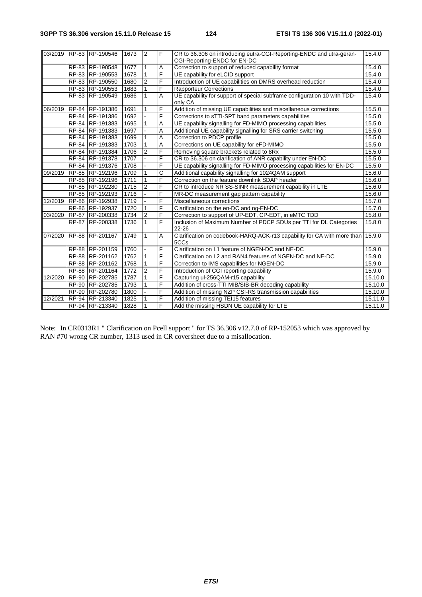|         | 03/2019 RP-83 RP-190546     | 1673 | $\overline{2}$ | F              | CR to 36.306 on introducing eutra-CGI-Reporting-ENDC and utra-geran-<br>CGI-Reporting-ENDC for EN-DC | 15.4.0  |
|---------|-----------------------------|------|----------------|----------------|------------------------------------------------------------------------------------------------------|---------|
|         | RP-83 RP-190548             | 1677 | $\mathbf{1}$   | Α              | Correction to support of reduced capability format                                                   | 15.4.0  |
|         | RP-83 RP-190553             | 1678 | $\mathbf{1}$   | F              | UE capability for eLCID support                                                                      | 15.4.0  |
|         | RP-83 RP-190550             | 1680 | $\overline{c}$ | F              | Introduction of UE capabilities on DMRS overhead reduction                                           | 15.4.0  |
|         | RP-83 RP-190553             | 1683 | $\mathbf{1}$   | F              | <b>Rapporteur Corrections</b>                                                                        | 15.4.0  |
|         | RP-83 RP-190549             | 1686 | $\mathbf{1}$   | A              | UE capability for support of special subframe configuration 10 with TDD-<br>only CA                  | 15.4.0  |
|         | 06/2019   RP-84   RP-191386 | 1691 | 1              | F              | Addition of missing UE capabilities and miscellaneous corrections                                    | 15.5.0  |
|         | RP-84 RP-191386             | 1692 |                | F              | Corrections to sTTI-SPT band parameters capabilities                                                 | 15.5.0  |
|         | RP-84 RP-191383             | 1695 | 1              | Α              | UE capability signalling for FD-MIMO processing capabilities                                         | 15.5.0  |
|         | RP-84 RP-191383             | 1697 |                | Α              | Additional UE capability signalling for SRS carrier switching                                        | 15.5.0  |
|         | RP-84 RP-191383             | 1699 | 1              | Α              | Correction to PDCP profile                                                                           | 15.5.0  |
|         | RP-84 RP-191383             | 1703 | 1              | Α              | Corrections on UE capability for eFD-MIMO                                                            | 15.5.0  |
|         | RP-84 RP-191384             | 1706 | $\overline{c}$ | F              | Removing square brackets related to 8Rx                                                              | 15.5.0  |
|         | RP-84 RP-191378             | 1707 |                | F              | CR to 36.306 on clarification of ANR capability under EN-DC                                          | 15.5.0  |
|         | RP-84 RP-191376             | 1708 |                | F              | UE capability signalling for FD-MIMO processing capabilities for EN-DC                               | 15.5.0  |
| 09/2019 | RP-85 RP-192196             | 1709 | 1              | C              | Additional capability signalling for 1024QAM support                                                 | 15.6.0  |
|         | RP-85 RP-192196             | 1711 | $\mathbf{1}$   | F              | Correction on the feature downlink SDAP header                                                       | 15.6.0  |
|         | RP-85 RP-192280             | 1715 | $\overline{2}$ | F              | CR to introduce NR SS-SINR measurement capability in LTE                                             | 15.6.0  |
|         | RP-85 RP-192193             | 1716 |                | F              | MR-DC measurement gap pattern capability                                                             | 15.6.0  |
| 12/2019 | RP-86 RP-192938             | 1719 |                | F              | Miscellaneous corrections                                                                            | 15.7.0  |
|         | RP-86 RP-192937             | 1720 | $\mathbf{1}$   | F              | Clarification on the en-DC and ng-EN-DC                                                              | 15.7.0  |
| 03/2020 | RP-87 RP-200338             | 1734 | $\overline{2}$ | F              | Correction to support of UP-EDT, CP-EDT, in eMTC TDD                                                 | 15.8.0  |
|         | RP-87 RP-200338             | 1736 | $\mathbf{1}$   | F              | Inclusion of Maximum Number of PDCP SDUs per TTI for DL Categories<br>22-26                          | 15.8.0  |
| 07/2020 | RP-88 RP-201167             | 1749 | $\mathbf{1}$   | $\overline{A}$ | Clarification on codebook-HARQ-ACK-r13 capability for CA with more than<br>5CCs                      | 15.9.0  |
|         | RP-88 RP-201159             | 1760 |                | F              | Clarification on L1 feature of NGEN-DC and NE-DC                                                     | 15.9.0  |
|         | RP-88 RP-201162             | 1762 | $\mathbf{1}$   | F              | Clarification on L2 and RAN4 features of NGEN-DC and NE-DC                                           | 15.9.0  |
|         | RP-88 RP-201162             | 1768 | $\mathbf{1}$   | F              | Correction to IMS capabilities for NGEN-DC                                                           | 15.9.0  |
|         | RP-88 RP-201164             | 1772 | $\overline{2}$ | F              | Introduction of CGI reporting capability                                                             | 15.9.0  |
| 12/2020 | RP-90 RP-202785             | 1787 | $\mathbf{1}$   | F              | Capturing ul-256QAM-r15 capability                                                                   | 15.10.0 |
|         | RP-90 RP-202785             | 1793 | 1              | F              | Addition of cross-TTI MIB/SIB-BR decoding capability                                                 | 15.10.0 |
|         | RP-90 RP-202780             | 1800 |                | F              | Addition of missing NZP CSI-RS transmission capabilities                                             | 15.10.0 |
| 12/2021 | RP-94 RP-213340             | 1825 | $\mathbf{1}$   | F              | Addition of missing TEI15 features                                                                   | 15.11.0 |
|         | RP-94 RP-213340             | 1828 | $\mathbf{1}$   | F              | Add the missing HSDN UE capability for LTE                                                           | 15.11.0 |

Note: In CR0313R1 " Clarification on Pcell support " for TS 36.306 v12.7.0 of RP-152053 which was approved by RAN #70 wrong CR number, 1313 used in CR coversheet due to a misallocation.